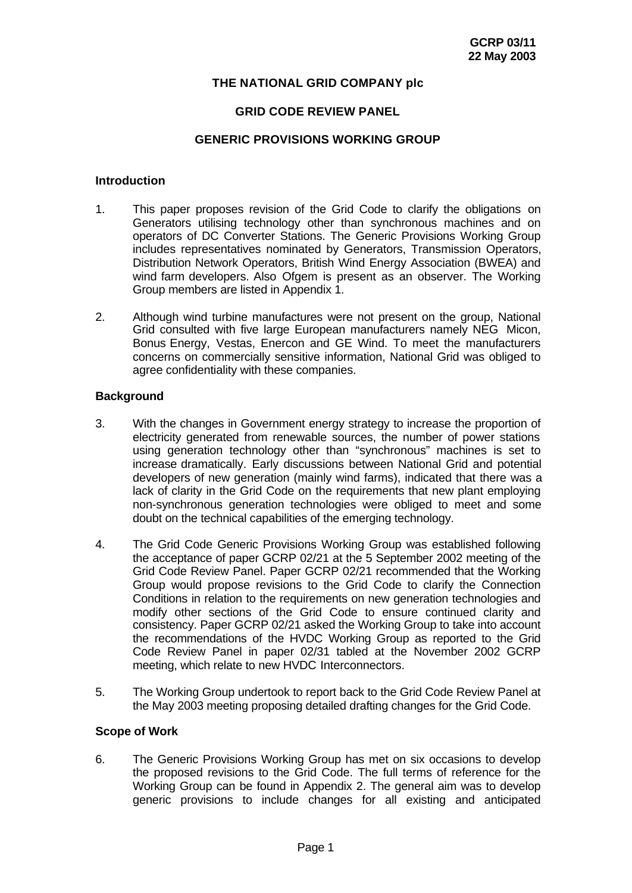## **THE NATIONAL GRID COMPANY plc**

## **GRID CODE REVIEW PANEL**

#### **GENERIC PROVISIONS WORKING GROUP**

#### **Introduction**

- 1. This paper proposes revision of the Grid Code to clarify the obligations on Generators utilising technology other than synchronous machines and on operators of DC Converter Stations. The Generic Provisions Working Group includes representatives nominated by Generators, Transmission Operators, Distribution Network Operators, British Wind Energy Association (BWEA) and wind farm developers. Also Ofgem is present as an observer. The Working Group members are listed in Appendix 1.
- 2. Although wind turbine manufactures were not present on the group, National Grid consulted with five large European manufacturers namely NEG Micon, Bonus Energy, Vestas, Enercon and GE Wind. To meet the manufacturers concerns on commercially sensitive information, National Grid was obliged to agree confidentiality with these companies.

#### **Background**

- 3. With the changes in Government energy strategy to increase the proportion of electricity generated from renewable sources, the number of power stations using generation technology other than "synchronous" machines is set to increase dramatically. Early discussions between National Grid and potential developers of new generation (mainly wind farms), indicated that there was a lack of clarity in the Grid Code on the requirements that new plant employing non-synchronous generation technologies were obliged to meet and some doubt on the technical capabilities of the emerging technology.
- 4. The Grid Code Generic Provisions Working Group was established following the acceptance of paper GCRP 02/21 at the 5 September 2002 meeting of the Grid Code Review Panel. Paper GCRP 02/21 recommended that the Working Group would propose revisions to the Grid Code to clarify the Connection Conditions in relation to the requirements on new generation technologies and modify other sections of the Grid Code to ensure continued clarity and consistency. Paper GCRP 02/21 asked the Working Group to take into account the recommendations of the HVDC Working Group as reported to the Grid Code Review Panel in paper 02/31 tabled at the November 2002 GCRP meeting, which relate to new HVDC Interconnectors.
- 5. The Working Group undertook to report back to the Grid Code Review Panel at the May 2003 meeting proposing detailed drafting changes for the Grid Code.

#### **Scope of Work**

6. The Generic Provisions Working Group has met on six occasions to develop the proposed revisions to the Grid Code. The full terms of reference for the Working Group can be found in Appendix 2. The general aim was to develop generic provisions to include changes for all existing and anticipated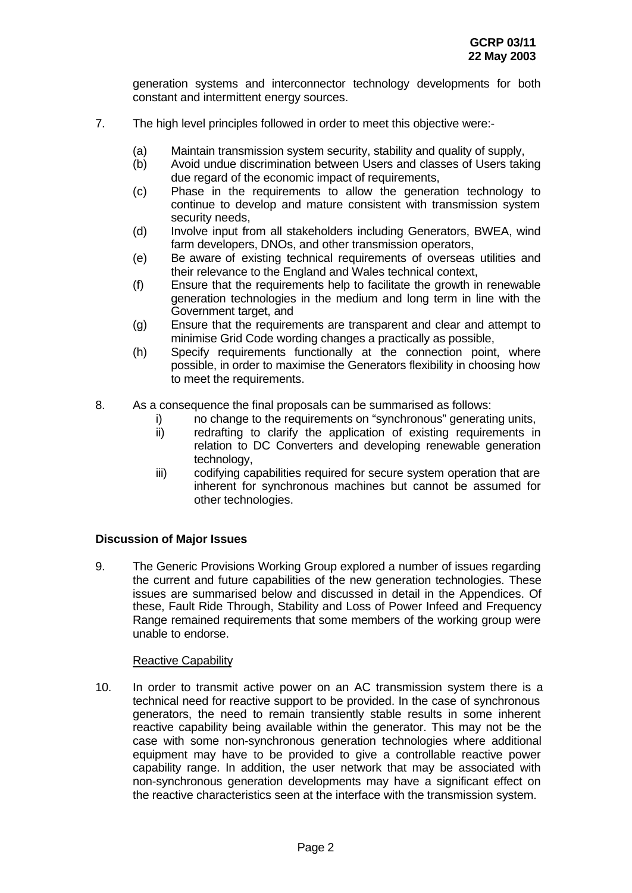generation systems and interconnector technology developments for both constant and intermittent energy sources.

- 7. The high level principles followed in order to meet this objective were:-
	- (a) Maintain transmission system security, stability and quality of supply,
	- (b) Avoid undue discrimination between Users and classes of Users taking due regard of the economic impact of requirements,
	- (c) Phase in the requirements to allow the generation technology to continue to develop and mature consistent with transmission system security needs,
	- (d) Involve input from all stakeholders including Generators, BWEA, wind farm developers, DNOs, and other transmission operators,
	- (e) Be aware of existing technical requirements of overseas utilities and their relevance to the England and Wales technical context,
	- (f) Ensure that the requirements help to facilitate the growth in renewable generation technologies in the medium and long term in line with the Government target, and
	- (g) Ensure that the requirements are transparent and clear and attempt to minimise Grid Code wording changes a practically as possible,
	- (h) Specify requirements functionally at the connection point, where possible, in order to maximise the Generators flexibility in choosing how to meet the requirements.
- 8. As a consequence the final proposals can be summarised as follows:
	- i) no change to the requirements on "synchronous" generating units,
	- ii) redrafting to clarify the application of existing requirements in relation to DC Converters and developing renewable generation technology,
	- iii) codifying capabilities required for secure system operation that are inherent for synchronous machines but cannot be assumed for other technologies.

## **Discussion of Major Issues**

9. The Generic Provisions Working Group explored a number of issues regarding the current and future capabilities of the new generation technologies. These issues are summarised below and discussed in detail in the Appendices. Of these, Fault Ride Through, Stability and Loss of Power Infeed and Frequency Range remained requirements that some members of the working group were unable to endorse.

#### Reactive Capability

10. In order to transmit active power on an AC transmission system there is a technical need for reactive support to be provided. In the case of synchronous generators, the need to remain transiently stable results in some inherent reactive capability being available within the generator. This may not be the case with some non-synchronous generation technologies where additional equipment may have to be provided to give a controllable reactive power capability range. In addition, the user network that may be associated with non-synchronous generation developments may have a significant effect on the reactive characteristics seen at the interface with the transmission system.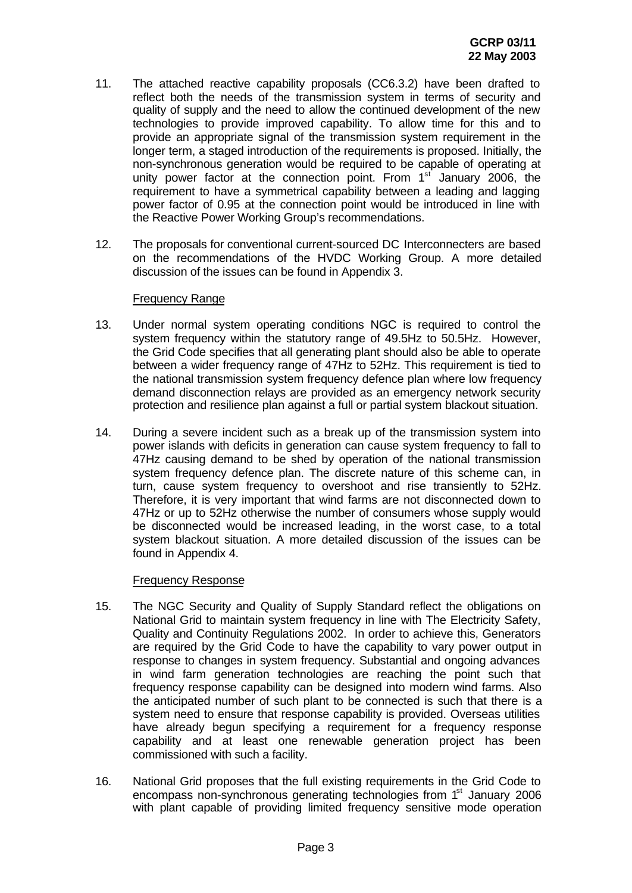- 11. The attached reactive capability proposals (CC6.3.2) have been drafted to reflect both the needs of the transmission system in terms of security and quality of supply and the need to allow the continued development of the new technologies to provide improved capability. To allow time for this and to provide an appropriate signal of the transmission system requirement in the longer term, a staged introduction of the requirements is proposed. Initially, the non-synchronous generation would be required to be capable of operating at unity power factor at the connection point. From 1<sup>st</sup> January 2006, the requirement to have a symmetrical capability between a leading and lagging power factor of 0.95 at the connection point would be introduced in line with the Reactive Power Working Group's recommendations.
- 12. The proposals for conventional current-sourced DC Interconnecters are based on the recommendations of the HVDC Working Group. A more detailed discussion of the issues can be found in Appendix 3.

#### Frequency Range

- 13. Under normal system operating conditions NGC is required to control the system frequency within the statutory range of 49.5Hz to 50.5Hz. However, the Grid Code specifies that all generating plant should also be able to operate between a wider frequency range of 47Hz to 52Hz. This requirement is tied to the national transmission system frequency defence plan where low frequency demand disconnection relays are provided as an emergency network security protection and resilience plan against a full or partial system blackout situation.
- 14. During a severe incident such as a break up of the transmission system into power islands with deficits in generation can cause system frequency to fall to 47Hz causing demand to be shed by operation of the national transmission system frequency defence plan. The discrete nature of this scheme can, in turn, cause system frequency to overshoot and rise transiently to 52Hz. Therefore, it is very important that wind farms are not disconnected down to 47Hz or up to 52Hz otherwise the number of consumers whose supply would be disconnected would be increased leading, in the worst case, to a total system blackout situation. A more detailed discussion of the issues can be found in Appendix 4.

## Frequency Response

- 15. The NGC Security and Quality of Supply Standard reflect the obligations on National Grid to maintain system frequency in line with The Electricity Safety, Quality and Continuity Regulations 2002. In order to achieve this, Generators are required by the Grid Code to have the capability to vary power output in response to changes in system frequency. Substantial and ongoing advances in wind farm generation technologies are reaching the point such that frequency response capability can be designed into modern wind farms. Also the anticipated number of such plant to be connected is such that there is a system need to ensure that response capability is provided. Overseas utilities have already begun specifying a requirement for a frequency response capability and at least one renewable generation project has been commissioned with such a facility.
- 16. National Grid proposes that the full existing requirements in the Grid Code to encompass non-synchronous generating technologies from 1<sup>st</sup> January 2006 with plant capable of providing limited frequency sensitive mode operation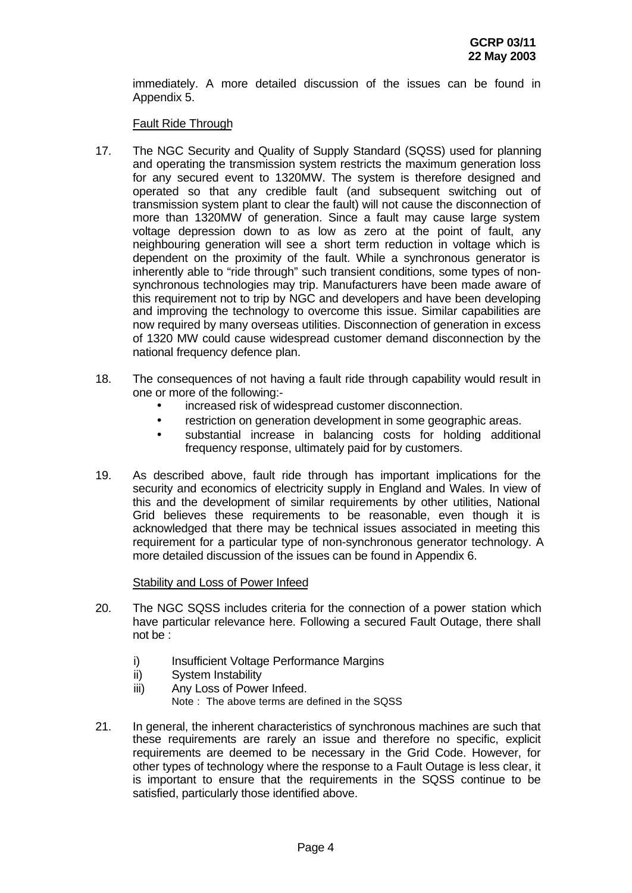immediately. A more detailed discussion of the issues can be found in Appendix 5.

Fault Ride Through

- 17. The NGC Security and Quality of Supply Standard (SQSS) used for planning and operating the transmission system restricts the maximum generation loss for any secured event to 1320MW. The system is therefore designed and operated so that any credible fault (and subsequent switching out of transmission system plant to clear the fault) will not cause the disconnection of more than 1320MW of generation. Since a fault may cause large system voltage depression down to as low as zero at the point of fault, any neighbouring generation will see a short term reduction in voltage which is dependent on the proximity of the fault. While a synchronous generator is inherently able to "ride through" such transient conditions, some types of nonsynchronous technologies may trip. Manufacturers have been made aware of this requirement not to trip by NGC and developers and have been developing and improving the technology to overcome this issue. Similar capabilities are now required by many overseas utilities. Disconnection of generation in excess of 1320 MW could cause widespread customer demand disconnection by the national frequency defence plan.
- 18. The consequences of not having a fault ride through capability would result in one or more of the following:-
	- increased risk of widespread customer disconnection.
	- restriction on generation development in some geographic areas.
	- substantial increase in balancing costs for holding additional frequency response, ultimately paid for by customers.
- 19. As described above, fault ride through has important implications for the security and economics of electricity supply in England and Wales. In view of this and the development of similar requirements by other utilities, National Grid believes these requirements to be reasonable, even though it is acknowledged that there may be technical issues associated in meeting this requirement for a particular type of non-synchronous generator technology. A more detailed discussion of the issues can be found in Appendix 6.

## Stability and Loss of Power Infeed

- 20. The NGC SQSS includes criteria for the connection of a power station which have particular relevance here. Following a secured Fault Outage, there shall not be :
	- i) Insufficient Voltage Performance Margins
	- ii) System Instability
	- iii) Any Loss of Power Infeed. Note : The above terms are defined in the SQSS
- 21. In general, the inherent characteristics of synchronous machines are such that these requirements are rarely an issue and therefore no specific, explicit requirements are deemed to be necessary in the Grid Code. However, for other types of technology where the response to a Fault Outage is less clear, it is important to ensure that the requirements in the SQSS continue to be satisfied, particularly those identified above.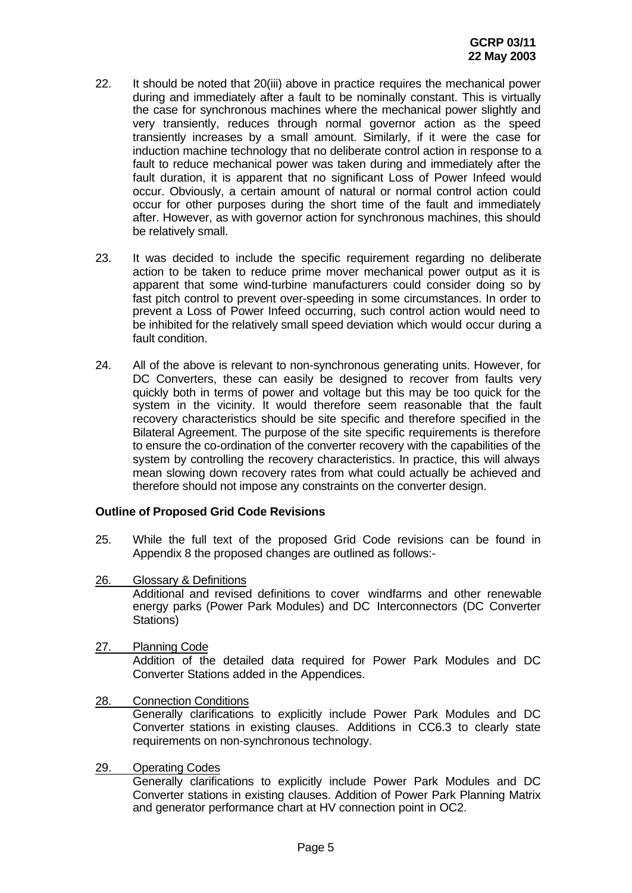- 22. It should be noted that 20(iii) above in practice requires the mechanical power during and immediately after a fault to be nominally constant. This is virtually the case for synchronous machines where the mechanical power slightly and very transiently, reduces through normal governor action as the speed transiently increases by a small amount. Similarly, if it were the case for induction machine technology that no deliberate control action in response to a fault to reduce mechanical power was taken during and immediately after the fault duration, it is apparent that no significant Loss of Power Infeed would occur. Obviously, a certain amount of natural or normal control action could occur for other purposes during the short time of the fault and immediately after. However, as with governor action for synchronous machines, this should be relatively small.
- 23. It was decided to include the specific requirement regarding no deliberate action to be taken to reduce prime mover mechanical power output as it is apparent that some wind-turbine manufacturers could consider doing so by fast pitch control to prevent over-speeding in some circumstances. In order to prevent a Loss of Power Infeed occurring, such control action would need to be inhibited for the relatively small speed deviation which would occur during a fault condition.
- 24. All of the above is relevant to non-synchronous generating units. However, for DC Converters, these can easily be designed to recover from faults very quickly both in terms of power and voltage but this may be too quick for the system in the vicinity. It would therefore seem reasonable that the fault recovery characteristics should be site specific and therefore specified in the Bilateral Agreement. The purpose of the site specific requirements is therefore to ensure the co-ordination of the converter recovery with the capabilities of the system by controlling the recovery characteristics. In practice, this will always mean slowing down recovery rates from what could actually be achieved and therefore should not impose any constraints on the converter design.

## **Outline of Proposed Grid Code Revisions**

- 25. While the full text of the proposed Grid Code revisions can be found in Appendix 8 the proposed changes are outlined as follows:-
- 26. Glossary & Definitions Additional and revised definitions to cover windfarms and other renewable energy parks (Power Park Modules) and DC Interconnectors (DC Converter Stations)
- 27. Planning Code Addition of the detailed data required for Power Park Modules and DC Converter Stations added in the Appendices.
- 28. Connection Conditions Generally clarifications to explicitly include Power Park Modules and DC Converter stations in existing clauses. Additions in CC6.3 to clearly state requirements on non-synchronous technology.
- 29. Operating Codes

Generally clarifications to explicitly include Power Park Modules and DC Converter stations in existing clauses. Addition of Power Park Planning Matrix and generator performance chart at HV connection point in OC2.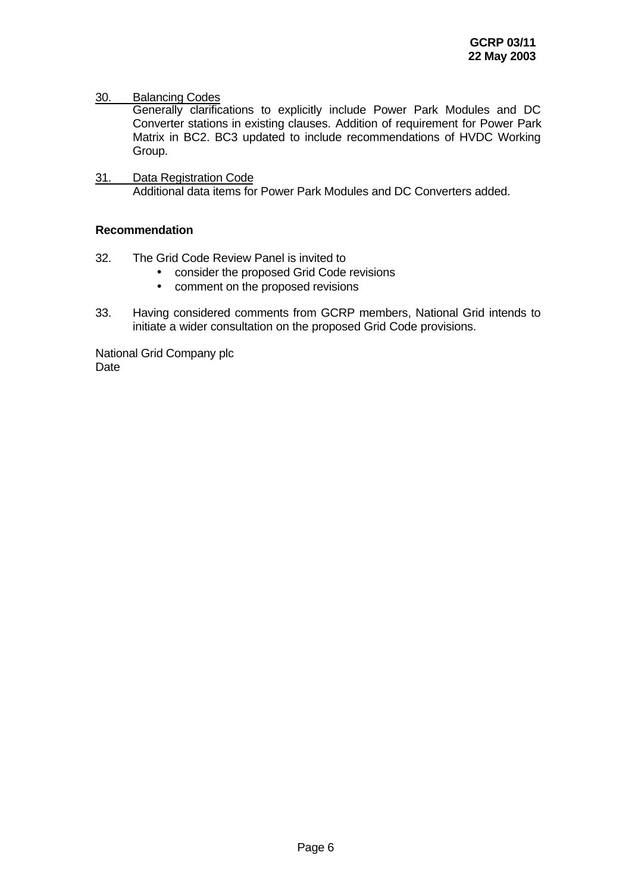## 30. Balancing Codes

Generally clarifications to explicitly include Power Park Modules and DC Converter stations in existing clauses. Addition of requirement for Power Park Matrix in BC2. BC3 updated to include recommendations of HVDC Working Group.

31. Data Registration Code Additional data items for Power Park Modules and DC Converters added.

## **Recommendation**

- 32. The Grid Code Review Panel is invited to
	- consider the proposed Grid Code revisions
	- comment on the proposed revisions
- 33. Having considered comments from GCRP members, National Grid intends to initiate a wider consultation on the proposed Grid Code provisions.

National Grid Company plc Date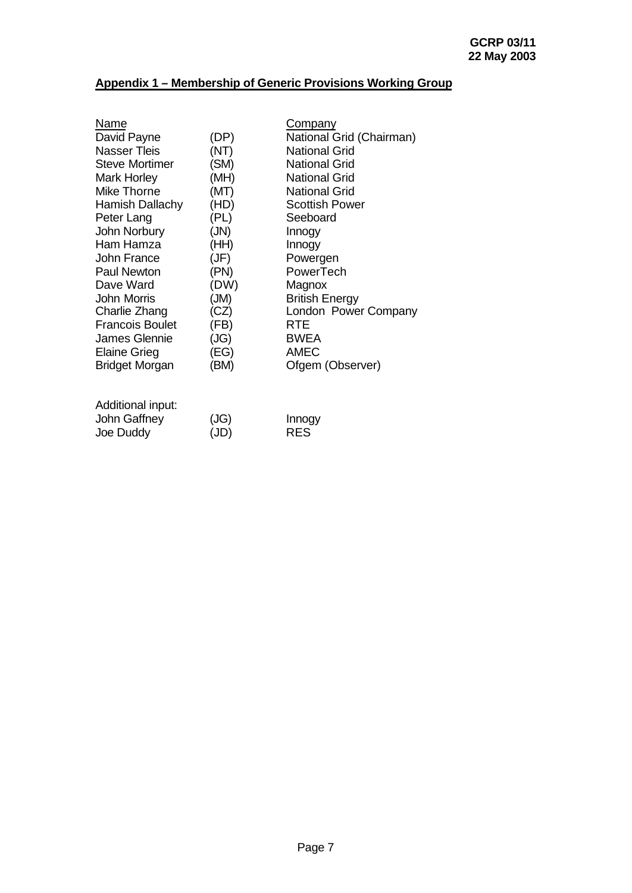# **Appendix 1 – Membership of Generic Provisions Working Group**

| Name                   |      | Company                  |
|------------------------|------|--------------------------|
| David Payne            | (DP) | National Grid (Chairman) |
| <b>Nasser Tleis</b>    | (NT) | <b>National Grid</b>     |
| <b>Steve Mortimer</b>  | (SM) | <b>National Grid</b>     |
| <b>Mark Horley</b>     | (MH) | <b>National Grid</b>     |
| <b>Mike Thorne</b>     | (MT) | <b>National Grid</b>     |
| Hamish Dallachy        | (HD) | <b>Scottish Power</b>    |
| Peter Lang             | (PL) | Seeboard                 |
| John Norbury           | (JN) | Innogy                   |
| Ham Hamza              | (HH) | Innogy                   |
| <b>John France</b>     | (JF) | Powergen                 |
| Paul Newton            | (PN) | PowerTech                |
| Dave Ward              | (DW) | Magnox                   |
| John Morris            | (MI) | <b>British Energy</b>    |
| Charlie Zhang          | (CZ) | London Power Company     |
| <b>Francois Boulet</b> | (FB) | <b>RTE</b>               |
| <b>James Glennie</b>   | (JG) | <b>BWEA</b>              |
| <b>Elaine Grieg</b>    | (EG) | <b>AMEC</b>              |
| <b>Bridget Morgan</b>  | (BM) | Ofgem (Observer)         |
|                        |      |                          |
| Additional input:      |      |                          |

| John Gaffney | (JG) | Innogy     |
|--------------|------|------------|
| Joe Duddy    | (JD) | <b>RES</b> |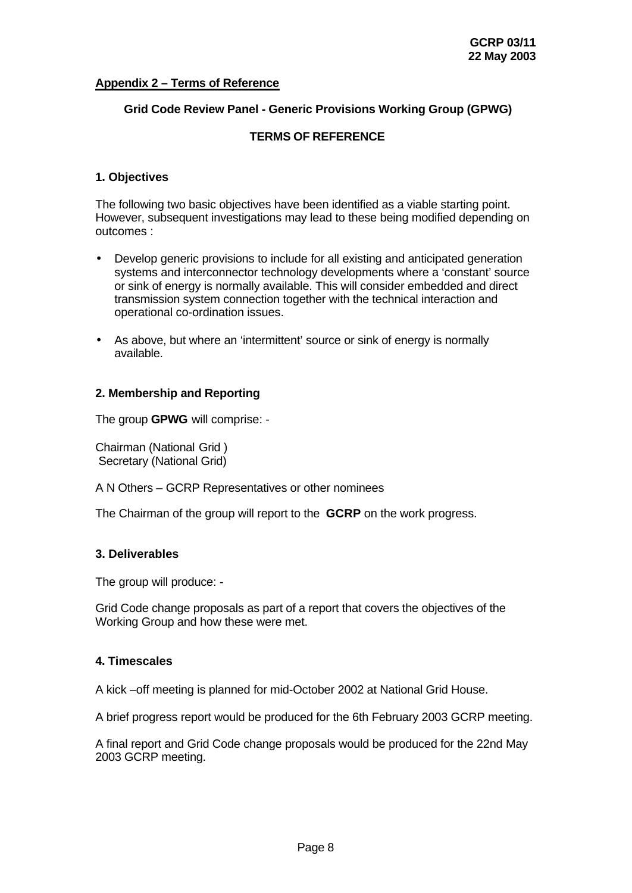## **Appendix 2 – Terms of Reference**

## **Grid Code Review Panel - Generic Provisions Working Group (GPWG)**

#### **TERMS OF REFERENCE**

#### **1. Objectives**

The following two basic objectives have been identified as a viable starting point. However, subsequent investigations may lead to these being modified depending on outcomes :

- Develop generic provisions to include for all existing and anticipated generation systems and interconnector technology developments where a 'constant' source or sink of energy is normally available. This will consider embedded and direct transmission system connection together with the technical interaction and operational co-ordination issues.
- As above, but where an 'intermittent' source or sink of energy is normally available.

## **2. Membership and Reporting**

The group **GPWG** will comprise: -

Chairman (National Grid ) Secretary (National Grid)

A N Others – GCRP Representatives or other nominees

The Chairman of the group will report to the **GCRP** on the work progress.

#### **3. Deliverables**

The group will produce: -

Grid Code change proposals as part of a report that covers the objectives of the Working Group and how these were met.

#### **4. Timescales**

A kick –off meeting is planned for mid-October 2002 at National Grid House.

A brief progress report would be produced for the 6th February 2003 GCRP meeting.

A final report and Grid Code change proposals would be produced for the 22nd May 2003 GCRP meeting.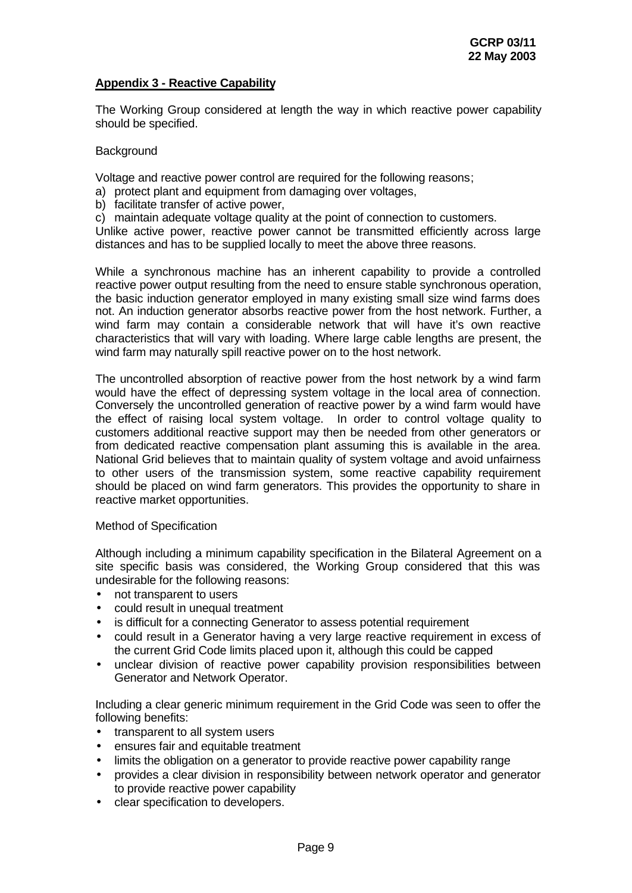## **Appendix 3 - Reactive Capability**

The Working Group considered at length the way in which reactive power capability should be specified.

## **Background**

Voltage and reactive power control are required for the following reasons;

- a) protect plant and equipment from damaging over voltages,
- b) facilitate transfer of active power,
- c) maintain adequate voltage quality at the point of connection to customers.

Unlike active power, reactive power cannot be transmitted efficiently across large distances and has to be supplied locally to meet the above three reasons.

While a synchronous machine has an inherent capability to provide a controlled reactive power output resulting from the need to ensure stable synchronous operation, the basic induction generator employed in many existing small size wind farms does not. An induction generator absorbs reactive power from the host network. Further, a wind farm may contain a considerable network that will have it's own reactive characteristics that will vary with loading. Where large cable lengths are present, the wind farm may naturally spill reactive power on to the host network.

The uncontrolled absorption of reactive power from the host network by a wind farm would have the effect of depressing system voltage in the local area of connection. Conversely the uncontrolled generation of reactive power by a wind farm would have the effect of raising local system voltage. In order to control voltage quality to customers additional reactive support may then be needed from other generators or from dedicated reactive compensation plant assuming this is available in the area. National Grid believes that to maintain quality of system voltage and avoid unfairness to other users of the transmission system, some reactive capability requirement should be placed on wind farm generators. This provides the opportunity to share in reactive market opportunities.

#### Method of Specification

Although including a minimum capability specification in the Bilateral Agreement on a site specific basis was considered, the Working Group considered that this was undesirable for the following reasons:

- not transparent to users
- could result in unequal treatment
- is difficult for a connecting Generator to assess potential requirement
- could result in a Generator having a very large reactive requirement in excess of the current Grid Code limits placed upon it, although this could be capped
- unclear division of reactive power capability provision responsibilities between Generator and Network Operator.

Including a clear generic minimum requirement in the Grid Code was seen to offer the following benefits:

- transparent to all system users
- ensures fair and equitable treatment
- limits the obligation on a generator to provide reactive power capability range
- provides a clear division in responsibility between network operator and generator to provide reactive power capability
- clear specification to developers.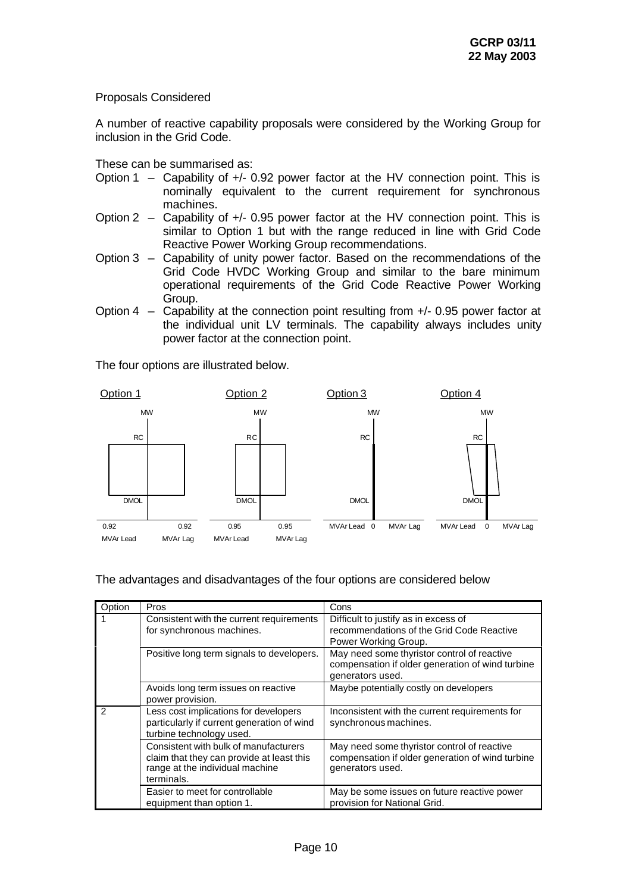## Proposals Considered

A number of reactive capability proposals were considered by the Working Group for inclusion in the Grid Code.

These can be summarised as:

- Option 1 Capability of +/- 0.92 power factor at the HV connection point. This is nominally equivalent to the current requirement for synchronous machines.
- Option 2 Capability of  $+/-$  0.95 power factor at the HV connection point. This is similar to Option 1 but with the range reduced in line with Grid Code Reactive Power Working Group recommendations.
- Option 3 Capability of unity power factor. Based on the recommendations of the Grid Code HVDC Working Group and similar to the bare minimum operational requirements of the Grid Code Reactive Power Working Group.
- Option  $4 -$  Capability at the connection point resulting from  $+/-$  0.95 power factor at the individual unit LV terminals. The capability always includes unity power factor at the connection point.

The four options are illustrated below.



The advantages and disadvantages of the four options are considered below

| Option | Pros                                                                                                                                | Cons                                                                                                                |
|--------|-------------------------------------------------------------------------------------------------------------------------------------|---------------------------------------------------------------------------------------------------------------------|
|        | Consistent with the current requirements<br>for synchronous machines.                                                               | Difficult to justify as in excess of<br>recommendations of the Grid Code Reactive<br>Power Working Group.           |
|        | Positive long term signals to developers.                                                                                           | May need some thyristor control of reactive<br>compensation if older generation of wind turbine<br>generators used. |
|        | Avoids long term issues on reactive<br>power provision.                                                                             | Maybe potentially costly on developers                                                                              |
|        | Less cost implications for developers<br>particularly if current generation of wind<br>turbine technology used.                     | Inconsistent with the current requirements for<br>synchronous machines.                                             |
|        | Consistent with bulk of manufacturers<br>claim that they can provide at least this<br>range at the individual machine<br>terminals. | May need some thyristor control of reactive<br>compensation if older generation of wind turbine<br>generators used. |
|        | Easier to meet for controllable<br>equipment than option 1.                                                                         | May be some issues on future reactive power<br>provision for National Grid.                                         |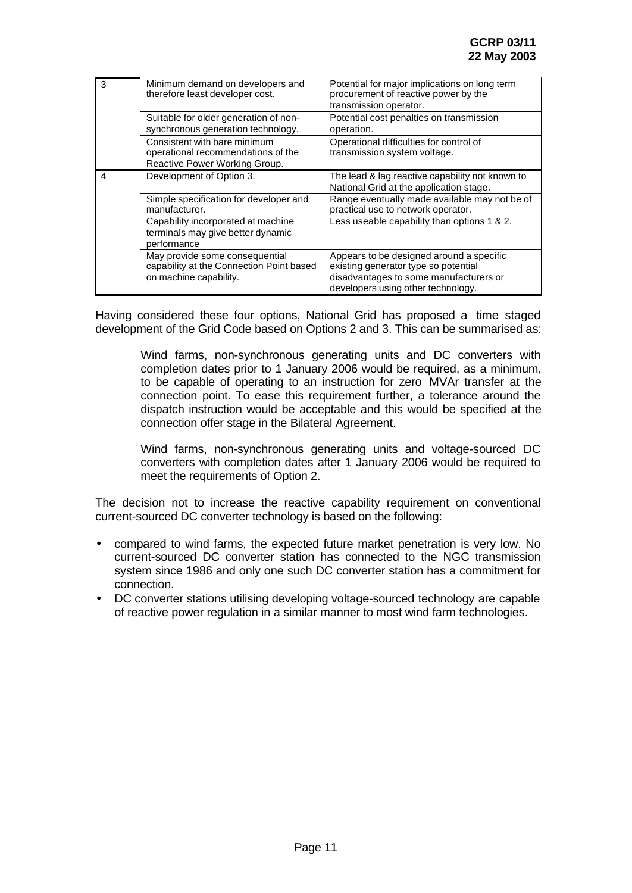| 3 | Minimum demand on developers and<br>therefore least developer cost.                                  | Potential for major implications on long term<br>procurement of reactive power by the<br>transmission operator.                                                  |
|---|------------------------------------------------------------------------------------------------------|------------------------------------------------------------------------------------------------------------------------------------------------------------------|
|   | Suitable for older generation of non-<br>synchronous generation technology.                          | Potential cost penalties on transmission<br>operation.                                                                                                           |
|   | Consistent with bare minimum<br>operational recommendations of the<br>Reactive Power Working Group.  | Operational difficulties for control of<br>transmission system voltage.                                                                                          |
| 4 | Development of Option 3.                                                                             | The lead & lag reactive capability not known to<br>National Grid at the application stage.                                                                       |
|   | Simple specification for developer and<br>manufacturer.                                              | Range eventually made available may not be of<br>practical use to network operator.                                                                              |
|   | Capability incorporated at machine<br>terminals may give better dynamic<br>performance               | Less useable capability than options 1 & 2.                                                                                                                      |
|   | May provide some consequential<br>capability at the Connection Point based<br>on machine capability. | Appears to be designed around a specific<br>existing generator type so potential<br>disadvantages to some manufacturers or<br>developers using other technology. |

Having considered these four options, National Grid has proposed a time staged development of the Grid Code based on Options 2 and 3. This can be summarised as:

> Wind farms, non-synchronous generating units and DC converters with completion dates prior to 1 January 2006 would be required, as a minimum, to be capable of operating to an instruction for zero MVAr transfer at the connection point. To ease this requirement further, a tolerance around the dispatch instruction would be acceptable and this would be specified at the connection offer stage in the Bilateral Agreement.

> Wind farms, non-synchronous generating units and voltage-sourced DC converters with completion dates after 1 January 2006 would be required to meet the requirements of Option 2.

The decision not to increase the reactive capability requirement on conventional current-sourced DC converter technology is based on the following:

- compared to wind farms, the expected future market penetration is very low. No current-sourced DC converter station has connected to the NGC transmission system since 1986 and only one such DC converter station has a commitment for connection.
- DC converter stations utilising developing voltage-sourced technology are capable of reactive power regulation in a similar manner to most wind farm technologies.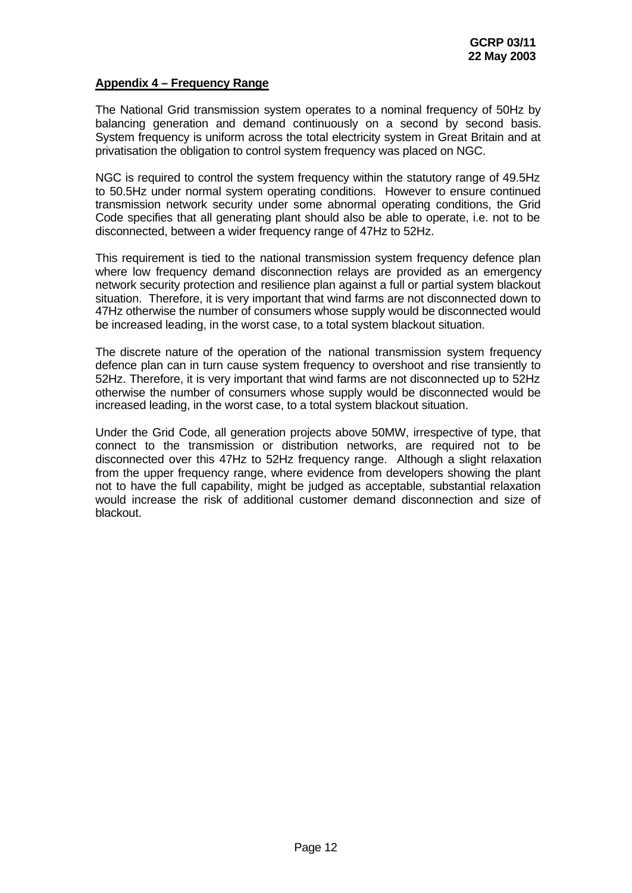## **Appendix 4 – Frequency Range**

The National Grid transmission system operates to a nominal frequency of 50Hz by balancing generation and demand continuously on a second by second basis. System frequency is uniform across the total electricity system in Great Britain and at privatisation the obligation to control system frequency was placed on NGC.

NGC is required to control the system frequency within the statutory range of 49.5Hz to 50.5Hz under normal system operating conditions. However to ensure continued transmission network security under some abnormal operating conditions, the Grid Code specifies that all generating plant should also be able to operate, i.e. not to be disconnected, between a wider frequency range of 47Hz to 52Hz.

This requirement is tied to the national transmission system frequency defence plan where low frequency demand disconnection relays are provided as an emergency network security protection and resilience plan against a full or partial system blackout situation. Therefore, it is very important that wind farms are not disconnected down to 47Hz otherwise the number of consumers whose supply would be disconnected would be increased leading, in the worst case, to a total system blackout situation.

The discrete nature of the operation of the national transmission system frequency defence plan can in turn cause system frequency to overshoot and rise transiently to 52Hz. Therefore, it is very important that wind farms are not disconnected up to 52Hz otherwise the number of consumers whose supply would be disconnected would be increased leading, in the worst case, to a total system blackout situation.

Under the Grid Code, all generation projects above 50MW, irrespective of type, that connect to the transmission or distribution networks, are required not to be disconnected over this 47Hz to 52Hz frequency range. Although a slight relaxation from the upper frequency range, where evidence from developers showing the plant not to have the full capability, might be judged as acceptable, substantial relaxation would increase the risk of additional customer demand disconnection and size of blackout.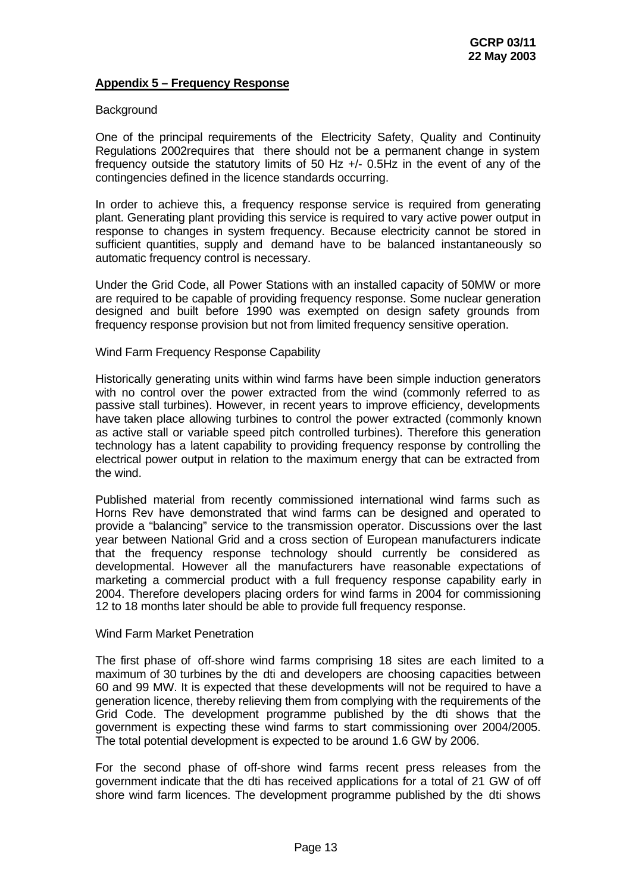## **Appendix 5 – Frequency Response**

## **Background**

One of the principal requirements of the Electricity Safety, Quality and Continuity Regulations 2002requires that there should not be a permanent change in system frequency outside the statutory limits of 50 Hz +/- 0.5Hz in the event of any of the contingencies defined in the licence standards occurring.

In order to achieve this, a frequency response service is required from generating plant. Generating plant providing this service is required to vary active power output in response to changes in system frequency. Because electricity cannot be stored in sufficient quantities, supply and demand have to be balanced instantaneously so automatic frequency control is necessary.

Under the Grid Code, all Power Stations with an installed capacity of 50MW or more are required to be capable of providing frequency response. Some nuclear generation designed and built before 1990 was exempted on design safety grounds from frequency response provision but not from limited frequency sensitive operation.

## Wind Farm Frequency Response Capability

Historically generating units within wind farms have been simple induction generators with no control over the power extracted from the wind (commonly referred to as passive stall turbines). However, in recent years to improve efficiency, developments have taken place allowing turbines to control the power extracted (commonly known as active stall or variable speed pitch controlled turbines). Therefore this generation technology has a latent capability to providing frequency response by controlling the electrical power output in relation to the maximum energy that can be extracted from the wind.

Published material from recently commissioned international wind farms such as Horns Rev have demonstrated that wind farms can be designed and operated to provide a "balancing" service to the transmission operator. Discussions over the last year between National Grid and a cross section of European manufacturers indicate that the frequency response technology should currently be considered as developmental. However all the manufacturers have reasonable expectations of marketing a commercial product with a full frequency response capability early in 2004. Therefore developers placing orders for wind farms in 2004 for commissioning 12 to 18 months later should be able to provide full frequency response.

#### Wind Farm Market Penetration

The first phase of off-shore wind farms comprising 18 sites are each limited to a maximum of 30 turbines by the dti and developers are choosing capacities between 60 and 99 MW. It is expected that these developments will not be required to have a generation licence, thereby relieving them from complying with the requirements of the Grid Code. The development programme published by the dti shows that the government is expecting these wind farms to start commissioning over 2004/2005. The total potential development is expected to be around 1.6 GW by 2006.

For the second phase of off-shore wind farms recent press releases from the government indicate that the dti has received applications for a total of 21 GW of off shore wind farm licences. The development programme published by the dti shows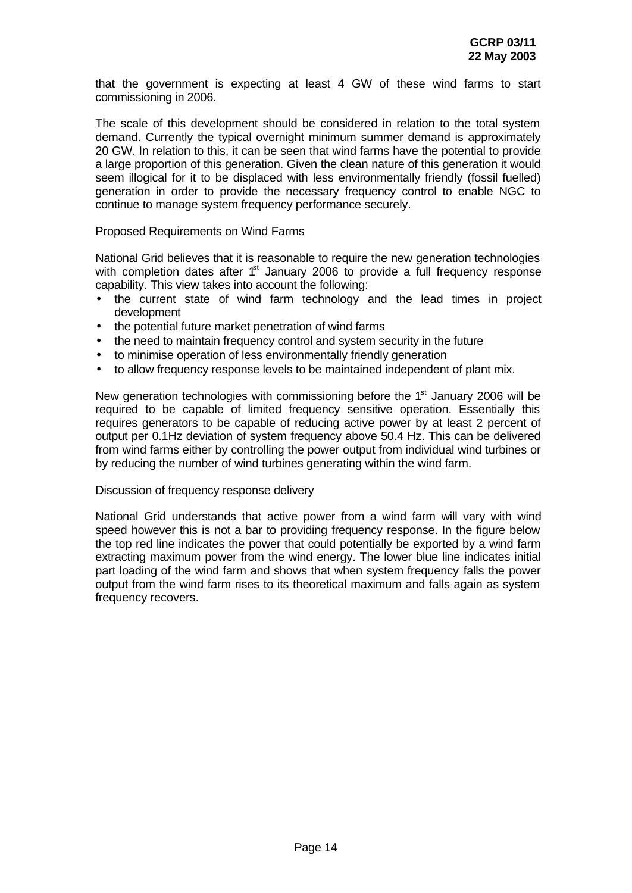that the government is expecting at least 4 GW of these wind farms to start commissioning in 2006.

The scale of this development should be considered in relation to the total system demand. Currently the typical overnight minimum summer demand is approximately 20 GW. In relation to this, it can be seen that wind farms have the potential to provide a large proportion of this generation. Given the clean nature of this generation it would seem illogical for it to be displaced with less environmentally friendly (fossil fuelled) generation in order to provide the necessary frequency control to enable NGC to continue to manage system frequency performance securely.

Proposed Requirements on Wind Farms

National Grid believes that it is reasonable to require the new generation technologies with completion dates after  $f<sup>st</sup>$  January 2006 to provide a full frequency response capability. This view takes into account the following:

- the current state of wind farm technology and the lead times in project development
- the potential future market penetration of wind farms
- the need to maintain frequency control and system security in the future
- to minimise operation of less environmentally friendly generation
- to allow frequency response levels to be maintained independent of plant mix.

New generation technologies with commissioning before the  $1<sup>st</sup>$  January 2006 will be required to be capable of limited frequency sensitive operation. Essentially this requires generators to be capable of reducing active power by at least 2 percent of output per 0.1Hz deviation of system frequency above 50.4 Hz. This can be delivered from wind farms either by controlling the power output from individual wind turbines or by reducing the number of wind turbines generating within the wind farm.

#### Discussion of frequency response delivery

National Grid understands that active power from a wind farm will vary with wind speed however this is not a bar to providing frequency response. In the figure below the top red line indicates the power that could potentially be exported by a wind farm extracting maximum power from the wind energy. The lower blue line indicates initial part loading of the wind farm and shows that when system frequency falls the power output from the wind farm rises to its theoretical maximum and falls again as system frequency recovers.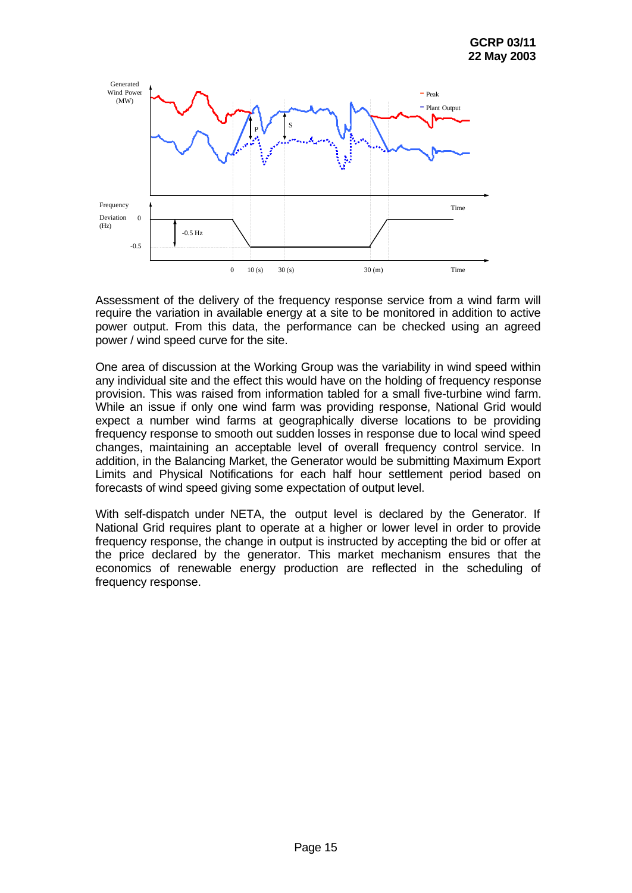

Assessment of the delivery of the frequency response service from a wind farm will require the variation in available energy at a site to be monitored in addition to active power output. From this data, the performance can be checked using an agreed power / wind speed curve for the site.

One area of discussion at the Working Group was the variability in wind speed within any individual site and the effect this would have on the holding of frequency response provision. This was raised from information tabled for a small five-turbine wind farm. While an issue if only one wind farm was providing response, National Grid would expect a number wind farms at geographically diverse locations to be providing frequency response to smooth out sudden losses in response due to local wind speed changes, maintaining an acceptable level of overall frequency control service. In addition, in the Balancing Market, the Generator would be submitting Maximum Export Limits and Physical Notifications for each half hour settlement period based on forecasts of wind speed giving some expectation of output level.

With self-dispatch under NETA, the output level is declared by the Generator. If National Grid requires plant to operate at a higher or lower level in order to provide frequency response, the change in output is instructed by accepting the bid or offer at the price declared by the generator. This market mechanism ensures that the economics of renewable energy production are reflected in the scheduling of frequency response.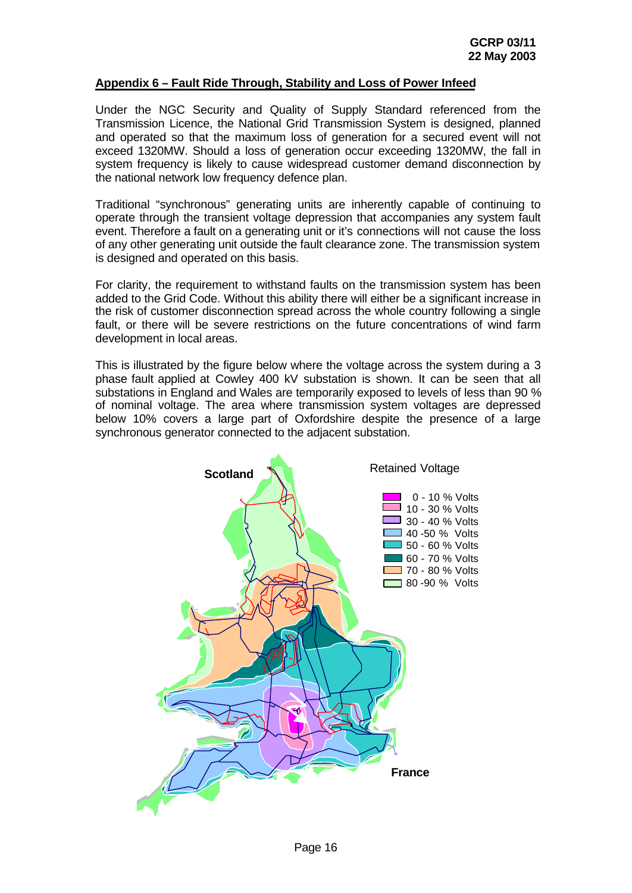## **Appendix 6 – Fault Ride Through, Stability and Loss of Power Infeed**

Under the NGC Security and Quality of Supply Standard referenced from the Transmission Licence, the National Grid Transmission System is designed, planned and operated so that the maximum loss of generation for a secured event will not exceed 1320MW. Should a loss of generation occur exceeding 1320MW, the fall in system frequency is likely to cause widespread customer demand disconnection by the national network low frequency defence plan.

Traditional "synchronous" generating units are inherently capable of continuing to operate through the transient voltage depression that accompanies any system fault event. Therefore a fault on a generating unit or it's connections will not cause the loss of any other generating unit outside the fault clearance zone. The transmission system is designed and operated on this basis.

For clarity, the requirement to withstand faults on the transmission system has been added to the Grid Code. Without this ability there will either be a significant increase in the risk of customer disconnection spread across the whole country following a single fault, or there will be severe restrictions on the future concentrations of wind farm development in local areas.

This is illustrated by the figure below where the voltage across the system during a 3 phase fault applied at Cowley 400 kV substation is shown. It can be seen that all substations in England and Wales are temporarily exposed to levels of less than 90 % of nominal voltage. The area where transmission system voltages are depressed below 10% covers a large part of Oxfordshire despite the presence of a large synchronous generator connected to the adjacent substation.

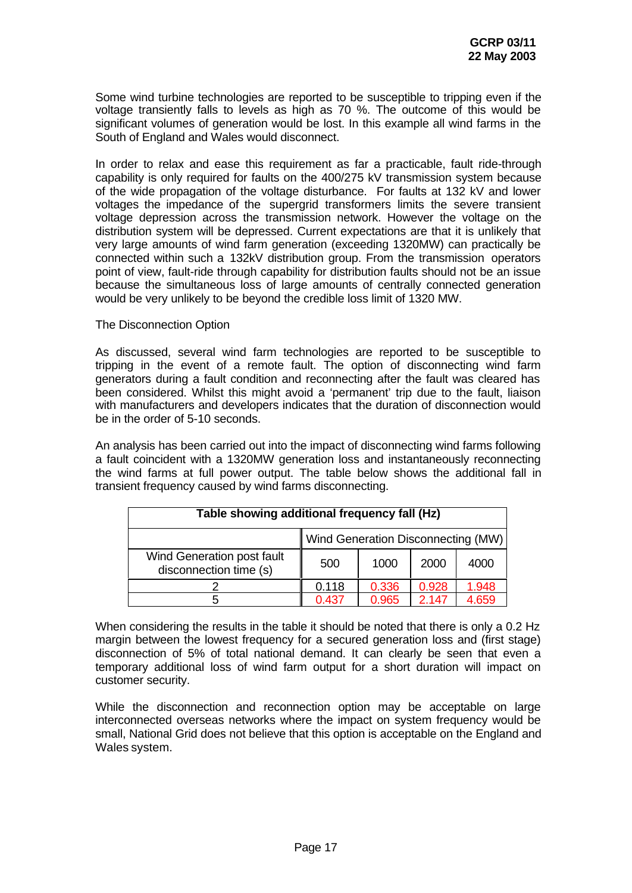Some wind turbine technologies are reported to be susceptible to tripping even if the voltage transiently falls to levels as high as 70 %. The outcome of this would be significant volumes of generation would be lost. In this example all wind farms in the South of England and Wales would disconnect.

In order to relax and ease this requirement as far a practicable, fault ride-through capability is only required for faults on the 400/275 kV transmission system because of the wide propagation of the voltage disturbance. For faults at 132 kV and lower voltages the impedance of the supergrid transformers limits the severe transient voltage depression across the transmission network. However the voltage on the distribution system will be depressed. Current expectations are that it is unlikely that very large amounts of wind farm generation (exceeding 1320MW) can practically be connected within such a 132kV distribution group. From the transmission operators point of view, fault-ride through capability for distribution faults should not be an issue because the simultaneous loss of large amounts of centrally connected generation would be very unlikely to be beyond the credible loss limit of 1320 MW.

The Disconnection Option

As discussed, several wind farm technologies are reported to be susceptible to tripping in the event of a remote fault. The option of disconnecting wind farm generators during a fault condition and reconnecting after the fault was cleared has been considered. Whilst this might avoid a 'permanent' trip due to the fault, liaison with manufacturers and developers indicates that the duration of disconnection would be in the order of 5-10 seconds.

An analysis has been carried out into the impact of disconnecting wind farms following a fault coincident with a 1320MW generation loss and instantaneously reconnecting the wind farms at full power output. The table below shows the additional fall in transient frequency caused by wind farms disconnecting.

| Table showing additional frequency fall (Hz)         |                                    |       |       |       |
|------------------------------------------------------|------------------------------------|-------|-------|-------|
|                                                      | Wind Generation Disconnecting (MW) |       |       |       |
| Wind Generation post fault<br>disconnection time (s) | 500                                | 1000  | 2000  | 4000  |
|                                                      | 0.118                              | 0.336 | 0.928 | 1.948 |
|                                                      | 0.437                              | 0.965 | 2 147 | 4.659 |

When considering the results in the table it should be noted that there is only a 0.2 Hz margin between the lowest frequency for a secured generation loss and (first stage) disconnection of 5% of total national demand. It can clearly be seen that even a temporary additional loss of wind farm output for a short duration will impact on customer security.

While the disconnection and reconnection option may be acceptable on large interconnected overseas networks where the impact on system frequency would be small, National Grid does not believe that this option is acceptable on the England and Wales system.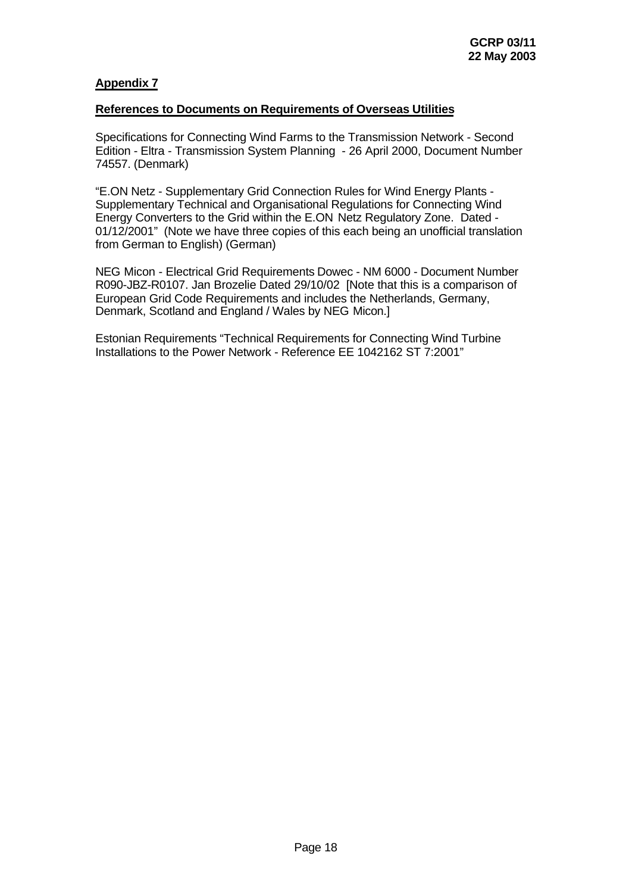## **Appendix 7**

## **References to Documents on Requirements of Overseas Utilities**

Specifications for Connecting Wind Farms to the Transmission Network - Second Edition - Eltra - Transmission System Planning - 26 April 2000, Document Number 74557. (Denmark)

"E.ON Netz - Supplementary Grid Connection Rules for Wind Energy Plants - Supplementary Technical and Organisational Regulations for Connecting Wind Energy Converters to the Grid within the E.ON Netz Regulatory Zone. Dated - 01/12/2001" (Note we have three copies of this each being an unofficial translation from German to English) (German)

NEG Micon - Electrical Grid Requirements Dowec - NM 6000 - Document Number R090-JBZ-R0107. Jan Brozelie Dated 29/10/02 [Note that this is a comparison of European Grid Code Requirements and includes the Netherlands, Germany, Denmark, Scotland and England / Wales by NEG Micon.]

Estonian Requirements "Technical Requirements for Connecting Wind Turbine Installations to the Power Network - Reference EE 1042162 ST 7:2001"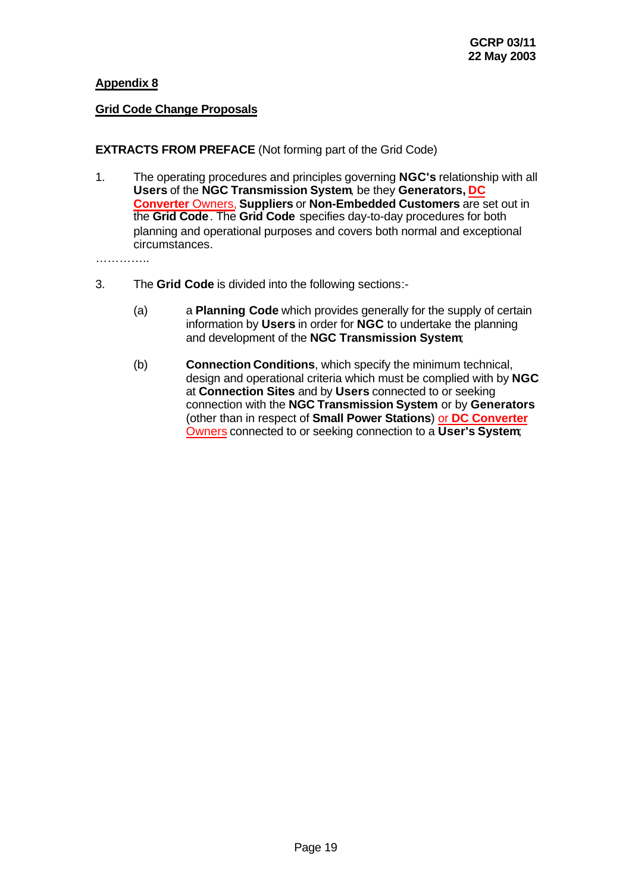## **Appendix 8**

## **Grid Code Change Proposals**

## **EXTRACTS FROM PREFACE** (Not forming part of the Grid Code)

1. The operating procedures and principles governing **NGC's** relationship with all **Users** of the **NGC Transmission System**, be they **Generators, DC Converter** Owners, **Suppliers** or **Non-Embedded Customers** are set out in the **Grid Code**. The **Grid Code** specifies day-to-day procedures for both planning and operational purposes and covers both normal and exceptional circumstances.

……………

- 3. The **Grid Code** is divided into the following sections:-
	- (a) a **Planning Code** which provides generally for the supply of certain information by **Users** in order for **NGC** to undertake the planning and development of the **NGC Transmission System**;
	- (b) **Connection Conditions**, which specify the minimum technical, design and operational criteria which must be complied with by **NGC** at **Connection Sites** and by **Users** connected to or seeking connection with the **NGC Transmission System** or by **Generators** (other than in respect of **Small Power Stations**) or **DC Converter** Owners connected to or seeking connection to a **User's System**;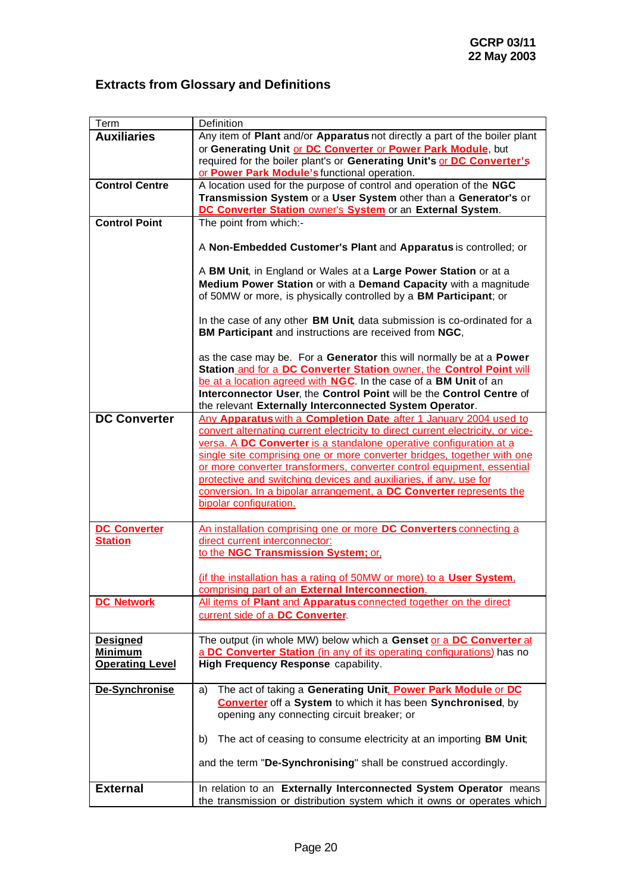# **Extracts from Glossary and Definitions**

| Term                   | Definition                                                                                                                                                                                                       |
|------------------------|------------------------------------------------------------------------------------------------------------------------------------------------------------------------------------------------------------------|
| <b>Auxiliaries</b>     | Any item of Plant and/or Apparatus not directly a part of the boiler plant                                                                                                                                       |
|                        | or Generating Unit or DC Converter or Power Park Module, but                                                                                                                                                     |
|                        | required for the boiler plant's or Generating Unit's or DC Converter's                                                                                                                                           |
|                        | or Power Park Module's functional operation.                                                                                                                                                                     |
| <b>Control Centre</b>  | A location used for the purpose of control and operation of the NGC                                                                                                                                              |
|                        | Transmission System or a User System other than a Generator's or                                                                                                                                                 |
|                        | DC Converter Station owner's System or an External System.                                                                                                                                                       |
| <b>Control Point</b>   | The point from which:-                                                                                                                                                                                           |
|                        | A Non-Embedded Customer's Plant and Apparatus is controlled; or                                                                                                                                                  |
|                        | A BM Unit, in England or Wales at a Large Power Station or at a                                                                                                                                                  |
|                        | Medium Power Station or with a Demand Capacity with a magnitude                                                                                                                                                  |
|                        | of 50MW or more, is physically controlled by a BM Participant; or                                                                                                                                                |
|                        | In the case of any other BM Unit, data submission is co-ordinated for a<br>BM Participant and instructions are received from NGC,                                                                                |
|                        | as the case may be. For a Generator this will normally be at a Power<br>Station and for a DC Converter Station owner, the Control Point will<br>be at a location agreed with NGC. In the case of a BM Unit of an |
|                        | Interconnector User, the Control Point will be the Control Centre of                                                                                                                                             |
| <b>DC Converter</b>    | the relevant Externally Interconnected System Operator.                                                                                                                                                          |
|                        | Any Apparatus with a Completion Date after 1 January 2004 used to<br>convert alternating current electricity to direct current electricity, or vice-                                                             |
|                        | versa. A DC Converter is a standalone operative configuration at a                                                                                                                                               |
|                        | single site comprising one or more converter bridges, together with one                                                                                                                                          |
|                        | or more converter transformers, converter control equipment, essential                                                                                                                                           |
|                        | protective and switching devices and auxiliaries, if any, use for                                                                                                                                                |
|                        | conversion. In a bipolar arrangement, a DC Converter represents the                                                                                                                                              |
|                        | bipolar configuration.                                                                                                                                                                                           |
|                        |                                                                                                                                                                                                                  |
| <b>DC Converter</b>    | An installation comprising one or more DC Converters connecting a                                                                                                                                                |
| <b>Station</b>         | direct current interconnector:                                                                                                                                                                                   |
|                        | to the NGC Transmission System; or,                                                                                                                                                                              |
|                        |                                                                                                                                                                                                                  |
|                        | (if the installation has a rating of 50MW or more) to a User System.                                                                                                                                             |
|                        | comprising part of an External Interconnection.                                                                                                                                                                  |
| <b>DC Network</b>      | All items of Plant and Apparatus connected together on the direct                                                                                                                                                |
|                        | current side of a DC Converter.                                                                                                                                                                                  |
|                        |                                                                                                                                                                                                                  |
| <b>Designed</b>        | The output (in whole MW) below which a Genset or a DC Converter at                                                                                                                                               |
| <b>Minimum</b>         | a DC Converter Station (in any of its operating configurations) has no                                                                                                                                           |
| <b>Operating Level</b> | High Frequency Response capability.                                                                                                                                                                              |
|                        |                                                                                                                                                                                                                  |
| De-Synchronise         | The act of taking a Generating Unit. Power Park Module or DC<br>a)                                                                                                                                               |
|                        | <b>Converter</b> off a System to which it has been Synchronised, by                                                                                                                                              |
|                        | opening any connecting circuit breaker; or                                                                                                                                                                       |
|                        |                                                                                                                                                                                                                  |
|                        | The act of ceasing to consume electricity at an importing BM Unit;<br>b)                                                                                                                                         |
|                        | and the term "De-Synchronising" shall be construed accordingly.                                                                                                                                                  |
|                        |                                                                                                                                                                                                                  |
| <b>External</b>        | In relation to an Externally Interconnected System Operator means                                                                                                                                                |
|                        | the transmission or distribution system which it owns or operates which                                                                                                                                          |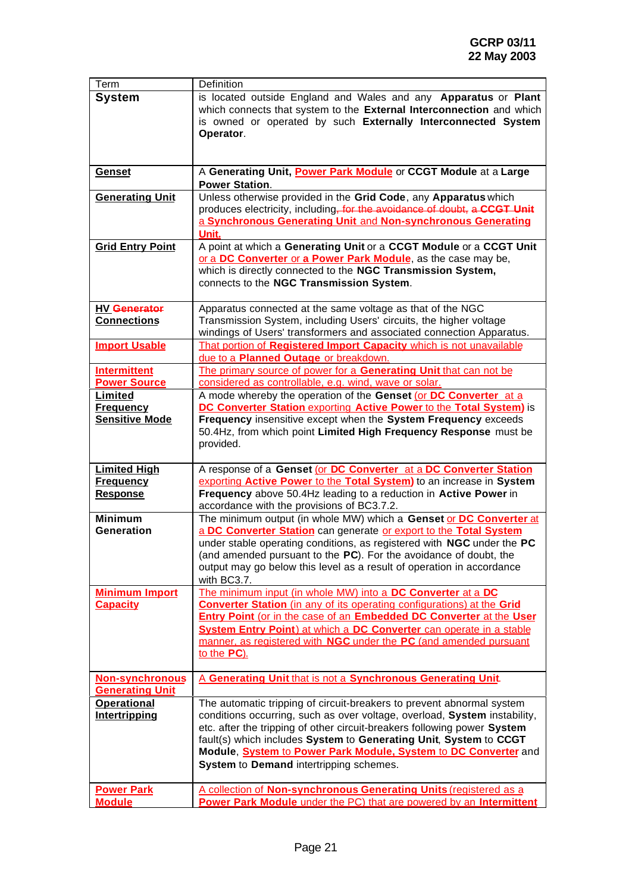ä,

| Term                               | Definition                                                                                                                               |
|------------------------------------|------------------------------------------------------------------------------------------------------------------------------------------|
| <b>System</b>                      | is located outside England and Wales and any Apparatus or Plant                                                                          |
|                                    | which connects that system to the External Interconnection and which                                                                     |
|                                    | is owned or operated by such Externally Interconnected System                                                                            |
|                                    | Operator.                                                                                                                                |
|                                    |                                                                                                                                          |
|                                    |                                                                                                                                          |
| Genset                             | A Generating Unit, Power Park Module or CCGT Module at a Large                                                                           |
|                                    | <b>Power Station.</b>                                                                                                                    |
| <b>Generating Unit</b>             | Unless otherwise provided in the Grid Code, any Apparatus which                                                                          |
|                                    | produces electricity, including, for the avoidance of doubt, a CCGT Unit                                                                 |
|                                    | a Synchronous Generating Unit and Non-synchronous Generating                                                                             |
|                                    | Unit.                                                                                                                                    |
| <b>Grid Entry Point</b>            | A point at which a Generating Unit or a CCGT Module or a CCGT Unit                                                                       |
|                                    | or a DC Converter or a Power Park Module, as the case may be,                                                                            |
|                                    | which is directly connected to the NGC Transmission System,                                                                              |
|                                    | connects to the NGC Transmission System.                                                                                                 |
|                                    |                                                                                                                                          |
| <b>HV Generator</b>                | Apparatus connected at the same voltage as that of the NGC                                                                               |
| <b>Connections</b>                 | Transmission System, including Users' circuits, the higher voltage                                                                       |
|                                    | windings of Users' transformers and associated connection Apparatus.                                                                     |
| <b>Import Usable</b>               | That portion of Registered Import Capacity which is not unavailable                                                                      |
|                                    | due to a Planned Outage or breakdown.                                                                                                    |
| <b>Intermittent</b>                | The primary source of power for a Generating Unit that can not be                                                                        |
| <b>Power Source</b>                | considered as controllable, e.g. wind, wave or solar.                                                                                    |
| Limited                            | A mode whereby the operation of the Genset (or DC Converter at a                                                                         |
| <b>Frequency</b>                   | <b>DC Converter Station exporting Active Power to the Total System)</b> is                                                               |
| <b>Sensitive Mode</b>              | Frequency insensitive except when the System Frequency exceeds                                                                           |
|                                    | 50.4Hz, from which point Limited High Frequency Response must be                                                                         |
|                                    | provided.                                                                                                                                |
|                                    |                                                                                                                                          |
| <b>Limited High</b>                |                                                                                                                                          |
|                                    | A response of a Genset (or DC Converter at a DC Converter Station                                                                        |
| <b>Frequency</b>                   | exporting Active Power to the Total System) to an increase in System                                                                     |
| <b>Response</b>                    | Frequency above 50.4Hz leading to a reduction in Active Power in                                                                         |
|                                    | accordance with the provisions of BC3.7.2.                                                                                               |
| <b>Minimum</b>                     | The minimum output (in whole MW) which a Genset or DC Converter at                                                                       |
| <b>Generation</b>                  | a DC Converter Station can generate or export to the Total System                                                                        |
|                                    | under stable operating conditions, as registered with NGC under the PC                                                                   |
|                                    | (and amended pursuant to the PC). For the avoidance of doubt, the                                                                        |
|                                    | output may go below this level as a result of operation in accordance                                                                    |
|                                    | with BC3.7.                                                                                                                              |
| <b>Minimum Import</b>              | The minimum input (in whole MW) into a DC Converter at a DC                                                                              |
| <b>Capacity</b>                    | <b>Converter Station</b> (in any of its operating configurations) at the Grid                                                            |
|                                    | <b>Entry Point (or in the case of an Embedded DC Converter at the User</b>                                                               |
|                                    | System Entry Point) at which a DC Converter can operate in a stable                                                                      |
|                                    | manner, as registered with NGC under the PC (and amended pursuant                                                                        |
|                                    | to the PC).                                                                                                                              |
|                                    |                                                                                                                                          |
| <b>Non-synchronous</b>             | A Generating Unit that is not a Synchronous Generating Unit.                                                                             |
| <b>Generating Unit</b>             |                                                                                                                                          |
| <b>Operational</b>                 | The automatic tripping of circuit-breakers to prevent abnormal system                                                                    |
| Intertripping                      | conditions occurring, such as over voltage, overload, System instability,                                                                |
|                                    | etc. after the tripping of other circuit-breakers following power System                                                                 |
|                                    | fault(s) which includes System to Generating Unit, System to CCGT                                                                        |
|                                    | Module, System to Power Park Module, System to DC Converter and                                                                          |
|                                    | System to Demand intertripping schemes.                                                                                                  |
|                                    |                                                                                                                                          |
| <b>Power Park</b><br><b>Module</b> | A collection of Non-synchronous Generating Units (registered as a<br>Power Park Module under the PC) that are powered by an Intermittent |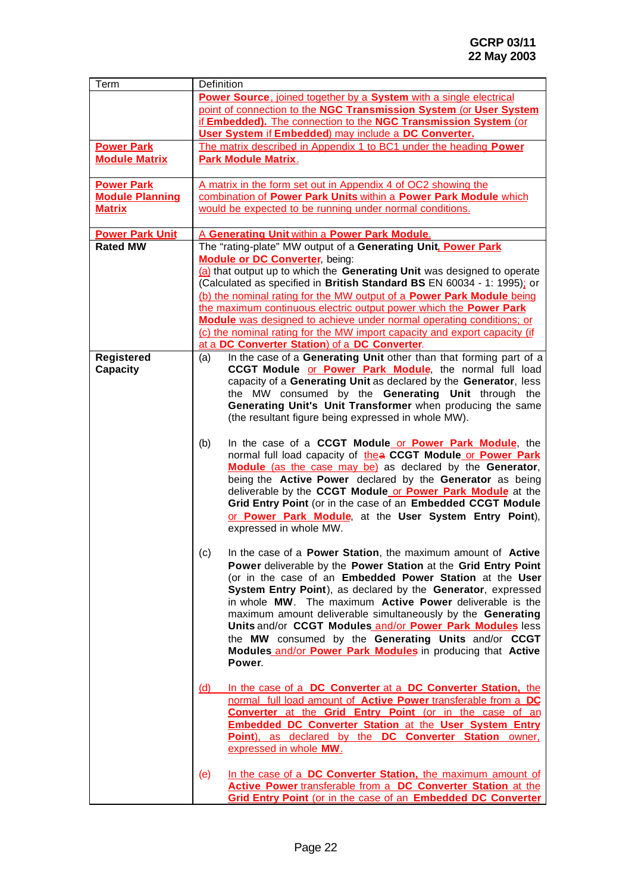| point of connection to the NGC Transmission System (or User System<br>if Embedded). The connection to the NGC Transmission System (or<br>User System if Embedded) may include a DC Converter.<br>The matrix described in Appendix 1 to BC1 under the heading Power<br><b>Power Park</b><br><b>Module Matrix</b><br><b>Park Module Matrix.</b><br><b>Power Park</b><br>A matrix in the form set out in Appendix 4 of OC2 showing the<br><b>Module Planning</b><br>combination of Power Park Units within a Power Park Module which<br>would be expected to be running under normal conditions.<br><b>Matrix</b><br><b>Power Park Unit</b><br>A Generating Unit within a Power Park Module.<br><b>Rated MW</b><br>The "rating-plate" MW output of a Generating Unit. Power Park<br><b>Module or DC Converter, being:</b><br>(a) that output up to which the Generating Unit was designed to operate<br>(Calculated as specified in British Standard BS EN 60034 - 1: 1995); or<br>(b) the nominal rating for the MW output of a Power Park Module being<br>the maximum continuous electric output power which the Power Park<br>Module was designed to achieve under normal operating conditions; or<br>(c) the nominal rating for the MW import capacity and export capacity (if<br>at a DC Converter Station) of a DC Converter.<br>In the case of a Generating Unit other than that forming part of a<br>Registered<br>(a)<br>CCGT Module or Power Park Module, the normal full load<br>Capacity<br>capacity of a Generating Unit as declared by the Generator, less<br>the MW consumed by the Generating Unit through the<br>Generating Unit's Unit Transformer when producing the same<br>(the resultant figure being expressed in whole MW).<br>In the case of a CCGT Module or Power Park Module, the<br>(b)<br>normal full load capacity of thea CCGT Module or Power Park<br>Module (as the case may be) as declared by the Generator,<br>being the Active Power declared by the Generator as being<br>deliverable by the CCGT Module or Power Park Module at the<br>Grid Entry Point (or in the case of an Embedded CCGT Module<br>or Power Park Module, at the User System Entry Point),<br>expressed in whole MW.<br>In the case of a Power Station, the maximum amount of Active<br>(c)<br>Power deliverable by the Power Station at the Grid Entry Point<br>(or in the case of an Embedded Power Station at the User<br>System Entry Point), as declared by the Generator, expressed<br>in whole MW. The maximum Active Power deliverable is the<br>maximum amount deliverable simultaneously by the Generating<br>Units and/or CCGT Modules and/or Power Park Modules less<br>the MW consumed by the Generating Units and/or CCGT<br>Modules and/or Power Park Modules in producing that Active<br>Power.<br>In the case of a DC Converter at a DC Converter Station, the<br>(d)<br>normal full load amount of Active Power transferable from a DC<br>Converter at the Grid Entry Point (or in the case of an<br><b>Embedded DC Converter Station at the User System Entry</b><br>Point), as declared by the DC Converter Station owner.<br>expressed in whole MW.<br>In the case of a DC Converter Station, the maximum amount of<br>(e)<br>Active Power transferable from a DC Converter Station at the | Term | Definition                                                          |  |
|------------------------------------------------------------------------------------------------------------------------------------------------------------------------------------------------------------------------------------------------------------------------------------------------------------------------------------------------------------------------------------------------------------------------------------------------------------------------------------------------------------------------------------------------------------------------------------------------------------------------------------------------------------------------------------------------------------------------------------------------------------------------------------------------------------------------------------------------------------------------------------------------------------------------------------------------------------------------------------------------------------------------------------------------------------------------------------------------------------------------------------------------------------------------------------------------------------------------------------------------------------------------------------------------------------------------------------------------------------------------------------------------------------------------------------------------------------------------------------------------------------------------------------------------------------------------------------------------------------------------------------------------------------------------------------------------------------------------------------------------------------------------------------------------------------------------------------------------------------------------------------------------------------------------------------------------------------------------------------------------------------------------------------------------------------------------------------------------------------------------------------------------------------------------------------------------------------------------------------------------------------------------------------------------------------------------------------------------------------------------------------------------------------------------------------------------------------------------------------------------------------------------------------------------------------------------------------------------------------------------------------------------------------------------------------------------------------------------------------------------------------------------------------------------------------------------------------------------------------------------------------------------------------------------------------------------------------------------------------------------------------------------------------------------------------------------------------------------------------------------------------------------------------------------------------------------------------------------------------------------------------------------------------------------------------------------|------|---------------------------------------------------------------------|--|
|                                                                                                                                                                                                                                                                                                                                                                                                                                                                                                                                                                                                                                                                                                                                                                                                                                                                                                                                                                                                                                                                                                                                                                                                                                                                                                                                                                                                                                                                                                                                                                                                                                                                                                                                                                                                                                                                                                                                                                                                                                                                                                                                                                                                                                                                                                                                                                                                                                                                                                                                                                                                                                                                                                                                                                                                                                                                                                                                                                                                                                                                                                                                                                                                                                                                                                                        |      | Power Source, joined together by a System with a single electrical  |  |
|                                                                                                                                                                                                                                                                                                                                                                                                                                                                                                                                                                                                                                                                                                                                                                                                                                                                                                                                                                                                                                                                                                                                                                                                                                                                                                                                                                                                                                                                                                                                                                                                                                                                                                                                                                                                                                                                                                                                                                                                                                                                                                                                                                                                                                                                                                                                                                                                                                                                                                                                                                                                                                                                                                                                                                                                                                                                                                                                                                                                                                                                                                                                                                                                                                                                                                                        |      |                                                                     |  |
|                                                                                                                                                                                                                                                                                                                                                                                                                                                                                                                                                                                                                                                                                                                                                                                                                                                                                                                                                                                                                                                                                                                                                                                                                                                                                                                                                                                                                                                                                                                                                                                                                                                                                                                                                                                                                                                                                                                                                                                                                                                                                                                                                                                                                                                                                                                                                                                                                                                                                                                                                                                                                                                                                                                                                                                                                                                                                                                                                                                                                                                                                                                                                                                                                                                                                                                        |      |                                                                     |  |
|                                                                                                                                                                                                                                                                                                                                                                                                                                                                                                                                                                                                                                                                                                                                                                                                                                                                                                                                                                                                                                                                                                                                                                                                                                                                                                                                                                                                                                                                                                                                                                                                                                                                                                                                                                                                                                                                                                                                                                                                                                                                                                                                                                                                                                                                                                                                                                                                                                                                                                                                                                                                                                                                                                                                                                                                                                                                                                                                                                                                                                                                                                                                                                                                                                                                                                                        |      |                                                                     |  |
|                                                                                                                                                                                                                                                                                                                                                                                                                                                                                                                                                                                                                                                                                                                                                                                                                                                                                                                                                                                                                                                                                                                                                                                                                                                                                                                                                                                                                                                                                                                                                                                                                                                                                                                                                                                                                                                                                                                                                                                                                                                                                                                                                                                                                                                                                                                                                                                                                                                                                                                                                                                                                                                                                                                                                                                                                                                                                                                                                                                                                                                                                                                                                                                                                                                                                                                        |      |                                                                     |  |
|                                                                                                                                                                                                                                                                                                                                                                                                                                                                                                                                                                                                                                                                                                                                                                                                                                                                                                                                                                                                                                                                                                                                                                                                                                                                                                                                                                                                                                                                                                                                                                                                                                                                                                                                                                                                                                                                                                                                                                                                                                                                                                                                                                                                                                                                                                                                                                                                                                                                                                                                                                                                                                                                                                                                                                                                                                                                                                                                                                                                                                                                                                                                                                                                                                                                                                                        |      |                                                                     |  |
|                                                                                                                                                                                                                                                                                                                                                                                                                                                                                                                                                                                                                                                                                                                                                                                                                                                                                                                                                                                                                                                                                                                                                                                                                                                                                                                                                                                                                                                                                                                                                                                                                                                                                                                                                                                                                                                                                                                                                                                                                                                                                                                                                                                                                                                                                                                                                                                                                                                                                                                                                                                                                                                                                                                                                                                                                                                                                                                                                                                                                                                                                                                                                                                                                                                                                                                        |      |                                                                     |  |
|                                                                                                                                                                                                                                                                                                                                                                                                                                                                                                                                                                                                                                                                                                                                                                                                                                                                                                                                                                                                                                                                                                                                                                                                                                                                                                                                                                                                                                                                                                                                                                                                                                                                                                                                                                                                                                                                                                                                                                                                                                                                                                                                                                                                                                                                                                                                                                                                                                                                                                                                                                                                                                                                                                                                                                                                                                                                                                                                                                                                                                                                                                                                                                                                                                                                                                                        |      |                                                                     |  |
|                                                                                                                                                                                                                                                                                                                                                                                                                                                                                                                                                                                                                                                                                                                                                                                                                                                                                                                                                                                                                                                                                                                                                                                                                                                                                                                                                                                                                                                                                                                                                                                                                                                                                                                                                                                                                                                                                                                                                                                                                                                                                                                                                                                                                                                                                                                                                                                                                                                                                                                                                                                                                                                                                                                                                                                                                                                                                                                                                                                                                                                                                                                                                                                                                                                                                                                        |      |                                                                     |  |
|                                                                                                                                                                                                                                                                                                                                                                                                                                                                                                                                                                                                                                                                                                                                                                                                                                                                                                                                                                                                                                                                                                                                                                                                                                                                                                                                                                                                                                                                                                                                                                                                                                                                                                                                                                                                                                                                                                                                                                                                                                                                                                                                                                                                                                                                                                                                                                                                                                                                                                                                                                                                                                                                                                                                                                                                                                                                                                                                                                                                                                                                                                                                                                                                                                                                                                                        |      |                                                                     |  |
|                                                                                                                                                                                                                                                                                                                                                                                                                                                                                                                                                                                                                                                                                                                                                                                                                                                                                                                                                                                                                                                                                                                                                                                                                                                                                                                                                                                                                                                                                                                                                                                                                                                                                                                                                                                                                                                                                                                                                                                                                                                                                                                                                                                                                                                                                                                                                                                                                                                                                                                                                                                                                                                                                                                                                                                                                                                                                                                                                                                                                                                                                                                                                                                                                                                                                                                        |      |                                                                     |  |
|                                                                                                                                                                                                                                                                                                                                                                                                                                                                                                                                                                                                                                                                                                                                                                                                                                                                                                                                                                                                                                                                                                                                                                                                                                                                                                                                                                                                                                                                                                                                                                                                                                                                                                                                                                                                                                                                                                                                                                                                                                                                                                                                                                                                                                                                                                                                                                                                                                                                                                                                                                                                                                                                                                                                                                                                                                                                                                                                                                                                                                                                                                                                                                                                                                                                                                                        |      |                                                                     |  |
|                                                                                                                                                                                                                                                                                                                                                                                                                                                                                                                                                                                                                                                                                                                                                                                                                                                                                                                                                                                                                                                                                                                                                                                                                                                                                                                                                                                                                                                                                                                                                                                                                                                                                                                                                                                                                                                                                                                                                                                                                                                                                                                                                                                                                                                                                                                                                                                                                                                                                                                                                                                                                                                                                                                                                                                                                                                                                                                                                                                                                                                                                                                                                                                                                                                                                                                        |      |                                                                     |  |
|                                                                                                                                                                                                                                                                                                                                                                                                                                                                                                                                                                                                                                                                                                                                                                                                                                                                                                                                                                                                                                                                                                                                                                                                                                                                                                                                                                                                                                                                                                                                                                                                                                                                                                                                                                                                                                                                                                                                                                                                                                                                                                                                                                                                                                                                                                                                                                                                                                                                                                                                                                                                                                                                                                                                                                                                                                                                                                                                                                                                                                                                                                                                                                                                                                                                                                                        |      |                                                                     |  |
|                                                                                                                                                                                                                                                                                                                                                                                                                                                                                                                                                                                                                                                                                                                                                                                                                                                                                                                                                                                                                                                                                                                                                                                                                                                                                                                                                                                                                                                                                                                                                                                                                                                                                                                                                                                                                                                                                                                                                                                                                                                                                                                                                                                                                                                                                                                                                                                                                                                                                                                                                                                                                                                                                                                                                                                                                                                                                                                                                                                                                                                                                                                                                                                                                                                                                                                        |      |                                                                     |  |
|                                                                                                                                                                                                                                                                                                                                                                                                                                                                                                                                                                                                                                                                                                                                                                                                                                                                                                                                                                                                                                                                                                                                                                                                                                                                                                                                                                                                                                                                                                                                                                                                                                                                                                                                                                                                                                                                                                                                                                                                                                                                                                                                                                                                                                                                                                                                                                                                                                                                                                                                                                                                                                                                                                                                                                                                                                                                                                                                                                                                                                                                                                                                                                                                                                                                                                                        |      |                                                                     |  |
|                                                                                                                                                                                                                                                                                                                                                                                                                                                                                                                                                                                                                                                                                                                                                                                                                                                                                                                                                                                                                                                                                                                                                                                                                                                                                                                                                                                                                                                                                                                                                                                                                                                                                                                                                                                                                                                                                                                                                                                                                                                                                                                                                                                                                                                                                                                                                                                                                                                                                                                                                                                                                                                                                                                                                                                                                                                                                                                                                                                                                                                                                                                                                                                                                                                                                                                        |      |                                                                     |  |
|                                                                                                                                                                                                                                                                                                                                                                                                                                                                                                                                                                                                                                                                                                                                                                                                                                                                                                                                                                                                                                                                                                                                                                                                                                                                                                                                                                                                                                                                                                                                                                                                                                                                                                                                                                                                                                                                                                                                                                                                                                                                                                                                                                                                                                                                                                                                                                                                                                                                                                                                                                                                                                                                                                                                                                                                                                                                                                                                                                                                                                                                                                                                                                                                                                                                                                                        |      |                                                                     |  |
|                                                                                                                                                                                                                                                                                                                                                                                                                                                                                                                                                                                                                                                                                                                                                                                                                                                                                                                                                                                                                                                                                                                                                                                                                                                                                                                                                                                                                                                                                                                                                                                                                                                                                                                                                                                                                                                                                                                                                                                                                                                                                                                                                                                                                                                                                                                                                                                                                                                                                                                                                                                                                                                                                                                                                                                                                                                                                                                                                                                                                                                                                                                                                                                                                                                                                                                        |      |                                                                     |  |
|                                                                                                                                                                                                                                                                                                                                                                                                                                                                                                                                                                                                                                                                                                                                                                                                                                                                                                                                                                                                                                                                                                                                                                                                                                                                                                                                                                                                                                                                                                                                                                                                                                                                                                                                                                                                                                                                                                                                                                                                                                                                                                                                                                                                                                                                                                                                                                                                                                                                                                                                                                                                                                                                                                                                                                                                                                                                                                                                                                                                                                                                                                                                                                                                                                                                                                                        |      |                                                                     |  |
|                                                                                                                                                                                                                                                                                                                                                                                                                                                                                                                                                                                                                                                                                                                                                                                                                                                                                                                                                                                                                                                                                                                                                                                                                                                                                                                                                                                                                                                                                                                                                                                                                                                                                                                                                                                                                                                                                                                                                                                                                                                                                                                                                                                                                                                                                                                                                                                                                                                                                                                                                                                                                                                                                                                                                                                                                                                                                                                                                                                                                                                                                                                                                                                                                                                                                                                        |      |                                                                     |  |
|                                                                                                                                                                                                                                                                                                                                                                                                                                                                                                                                                                                                                                                                                                                                                                                                                                                                                                                                                                                                                                                                                                                                                                                                                                                                                                                                                                                                                                                                                                                                                                                                                                                                                                                                                                                                                                                                                                                                                                                                                                                                                                                                                                                                                                                                                                                                                                                                                                                                                                                                                                                                                                                                                                                                                                                                                                                                                                                                                                                                                                                                                                                                                                                                                                                                                                                        |      |                                                                     |  |
|                                                                                                                                                                                                                                                                                                                                                                                                                                                                                                                                                                                                                                                                                                                                                                                                                                                                                                                                                                                                                                                                                                                                                                                                                                                                                                                                                                                                                                                                                                                                                                                                                                                                                                                                                                                                                                                                                                                                                                                                                                                                                                                                                                                                                                                                                                                                                                                                                                                                                                                                                                                                                                                                                                                                                                                                                                                                                                                                                                                                                                                                                                                                                                                                                                                                                                                        |      |                                                                     |  |
|                                                                                                                                                                                                                                                                                                                                                                                                                                                                                                                                                                                                                                                                                                                                                                                                                                                                                                                                                                                                                                                                                                                                                                                                                                                                                                                                                                                                                                                                                                                                                                                                                                                                                                                                                                                                                                                                                                                                                                                                                                                                                                                                                                                                                                                                                                                                                                                                                                                                                                                                                                                                                                                                                                                                                                                                                                                                                                                                                                                                                                                                                                                                                                                                                                                                                                                        |      |                                                                     |  |
|                                                                                                                                                                                                                                                                                                                                                                                                                                                                                                                                                                                                                                                                                                                                                                                                                                                                                                                                                                                                                                                                                                                                                                                                                                                                                                                                                                                                                                                                                                                                                                                                                                                                                                                                                                                                                                                                                                                                                                                                                                                                                                                                                                                                                                                                                                                                                                                                                                                                                                                                                                                                                                                                                                                                                                                                                                                                                                                                                                                                                                                                                                                                                                                                                                                                                                                        |      |                                                                     |  |
|                                                                                                                                                                                                                                                                                                                                                                                                                                                                                                                                                                                                                                                                                                                                                                                                                                                                                                                                                                                                                                                                                                                                                                                                                                                                                                                                                                                                                                                                                                                                                                                                                                                                                                                                                                                                                                                                                                                                                                                                                                                                                                                                                                                                                                                                                                                                                                                                                                                                                                                                                                                                                                                                                                                                                                                                                                                                                                                                                                                                                                                                                                                                                                                                                                                                                                                        |      |                                                                     |  |
|                                                                                                                                                                                                                                                                                                                                                                                                                                                                                                                                                                                                                                                                                                                                                                                                                                                                                                                                                                                                                                                                                                                                                                                                                                                                                                                                                                                                                                                                                                                                                                                                                                                                                                                                                                                                                                                                                                                                                                                                                                                                                                                                                                                                                                                                                                                                                                                                                                                                                                                                                                                                                                                                                                                                                                                                                                                                                                                                                                                                                                                                                                                                                                                                                                                                                                                        |      |                                                                     |  |
|                                                                                                                                                                                                                                                                                                                                                                                                                                                                                                                                                                                                                                                                                                                                                                                                                                                                                                                                                                                                                                                                                                                                                                                                                                                                                                                                                                                                                                                                                                                                                                                                                                                                                                                                                                                                                                                                                                                                                                                                                                                                                                                                                                                                                                                                                                                                                                                                                                                                                                                                                                                                                                                                                                                                                                                                                                                                                                                                                                                                                                                                                                                                                                                                                                                                                                                        |      |                                                                     |  |
|                                                                                                                                                                                                                                                                                                                                                                                                                                                                                                                                                                                                                                                                                                                                                                                                                                                                                                                                                                                                                                                                                                                                                                                                                                                                                                                                                                                                                                                                                                                                                                                                                                                                                                                                                                                                                                                                                                                                                                                                                                                                                                                                                                                                                                                                                                                                                                                                                                                                                                                                                                                                                                                                                                                                                                                                                                                                                                                                                                                                                                                                                                                                                                                                                                                                                                                        |      |                                                                     |  |
|                                                                                                                                                                                                                                                                                                                                                                                                                                                                                                                                                                                                                                                                                                                                                                                                                                                                                                                                                                                                                                                                                                                                                                                                                                                                                                                                                                                                                                                                                                                                                                                                                                                                                                                                                                                                                                                                                                                                                                                                                                                                                                                                                                                                                                                                                                                                                                                                                                                                                                                                                                                                                                                                                                                                                                                                                                                                                                                                                                                                                                                                                                                                                                                                                                                                                                                        |      |                                                                     |  |
|                                                                                                                                                                                                                                                                                                                                                                                                                                                                                                                                                                                                                                                                                                                                                                                                                                                                                                                                                                                                                                                                                                                                                                                                                                                                                                                                                                                                                                                                                                                                                                                                                                                                                                                                                                                                                                                                                                                                                                                                                                                                                                                                                                                                                                                                                                                                                                                                                                                                                                                                                                                                                                                                                                                                                                                                                                                                                                                                                                                                                                                                                                                                                                                                                                                                                                                        |      |                                                                     |  |
|                                                                                                                                                                                                                                                                                                                                                                                                                                                                                                                                                                                                                                                                                                                                                                                                                                                                                                                                                                                                                                                                                                                                                                                                                                                                                                                                                                                                                                                                                                                                                                                                                                                                                                                                                                                                                                                                                                                                                                                                                                                                                                                                                                                                                                                                                                                                                                                                                                                                                                                                                                                                                                                                                                                                                                                                                                                                                                                                                                                                                                                                                                                                                                                                                                                                                                                        |      |                                                                     |  |
|                                                                                                                                                                                                                                                                                                                                                                                                                                                                                                                                                                                                                                                                                                                                                                                                                                                                                                                                                                                                                                                                                                                                                                                                                                                                                                                                                                                                                                                                                                                                                                                                                                                                                                                                                                                                                                                                                                                                                                                                                                                                                                                                                                                                                                                                                                                                                                                                                                                                                                                                                                                                                                                                                                                                                                                                                                                                                                                                                                                                                                                                                                                                                                                                                                                                                                                        |      |                                                                     |  |
|                                                                                                                                                                                                                                                                                                                                                                                                                                                                                                                                                                                                                                                                                                                                                                                                                                                                                                                                                                                                                                                                                                                                                                                                                                                                                                                                                                                                                                                                                                                                                                                                                                                                                                                                                                                                                                                                                                                                                                                                                                                                                                                                                                                                                                                                                                                                                                                                                                                                                                                                                                                                                                                                                                                                                                                                                                                                                                                                                                                                                                                                                                                                                                                                                                                                                                                        |      |                                                                     |  |
|                                                                                                                                                                                                                                                                                                                                                                                                                                                                                                                                                                                                                                                                                                                                                                                                                                                                                                                                                                                                                                                                                                                                                                                                                                                                                                                                                                                                                                                                                                                                                                                                                                                                                                                                                                                                                                                                                                                                                                                                                                                                                                                                                                                                                                                                                                                                                                                                                                                                                                                                                                                                                                                                                                                                                                                                                                                                                                                                                                                                                                                                                                                                                                                                                                                                                                                        |      |                                                                     |  |
|                                                                                                                                                                                                                                                                                                                                                                                                                                                                                                                                                                                                                                                                                                                                                                                                                                                                                                                                                                                                                                                                                                                                                                                                                                                                                                                                                                                                                                                                                                                                                                                                                                                                                                                                                                                                                                                                                                                                                                                                                                                                                                                                                                                                                                                                                                                                                                                                                                                                                                                                                                                                                                                                                                                                                                                                                                                                                                                                                                                                                                                                                                                                                                                                                                                                                                                        |      |                                                                     |  |
|                                                                                                                                                                                                                                                                                                                                                                                                                                                                                                                                                                                                                                                                                                                                                                                                                                                                                                                                                                                                                                                                                                                                                                                                                                                                                                                                                                                                                                                                                                                                                                                                                                                                                                                                                                                                                                                                                                                                                                                                                                                                                                                                                                                                                                                                                                                                                                                                                                                                                                                                                                                                                                                                                                                                                                                                                                                                                                                                                                                                                                                                                                                                                                                                                                                                                                                        |      |                                                                     |  |
|                                                                                                                                                                                                                                                                                                                                                                                                                                                                                                                                                                                                                                                                                                                                                                                                                                                                                                                                                                                                                                                                                                                                                                                                                                                                                                                                                                                                                                                                                                                                                                                                                                                                                                                                                                                                                                                                                                                                                                                                                                                                                                                                                                                                                                                                                                                                                                                                                                                                                                                                                                                                                                                                                                                                                                                                                                                                                                                                                                                                                                                                                                                                                                                                                                                                                                                        |      |                                                                     |  |
|                                                                                                                                                                                                                                                                                                                                                                                                                                                                                                                                                                                                                                                                                                                                                                                                                                                                                                                                                                                                                                                                                                                                                                                                                                                                                                                                                                                                                                                                                                                                                                                                                                                                                                                                                                                                                                                                                                                                                                                                                                                                                                                                                                                                                                                                                                                                                                                                                                                                                                                                                                                                                                                                                                                                                                                                                                                                                                                                                                                                                                                                                                                                                                                                                                                                                                                        |      |                                                                     |  |
|                                                                                                                                                                                                                                                                                                                                                                                                                                                                                                                                                                                                                                                                                                                                                                                                                                                                                                                                                                                                                                                                                                                                                                                                                                                                                                                                                                                                                                                                                                                                                                                                                                                                                                                                                                                                                                                                                                                                                                                                                                                                                                                                                                                                                                                                                                                                                                                                                                                                                                                                                                                                                                                                                                                                                                                                                                                                                                                                                                                                                                                                                                                                                                                                                                                                                                                        |      |                                                                     |  |
|                                                                                                                                                                                                                                                                                                                                                                                                                                                                                                                                                                                                                                                                                                                                                                                                                                                                                                                                                                                                                                                                                                                                                                                                                                                                                                                                                                                                                                                                                                                                                                                                                                                                                                                                                                                                                                                                                                                                                                                                                                                                                                                                                                                                                                                                                                                                                                                                                                                                                                                                                                                                                                                                                                                                                                                                                                                                                                                                                                                                                                                                                                                                                                                                                                                                                                                        |      |                                                                     |  |
|                                                                                                                                                                                                                                                                                                                                                                                                                                                                                                                                                                                                                                                                                                                                                                                                                                                                                                                                                                                                                                                                                                                                                                                                                                                                                                                                                                                                                                                                                                                                                                                                                                                                                                                                                                                                                                                                                                                                                                                                                                                                                                                                                                                                                                                                                                                                                                                                                                                                                                                                                                                                                                                                                                                                                                                                                                                                                                                                                                                                                                                                                                                                                                                                                                                                                                                        |      |                                                                     |  |
|                                                                                                                                                                                                                                                                                                                                                                                                                                                                                                                                                                                                                                                                                                                                                                                                                                                                                                                                                                                                                                                                                                                                                                                                                                                                                                                                                                                                                                                                                                                                                                                                                                                                                                                                                                                                                                                                                                                                                                                                                                                                                                                                                                                                                                                                                                                                                                                                                                                                                                                                                                                                                                                                                                                                                                                                                                                                                                                                                                                                                                                                                                                                                                                                                                                                                                                        |      |                                                                     |  |
|                                                                                                                                                                                                                                                                                                                                                                                                                                                                                                                                                                                                                                                                                                                                                                                                                                                                                                                                                                                                                                                                                                                                                                                                                                                                                                                                                                                                                                                                                                                                                                                                                                                                                                                                                                                                                                                                                                                                                                                                                                                                                                                                                                                                                                                                                                                                                                                                                                                                                                                                                                                                                                                                                                                                                                                                                                                                                                                                                                                                                                                                                                                                                                                                                                                                                                                        |      |                                                                     |  |
|                                                                                                                                                                                                                                                                                                                                                                                                                                                                                                                                                                                                                                                                                                                                                                                                                                                                                                                                                                                                                                                                                                                                                                                                                                                                                                                                                                                                                                                                                                                                                                                                                                                                                                                                                                                                                                                                                                                                                                                                                                                                                                                                                                                                                                                                                                                                                                                                                                                                                                                                                                                                                                                                                                                                                                                                                                                                                                                                                                                                                                                                                                                                                                                                                                                                                                                        |      |                                                                     |  |
|                                                                                                                                                                                                                                                                                                                                                                                                                                                                                                                                                                                                                                                                                                                                                                                                                                                                                                                                                                                                                                                                                                                                                                                                                                                                                                                                                                                                                                                                                                                                                                                                                                                                                                                                                                                                                                                                                                                                                                                                                                                                                                                                                                                                                                                                                                                                                                                                                                                                                                                                                                                                                                                                                                                                                                                                                                                                                                                                                                                                                                                                                                                                                                                                                                                                                                                        |      |                                                                     |  |
|                                                                                                                                                                                                                                                                                                                                                                                                                                                                                                                                                                                                                                                                                                                                                                                                                                                                                                                                                                                                                                                                                                                                                                                                                                                                                                                                                                                                                                                                                                                                                                                                                                                                                                                                                                                                                                                                                                                                                                                                                                                                                                                                                                                                                                                                                                                                                                                                                                                                                                                                                                                                                                                                                                                                                                                                                                                                                                                                                                                                                                                                                                                                                                                                                                                                                                                        |      |                                                                     |  |
|                                                                                                                                                                                                                                                                                                                                                                                                                                                                                                                                                                                                                                                                                                                                                                                                                                                                                                                                                                                                                                                                                                                                                                                                                                                                                                                                                                                                                                                                                                                                                                                                                                                                                                                                                                                                                                                                                                                                                                                                                                                                                                                                                                                                                                                                                                                                                                                                                                                                                                                                                                                                                                                                                                                                                                                                                                                                                                                                                                                                                                                                                                                                                                                                                                                                                                                        |      |                                                                     |  |
|                                                                                                                                                                                                                                                                                                                                                                                                                                                                                                                                                                                                                                                                                                                                                                                                                                                                                                                                                                                                                                                                                                                                                                                                                                                                                                                                                                                                                                                                                                                                                                                                                                                                                                                                                                                                                                                                                                                                                                                                                                                                                                                                                                                                                                                                                                                                                                                                                                                                                                                                                                                                                                                                                                                                                                                                                                                                                                                                                                                                                                                                                                                                                                                                                                                                                                                        |      |                                                                     |  |
|                                                                                                                                                                                                                                                                                                                                                                                                                                                                                                                                                                                                                                                                                                                                                                                                                                                                                                                                                                                                                                                                                                                                                                                                                                                                                                                                                                                                                                                                                                                                                                                                                                                                                                                                                                                                                                                                                                                                                                                                                                                                                                                                                                                                                                                                                                                                                                                                                                                                                                                                                                                                                                                                                                                                                                                                                                                                                                                                                                                                                                                                                                                                                                                                                                                                                                                        |      |                                                                     |  |
|                                                                                                                                                                                                                                                                                                                                                                                                                                                                                                                                                                                                                                                                                                                                                                                                                                                                                                                                                                                                                                                                                                                                                                                                                                                                                                                                                                                                                                                                                                                                                                                                                                                                                                                                                                                                                                                                                                                                                                                                                                                                                                                                                                                                                                                                                                                                                                                                                                                                                                                                                                                                                                                                                                                                                                                                                                                                                                                                                                                                                                                                                                                                                                                                                                                                                                                        |      | <b>Grid Entry Point (or in the case of an Embedded DC Converter</b> |  |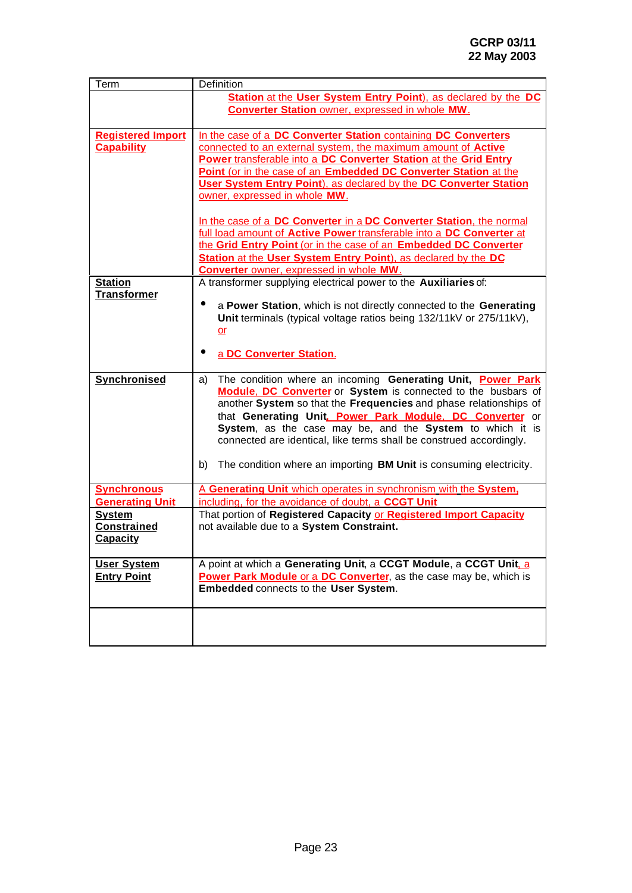| Term                     | Definition                                                                      |
|--------------------------|---------------------------------------------------------------------------------|
|                          | Station at the User System Entry Point), as declared by the DC                  |
|                          | <b>Converter Station owner, expressed in whole MW.</b>                          |
|                          |                                                                                 |
| <b>Registered Import</b> | In the case of a DC Converter Station containing DC Converters                  |
| <b>Capability</b>        | connected to an external system, the maximum amount of Active                   |
|                          | Power transferable into a DC Converter Station at the Grid Entry                |
|                          | Point (or in the case of an Embedded DC Converter Station at the                |
|                          | <b>User System Entry Point), as declared by the DC Converter Station</b>        |
|                          | owner, expressed in whole MW.                                                   |
|                          |                                                                                 |
|                          | In the case of a DC Converter in a DC Converter Station, the normal             |
|                          | full load amount of Active Power transferable into a DC Converter at            |
|                          | the Grid Entry Point (or in the case of an Embedded DC Converter                |
|                          | Station at the User System Entry Point), as declared by the DC                  |
|                          | <b>Converter owner, expressed in whole MW.</b>                                  |
| <b>Station</b>           | A transformer supplying electrical power to the Auxiliaries of:                 |
| <b>Transformer</b>       |                                                                                 |
|                          | a Power Station, which is not directly connected to the Generating<br>$\bullet$ |
|                          | Unit terminals (typical voltage ratios being 132/11kV or 275/11kV),             |
|                          | <u>or</u>                                                                       |
|                          |                                                                                 |
|                          | a DC Converter Station.                                                         |
|                          |                                                                                 |
| Synchronised             | The condition where an incoming Generating Unit, Power Park<br>a)               |
|                          | Module. DC Converter or System is connected to the busbars of                   |
|                          | another System so that the Frequencies and phase relationships of               |
|                          | that Generating Unit. Power Park Module. DC Converter or                        |
|                          | System, as the case may be, and the System to which it is                       |
|                          | connected are identical, like terms shall be construed accordingly.             |
|                          |                                                                                 |
|                          | The condition where an importing BM Unit is consuming electricity.<br>b)        |
| <b>Synchronous</b>       | A Generating Unit which operates in synchronism with the System.                |
| <b>Generating Unit</b>   | including, for the avoidance of doubt, a CCGT Unit                              |
| <b>System</b>            | That portion of Registered Capacity or Registered Import Capacity               |
| <b>Constrained</b>       | not available due to a System Constraint.                                       |
| <b>Capacity</b>          |                                                                                 |
|                          |                                                                                 |
| <b>User System</b>       | A point at which a Generating Unit, a CCGT Module, a CCGT Unit, a               |
| <b>Entry Point</b>       | Power Park Module or a DC Converter, as the case may be, which is               |
|                          | Embedded connects to the User System.                                           |
|                          |                                                                                 |
|                          |                                                                                 |
|                          |                                                                                 |
|                          |                                                                                 |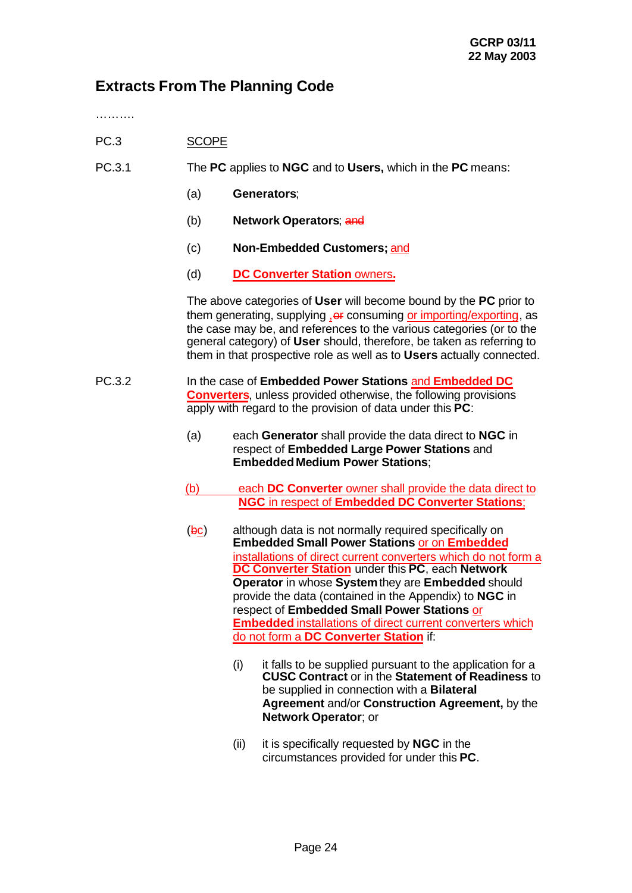# **Extracts From The Planning Code**

…………

- PC.3 SCOPE
- PC.3.1 The **PC** applies to **NGC** and to **Users,** which in the **PC** means:
	- (a) **Generators**;
	- (b) **Network Operators**; and
	- (c) **Non-Embedded Customers;** and
	- (d) **DC Converter Station** owners**.**

The above categories of **User** will become bound by the **PC** prior to them generating, supplying  $_{1}$ er consuming or importing/exporting. as the case may be, and references to the various categories (or to the general category) of **User** should, therefore, be taken as referring to them in that prospective role as well as to **Users** actually connected.

PC.3.2 In the case of **Embedded Power Stations** and **Embedded DC Converters**, unless provided otherwise, the following provisions apply with regard to the provision of data under this **PC**:

- (a) each **Generator** shall provide the data direct to **NGC** in respect of **Embedded Large Power Stations** and **EmbeddedMedium Power Stations**;
- (b) each **DC Converter** owner shall provide the data direct to **NGC** in respect of **Embedded DC Converter Stations**;
- $(**bc**)$  although data is not normally required specifically on **Embedded Small Power Stations** or on **Embedded** installations of direct current converters which do not form a **DC Converter Station** under this **PC**, each **Network Operator** in whose **System** they are **Embedded** should provide the data (contained in the Appendix) to **NGC** in respect of **Embedded Small Power Stations** or **Embedded** installations of direct current converters which do not form a **DC Converter Station** if:
	- (i) it falls to be supplied pursuant to the application for a **CUSC Contract** or in the **Statement of Readiness** to be supplied in connection with a **Bilateral Agreement** and/or **Construction Agreement,** by the **Network Operator**; or
	- (ii) it is specifically requested by **NGC** in the circumstances provided for under this **PC**.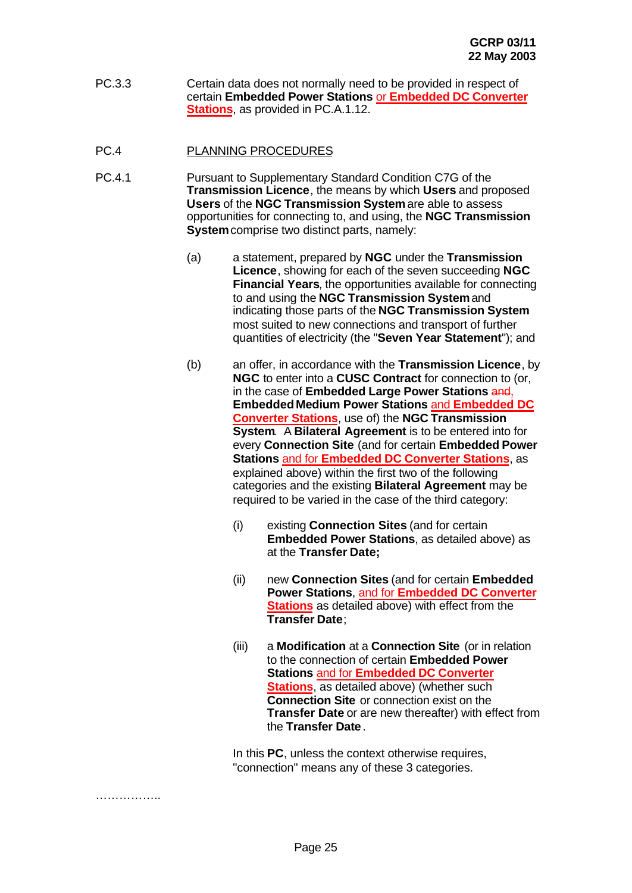- PC.3.3 Certain data does not normally need to be provided in respect of certain **Embedded Power Stations** or **Embedded DC Converter Stations**, as provided in PC.A.1.12.
- PC.4 PLANNING PROCEDURES
- PC.4.1 Pursuant to Supplementary Standard Condition C7G of the **Transmission Licence**, the means by which **Users** and proposed **Users** of the **NGC Transmission System** are able to assess opportunities for connecting to, and using, the **NGC Transmission System** comprise two distinct parts, namely:
	- (a) a statement, prepared by **NGC** under the **Transmission Licence**, showing for each of the seven succeeding **NGC Financial Years**, the opportunities available for connecting to and using the **NGC Transmission System** and indicating those parts of the **NGC Transmission System** most suited to new connections and transport of further quantities of electricity (the "**Seven Year Statement**"); and
	- (b) an offer, in accordance with the **Transmission Licence**, by **NGC** to enter into a **CUSC Contract** for connection to (or, in the case of **Embedded Large Power Stations** and, **EmbeddedMedium Power Stations** and **Embedded DC Converter Stations**, use of) the **NGC Transmission System**. A **Bilateral Agreement** is to be entered into for every **Connection Site** (and for certain **Embedded Power Stations** and for **Embedded DC Converter Stations**, as explained above) within the first two of the following categories and the existing **Bilateral Agreement** may be required to be varied in the case of the third category:
		- (i) existing **Connection Sites** (and for certain **Embedded Power Stations**, as detailed above) as at the **Transfer Date;**
		- (ii) new **Connection Sites** (and for certain **Embedded Power Stations**, and for **Embedded DC Converter Stations** as detailed above) with effect from the **Transfer Date**;
		- (iii) a **Modification** at a **Connection Site** (or in relation to the connection of certain **Embedded Power Stations** and for **Embedded DC Converter Stations**, as detailed above) (whether such **Connection Site** or connection exist on the **Transfer Date** or are new thereafter) with effect from the **Transfer Date**.

In this **PC**, unless the context otherwise requires, "connection" means any of these 3 categories.

. . . . . . . . . . . . . . . .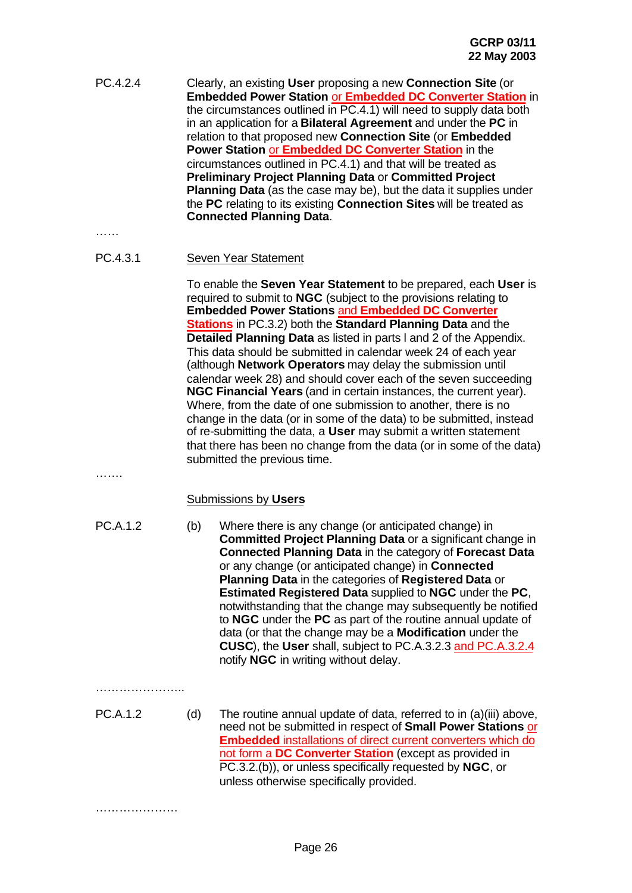PC.4.2.4 Clearly, an existing **User** proposing a new **Connection Site** (or **Embedded Power Station** or **Embedded DC Converter Station** in the circumstances outlined in PC.4.1) will need to supply data both in an application for a **Bilateral Agreement** and under the **PC** in relation to that proposed new **Connection Site** (or **Embedded Power Station** or **Embedded DC Converter Station** in the circumstances outlined in PC.4.1) and that will be treated as **Preliminary Project Planning Data** or **Committed Project Planning Data** (as the case may be), but the data it supplies under the **PC** relating to its existing **Connection Sites** will be treated as **Connected Planning Data**.

………

PC.4.3.1 Seven Year Statement

To enable the **Seven Year Statement** to be prepared, each **User** is required to submit to **NGC** (subject to the provisions relating to **Embedded Power Stations** and **Embedded DC Converter Stations** in PC.3.2) both the **Standard Planning Data** and the **Detailed Planning Data** as listed in parts l and 2 of the Appendix. This data should be submitted in calendar week 24 of each year (although **Network Operators** may delay the submission until calendar week 28) and should cover each of the seven succeeding **NGC Financial Years** (and in certain instances, the current year). Where, from the date of one submission to another, there is no change in the data (or in some of the data) to be submitted, instead of re-submitting the data, a **User** may submit a written statement that there has been no change from the data (or in some of the data) submitted the previous time.

## Submissions by **Users**

……

- PC.A.1.2 (b) Where there is any change (or anticipated change) in **Committed Project Planning Data** or a significant change in **Connected Planning Data** in the category of **Forecast Data** or any change (or anticipated change) in **Connected Planning Data** in the categories of **Registered Data** or **Estimated Registered Data** supplied to **NGC** under the **PC**, notwithstanding that the change may subsequently be notified to **NGC** under the **PC** as part of the routine annual update of data (or that the change may be a **Modification** under the **CUSC**), the **User** shall, subject to PC.A.3.2.3 and PC.A.3.2.4 notify **NGC** in writing without delay.
- …………………..

………………………

PC.A.1.2 (d) The routine annual update of data, referred to in (a)(iii) above, need not be submitted in respect of **Small Power Stations** or **Embedded** installations of direct current converters which do not form a **DC Converter Station** (except as provided in PC.3.2.(b)), or unless specifically requested by **NGC**, or unless otherwise specifically provided.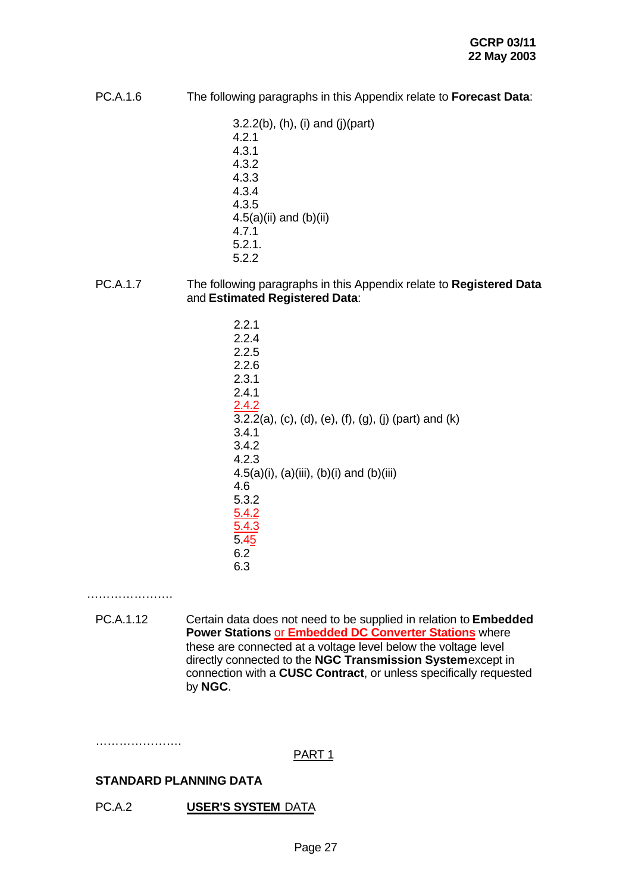PC.A.1.6 The following paragraphs in this Appendix relate to **Forecast Data**:

3.2.2(b), (h), (i) and (j)(part) 4.2.1 4.3.1 4.3.2 4.3.3 4.3.4 4.3.5  $4.5(a)(ii)$  and  $(b)(ii)$ 4.7.1 5.2.1. 5.2.2

- PC.A.1.7 The following paragraphs in this Appendix relate to **Registered Data** and **Estimated Registered Data**:
	- 2.2.1 2.2.4 2.2.5 2.2.6 2.3.1 2.4.1 2.4.2 3.2.2(a), (c), (d), (e), (f), (g), (j) (part) and (k) 3.4.1 3.4.2 4.2.3 4.5(a)(i), (a)(iii), (b)(i) and (b)(iii) 4.6 5.3.2 5.4.2 5.4.3 5.45 6.2 6.3

………………….

PC.A.1.12 Certain data does not need to be supplied in relation to **Embedded Power Stations** or **Embedded DC Converter Stations** where these are connected at a voltage level below the voltage level directly connected to the **NGC Transmission System** except in connection with a **CUSC Contract**, or unless specifically requested by **NGC**.

………………….

PART 1

## **STANDARD PLANNING DATA**

PC.A.2 **USER'S SYSTEM** DATA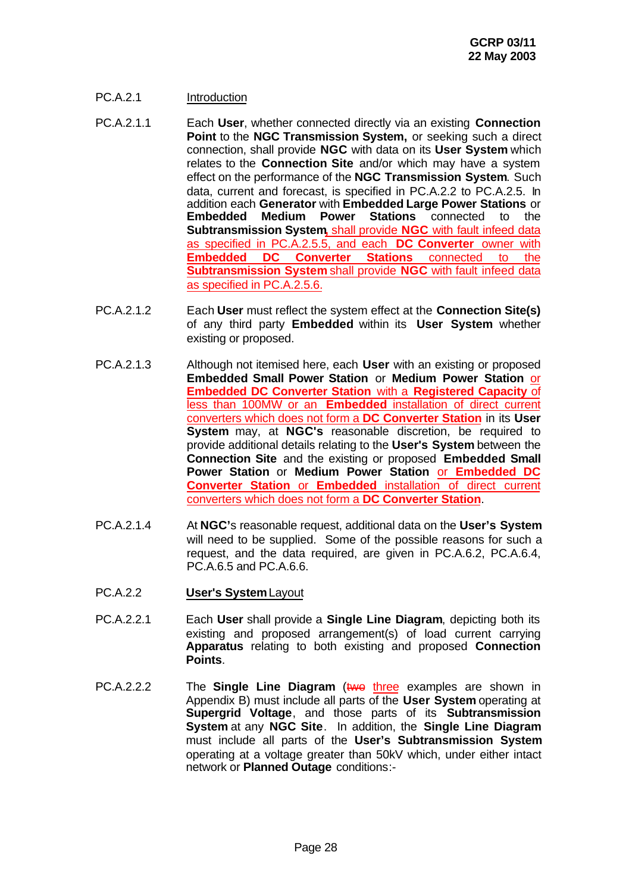## PC.A.2.1 Introduction

- PC.A.2.1.1 Each **User**, whether connected directly via an existing **Connection Point** to the **NGC Transmission System,** or seeking such a direct connection, shall provide **NGC** with data on its **User System** which relates to the **Connection Site** and/or which may have a system effect on the performance of the **NGC Transmission System**. Such data, current and forecast, is specified in PC.A.2.2 to PC.A.2.5. In addition each **Generator** with **Embedded Large Power Stations** or **Embedded Medium Power Stations** connected to the **Subtransmission System,** shall provide **NGC** with fault infeed data as specified in PC.A.2.5.5, and each **DC Converter** owner with **Embedded DC Converter Stations** connected to the **Subtransmission System** shall provide **NGC** with fault infeed data as specified in PC.A.2.5.6.
- PC.A.2.1.2 Each **User** must reflect the system effect at the **Connection Site(s)** of any third party **Embedded** within its **User System** whether existing or proposed.
- PC.A.2.1.3 Although not itemised here, each **User** with an existing or proposed **Embedded Small Power Station** or **Medium Power Station** or **Embedded DC Converter Station** with a **Registered Capacity** of less than 100MW or an **Embedded** installation of direct current converters which does not form a **DC Converter Station** in its **User System** may, at **NGC's** reasonable discretion, be required to provide additional details relating to the **User's System** between the **Connection Site** and the existing or proposed **Embedded Small Power Station** or **Medium Power Station** or **Embedded DC Converter Station** or **Embedded** installation of direct current converters which does not form a **DC Converter Station**.
- PC.A.2.1.4 At **NGC'**s reasonable request, additional data on the **User's System** will need to be supplied. Some of the possible reasons for such a request, and the data required, are given in PC.A.6.2, PC.A.6.4, PC.A.6.5 and PC.A.6.6.
- PC.A.2.2 **User's System** Layout
- PC.A.2.2.1 Each **User** shall provide a **Single Line Diagram**, depicting both its existing and proposed arrangement(s) of load current carrying **Apparatus** relating to both existing and proposed **Connection Points**.
- PC.A.2.2.2 The **Single Line Diagram** (two three examples are shown in Appendix B) must include all parts of the **User System** operating at **Supergrid Voltage**, and those parts of its **Subtransmission System** at any **NGC Site**. In addition, the **Single Line Diagram** must include all parts of the **User's Subtransmission System** operating at a voltage greater than 50kV which, under either intact network or **Planned Outage** conditions:-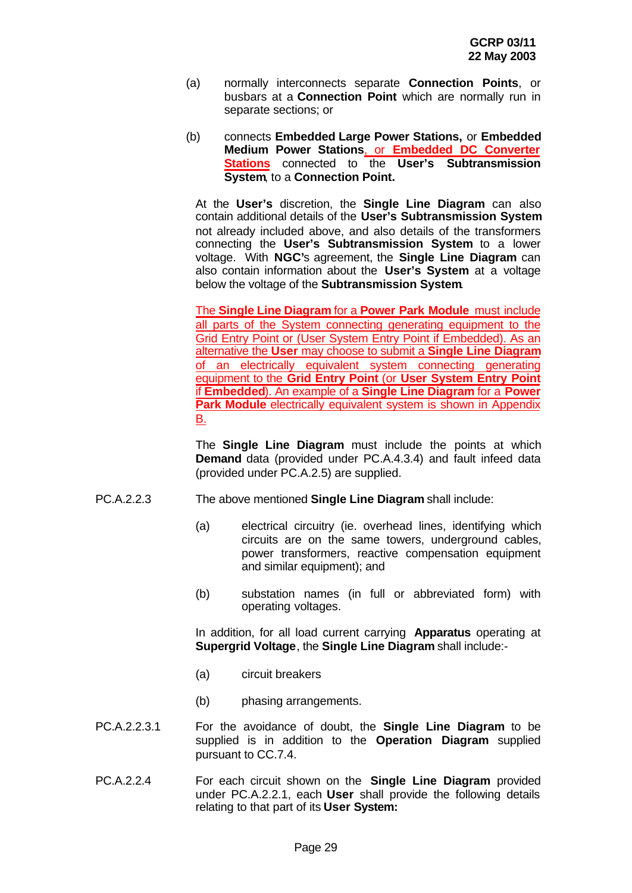- (a) normally interconnects separate **Connection Points**, or busbars at a **Connection Point** which are normally run in separate sections; or
- (b) connects **Embedded Large Power Stations,** or **Embedded Medium Power Stations**, or **Embedded DC Converter Stations** connected to the User's Subtransmission **System**, to a **Connection Point.**

At the **User's** discretion, the **Single Line Diagram** can also contain additional details of the **User's Subtransmission System** not already included above, and also details of the transformers connecting the **User's Subtransmission System** to a lower voltage. With **NGC'**s agreement, the **Single Line Diagram** can also contain information about the **User's System** at a voltage below the voltage of the **Subtransmission System**.

The **Single Line Diagram** for a **Power Park Module** must include all parts of the System connecting generating equipment to the Grid Entry Point or (User System Entry Point if Embedded). As an alternative the **User** may choose to submit a **Single Line Diagram** of an electrically equivalent system connecting generating equipment to the **Grid Entry Point** (or **User System Entry Point** if **Embedded**). An example of a **Single Line Diagram** for a **Power Park Module** electrically equivalent system is shown in Appendix B.

The **Single Line Diagram** must include the points at which **Demand** data (provided under PC.A.4.3.4) and fault infeed data (provided under PC.A.2.5) are supplied.

- PC.A.2.2.3 The above mentioned **Single Line Diagram** shall include:
	- (a) electrical circuitry (ie. overhead lines, identifying which circuits are on the same towers, underground cables, power transformers, reactive compensation equipment and similar equipment); and
	- (b) substation names (in full or abbreviated form) with operating voltages.

In addition, for all load current carrying **Apparatus** operating at **Supergrid Voltage**, the **Single Line Diagram** shall include:-

- (a) circuit breakers
- (b) phasing arrangements.
- PC.A.2.2.3.1 For the avoidance of doubt, the **Single Line Diagram** to be supplied is in addition to the **Operation Diagram** supplied pursuant to CC.7.4.
- PC.A.2.2.4 For each circuit shown on the **Single Line Diagram** provided under PC.A.2.2.1, each **User** shall provide the following details relating to that part of its **User System:**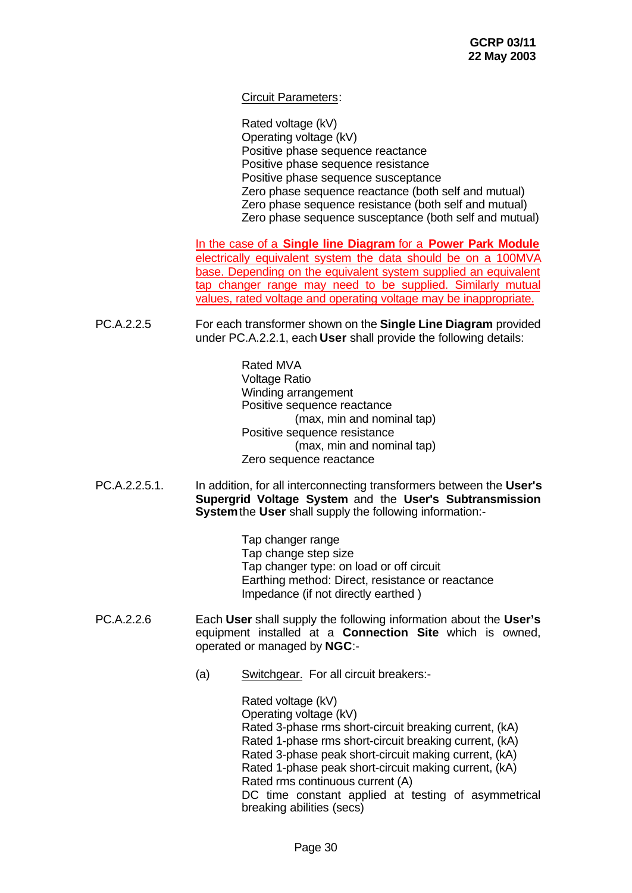## Circuit Parameters:

Rated voltage (kV) Operating voltage (kV) Positive phase sequence reactance Positive phase sequence resistance Positive phase sequence susceptance Zero phase sequence reactance (both self and mutual) Zero phase sequence resistance (both self and mutual) Zero phase sequence susceptance (both self and mutual)

In the case of a **Single line Diagram** for a **Power Park Module** electrically equivalent system the data should be on a 100MVA base. Depending on the equivalent system supplied an equivalent tap changer range may need to be supplied. Similarly mutual values, rated voltage and operating voltage may be inappropriate.

PC.A.2.2.5 For each transformer shown on the **Single Line Diagram** provided under PC.A.2.2.1, each **User** shall provide the following details:

> Rated MVA Voltage Ratio Winding arrangement Positive sequence reactance (max, min and nominal tap) Positive sequence resistance (max, min and nominal tap) Zero sequence reactance

PC.A.2.2.5.1. In addition, for all interconnecting transformers between the **User's Supergrid Voltage System** and the **User's Subtransmission System** the **User** shall supply the following information:-

> Tap changer range Tap change step size Tap changer type: on load or off circuit Earthing method: Direct, resistance or reactance Impedance (if not directly earthed )

- PC.A.2.2.6 Each **User** shall supply the following information about the **User's** equipment installed at a **Connection Site** which is owned, operated or managed by **NGC**:-
	- (a) Switchgear. For all circuit breakers:-

Rated voltage (kV) Operating voltage (kV) Rated 3-phase rms short-circuit breaking current, (kA) Rated 1-phase rms short-circuit breaking current, (kA) Rated 3-phase peak short-circuit making current, (kA) Rated 1-phase peak short-circuit making current, (kA) Rated rms continuous current (A) DC time constant applied at testing of asymmetrical breaking abilities (secs)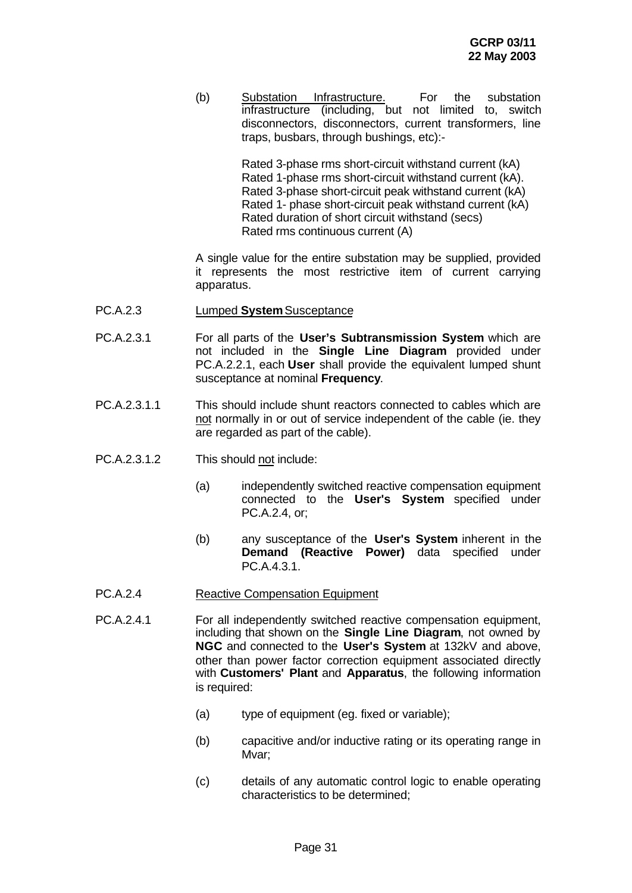(b) Substation Infrastructure. For the substation infrastructure (including, but not limited to, switch disconnectors, disconnectors, current transformers, line traps, busbars, through bushings, etc):-

> Rated 3-phase rms short-circuit withstand current (kA) Rated 1-phase rms short-circuit withstand current (kA). Rated 3-phase short-circuit peak withstand current (kA) Rated 1- phase short-circuit peak withstand current (kA) Rated duration of short circuit withstand (secs) Rated rms continuous current (A)

A single value for the entire substation may be supplied, provided it represents the most restrictive item of current carrying apparatus.

- PC.A.2.3 Lumped **System** Susceptance
- PC.A.2.3.1 For all parts of the **User's Subtransmission System** which are not included in the **Single Line Diagram** provided under PC.A.2.2.1, each **User** shall provide the equivalent lumped shunt susceptance at nominal **Frequency**.
- PC.A.2.3.1.1 This should include shunt reactors connected to cables which are not normally in or out of service independent of the cable (ie. they are regarded as part of the cable).
- PC.A.2.3.1.2 This should not include:
	- (a) independently switched reactive compensation equipment connected to the **User's System** specified under PC.A.2.4, or;
	- (b) any susceptance of the **User's System** inherent in the **Demand (Reactive Power)** data specified under PC.A.4.3.1.
- PC.A.2.4 Reactive Compensation Equipment
- PC.A.2.4.1 For all independently switched reactive compensation equipment, including that shown on the **Single Line Diagram**, not owned by **NGC** and connected to the **User's System** at 132kV and above, other than power factor correction equipment associated directly with **Customers' Plant** and **Apparatus**, the following information is required:
	- (a) type of equipment (eg. fixed or variable);
	- (b) capacitive and/or inductive rating or its operating range in Mvar;
	- (c) details of any automatic control logic to enable operating characteristics to be determined;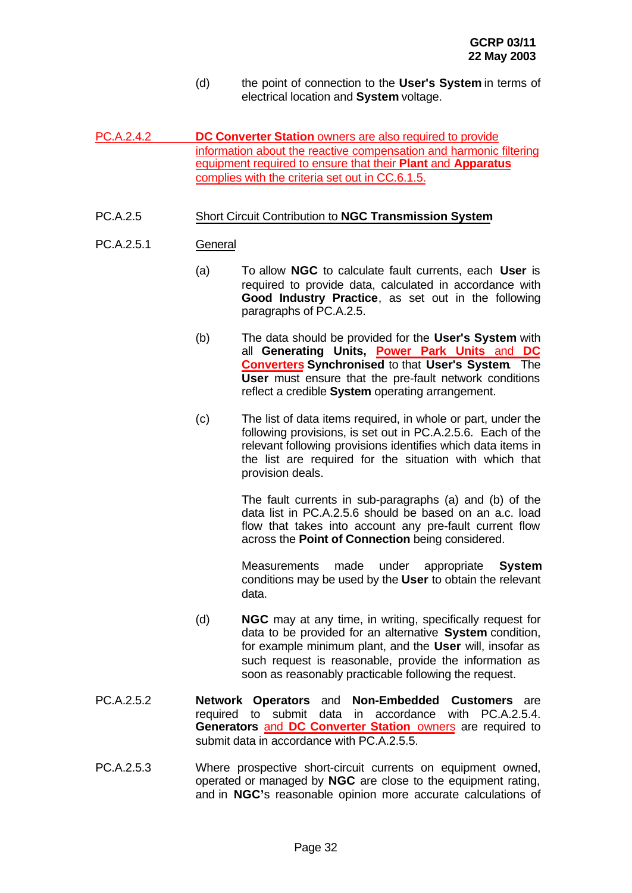- (d) the point of connection to the **User's System** in terms of electrical location and **System** voltage.
- PC.A.2.4.2 **DC Converter Station** owners are also required to provide information about the reactive compensation and harmonic filtering equipment required to ensure that their **Plant** and **Apparatus** complies with the criteria set out in CC.6.1.5.

## PC.A.2.5 Short Circuit Contribution to **NGC Transmission System**

## PC.A.2.5.1 General

- (a) To allow **NGC** to calculate fault currents, each **User** is required to provide data, calculated in accordance with **Good Industry Practice**, as set out in the following paragraphs of PC.A.2.5.
- (b) The data should be provided for the **User's System** with all **Generating Units, Power Park Units** and **DC Converters Synchronised** to that **User's System**. The **User** must ensure that the pre-fault network conditions reflect a credible **System** operating arrangement.
- (c) The list of data items required, in whole or part, under the following provisions, is set out in PC.A.2.5.6. Each of the relevant following provisions identifies which data items in the list are required for the situation with which that provision deals.

The fault currents in sub-paragraphs (a) and (b) of the data list in PC.A.2.5.6 should be based on an a.c. load flow that takes into account any pre-fault current flow across the **Point of Connection** being considered.

Measurements made under appropriate **System** conditions may be used by the **User** to obtain the relevant data.

- (d) **NGC** may at any time, in writing, specifically request for data to be provided for an alternative **System** condition, for example minimum plant, and the **User** will, insofar as such request is reasonable, provide the information as soon as reasonably practicable following the request.
- PC.A.2.5.2 **Network Operators** and **Non-Embedded Customers** are required to submit data in accordance with PC.A.2.5.4. **Generators** and **DC Converter Station** owners are required to submit data in accordance with PC.A.2.5.5.
- PC.A.2.5.3 Where prospective short-circuit currents on equipment owned, operated or managed by **NGC** are close to the equipment rating, and in **NGC'**s reasonable opinion more accurate calculations of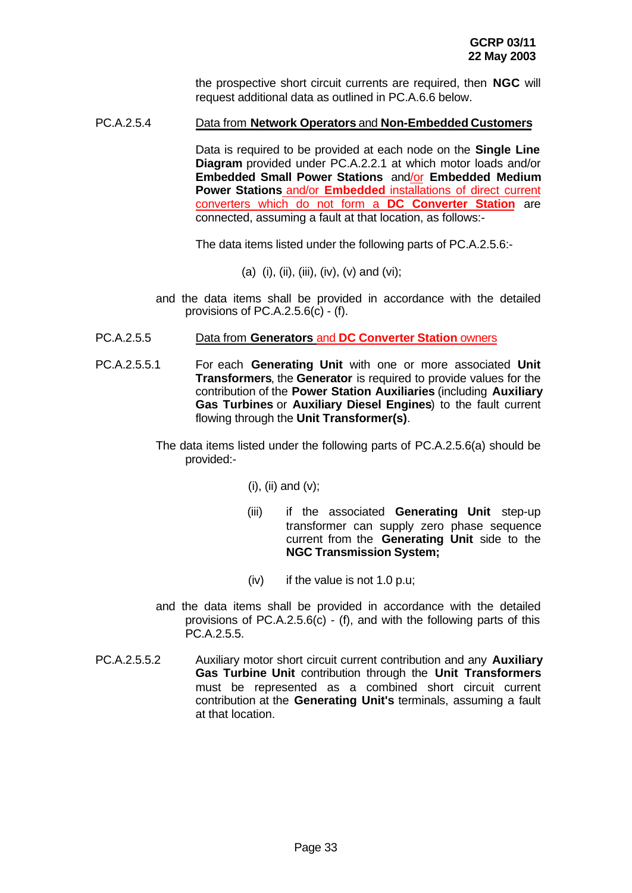the prospective short circuit currents are required, then **NGC** will request additional data as outlined in PC.A.6.6 below.

## PC.A.2.5.4 Data from **Network Operators** and **Non-Embedded Customers**

Data is required to be provided at each node on the **Single Line Diagram** provided under PC.A.2.2.1 at which motor loads and/or **Embedded Small Power Stations** and/or **Embedded Medium Power Stations** and/or **Embedded** installations of direct current converters which do not form a **DC Converter Station** are connected, assuming a fault at that location, as follows:-

The data items listed under the following parts of PC.A.2.5.6:-

- (a) (i), (ii), (iii), (iv), (v) and (vi);
- and the data items shall be provided in accordance with the detailed provisions of PC.A.2.5.6(c) - (f).
- PC.A.2.5.5 Data from **Generators** and **DC Converter Station** owners
- PC.A.2.5.5.1 For each **Generating Unit** with one or more associated **Unit Transformers**, the **Generator** is required to provide values for the contribution of the **Power Station Auxiliaries** (including **Auxiliary Gas Turbines** or **Auxiliary Diesel Engines**) to the fault current flowing through the **Unit Transformer(s)**.
	- The data items listed under the following parts of PC.A.2.5.6(a) should be provided:-

 $(i)$ ,  $(ii)$  and  $(v)$ ;

- (iii) if the associated **Generating Unit** step-up transformer can supply zero phase sequence current from the **Generating Unit** side to the **NGC Transmission System;**
- (iv) if the value is not 1.0 p.u;
- and the data items shall be provided in accordance with the detailed provisions of PC.A.2.5.6(c) - (f), and with the following parts of this PC.A.2.5.5.
- PC.A.2.5.5.2 Auxiliary motor short circuit current contribution and any **Auxiliary Gas Turbine Unit** contribution through the **Unit Transformers** must be represented as a combined short circuit current contribution at the **Generating Unit's** terminals, assuming a fault at that location.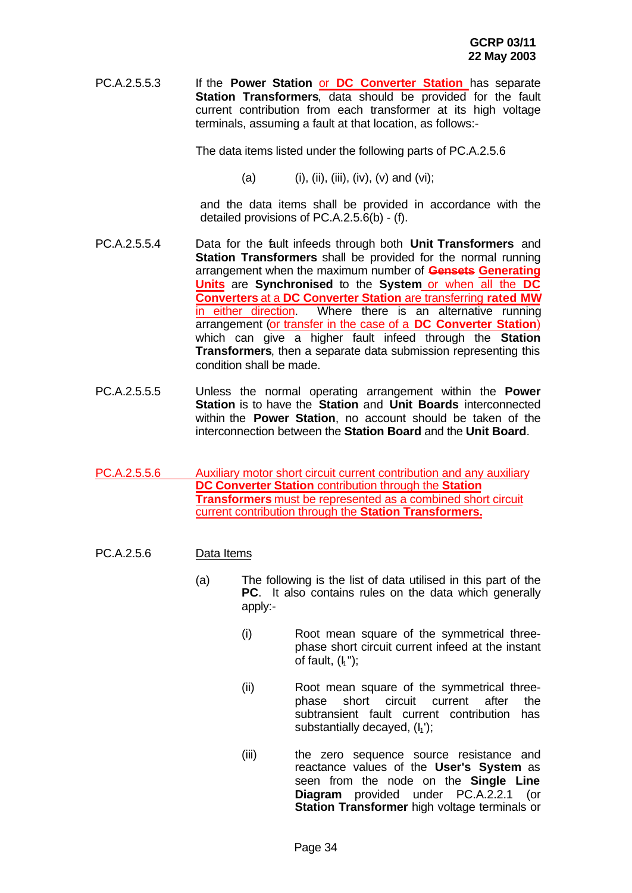PC.A.2.5.5.3 If the **Power Station** or **DC Converter Station** has separate **Station Transformers**, data should be provided for the fault current contribution from each transformer at its high voltage terminals, assuming a fault at that location, as follows:-

The data items listed under the following parts of PC.A.2.5.6

(a) (i), (ii), (iii), (iv), (v) and (vi);

and the data items shall be provided in accordance with the detailed provisions of PC.A.2.5.6(b) - (f).

- PC.A.2.5.5.4 Data for the fault infeeds through both **Unit Transformers** and **Station Transformers** shall be provided for the normal running arrangement when the maximum number of **Gensets Generating Units** are **Synchronised** to the **System** or when all the **DC Converters** at a **DC Converter Station** are transferring **rated MW** in either direction. Where there is an alternative running arrangement (or transfer in the case of a **DC Converter Station**) which can give a higher fault infeed through the **Station Transformers**, then a separate data submission representing this condition shall be made.
- PC.A.2.5.5.5 Unless the normal operating arrangement within the **Power Station** is to have the **Station** and **Unit Boards** interconnected within the **Power Station**, no account should be taken of the interconnection between the **Station Board** and the **Unit Board**.
- PC.A.2.5.5.6 Auxiliary motor short circuit current contribution and any auxiliary **DC Converter Station** contribution through the **Station Transformers** must be represented as a combined short circuit current contribution through the **Station Transformers.**
- PC.A.2.5.6 Data Items
	- (a) The following is the list of data utilised in this part of the **PC**. It also contains rules on the data which generally apply:-
		- (i) Root mean square of the symmetrical threephase short circuit current infeed at the instant of fault,  $(h")$ ;
		- (ii) Root mean square of the symmetrical threephase short circuit current after the subtransient fault current contribution has substantially decayed,  $(I_1')$ ;
		- (iii) the zero sequence source resistance and reactance values of the **User's System** as seen from the node on the **Single Line Diagram** provided under PC.A.2.2.1 (or **Station Transformer** high voltage terminals or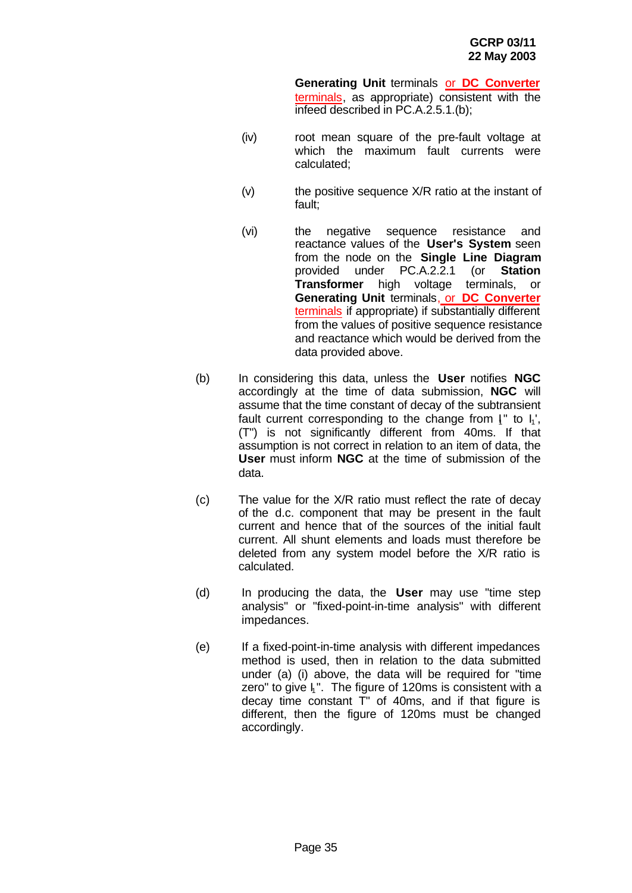**Generating Unit** terminals or **DC Converter** terminals, as appropriate) consistent with the infeed described in PC.A.2.5.1.(b);

- (iv) root mean square of the pre-fault voltage at which the maximum fault currents were calculated;
- (v) the positive sequence X/R ratio at the instant of fault;
- (vi) the negative sequence resistance and reactance values of the **User's System** seen from the node on the **Single Line Diagram** provided under PC.A.2.2.1 (or **Station Transformer** high voltage terminals, or **Generating Unit** terminals, or **DC Converter** terminals if appropriate) if substantially different from the values of positive sequence resistance and reactance which would be derived from the data provided above.
- (b) In considering this data, unless the **User** notifies **NGC** accordingly at the time of data submission, **NGC** will assume that the time constant of decay of the subtransient fault current corresponding to the change from  $I^*$  to  $I_1^*$ , (T") is not significantly different from 40ms. If that assumption is not correct in relation to an item of data, the **User** must inform **NGC** at the time of submission of the data.
- (c) The value for the X/R ratio must reflect the rate of decay of the d.c. component that may be present in the fault current and hence that of the sources of the initial fault current. All shunt elements and loads must therefore be deleted from any system model before the X/R ratio is calculated.
- (d) In producing the data, the **User** may use "time step analysis" or "fixed-point-in-time analysis" with different impedances.
- (e) If a fixed-point-in-time analysis with different impedances method is used, then in relation to the data submitted under (a) (i) above, the data will be required for "time zero" to give  $I_1$ ". The figure of 120ms is consistent with a decay time constant T" of 40ms, and if that figure is different, then the figure of 120ms must be changed accordingly.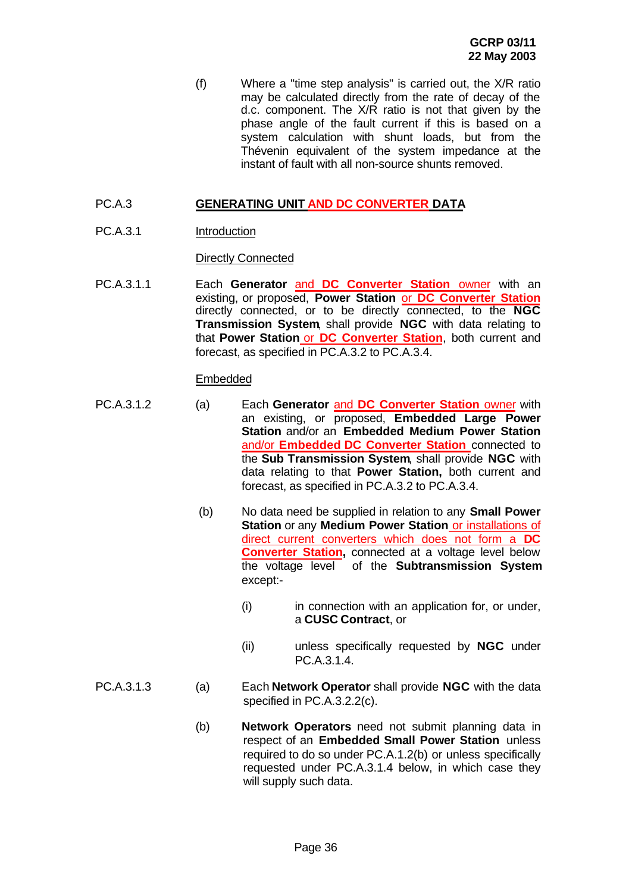(f) Where a "time step analysis" is carried out, the X/R ratio may be calculated directly from the rate of decay of the d.c. component. The X/R ratio is not that given by the phase angle of the fault current if this is based on a system calculation with shunt loads, but from the Thévenin equivalent of the system impedance at the instant of fault with all non-source shunts removed.

## PC.A.3 **GENERATING UNIT AND DC CONVERTER DATA**

PC.A.3.1 Introduction

Directly Connected

PC.A.3.1.1 Each **Generator** and **DC Converter Station** owner with an existing, or proposed, **Power Station** or **DC Converter Station** directly connected, or to be directly connected, to the **NGC Transmission System**, shall provide **NGC** with data relating to that **Power Station** or **DC Converter Station**, both current and forecast, as specified in PC.A.3.2 to PC.A.3.4.

## Embedded

- PC.A.3.1.2 (a) Each **Generator** and **DC Converter Station** owner with an existing, or proposed, **Embedded Large Power Station** and/or an **Embedded Medium Power Station** and/or **Embedded DC Converter Station** connected to the **Sub Transmission System**, shall provide **NGC** with data relating to that **Power Station,** both current and forecast, as specified in PC.A.3.2 to PC.A.3.4.
	- (b) No data need be supplied in relation to any **Small Power Station** or any **Medium Power Station** or installations of direct current converters which does not form a **DC Converter Station,** connected at a voltage level below the voltage level of the **Subtransmission System** except:-
		- (i) in connection with an application for, or under, a **CUSC Contract**, or
		- (ii) unless specifically requested by **NGC** under PC.A.3.1.4.
- PC.A.3.1.3 (a) Each **Network Operator** shall provide **NGC** with the data specified in PC.A.3.2.2(c).
	- (b) **Network Operators** need not submit planning data in respect of an **Embedded Small Power Station** unless required to do so under PC.A.1.2(b) or unless specifically requested under PC.A.3.1.4 below, in which case they will supply such data.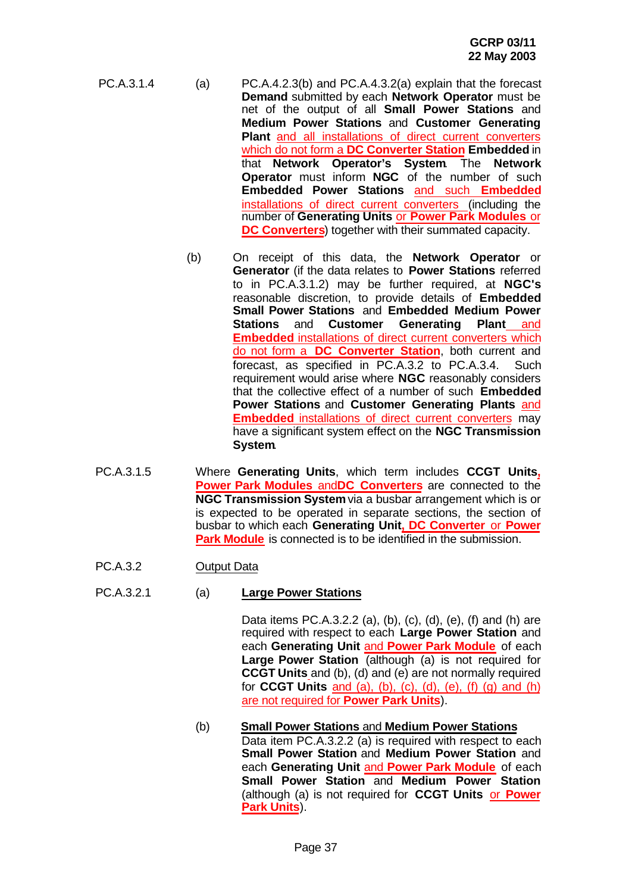- PC.A.3.1.4 (a) PC.A.4.2.3(b) and PC.A.4.3.2(a) explain that the forecast **Demand** submitted by each **Network Operator** must be net of the output of all **Small Power Stations** and **Medium Power Stations** and **Customer Generating Plant** and all installations of direct current converters which do not form a **DC Converter Station Embedded** in that **Network Operator's System**. The **Network Operator** must inform **NGC** of the number of such **Embedded Power Stations** and such **Embedded** installations of direct current converters (including the number of **Generating Units** or **Power Park Modules** or **DC Converters**) together with their summated capacity.
	- (b) On receipt of this data, the **Network Operator** or **Generator** (if the data relates to **Power Stations** referred to in PC.A.3.1.2) may be further required, at **NGC's** reasonable discretion, to provide details of **Embedded Small Power Stations** and **Embedded Medium Power Stations** and **Customer Generating Plant** and **Embedded** installations of direct current converters which do not form a **DC Converter Station**, both current and forecast, as specified in PC.A.3.2 to PC.A.3.4. Such requirement would arise where **NGC** reasonably considers that the collective effect of a number of such **Embedded Power Stations** and **Customer Generating Plants** and **Embedded** installations of direct current converters may have a significant system effect on the **NGC Transmission System**.
- PC.A.3.1.5 Where **Generating Units**, which term includes **CCGT Units, Power Park Modules** and**DC Converters** are connected to the **NGC Transmission System** via a busbar arrangement which is or is expected to be operated in separate sections, the section of busbar to which each **Generating Unit, DC Converter** or **Power Park Module** is connected is to be identified in the submission.
- PC.A.3.2 Output Data

### PC.A.3.2.1 (a) **Large Power Stations**

Data items PC.A.3.2.2 (a), (b), (c), (d), (e), (f) and (h) are required with respect to each **Large Power Station** and each **Generating Unit** and **Power Park Module** of each **Large Power Station** (although (a) is not required for **CCGT Units** and (b), (d) and (e) are not normally required for **CCGT Units** and (a), (b), (c), (d), (e), (f) (g) and (h) are not required for **Power Park Units**).

(b) **Small Power Stations** and **Medium Power Stations** Data item PC.A.3.2.2 (a) is required with respect to each **Small Power Station** and **Medium Power Station** and each **Generating Unit** and **Power Park Module** of each **Small Power Station** and **Medium Power Station** (although (a) is not required for **CCGT Units** or **Power Park Units**).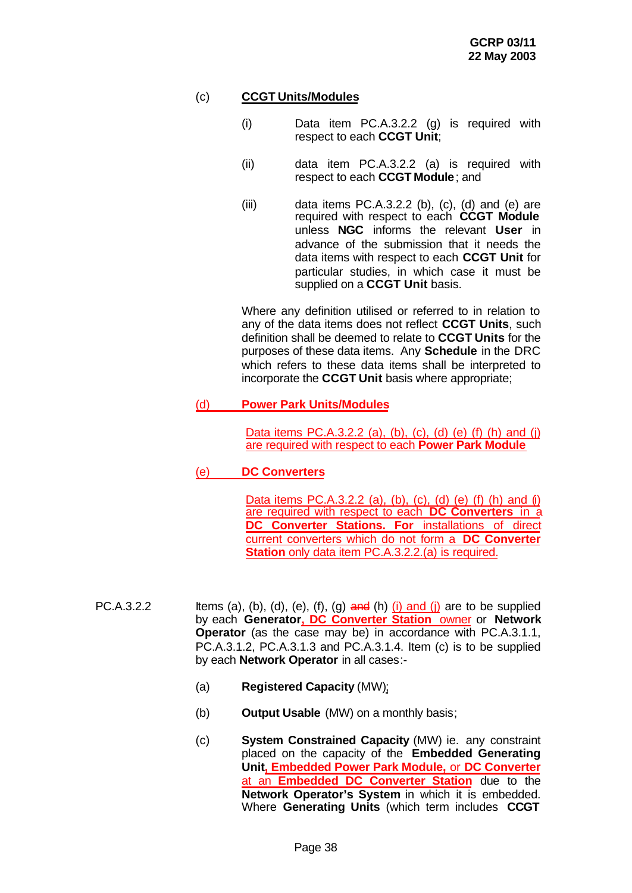# (c) **CCGT Units/Modules**

- (i) Data item PC.A.3.2.2 (g) is required with respect to each **CCGT Unit**;
- (ii) data item PC.A.3.2.2 (a) is required with respect to each **CCGT Module**; and
- $(iii)$  data items PC.A.3.2.2 (b), (c), (d) and (e) are required with respect to each **CCGT Module** unless **NGC** informs the relevant **User** in advance of the submission that it needs the data items with respect to each **CCGT Unit** for particular studies, in which case it must be supplied on a **CCGT Unit** basis.

Where any definition utilised or referred to in relation to any of the data items does not reflect **CCGT Units**, such definition shall be deemed to relate to **CCGT Units** for the purposes of these data items. Any **Schedule** in the DRC which refers to these data items shall be interpreted to incorporate the **CCGT Unit** basis where appropriate;

# (d) **Power Park Units/Modules**

Data items PC.A.3.2.2 (a), (b), (c), (d) (e) (f) (h) and (j) are required with respect to each **Power Park Module**

# (e) **DC Converters**

Data items PC.A.3.2.2 (a), (b), (c), (d) (e) (f) (h) and (i) are required with respect to each **DC Converters** in a **DC Converter Stations. For installations of direct** current converters which do not form a **DC Converter Station** only data item PC.A.3.2.2.(a) is required.

- PC.A.3.2.2 Items (a), (b), (d), (e), (f), (g)  $\frac{\partial}{\partial x}$  (h) (i) and (i) are to be supplied by each **Generator, DC Converter Station** owner or **Network Operator** (as the case may be) in accordance with PC.A.3.1.1, PC.A.3.1.2, PC.A.3.1.3 and PC.A.3.1.4. Item (c) is to be supplied by each **Network Operator** in all cases:-
	- (a) **Registered Capacity** (MW);
	- (b) **Output Usable** (MW) on a monthly basis;
	- (c) **System Constrained Capacity** (MW) ie. any constraint placed on the capacity of the **Embedded Generating Unit, Embedded Power Park Module,** or **DC Converter** at an **Embedded DC Converter Station** due to the **Network Operator's System** in which it is embedded. Where **Generating Units** (which term includes **CCGT**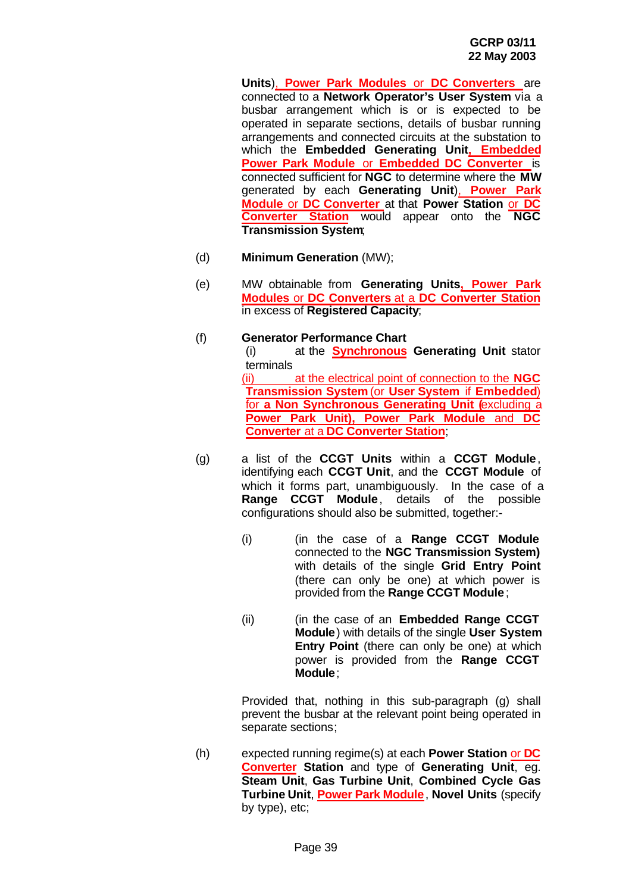**Units**), **Power Park Modules** or **DC Converters** are connected to a **Network Operator's User System** via a busbar arrangement which is or is expected to be operated in separate sections, details of busbar running arrangements and connected circuits at the substation to which the **Embedded Generating Unit, Embedded Power Park Module** or **Embedded DC Converter** is connected sufficient for **NGC** to determine where the **MW** generated by each **Generating Unit**), **Power Park Module** or **DC Converter** at that **Power Station** or **DC Converter Station** would appear onto the **NGC Transmission System**;

- (d) **Minimum Generation** (MW);
- (e) MW obtainable from **Generating Units, Power Park Modules** or **DC Converters** at a **DC Converter Station** in excess of **Registered Capacity**;
- (f) **Generator Performance Chart** (i) at the **Synchronous Generating Unit** stator terminals (ii) at the electrical point of connection to the **NGC Transmission System** (or **User System** if **Embedded**) for **a Non Synchronous Generating Unit (**excluding a **Power Park Unit), Power Park Module** and **DC Converter** at a **DC Converter Station**;
- (g) a list of the **CCGT Units** within a **CCGT Module**, identifying each **CCGT Unit**, and the **CCGT Module** of which it forms part, unambiguously. In the case of a **Range CCGT Module**, details of the possible configurations should also be submitted, together:-
	- (i) (in the case of a **Range CCGT Module** connected to the **NGC Transmission System)** with details of the single **Grid Entry Point** (there can only be one) at which power is provided from the **Range CCGT Module**;
	- (ii) (in the case of an **Embedded Range CCGT Module**) with details of the single **User System Entry Point** (there can only be one) at which power is provided from the **Range CCGT Module**;

Provided that, nothing in this sub-paragraph (g) shall prevent the busbar at the relevant point being operated in separate sections;

(h) expected running regime(s) at each **Power Station** or **DC Converter Station** and type of **Generating Unit**, eg. **Steam Unit**, **Gas Turbine Unit**, **Combined Cycle Gas Turbine Unit**, **Power Park Module**, **Novel Units** (specify by type), etc;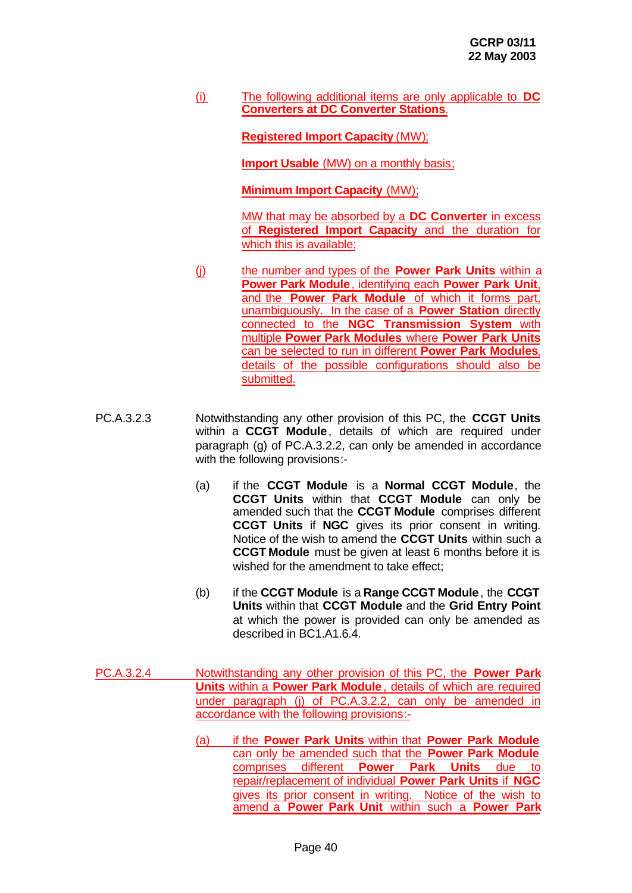(i) The following additional items are only applicable to **DC Converters at DC Converter Stations**.

**Registered Import Capacity** (MW);

**Import Usable** (MW) on a monthly basis;

**Minimum Import Capacity** (MW);

MW that may be absorbed by a **DC Converter** in excess of **Registered Import Capacity** and the duration for which this is available:

- (j) the number and types of the **Power Park Units** within a **Power Park Module**, identifying each **Power Park Unit**, and the **Power Park Module** of which it forms part, unambiguously. In the case of a **Power Station** directly connected to the **NGC Transmission System** with multiple **Power Park Modules** where **Power Park Units** can be selected to run in different **Power Park Modules**, details of the possible configurations should also be submitted.
- PC.A.3.2.3 Notwithstanding any other provision of this PC, the **CCGT Units** within a **CCGT Module**, details of which are required under paragraph (g) of PC.A.3.2.2, can only be amended in accordance with the following provisions:-
	- (a) if the **CCGT Module** is a **Normal CCGT Module**, the **CCGT Units** within that **CCGT Module** can only be amended such that the **CCGT Module** comprises different **CCGT Units** if **NGC** gives its prior consent in writing. Notice of the wish to amend the **CCGT Units** within such a **CCGT Module** must be given at least 6 months before it is wished for the amendment to take effect;
	- (b) if the **CCGT Module** is a **Range CCGT Module**, the **CCGT Units** within that **CCGT Module** and the **Grid Entry Point** at which the power is provided can only be amended as described in BC1.A1.6.4.
- PC.A.3.2.4 Notwithstanding any other provision of this PC, the **Power Park Units** within a **Power Park Module**, details of which are required under paragraph (j) of PC.A.3.2.2, can only be amended in accordance with the following provisions:-
	- (a) if the **Power Park Units** within that **Power Park Module** can only be amended such that the **Power Park Module** comprises different **Power Park Units** due to repair/replacement of individual **Power Park Units** if **NGC** gives its prior consent in writing. Notice of the wish to amend a **Power Park Unit** within such a **Power Park**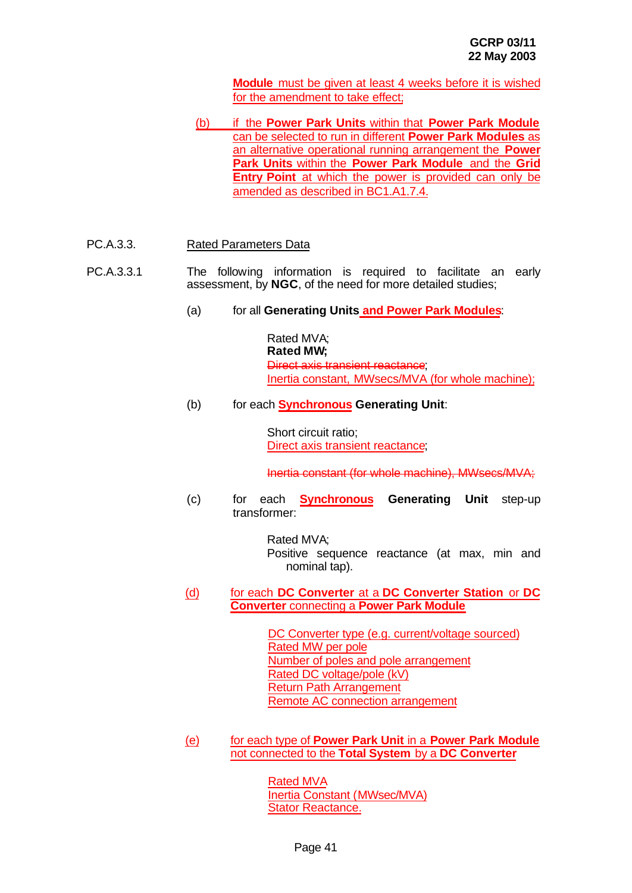**Module** must be given at least 4 weeks before it is wished for the amendment to take effect;

- (b) if the **Power Park Units** within that **Power Park Module** can be selected to run in different **Power Park Modules** as an alternative operational running arrangement the **Power Park Units** within the **Power Park Module** and the **Grid Entry Point** at which the power is provided can only be amended as described in BC1.A1.7.4.
- PC.A.3.3. Rated Parameters Data
- PC.A.3.3.1 The following information is required to facilitate an early assessment, by **NGC**, of the need for more detailed studies;
	- (a) for all **Generating Units and Power Park Modules**:

Rated MVA; **Rated MW;** Direct axis transient reactance; Inertia constant, MWsecs/MVA (for whole machine);

(b) for each **Synchronous Generating Unit**:

Short circuit ratio; Direct axis transient reactance;

Inertia constant (for whole machine), MWsecs/MVA;

(c) for each **Synchronous Generating Unit** step-up transformer:

> Rated MVA; Positive sequence reactance (at max, min and nominal tap).

(d) for each **DC Converter** at a **DC Converter Station** or **DC Converter** connecting a **Power Park Module**

> DC Converter type (e.g. current/voltage sourced) Rated MW per pole Number of poles and pole arrangement Rated DC voltage/pole (kV) Return Path Arrangement Remote AC connection arrangement

(e) for each type of **Power Park Unit** in a **Power Park Module** not connected to the **Total System** by a **DC Converter**

> Rated MVA Inertia Constant (MWsec/MVA) Stator Reactance.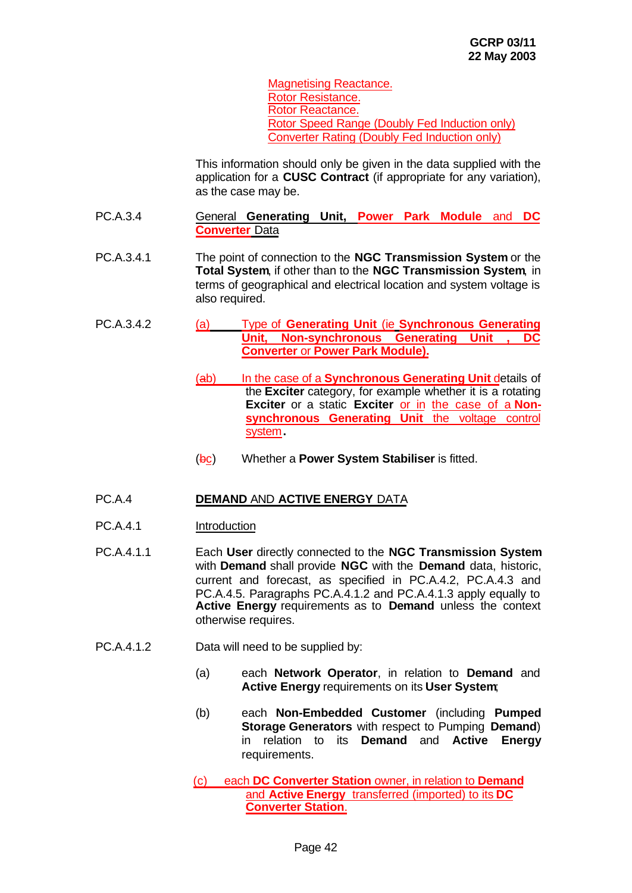Magnetising Reactance. Rotor Resistance. Rotor Reactance. Rotor Speed Range (Doubly Fed Induction only) Converter Rating (Doubly Fed Induction only)

This information should only be given in the data supplied with the application for a **CUSC Contract** (if appropriate for any variation), as the case may be.

- PC.A.3.4 General **Generating Unit, Power Park Module** and **DC Converter** Data
- PC.A.3.4.1 The point of connection to the **NGC Transmission System** or the **Total System**, if other than to the **NGC Transmission System**, in terms of geographical and electrical location and system voltage is also required.
- PC.A.3.4.2 (a) Type of **Generating Unit** (ie **Synchronous Generating Unit, Non-synchronous Generating Unit , DC Converter** or **Power Park Module).**
	- (ab) In the case of a **Synchronous Generating Unit** details of the **Exciter** category, for example whether it is a rotating **Exciter** or a static **Exciter** or in the case of a **Non**synchronous Generating Unit the voltage control system**.**
	- (bc) Whether a **Power System Stabiliser** is fitted.

### PC.A.4 **DEMAND** AND **ACTIVE ENERGY** DATA

- PC.A.4.1 Introduction
- PC.A.4.1.1 Each **User** directly connected to the **NGC Transmission System** with **Demand** shall provide **NGC** with the **Demand** data, historic, current and forecast, as specified in PC.A.4.2, PC.A.4.3 and PC.A.4.5. Paragraphs PC.A.4.1.2 and PC.A.4.1.3 apply equally to **Active Energy** requirements as to **Demand** unless the context otherwise requires.
- PC.A.4.1.2 Data will need to be supplied by:
	- (a) each **Network Operator**, in relation to **Demand** and **Active Energy** requirements on its **User System**;
	- (b) each **Non-Embedded Customer** (including **Pumped Storage Generators** with respect to Pumping **Demand**) in relation to its **Demand** and **Active Energy** requirements.

(c) each **DC Converter Station** owner, in relation to **Demand** and **Active Energy** transferred (imported) to its **DC Converter Station**.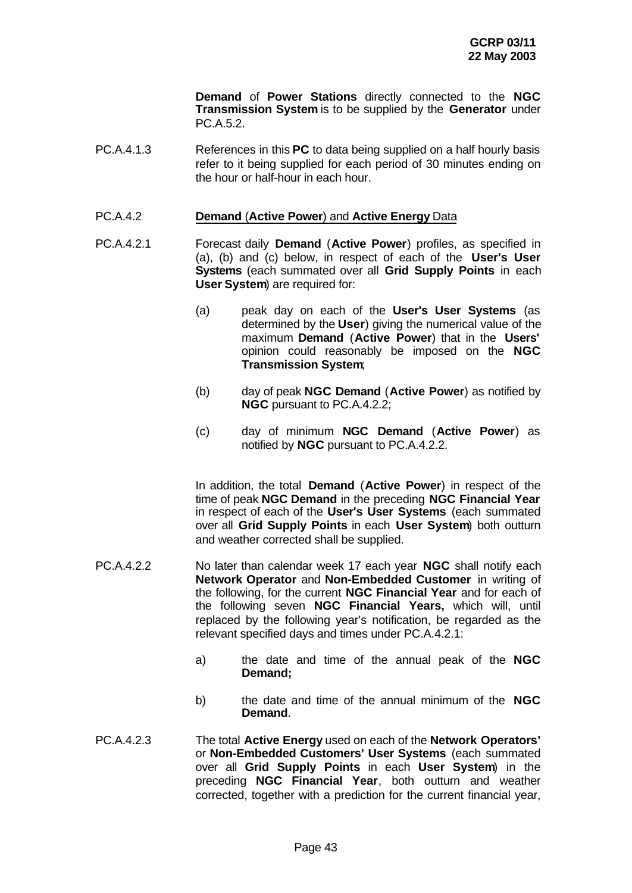**Demand** of **Power Stations** directly connected to the **NGC Transmission System** is to be supplied by the **Generator** under PC.A.5.2.

PC.A.4.1.3 References in this **PC** to data being supplied on a half hourly basis refer to it being supplied for each period of 30 minutes ending on the hour or half-hour in each hour.

#### PC.A.4.2 **Demand** (**Active Power**) and **Active Energy** Data

- PC.A.4.2.1 Forecast daily **Demand** (**Active Power**) profiles, as specified in (a), (b) and (c) below, in respect of each of the **User's User Systems** (each summated over all **Grid Supply Points** in each **User System**) are required for:
	- (a) peak day on each of the **User's User Systems** (as determined by the **User**) giving the numerical value of the maximum **Demand** (**Active Power**) that in the **Users'** opinion could reasonably be imposed on the **NGC Transmission System**;
	- (b) day of peak **NGC Demand** (**Active Power**) as notified by **NGC** pursuant to PC.A.4.2.2;
	- (c) day of minimum **NGC Demand** (**Active Power**) as notified by **NGC** pursuant to PC.A.4.2.2.

In addition, the total **Demand** (**Active Power**) in respect of the time of peak **NGC Demand** in the preceding **NGC Financial Year** in respect of each of the **User's User Systems** (each summated over all **Grid Supply Points** in each **User System**) both outturn and weather corrected shall be supplied.

- PC.A.4.2.2 No later than calendar week 17 each year **NGC** shall notify each **Network Operator** and **Non-Embedded Customer** in writing of the following, for the current **NGC Financial Year** and for each of the following seven **NGC Financial Years,** which will, until replaced by the following year's notification, be regarded as the relevant specified days and times under PC.A.4.2.1:
	- a) the date and time of the annual peak of the **NGC Demand;**
	- b) the date and time of the annual minimum of the **NGC Demand**.
- PC.A.4.2.3 The total **Active Energy** used on each of the **Network Operators'** or **Non-Embedded Customers' User Systems** (each summated over all **Grid Supply Points** in each **User System**) in the preceding **NGC Financial Year**, both outturn and weather corrected, together with a prediction for the current financial year,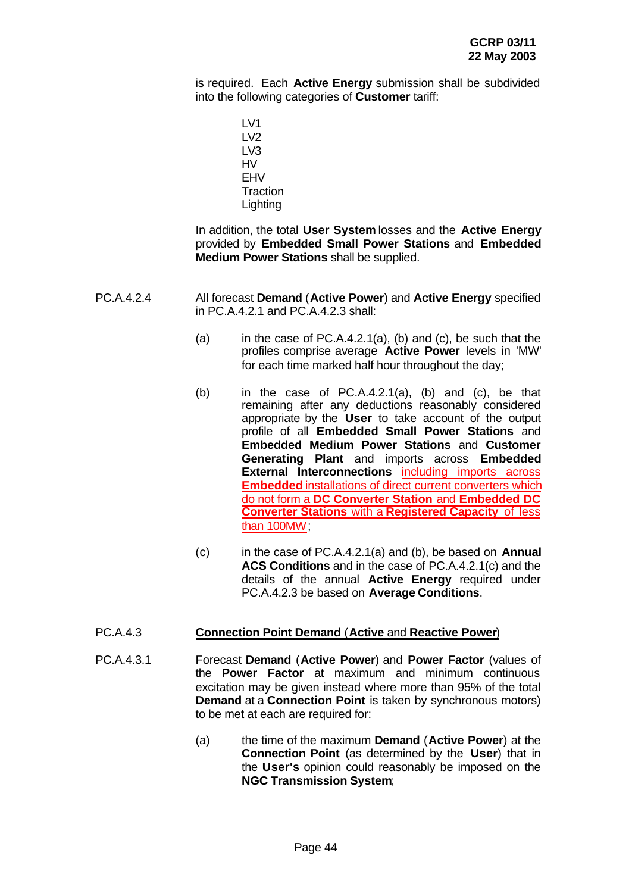is required. Each **Active Energy** submission shall be subdivided into the following categories of **Customer** tariff:

> LV1 LV2 LV3 HV EHV **Traction Lighting**

In addition, the total **User System** losses and the **Active Energy** provided by **Embedded Small Power Stations** and **Embedded Medium Power Stations** shall be supplied.

- PC.A.4.2.4 All forecast **Demand** (**Active Power**) and **Active Energy** specified in PC.A.4.2.1 and PC.A.4.2.3 shall:
	- (a) in the case of PC.A.4.2.1(a), (b) and (c), be such that the profiles comprise average **Active Power** levels in 'MW' for each time marked half hour throughout the day;
	- (b) in the case of PC.A.4.2.1(a), (b) and (c), be that remaining after any deductions reasonably considered appropriate by the **User** to take account of the output profile of all **Embedded Small Power Stations** and **Embedded Medium Power Stations** and **Customer Generating Plant** and imports across **Embedded External Interconnections** including imports across **Embedded** installations of direct current converters which do not form a **DC Converter Station** and **Embedded DC Converter Stations** with a **Registered Capacity** of less than 100MW;
	- (c) in the case of PC.A.4.2.1(a) and (b), be based on **Annual ACS Conditions** and in the case of PC.A.4.2.1(c) and the details of the annual **Active Energy** required under PC.A.4.2.3 be based on **Average Conditions**.

### PC.A.4.3 **Connection Point Demand** (**Active** and **Reactive Power**)

- PC.A.4.3.1 Forecast **Demand** (**Active Power**) and **Power Factor** (values of the **Power Factor** at maximum and minimum continuous excitation may be given instead where more than 95% of the total **Demand** at a **Connection Point** is taken by synchronous motors) to be met at each are required for:
	- (a) the time of the maximum **Demand** (**Active Power**) at the **Connection Point** (as determined by the **User**) that in the **User's** opinion could reasonably be imposed on the **NGC Transmission System**;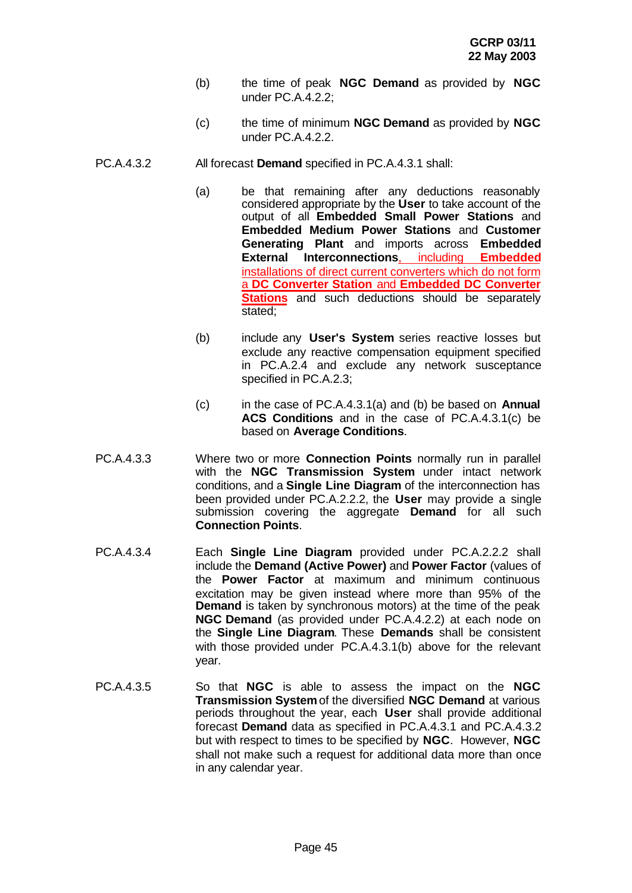- (b) the time of peak **NGC Demand** as provided by **NGC** under PC.A.4.2.2;
- (c) the time of minimum **NGC Demand** as provided by **NGC** under PC.A.4.2.2.
- PC.A.4.3.2 All forecast **Demand** specified in PC.A.4.3.1 shall:
	- (a) be that remaining after any deductions reasonably considered appropriate by the **User** to take account of the output of all **Embedded Small Power Stations** and **Embedded Medium Power Stations** and **Customer Generating Plant** and imports across **Embedded External Interconnections**, including **Embedded** installations of direct current converters which do not form a **DC Converter Station** and **Embedded DC Converter Stations** and such deductions should be separately stated;
	- (b) include any **User's System** series reactive losses but exclude any reactive compensation equipment specified in PC.A.2.4 and exclude any network susceptance specified in PC.A.2.3;
	- (c) in the case of PC.A.4.3.1(a) and (b) be based on **Annual ACS Conditions** and in the case of PC.A.4.3.1(c) be based on **Average Conditions**.
- PC.A.4.3.3 Where two or more **Connection Points** normally run in parallel with the **NGC Transmission System** under intact network conditions, and a **Single Line Diagram** of the interconnection has been provided under PC.A.2.2.2, the **User** may provide a single submission covering the aggregate **Demand** for all such **Connection Points**.
- PC.A.4.3.4 Each **Single Line Diagram** provided under PC.A.2.2.2 shall include the **Demand (Active Power)** and **Power Factor** (values of the **Power Factor** at maximum and minimum continuous excitation may be given instead where more than 95% of the **Demand** is taken by synchronous motors) at the time of the peak **NGC Demand** (as provided under PC.A.4.2.2) at each node on the **Single Line Diagram**. These **Demands** shall be consistent with those provided under PC.A.4.3.1(b) above for the relevant year.
- PC.A.4.3.5 So that **NGC** is able to assess the impact on the **NGC Transmission System** of the diversified **NGC Demand** at various periods throughout the year, each **User** shall provide additional forecast **Demand** data as specified in PC.A.4.3.1 and PC.A.4.3.2 but with respect to times to be specified by **NGC**. However, **NGC** shall not make such a request for additional data more than once in any calendar year.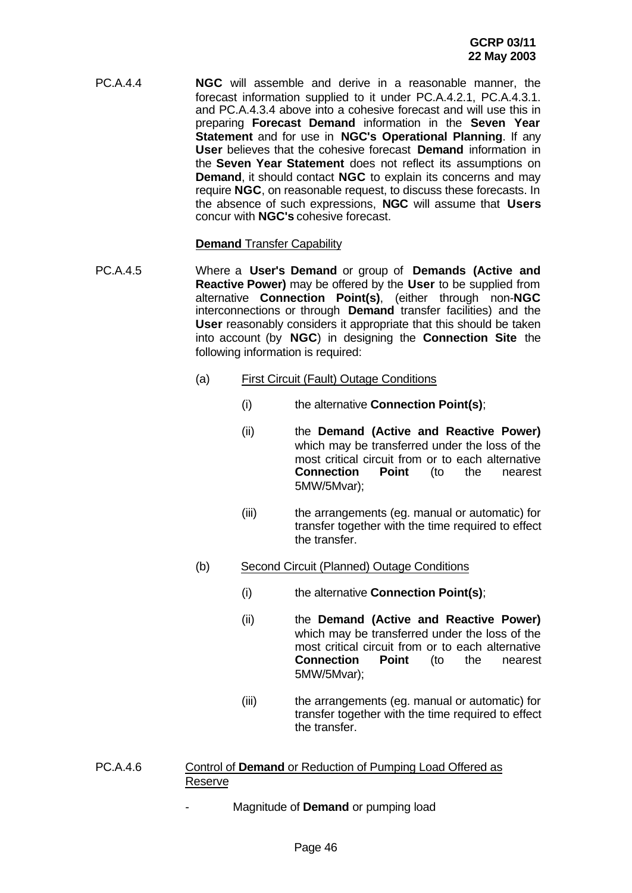PC.A.4.4 **NGC** will assemble and derive in a reasonable manner, the forecast information supplied to it under PC.A.4.2.1, PC.A.4.3.1. and PC.A.4.3.4 above into a cohesive forecast and will use this in preparing **Forecast Demand** information in the **Seven Year Statement** and for use in **NGC's Operational Planning**. If any **User** believes that the cohesive forecast **Demand** information in the **Seven Year Statement** does not reflect its assumptions on **Demand**, it should contact **NGC** to explain its concerns and may require **NGC**, on reasonable request, to discuss these forecasts. In the absence of such expressions, **NGC** will assume that **Users** concur with **NGC's** cohesive forecast.

### **Demand** Transfer Capability

- PC.A.4.5 Where a **User's Demand** or group of **Demands (Active and Reactive Power)** may be offered by the **User** to be supplied from alternative **Connection Point(s)**, (either through non-**NGC** interconnections or through **Demand** transfer facilities) and the **User** reasonably considers it appropriate that this should be taken into account (by **NGC**) in designing the **Connection Site** the following information is required:
	- (a) First Circuit (Fault) Outage Conditions
		- (i) the alternative **Connection Point(s)**;
			- (ii) the **Demand (Active and Reactive Power)** which may be transferred under the loss of the most critical circuit from or to each alternative<br> **Connection** Point (to the nearest **Connection Point** (to the nearest 5MW/5Mvar);
			- (iii) the arrangements (eg. manual or automatic) for transfer together with the time required to effect the transfer.

### (b) Second Circuit (Planned) Outage Conditions

- (i) the alternative **Connection Point(s)**;
- (ii) the **Demand (Active and Reactive Power)** which may be transferred under the loss of the most critical circuit from or to each alternative **Connection Point** (to the nearest 5MW/5Mvar);
- (iii) the arrangements (eg. manual or automatic) for transfer together with the time required to effect the transfer.

### PC.A.4.6 Control of **Demand** or Reduction of Pumping Load Offered as Reserve

- Magnitude of **Demand** or pumping load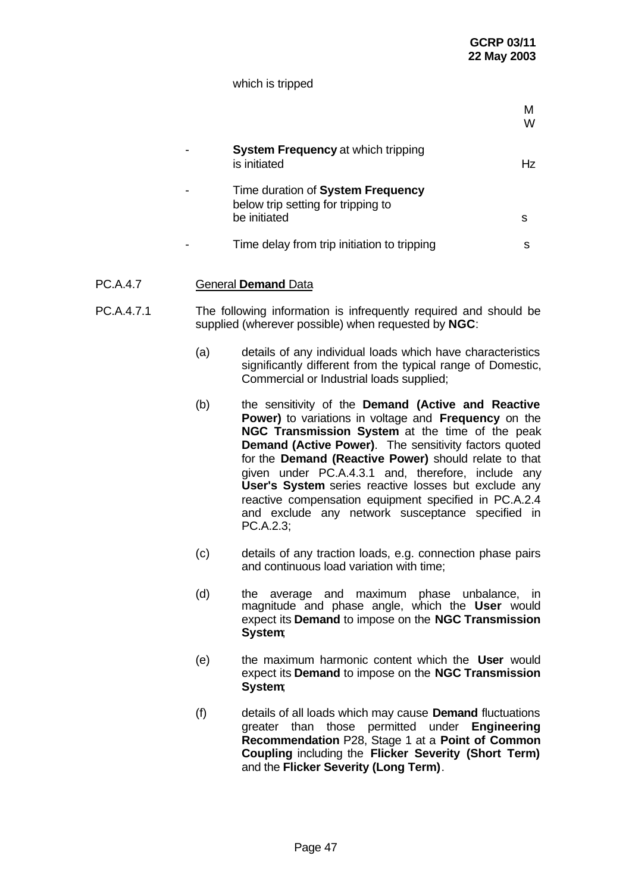#### which is tripped

|                                                                                         | м<br>w |
|-----------------------------------------------------------------------------------------|--------|
| <b>System Frequency at which tripping</b><br>is initiated                               | Hz     |
| Time duration of System Frequency<br>below trip setting for tripping to<br>be initiated | s      |
| Time delay from trip initiation to tripping                                             | s      |
|                                                                                         |        |

# PC.A.4.7 General **Demand** Data

- PC.A.4.7.1 The following information is infrequently required and should be supplied (wherever possible) when requested by **NGC**:
	- (a) details of any individual loads which have characteristics significantly different from the typical range of Domestic, Commercial or Industrial loads supplied;
	- (b) the sensitivity of the **Demand (Active and Reactive Power)** to variations in voltage and **Frequency** on the **NGC Transmission System** at the time of the peak **Demand (Active Power)**. The sensitivity factors quoted for the **Demand (Reactive Power)** should relate to that given under PC.A.4.3.1 and, therefore, include any **User's System** series reactive losses but exclude any reactive compensation equipment specified in PC.A.2.4 and exclude any network susceptance specified in PC.A.2.3;
	- (c) details of any traction loads, e.g. connection phase pairs and continuous load variation with time;
	- (d) the average and maximum phase unbalance, in magnitude and phase angle, which the **User** would expect its **Demand** to impose on the **NGC Transmission System**;
	- (e) the maximum harmonic content which the **User** would expect its **Demand** to impose on the **NGC Transmission System**;
	- (f) details of all loads which may cause **Demand** fluctuations greater than those permitted under **Engineering Recommendation** P28, Stage 1 at a **Point of Common Coupling** including the **Flicker Severity (Short Term)** and the **Flicker Severity (Long Term)**.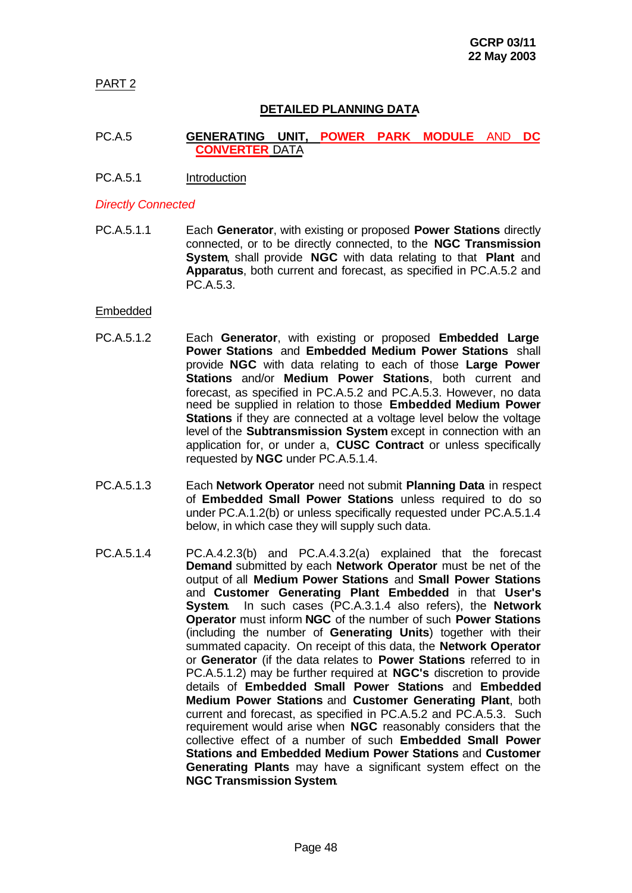PART 2

# **DETAILED PLANNING DATA**

### PC.A.5 **GENERATING UNIT, POWER PARK MODULE** AND **DC CONVERTER** DATA

PC.A.5.1 Introduction

#### *Directly Connected*

PC.A.5.1.1 Each **Generator**, with existing or proposed **Power Stations** directly connected, or to be directly connected, to the **NGC Transmission System**, shall provide **NGC** with data relating to that **Plant** and **Apparatus**, both current and forecast, as specified in PC.A.5.2 and PC.A.5.3.

#### Embedded

- PC.A.5.1.2 Each **Generator**, with existing or proposed **Embedded Large Power Stations** and **Embedded Medium Power Stations** shall provide **NGC** with data relating to each of those **Large Power Stations** and/or **Medium Power Stations**, both current and forecast, as specified in PC.A.5.2 and PC.A.5.3. However, no data need be supplied in relation to those **Embedded Medium Power Stations** if they are connected at a voltage level below the voltage level of the **Subtransmission System** except in connection with an application for, or under a, **CUSC Contract** or unless specifically requested by **NGC** under PC.A.5.1.4.
- PC.A.5.1.3 Each **Network Operator** need not submit **Planning Data** in respect of **Embedded Small Power Stations** unless required to do so under PC.A.1.2(b) or unless specifically requested under PC.A.5.1.4 below, in which case they will supply such data.
- PC.A.5.1.4 PC.A.4.2.3(b) and PC.A.4.3.2(a) explained that the forecast **Demand** submitted by each **Network Operator** must be net of the output of all **Medium Power Stations** and **Small Power Stations** and **Customer Generating Plant Embedded** in that **User's System**. In such cases (PC.A.3.1.4 also refers), the **Network Operator** must inform **NGC** of the number of such **Power Stations** (including the number of **Generating Units**) together with their summated capacity. On receipt of this data, the **Network Operator** or **Generator** (if the data relates to **Power Stations** referred to in PC.A.5.1.2) may be further required at **NGC's** discretion to provide details of **Embedded Small Power Stations** and **Embedded Medium Power Stations** and **Customer Generating Plant**, both current and forecast, as specified in PC.A.5.2 and PC.A.5.3. Such requirement would arise when **NGC** reasonably considers that the collective effect of a number of such **Embedded Small Power Stations and Embedded Medium Power Stations** and **Customer Generating Plants** may have a significant system effect on the **NGC Transmission System**.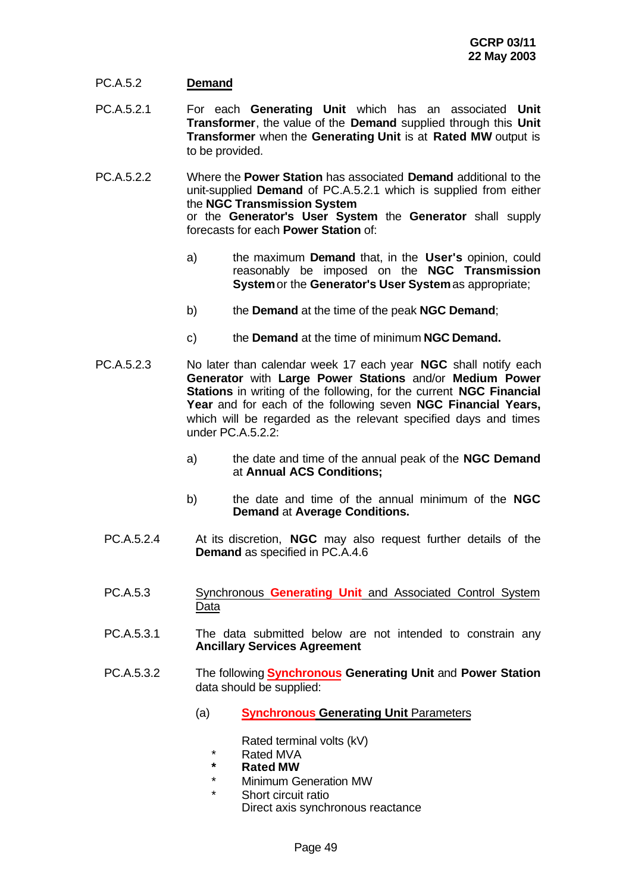### PC.A.5.2 **Demand**

- PC.A.5.2.1 For each **Generating Unit** which has an associated **Unit Transformer**, the value of the **Demand** supplied through this **Unit Transformer** when the **Generating Unit** is at **Rated MW** output is to be provided.
- PC.A.5.2.2 Where the **Power Station** has associated **Demand** additional to the unit-supplied **Demand** of PC.A.5.2.1 which is supplied from either the **NGC Transmission System** or the **Generator's User System** the **Generator** shall supply forecasts for each **Power Station** of:
	- a) the maximum **Demand** that, in the **User's** opinion, could reasonably be imposed on the **NGC Transmission System** or the **Generator's User System** as appropriate;
	- b) the **Demand** at the time of the peak **NGC Demand**;
	- c) the **Demand** at the time of minimum **NGC Demand.**
- PC.A.5.2.3 No later than calendar week 17 each year **NGC** shall notify each **Generator** with **Large Power Stations** and/or **Medium Power Stations** in writing of the following, for the current **NGC Financial Year** and for each of the following seven **NGC Financial Years,** which will be regarded as the relevant specified days and times under PC.A.5.2.2:
	- a) the date and time of the annual peak of the **NGC Demand** at **Annual ACS Conditions;**
	- b) the date and time of the annual minimum of the **NGC Demand** at **Average Conditions.**
	- PC.A.5.2.4 At its discretion, **NGC** may also request further details of the **Demand** as specified in PC.A.4.6
	- PC.A.5.3 Synchronous **Generating Unit** and Associated Control System Data
	- PC.A.5.3.1 The data submitted below are not intended to constrain any **Ancillary Services Agreement**
	- PC.A.5.3.2 The following **Synchronous Generating Unit** and **Power Station** data should be supplied:
		- (a) **Synchronous Generating Unit** Parameters

Rated terminal volts (kV)

- \* Rated MVA
- **\* Rated MW**
- \* Minimum Generation MW
- Short circuit ratio Direct axis synchronous reactance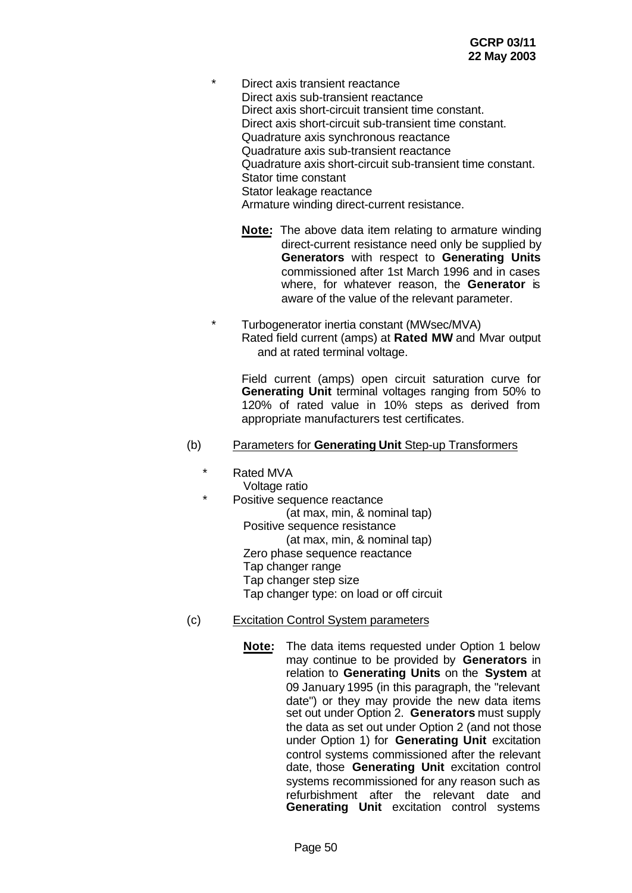\* Direct axis transient reactance Direct axis sub-transient reactance Direct axis short-circuit transient time constant. Direct axis short-circuit sub-transient time constant. Quadrature axis synchronous reactance Quadrature axis sub-transient reactance Quadrature axis short-circuit sub-transient time constant. Stator time constant Stator leakage reactance Armature winding direct-current resistance.

- **Note:** The above data item relating to armature winding direct-current resistance need only be supplied by **Generators** with respect to **Generating Units** commissioned after 1st March 1996 and in cases where, for whatever reason, the **Generator** is aware of the value of the relevant parameter.
- Turbogenerator inertia constant (MWsec/MVA) Rated field current (amps) at **Rated MW** and Mvar output and at rated terminal voltage.

Field current (amps) open circuit saturation curve for **Generating Unit** terminal voltages ranging from 50% to 120% of rated value in 10% steps as derived from appropriate manufacturers test certificates.

#### (b) Parameters for **Generating Unit** Step-up Transformers

- Rated MVA
	- Voltage ratio
	- Positive sequence reactance (at max, min, & nominal tap) Positive sequence resistance (at max, min, & nominal tap) Zero phase sequence reactance Tap changer range Tap changer step size Tap changer type: on load or off circuit
- (c) Excitation Control System parameters
	- **Note:** The data items requested under Option 1 below may continue to be provided by **Generators** in relation to **Generating Units** on the **System** at 09 January 1995 (in this paragraph, the "relevant date") or they may provide the new data items set out under Option 2. **Generators** must supply the data as set out under Option 2 (and not those under Option 1) for **Generating Unit** excitation control systems commissioned after the relevant date, those **Generating Unit** excitation control systems recommissioned for any reason such as refurbishment after the relevant date and **Generating Unit** excitation control systems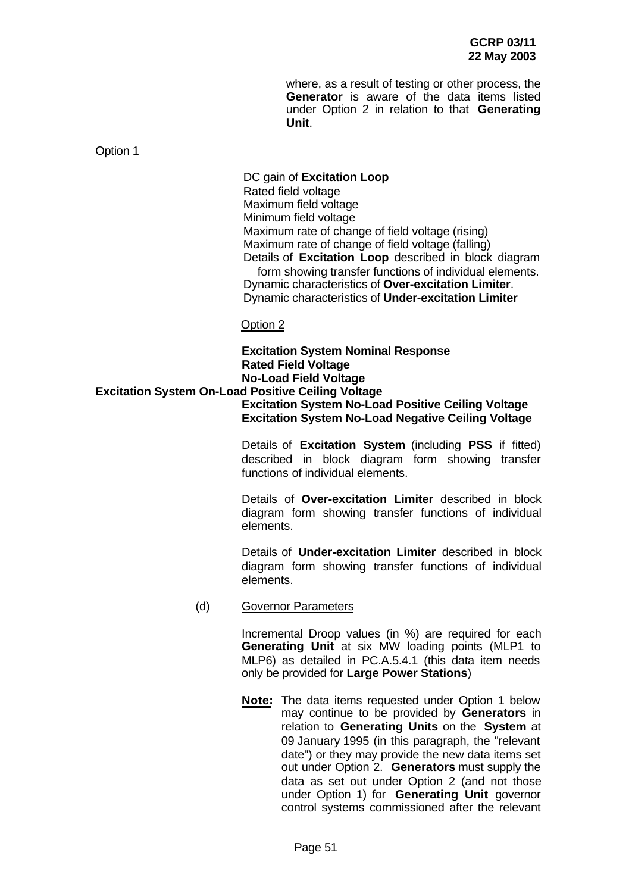where, as a result of testing or other process, the **Generator** is aware of the data items listed under Option 2 in relation to that **Generating Unit**.

#### Option 1

DC gain of **Excitation Loop** Rated field voltage Maximum field voltage Minimum field voltage Maximum rate of change of field voltage (rising) Maximum rate of change of field voltage (falling) Details of **Excitation Loop** described in block diagram form showing transfer functions of individual elements. Dynamic characteristics of **Over-excitation Limiter**. Dynamic characteristics of **Under-excitation Limiter**

Option 2

## **Excitation System Nominal Response Rated Field Voltage No-Load Field Voltage Excitation System On-Load Positive Ceiling Voltage Excitation System No-Load Positive Ceiling Voltage Excitation System No-Load Negative Ceiling Voltage**

Details of **Excitation System** (including **PSS** if fitted) described in block diagram form showing transfer functions of individual elements.

Details of **Over-excitation Limiter** described in block diagram form showing transfer functions of individual elements.

Details of **Under-excitation Limiter** described in block diagram form showing transfer functions of individual elements.

#### (d) Governor Parameters

Incremental Droop values (in %) are required for each **Generating Unit** at six MW loading points (MLP1 to MLP6) as detailed in PC.A.5.4.1 (this data item needs only be provided for **Large Power Stations**)

**Note:** The data items requested under Option 1 below may continue to be provided by **Generators** in relation to **Generating Units** on the **System** at 09 January 1995 (in this paragraph, the "relevant date") or they may provide the new data items set out under Option 2. **Generators** must supply the data as set out under Option 2 (and not those under Option 1) for **Generating Unit** governor control systems commissioned after the relevant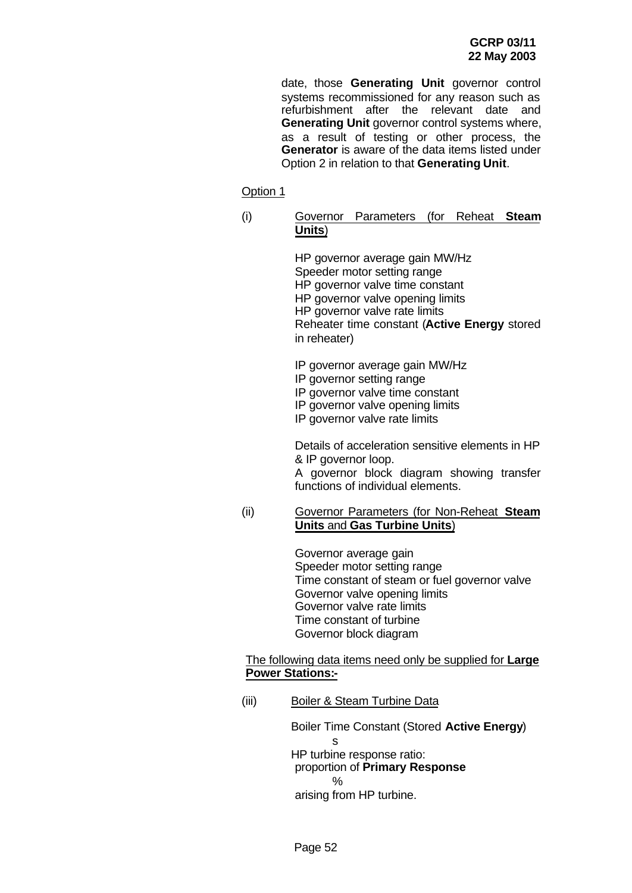date, those **Generating Unit** governor control systems recommissioned for any reason such as refurbishment after the relevant date and **Generating Unit** governor control systems where, as a result of testing or other process, the **Generator** is aware of the data items listed under Option 2 in relation to that **Generating Unit**.

### Option 1

### (i) Governor Parameters (for Reheat **Steam Units**)

HP governor average gain MW/Hz Speeder motor setting range HP governor valve time constant HP governor valve opening limits HP governor valve rate limits Reheater time constant (**Active Energy** stored in reheater)

- IP governor average gain MW/Hz
- IP governor setting range
- IP governor valve time constant
- IP governor valve opening limits
- IP governor valve rate limits

Details of acceleration sensitive elements in HP & IP governor loop.

A governor block diagram showing transfer functions of individual elements.

#### (ii) Governor Parameters (for Non-Reheat **Steam Units** and **Gas Turbine Units**)

Governor average gain Speeder motor setting range Time constant of steam or fuel governor valve Governor valve opening limits Governor valve rate limits Time constant of turbine Governor block diagram

#### The following data items need only be supplied for **Large Power Stations:-**

(iii) Boiler & Steam Turbine Data

Boiler Time Constant (Stored **Active Energy**) s HP turbine response ratio: proportion of **Primary Response** % arising from HP turbine.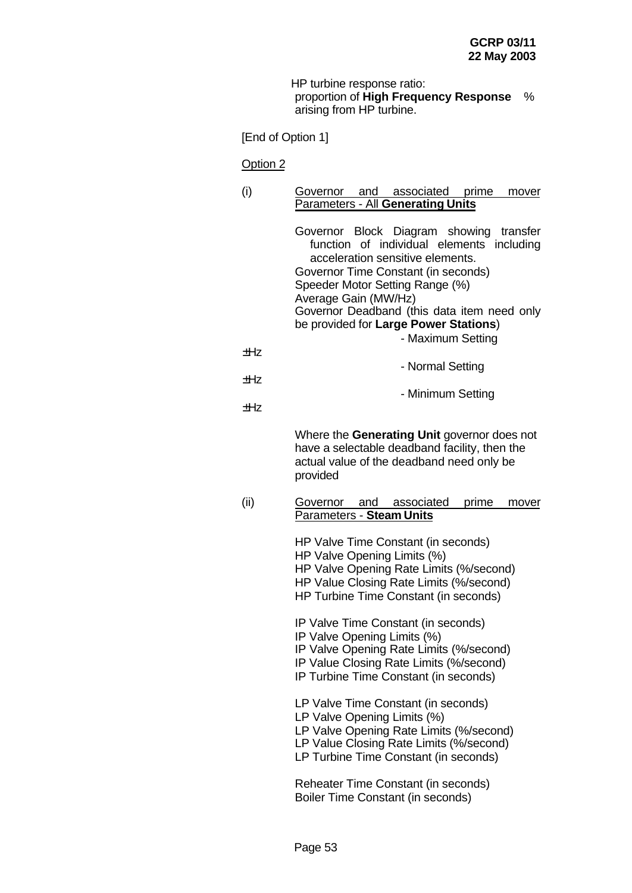HP turbine response ratio: proportion of **High Frequency Response** % arising from HP turbine.

[End of Option 1]

Option 2

(i) Governor and associated prime mover Parameters - All **Generating Units** Governor Block Diagram showing transfer function of individual elements including acceleration sensitive elements. Governor Time Constant (in seconds) Speeder Motor Setting Range (%) Average Gain (MW/Hz) Governor Deadband (this data item need only be provided for **Large Power Stations**) - Maximum Setting  $+H<sub>z</sub>$ - Normal Setting  $+Hz$ - Minimum Setting ±Hz Where the **Generating Unit** governor does not have a selectable deadband facility, then the actual value of the deadband need only be provided (ii) Governor and associated prime mover Parameters - **Steam Units** HP Valve Time Constant (in seconds) HP Valve Opening Limits (%) HP Valve Opening Rate Limits (%/second) HP Value Closing Rate Limits (%/second) HP Turbine Time Constant (in seconds) IP Valve Time Constant (in seconds) IP Valve Opening Limits (%) IP Valve Opening Rate Limits (%/second) IP Value Closing Rate Limits (%/second) IP Turbine Time Constant (in seconds) LP Valve Time Constant (in seconds) LP Valve Opening Limits (%) LP Valve Opening Rate Limits (%/second) LP Value Closing Rate Limits (%/second) LP Turbine Time Constant (in seconds) Reheater Time Constant (in seconds) Boiler Time Constant (in seconds)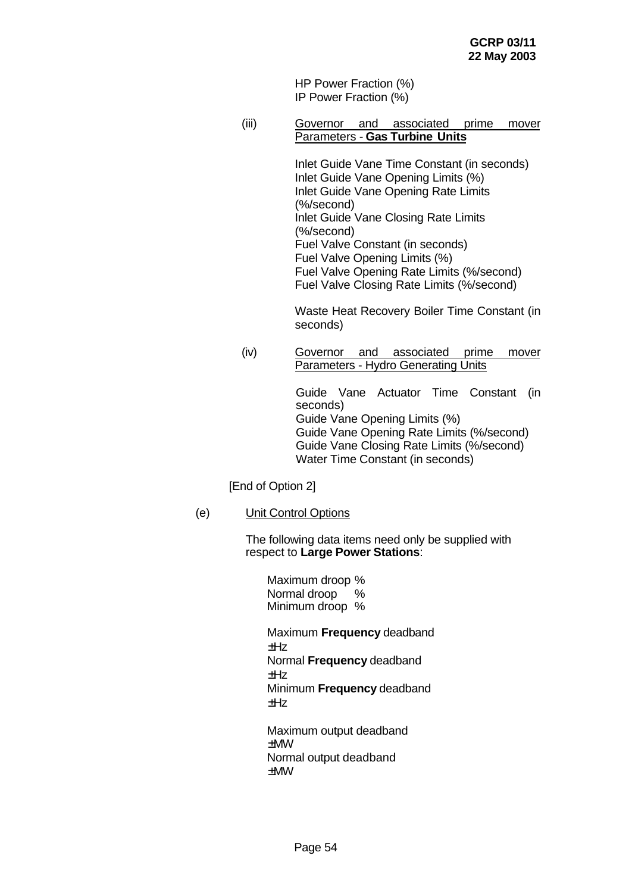HP Power Fraction (%) IP Power Fraction (%)

(iii) Governor and associated prime mover Parameters - **Gas Turbine Units**

> Inlet Guide Vane Time Constant (in seconds) Inlet Guide Vane Opening Limits (%) Inlet Guide Vane Opening Rate Limits (%/second) Inlet Guide Vane Closing Rate Limits (%/second) Fuel Valve Constant (in seconds) Fuel Valve Opening Limits (%) Fuel Valve Opening Rate Limits (%/second) Fuel Valve Closing Rate Limits (%/second)

Waste Heat Recovery Boiler Time Constant (in seconds)

(iv) Governor and associated prime mover Parameters - Hydro Generating Units

> Guide Vane Actuator Time Constant (in seconds) Guide Vane Opening Limits (%) Guide Vane Opening Rate Limits (%/second) Guide Vane Closing Rate Limits (%/second) Water Time Constant (in seconds)

[End of Option 2]

(e) Unit Control Options

The following data items need only be supplied with respect to **Large Power Stations**:

Maximum droop % Normal droop % Minimum droop % Maximum **Frequency** deadband  $+Hz$ Normal **Frequency** deadband ±Hz Minimum **Frequency** deadband ±Hz Maximum output deadband

±MW Normal output deadband ±MW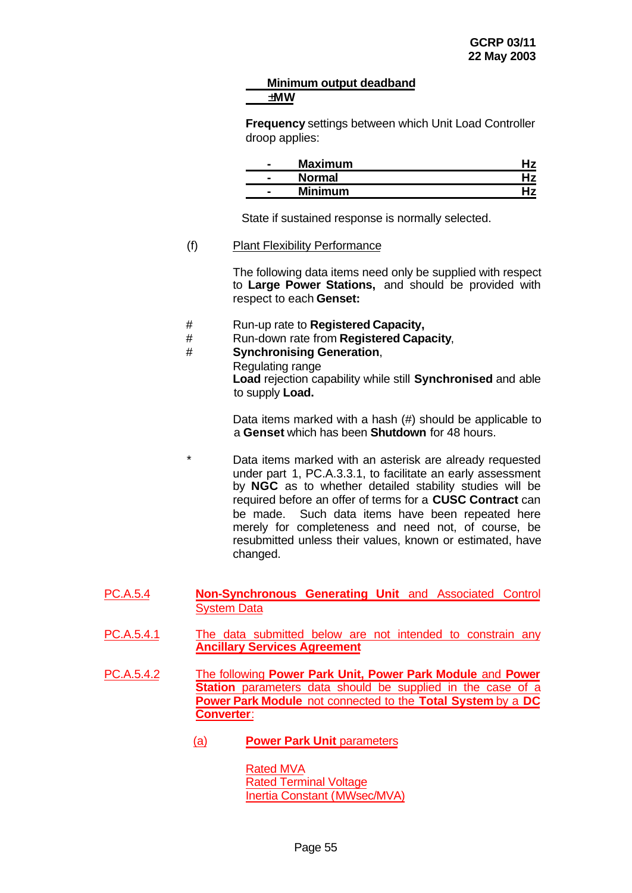#### **Minimum output deadband ±MW**

**Frequency** settings between which Unit Load Controller droop applies:

| - | <b>Maximum</b> |  |
|---|----------------|--|
| - | <b>Normal</b>  |  |
| - | <b>Minimum</b> |  |

State if sustained response is normally selected.

#### (f) Plant Flexibility Performance

The following data items need only be supplied with respect to **Large Power Stations,** and should be provided with respect to each **Genset:**

- # Run-up rate to **Registered Capacity,**
- # Run-down rate from **Registered Capacity**,

# # **Synchronising Generation**,

Regulating range **Load** rejection capability while still **Synchronised** and able to supply **Load.**

Data items marked with a hash (#) should be applicable to a **Genset** which has been **Shutdown** for 48 hours.

- Data items marked with an asterisk are already requested under part 1, PC.A.3.3.1, to facilitate an early assessment by **NGC** as to whether detailed stability studies will be required before an offer of terms for a **CUSC Contract** can be made. Such data items have been repeated here merely for completeness and need not, of course, be resubmitted unless their values, known or estimated, have changed.
- PC.A.5.4 **Non-Synchronous Generating Unit** and Associated Control System Data
- PC.A.5.4.1 The data submitted below are not intended to constrain any **Ancillary Services Agreement**
- PC.A.5.4.2 The following **Power Park Unit, Power Park Module** and **Power Station** parameters data should be supplied in the case of a **Power Park Module** not connected to the **Total System** by a **DC Converter**:
	- (a) **Power Park Unit** parameters

Rated MVA Rated Terminal Voltage Inertia Constant (MWsec/MVA)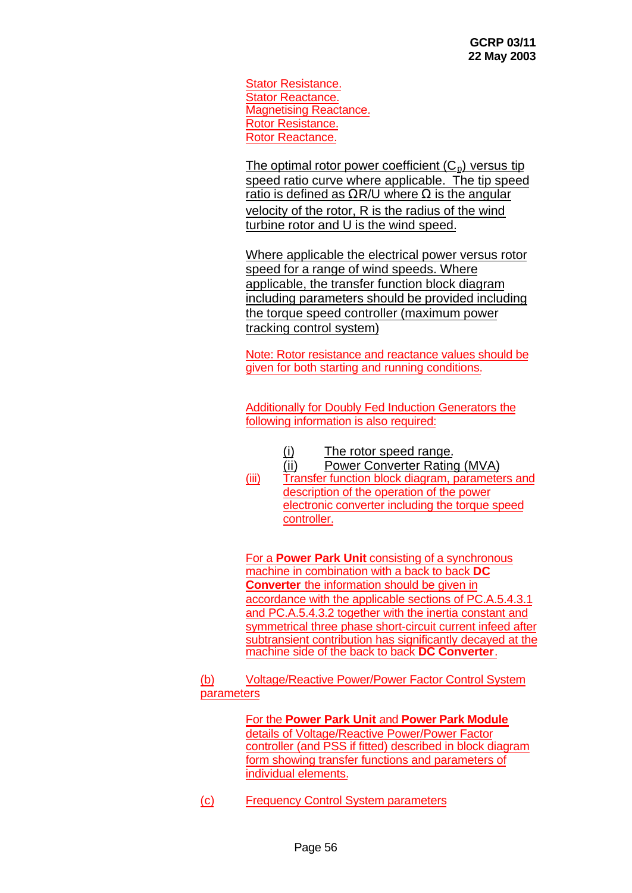Stator Resistance. Stator Reactance. Magnetising Reactance. Rotor Resistance. Rotor Reactance.

The optimal rotor power coefficient  $(C_p)$  versus tip speed ratio curve where applicable. The tip speed ratio is defined as  $\Omega$ R/U where  $\Omega$  is the angular velocity of the rotor, R is the radius of the wind turbine rotor and U is the wind speed.

Where applicable the electrical power versus rotor speed for a range of wind speeds. Where applicable, the transfer function block diagram including parameters should be provided including the torque speed controller (maximum power tracking control system)

Note: Rotor resistance and reactance values should be given for both starting and running conditions.

Additionally for Doubly Fed Induction Generators the following information is also required:

- (i) The rotor speed range.
- (ii) Power Converter Rating (MVA)
- (iii) Transfer function block diagram, parameters and description of the operation of the power electronic converter including the torque speed controller.

For a **Power Park Unit** consisting of a synchronous machine in combination with a back to back **DC Converter** the information should be given in accordance with the applicable sections of PC.A.5.4.3.1 and PC.A.5.4.3.2 together with the inertia constant and symmetrical three phase short-circuit current infeed after subtransient contribution has significantly decayed at the machine side of the back to back **DC Converter**.

(b) Voltage/Reactive Power/Power Factor Control System parameters

> For the **Power Park Unit** and **Power Park Module** details of Voltage/Reactive Power/Power Factor controller (and PSS if fitted) described in block diagram form showing transfer functions and parameters of individual elements.

(c) Frequency Control System parameters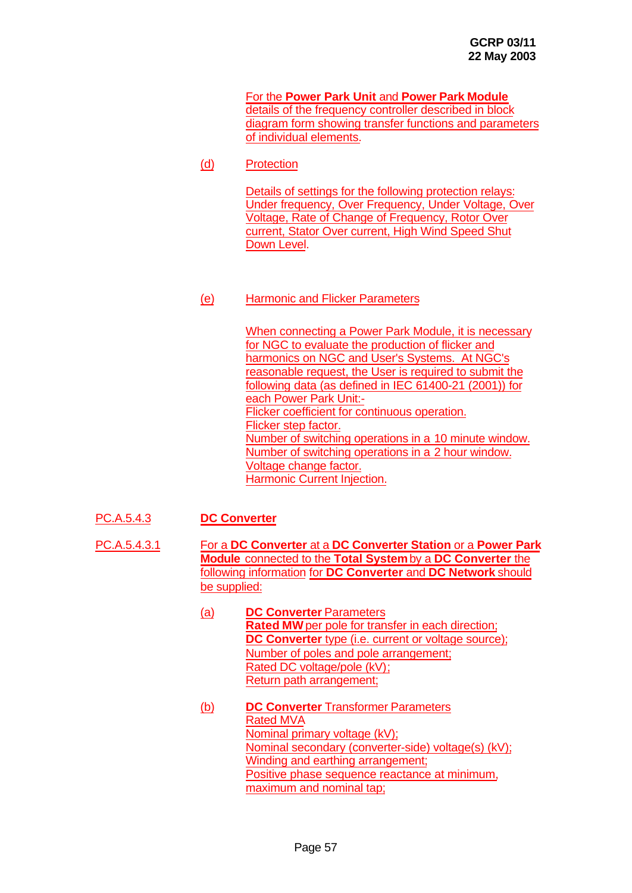For the **Power Park Unit** and **Power Park Module** details of the frequency controller described in block diagram form showing transfer functions and parameters of individual elements.

(d) Protection

Details of settings for the following protection relays: Under frequency, Over Frequency, Under Voltage, Over Voltage, Rate of Change of Frequency, Rotor Over current, Stator Over current, High Wind Speed Shut Down Level.

### (e) Harmonic and Flicker Parameters

When connecting a Power Park Module, it is necessary for NGC to evaluate the production of flicker and harmonics on NGC and User's Systems. At NGC's reasonable request, the User is required to submit the following data (as defined in IEC 61400-21 (2001)) for each Power Park Unit:- Flicker coefficient for continuous operation. Flicker step factor. Number of switching operations in a 10 minute window. Number of switching operations in a 2 hour window. Voltage change factor. Harmonic Current Injection.

- PC.A.5.4.3 **DC Converter**
- PC.A.5.4.3.1 For a **DC Converter** at a **DC Converter Station** or a **Power Park Module** connected to the **Total System** by a **DC Converter** the following information for **DC Converter** and **DC Network** should be supplied:
	- (a) **DC Converter** Parameters **Rated MW** per pole for transfer in each direction: **DC Converter** type (i.e. current or voltage source); Number of poles and pole arrangement; Rated DC voltage/pole (kV); Return path arrangement;
	- (b) **DC Converter** Transformer Parameters Rated MVA Nominal primary voltage (kV); Nominal secondary (converter-side) voltage(s) (kV); Winding and earthing arrangement; Positive phase sequence reactance at minimum. maximum and nominal tap;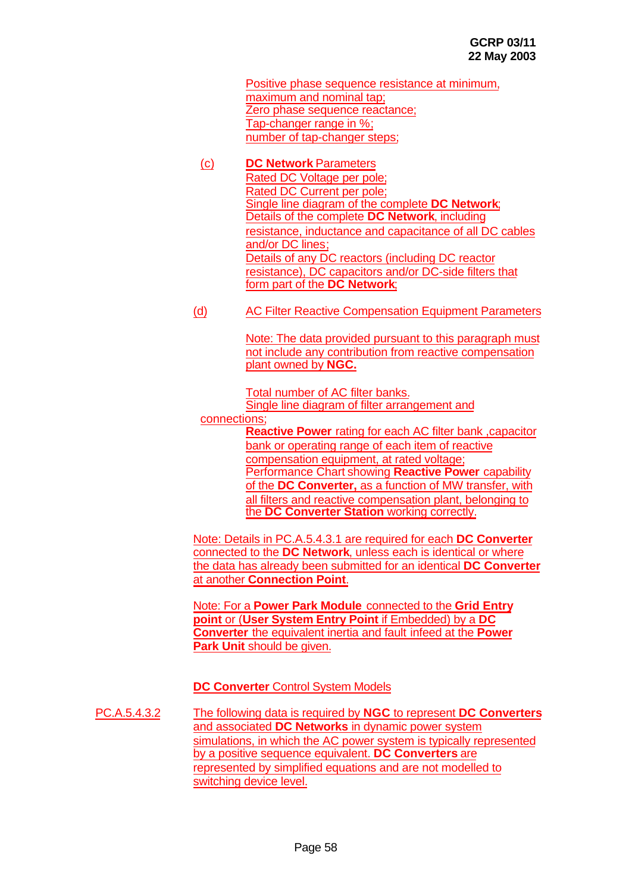Positive phase sequence resistance at minimum, maximum and nominal tap; Zero phase sequence reactance; Tap-changer range in %; number of tap-changer steps;

- (c) **DC Network** Parameters Rated DC Voltage per pole; Rated DC Current per pole; Single line diagram of the complete **DC Network**; Details of the complete **DC Network**, including resistance, inductance and capacitance of all DC cables and/or DC lines; Details of any DC reactors (including DC reactor resistance), DC capacitors and/or DC-side filters that form part of the **DC Network**;
- (d) AC Filter Reactive Compensation Equipment Parameters

Note: The data provided pursuant to this paragraph must not include any contribution from reactive compensation plant owned by **NGC.**

Total number of AC filter banks. Single line diagram of filter arrangement and

connections;

**Reactive Power** rating for each AC filter bank ,capacitor bank or operating range of each item of reactive compensation equipment, at rated voltage; Performance Chart showing **Reactive Power** capability of the **DC Converter,** as a function of MW transfer, with all filters and reactive compensation plant, belonging to the **DC Converter Station** working correctly.

Note: Details in PC.A.5.4.3.1 are required for each **DC Converter** connected to the **DC Network**, unless each is identical or where the data has already been submitted for an identical **DC Converter** at another **Connection Point**.

Note: For a **Power Park Module** connected to the **Grid Entry point** or (**User System Entry Point** if Embedded) by a **DC Converter** the equivalent inertia and fault infeed at the **Power Park Unit** should be given.

**DC Converter** Control System Models

PC.A.5.4.3.2 The following data is required by **NGC** to represent **DC Converters** and associated **DC Networks** in dynamic power system simulations, in which the AC power system is typically represented by a positive sequence equivalent. **DC Converters** are represented by simplified equations and are not modelled to switching device level.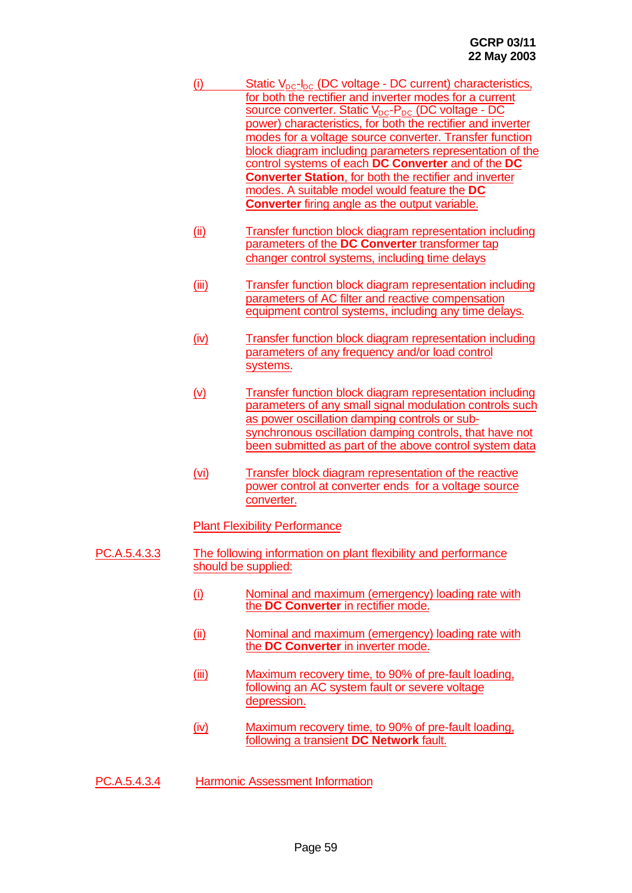- (i) Static  $V_{DC}$ - $I_{DC}$  (DC voltage DC current) characteristics, for both the rectifier and inverter modes for a current source converter. Static  $V_{DC}$ - $P_{DC}$  (DC voltage - DC power) characteristics, for both the rectifier and inverter modes for a voltage source converter. Transfer function block diagram including parameters representation of the control systems of each **DC Converter** and of the **DC Converter Station**, for both the rectifier and inverter modes. A suitable model would feature the **DC Converter** firing angle as the output variable.
- (ii) Transfer function block diagram representation including parameters of the **DC Converter** transformer tap changer control systems, including time delays
- (iii) Transfer function block diagram representation including parameters of AC filter and reactive compensation equipment control systems, including any time delays.
- (iv) Transfer function block diagram representation including parameters of any frequency and/or load control systems.
- (v) Transfer function block diagram representation including parameters of any small signal modulation controls such as power oscillation damping controls or subsynchronous oscillation damping controls, that have not been submitted as part of the above control system data
- (vi) Transfer block diagram representation of the reactive power control at converter ends for a voltage source converter.

Plant Flexibility Performance

- PC.A.5.4.3.3 The following information on plant flexibility and performance should be supplied:
	- (i) Nominal and maximum (emergency) loading rate with the **DC Converter** in rectifier mode.
	- (ii) Nominal and maximum (emergency) loading rate with the **DC Converter** in inverter mode.
	- (iii) Maximum recovery time, to 90% of pre-fault loading, following an AC system fault or severe voltage depression.
	- (iv) Maximum recovery time, to 90% of pre-fault loading, following a transient **DC Network** fault.
- PC.A.5.4.3.4 Harmonic Assessment Information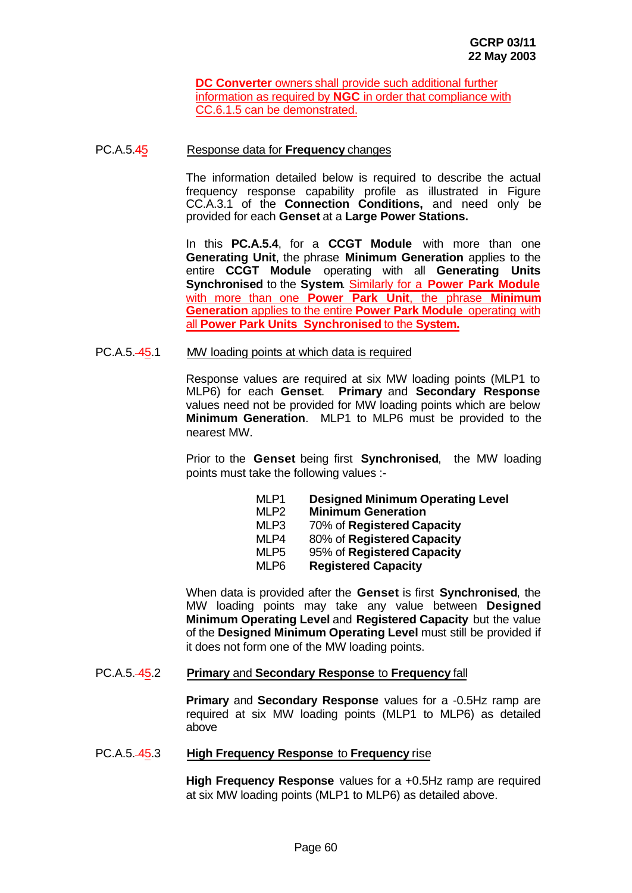**DC Converter** owners shall provide such additional further information as required by **NGC** in order that compliance with CC.6.1.5 can be demonstrated.

#### PC.A.5.45 Response data for **Frequency** changes

The information detailed below is required to describe the actual frequency response capability profile as illustrated in Figure CC.A.3.1 of the **Connection Conditions,** and need only be provided for each **Genset** at a **Large Power Stations.**

In this **PC.A.5.4**, for a **CCGT Module** with more than one **Generating Unit**, the phrase **Minimum Generation** applies to the entire **CCGT Module** operating with all **Generating Units Synchronised** to the **System**. Similarly for a **Power Park Module** with more than one **Power Park Unit**, the phrase **Minimum Generation** applies to the entire **Power Park Module** operating with all **Power Park Units Synchronised** to the **System.**

#### PC.A.5. 45.1 MW loading points at which data is required

Response values are required at six MW loading points (MLP1 to MLP6) for each **Genset**. **Primary** and **Secondary Response** values need not be provided for MW loading points which are below **Minimum Generation**. MLP1 to MLP6 must be provided to the nearest MW.

Prior to the **Genset** being first **Synchronised**, the MW loading points must take the following values :-

| MLP1             | <b>Designed Minimum Operating Level</b> |
|------------------|-----------------------------------------|
| MLP <sub>2</sub> | <b>Minimum Generation</b>               |
| MLP3             | 70% of Registered Capacity              |
| MLP4             | 80% of Registered Capacity              |
| MLP <sub>5</sub> | 95% of Registered Capacity              |
| MLP6             | <b>Registered Capacity</b>              |
|                  |                                         |

When data is provided after the **Genset** is first **Synchronised**, the MW loading points may take any value between **Designed Minimum Operating Level** and **Registered Capacity** but the value of the **Designed Minimum Operating Level** must still be provided if it does not form one of the MW loading points.

#### PC.A.5. 45.2 **Primary** and **Secondary Response** to **Frequency** fall

**Primary** and **Secondary Response** values for a -0.5Hz ramp are required at six MW loading points (MLP1 to MLP6) as detailed above

#### PC.A.5. 45.3 **High Frequency Response** to **Frequency** rise

**High Frequency Response** values for a +0.5Hz ramp are required at six MW loading points (MLP1 to MLP6) as detailed above.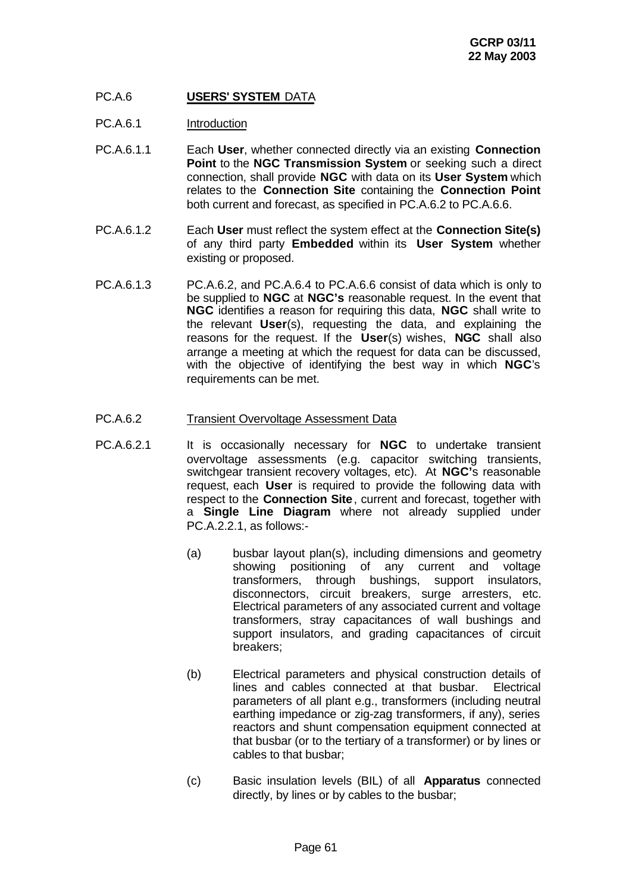# PC.A.6 **USERS' SYSTEM** DATA

- PC.A.6.1 Introduction
- PC.A.6.1.1 Each **User**, whether connected directly via an existing **Connection Point** to the **NGC Transmission System** or seeking such a direct connection, shall provide **NGC** with data on its **User System** which relates to the **Connection Site** containing the **Connection Point** both current and forecast, as specified in PC.A.6.2 to PC.A.6.6.
- PC.A.6.1.2 Each **User** must reflect the system effect at the **Connection Site(s)** of any third party **Embedded** within its **User System** whether existing or proposed.
- PC.A.6.1.3 PC.A.6.2, and PC.A.6.4 to PC.A.6.6 consist of data which is only to be supplied to **NGC** at **NGC's** reasonable request. In the event that **NGC** identifies a reason for requiring this data, **NGC** shall write to the relevant **User**(s), requesting the data, and explaining the reasons for the request. If the **User**(s) wishes, **NGC** shall also arrange a meeting at which the request for data can be discussed, with the objective of identifying the best way in which **NGC**'s requirements can be met.

#### PC.A.6.2 Transient Overvoltage Assessment Data

- PC.A.6.2.1 It is occasionally necessary for **NGC** to undertake transient overvoltage assessments (e.g. capacitor switching transients, switchgear transient recovery voltages, etc). At **NGC'**s reasonable request, each **User** is required to provide the following data with respect to the **Connection Site**, current and forecast, together with a **Single Line Diagram** where not already supplied under PC.A.2.2.1, as follows:-
	- (a) busbar layout plan(s), including dimensions and geometry showing positioning of any current and voltage transformers, through bushings, support insulators, disconnectors, circuit breakers, surge arresters, etc. Electrical parameters of any associated current and voltage transformers, stray capacitances of wall bushings and support insulators, and grading capacitances of circuit breakers;
	- (b) Electrical parameters and physical construction details of lines and cables connected at that busbar. Electrical parameters of all plant e.g., transformers (including neutral earthing impedance or zig-zag transformers, if any), series reactors and shunt compensation equipment connected at that busbar (or to the tertiary of a transformer) or by lines or cables to that busbar;
	- (c) Basic insulation levels (BIL) of all **Apparatus** connected directly, by lines or by cables to the busbar;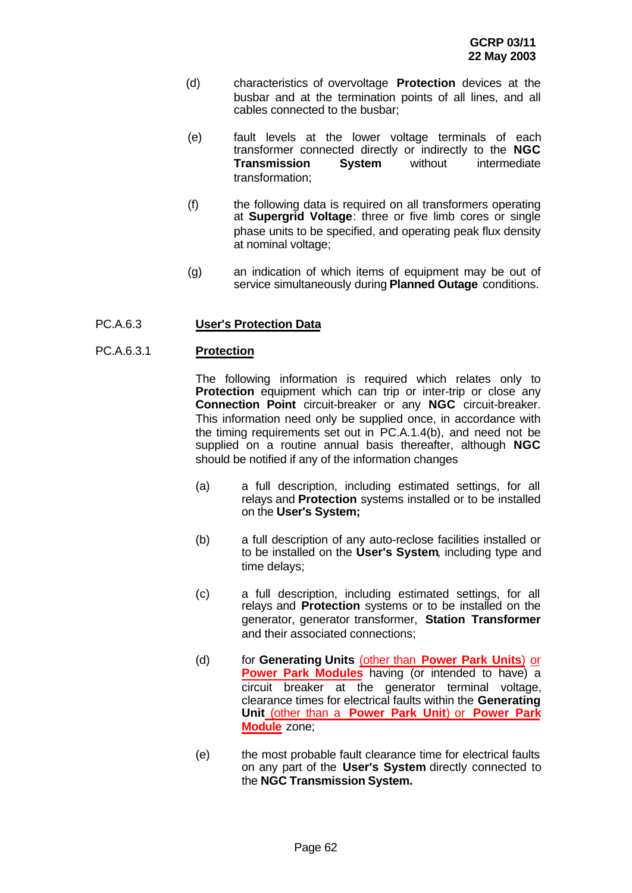- (d) characteristics of overvoltage **Protection** devices at the busbar and at the termination points of all lines, and all cables connected to the busbar;
- (e) fault levels at the lower voltage terminals of each transformer connected directly or indirectly to the **NGC Transmission System** without intermediate transformation;
- (f) the following data is required on all transformers operating at **Supergrid Voltage**: three or five limb cores or single phase units to be specified, and operating peak flux density at nominal voltage;
- (g) an indication of which items of equipment may be out of service simultaneously during **Planned Outage** conditions.

#### PC.A.6.3 **User's Protection Data**

#### PC.A.6.3.1 **Protection**

The following information is required which relates only to **Protection** equipment which can trip or inter-trip or close any **Connection Point** circuit-breaker or any **NGC** circuit-breaker. This information need only be supplied once, in accordance with the timing requirements set out in PC.A.1.4(b), and need not be supplied on a routine annual basis thereafter, although **NGC** should be notified if any of the information changes

- (a) a full description, including estimated settings, for all relays and **Protection** systems installed or to be installed on the **User's System;**
- (b) a full description of any auto-reclose facilities installed or to be installed on the **User's System**, including type and time delays;
- (c) a full description, including estimated settings, for all relays and **Protection** systems or to be installed on the generator, generator transformer, **Station Transformer** and their associated connections;
- (d) for **Generating Units** (other than **Power Park Units**) or **Power Park Modules** having (or intended to have) a circuit breaker at the generator terminal voltage, clearance times for electrical faults within the **Generating Unit** (other than a **Power Park Unit**) or **Power Park Module** zone;
- (e) the most probable fault clearance time for electrical faults on any part of the **User's System** directly connected to the **NGC Transmission System.**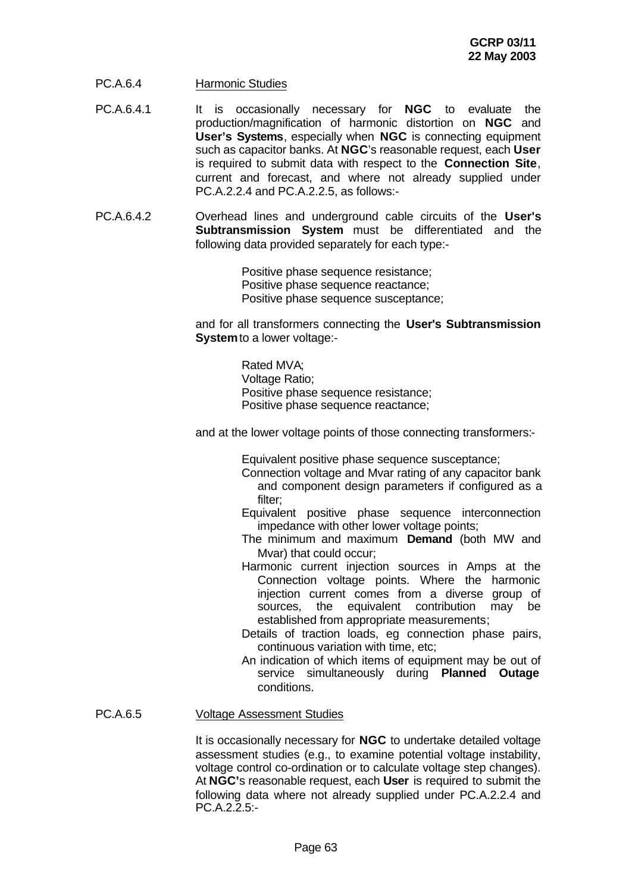- PC.A.6.4 Harmonic Studies
- PC.A.6.4.1 It is occasionally necessary for **NGC** to evaluate the production/magnification of harmonic distortion on **NGC** and **User's Systems**, especially when **NGC** is connecting equipment such as capacitor banks. At **NGC**'s reasonable request, each **User** is required to submit data with respect to the **Connection Site**, current and forecast, and where not already supplied under PC.A.2.2.4 and PC.A.2.2.5, as follows:-
- PC.A.6.4.2 Overhead lines and underground cable circuits of the **User's Subtransmission System** must be differentiated and the following data provided separately for each type:-

Positive phase sequence resistance; Positive phase sequence reactance: Positive phase sequence susceptance;

and for all transformers connecting the **User's Subtransmission System** to a lower voltage:-

> Rated MVA; Voltage Ratio; Positive phase sequence resistance; Positive phase sequence reactance;

and at the lower voltage points of those connecting transformers:-

Equivalent positive phase sequence susceptance;

- Connection voltage and Mvar rating of any capacitor bank and component design parameters if configured as a filter;
- Equivalent positive phase sequence interconnection impedance with other lower voltage points;
- The minimum and maximum **Demand** (both MW and Mvar) that could occur;
- Harmonic current injection sources in Amps at the Connection voltage points. Where the harmonic injection current comes from a diverse group of sources, the equivalent contribution may be established from appropriate measurements;
- Details of traction loads, eg connection phase pairs, continuous variation with time, etc;
- An indication of which items of equipment may be out of service simultaneously during **Planned Outage** conditions.

#### PC.A.6.5 Voltage Assessment Studies

It is occasionally necessary for **NGC** to undertake detailed voltage assessment studies (e.g., to examine potential voltage instability, voltage control co-ordination or to calculate voltage step changes). At **NGC'**s reasonable request, each **User** is required to submit the following data where not already supplied under PC.A.2.2.4 and  $PCA.2.2.5$ :-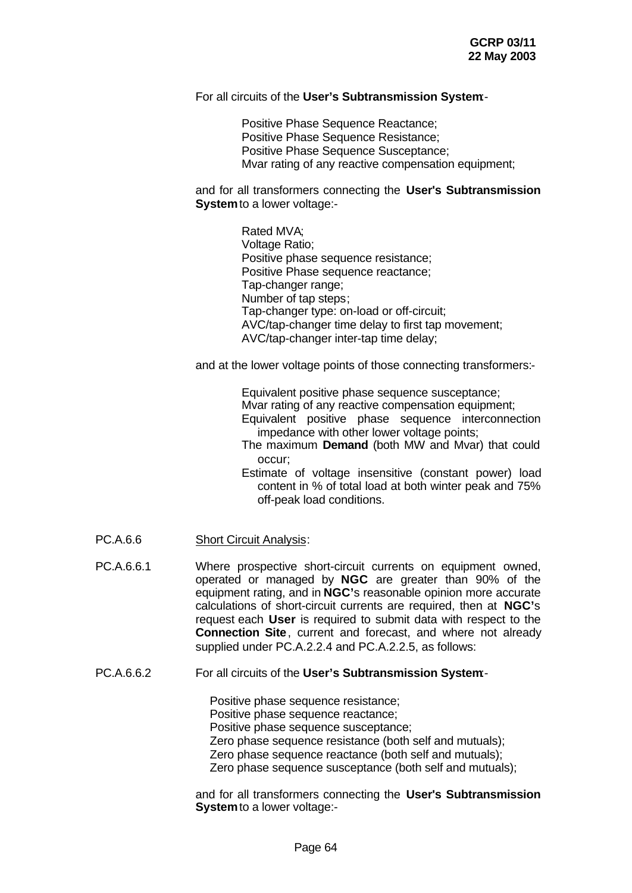#### For all circuits of the **User's Subtransmission System**:-

Positive Phase Sequence Reactance; Positive Phase Sequence Resistance; Positive Phase Sequence Susceptance; Mvar rating of any reactive compensation equipment;

and for all transformers connecting the **User's Subtransmission System** to a lower voltage:-

> Rated MVA; Voltage Ratio; Positive phase sequence resistance; Positive Phase sequence reactance; Tap-changer range; Number of tap steps; Tap-changer type: on-load or off-circuit; AVC/tap-changer time delay to first tap movement; AVC/tap-changer inter-tap time delay;

and at the lower voltage points of those connecting transformers:-

Equivalent positive phase sequence susceptance; Mvar rating of any reactive compensation equipment; Equivalent positive phase sequence interconnection impedance with other lower voltage points;

The maximum **Demand** (both MW and Mvar) that could occur;

Estimate of voltage insensitive (constant power) load content in % of total load at both winter peak and 75% off-peak load conditions.

- PC.A.6.6 Short Circuit Analysis:
- PC.A.6.6.1 Where prospective short-circuit currents on equipment owned, operated or managed by **NGC** are greater than 90% of the equipment rating, and in **NGC'**s reasonable opinion more accurate calculations of short-circuit currents are required, then at **NGC'**s request each **User** is required to submit data with respect to the **Connection Site**, current and forecast, and where not already supplied under PC.A.2.2.4 and PC.A.2.2.5, as follows:

#### PC.A.6.6.2 For all circuits of the **User's Subtransmission System**:-

Positive phase sequence resistance; Positive phase sequence reactance; Positive phase sequence susceptance; Zero phase sequence resistance (both self and mutuals); Zero phase sequence reactance (both self and mutuals); Zero phase sequence susceptance (both self and mutuals);

and for all transformers connecting the **User's Subtransmission System** to a lower voltage:-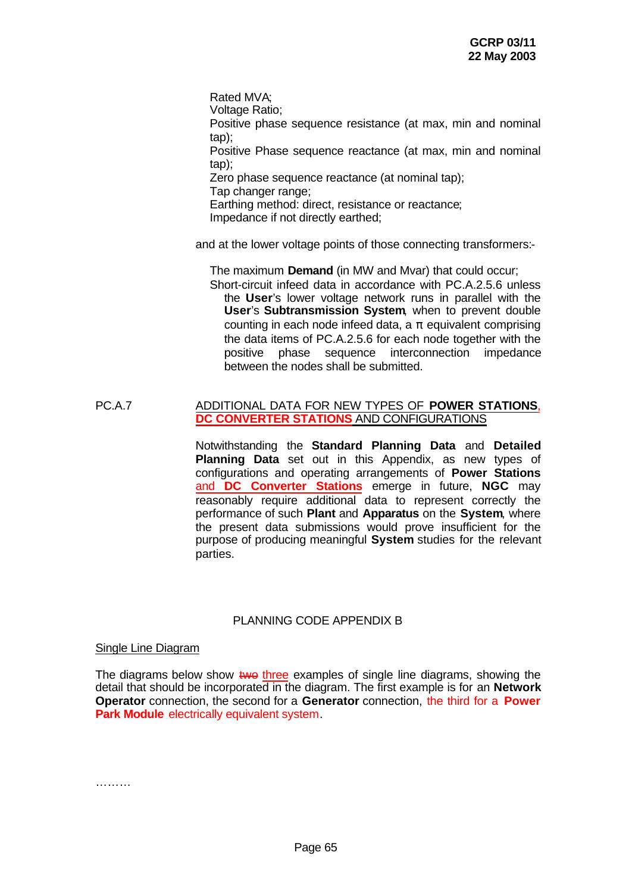Rated MVA; Voltage Ratio; Positive phase sequence resistance (at max, min and nominal tap); Positive Phase sequence reactance (at max, min and nominal tap); Zero phase sequence reactance (at nominal tap); Tap changer range; Earthing method: direct, resistance or reactance; Impedance if not directly earthed;

and at the lower voltage points of those connecting transformers:-

The maximum **Demand** (in MW and Mvar) that could occur; Short-circuit infeed data in accordance with PC.A.2.5.6 unless the **User**'s lower voltage network runs in parallel with the **User**'s **Subtransmission System**, when to prevent double counting in each node infeed data, a  $\pi$  equivalent comprising the data items of PC.A.2.5.6 for each node together with the positive phase sequence interconnection impedance between the nodes shall be submitted.

#### PC.A.7 ADDITIONAL DATA FOR NEW TYPES OF **POWER STATIONS**, **DC CONVERTER STATIONS** AND CONFIGURATIONS

Notwithstanding the **Standard Planning Data** and **Detailed Planning Data** set out in this Appendix, as new types of configurations and operating arrangements of **Power Stations** and **DC Converter Stations** emerge in future, **NGC** may reasonably require additional data to represent correctly the performance of such **Plant** and **Apparatus** on the **System**, where the present data submissions would prove insufficient for the purpose of producing meaningful **System** studies for the relevant parties.

### PLANNING CODE APPENDIX B

#### Single Line Diagram

The diagrams below show two three examples of single line diagrams, showing the detail that should be incorporated in the diagram. The first example is for an **Network Operator** connection, the second for a **Generator** connection, the third for a **Power Park Module** electrically equivalent system.

………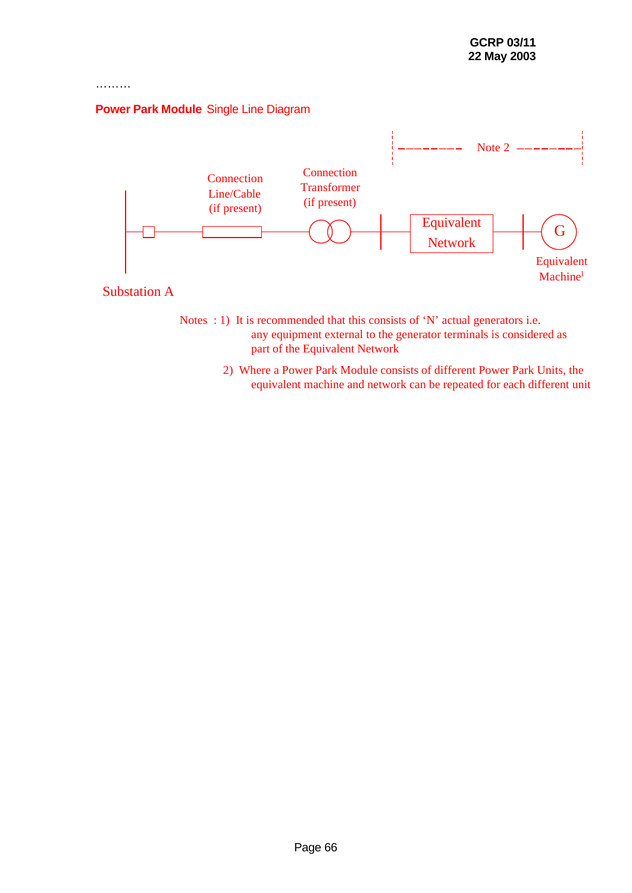# **Power Park Module** Single Line Diagram

………



- Notes : 1) It is recommended that this consists of 'N' actual generators i.e. any equipment external to the generator terminals is considered as part of the Equivalent Network
	- 2) Where a Power Park Module consists of different Power Park Units, the equivalent machine and network can be repeated for each different unit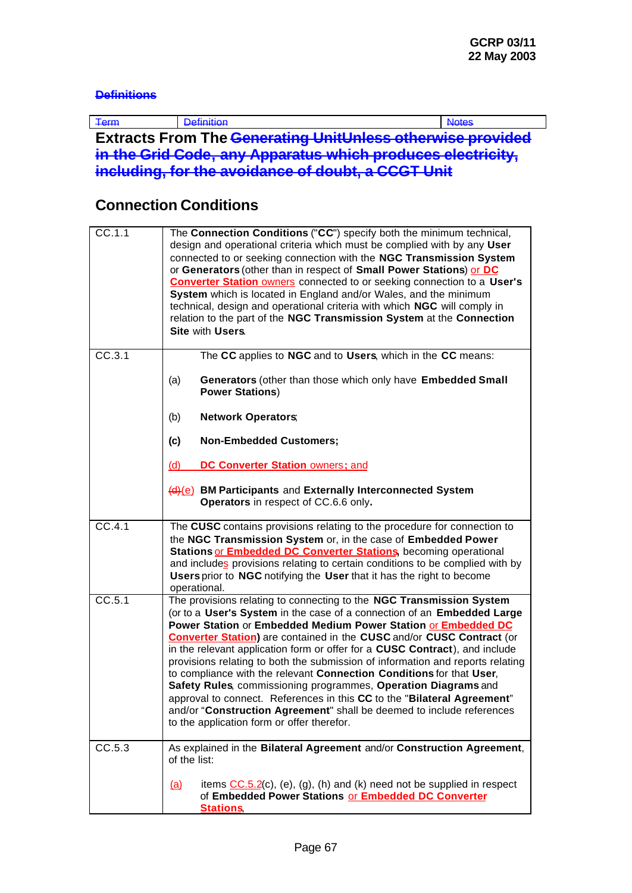# **Definitions**

| $+$ erm | <b>CASABINIANA E</b> |  |          |  | <b>THE REPAIR AND</b> |  |
|---------|----------------------|--|----------|--|-----------------------|--|
|         | --                   |  | .<br>. . |  |                       |  |

**Extracts From The Generating UnitUnless otherwise provided in the Grid Code, any Apparatus which produces electricity, including, for the avoidance of doubt, a CCGT Unit**

# **Connection Conditions**

| CC.1.1 | The Connection Conditions ("CC") specify both the minimum technical,<br>design and operational criteria which must be complied with by any User<br>connected to or seeking connection with the NGC Transmission System<br>or Generators (other than in respect of Small Power Stations) or DC<br><b>Converter Station owners</b> connected to or seeking connection to a User's<br>System which is located in England and/or Wales, and the minimum<br>technical, design and operational criteria with which NGC will comply in<br>relation to the part of the NGC Transmission System at the Connection<br>Site with Users.                                                                                                                                                                                   |
|--------|----------------------------------------------------------------------------------------------------------------------------------------------------------------------------------------------------------------------------------------------------------------------------------------------------------------------------------------------------------------------------------------------------------------------------------------------------------------------------------------------------------------------------------------------------------------------------------------------------------------------------------------------------------------------------------------------------------------------------------------------------------------------------------------------------------------|
| CC.3.1 | The CC applies to NGC and to Users, which in the CC means:<br>Generators (other than those which only have Embedded Small<br>(a)<br><b>Power Stations)</b><br>(b)<br><b>Network Operators</b>                                                                                                                                                                                                                                                                                                                                                                                                                                                                                                                                                                                                                  |
|        | (c)<br><b>Non-Embedded Customers;</b><br><b>DC Converter Station owners: and</b><br><u>(d)</u>                                                                                                                                                                                                                                                                                                                                                                                                                                                                                                                                                                                                                                                                                                                 |
|        | (d)(e) BM Participants and Externally Interconnected System<br>Operators in respect of CC.6.6 only.                                                                                                                                                                                                                                                                                                                                                                                                                                                                                                                                                                                                                                                                                                            |
| CC.4.1 | The CUSC contains provisions relating to the procedure for connection to<br>the NGC Transmission System or, in the case of Embedded Power<br>Stations or <b>Embedded DC Converter Stations</b> , becoming operational<br>and includes provisions relating to certain conditions to be complied with by<br><b>Users</b> prior to NGC notifying the User that it has the right to become<br>operational.                                                                                                                                                                                                                                                                                                                                                                                                         |
| CC.5.1 | The provisions relating to connecting to the NGC Transmission System<br>(or to a User's System in the case of a connection of an Embedded Large<br>Power Station or Embedded Medium Power Station or Embedded DC<br><b>Converter Station</b> ) are contained in the CUSC and/or CUSC Contract (or<br>in the relevant application form or offer for a CUSC Contract), and include<br>provisions relating to both the submission of information and reports relating<br>to compliance with the relevant Connection Conditions for that User,<br>Safety Rules, commissioning programmes, Operation Diagrams and<br>approval to connect. References in this CC to the "Bilateral Agreement"<br>and/or "Construction Agreement" shall be deemed to include references<br>to the application form or offer therefor. |
| CC.5.3 | As explained in the Bilateral Agreement and/or Construction Agreement,<br>of the list:<br>items $\underline{CC.5.2}$ (c), (e), (g), (h) and (k) need not be supplied in respect<br><u>(a)</u><br>of Embedded Power Stations or Embedded DC Converter<br><b>Stations</b>                                                                                                                                                                                                                                                                                                                                                                                                                                                                                                                                        |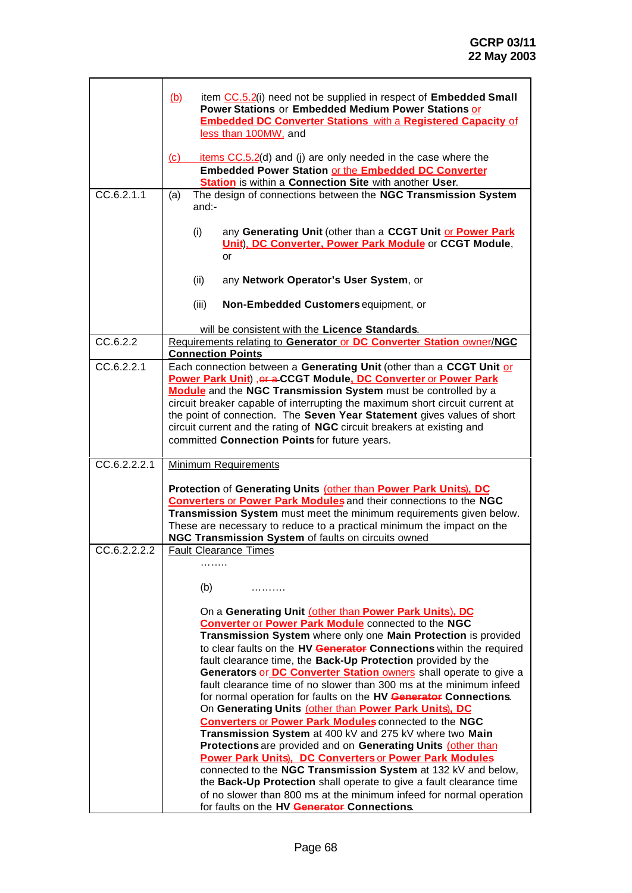| CC.6.2.1.1   | item CC.5.2(i) need not be supplied in respect of Embedded Small<br><u>(b)</u><br>Power Stations or Embedded Medium Power Stations or<br><b>Embedded DC Converter Stations with a Registered Capacity of</b><br>less than 100MW, and<br>items $CC.5.2(d)$ and (j) are only needed in the case where the<br>(c)<br><b>Embedded Power Station or the Embedded DC Converter</b><br><b>Station</b> is within a Connection Site with another User.<br>The design of connections between the NGC Transmission System<br>(a)<br>$and:-$<br>(i)<br>any Generating Unit (other than a CCGT Unit or Power Park<br><b>Unit). DC Converter, Power Park Module or CCGT Module,</b><br>or<br>(ii)<br>any Network Operator's User System, or<br>(iii)<br>Non-Embedded Customers equipment, or |
|--------------|--------------------------------------------------------------------------------------------------------------------------------------------------------------------------------------------------------------------------------------------------------------------------------------------------------------------------------------------------------------------------------------------------------------------------------------------------------------------------------------------------------------------------------------------------------------------------------------------------------------------------------------------------------------------------------------------------------------------------------------------------------------------------------|
|              |                                                                                                                                                                                                                                                                                                                                                                                                                                                                                                                                                                                                                                                                                                                                                                                |
|              | will be consistent with the Licence Standards.                                                                                                                                                                                                                                                                                                                                                                                                                                                                                                                                                                                                                                                                                                                                 |
| CC.6.2.2     | Requirements relating to Generator or DC Converter Station owner/NGC<br><b>Connection Points</b>                                                                                                                                                                                                                                                                                                                                                                                                                                                                                                                                                                                                                                                                               |
| CC.6.2.2.1   | Each connection between a Generating Unit (other than a CCGT Unit or<br>Power Park Unit), or a CCGT Module, DC Converter or Power Park<br>Module and the NGC Transmission System must be controlled by a<br>circuit breaker capable of interrupting the maximum short circuit current at<br>the point of connection. The Seven Year Statement gives values of short<br>circuit current and the rating of NGC circuit breakers at existing and<br>committed Connection Points for future years.                                                                                                                                                                                                                                                                                 |
| CC.6.2.2.2.1 | <b>Minimum Requirements</b>                                                                                                                                                                                                                                                                                                                                                                                                                                                                                                                                                                                                                                                                                                                                                    |
|              | Protection of Generating Units (other than Power Park Units), DC<br><b>Converters or Power Park Modules and their connections to the NGC</b><br>Transmission System must meet the minimum requirements given below.<br>These are necessary to reduce to a practical minimum the impact on the<br>NGC Transmission System of faults on circuits owned                                                                                                                                                                                                                                                                                                                                                                                                                           |
| CC.6.2.2.2.2 | <b>Fault Clearance Times</b>                                                                                                                                                                                                                                                                                                                                                                                                                                                                                                                                                                                                                                                                                                                                                   |
|              | .<br>(b)<br>.<br>On a Generating Unit (other than Power Park Units), DC<br><b>Converter or Power Park Module</b> connected to the NGC<br>Transmission System where only one Main Protection is provided<br>to clear faults on the HV Generator Connections within the required<br>fault clearance time, the Back-Up Protection provided by the<br>Generators or DC Converter Station owners shall operate to give a                                                                                                                                                                                                                                                                                                                                                            |
|              | fault clearance time of no slower than 300 ms at the minimum infeed<br>for normal operation for faults on the HV Generator Connections.<br>On Generating Units (other than Power Park Units), DC<br><b>Converters or Power Park Modules connected to the NGC</b><br>Transmission System at 400 kV and 275 kV where two Main<br>Protections are provided and on Generating Units (other than<br><b>Power Park Units), DC Converters or Power Park Modules</b><br>connected to the NGC Transmission System at 132 kV and below,<br>the Back-Up Protection shall operate to give a fault clearance time<br>of no slower than 800 ms at the minimum infeed for normal operation<br>for faults on the HV Generator Connections.                                                     |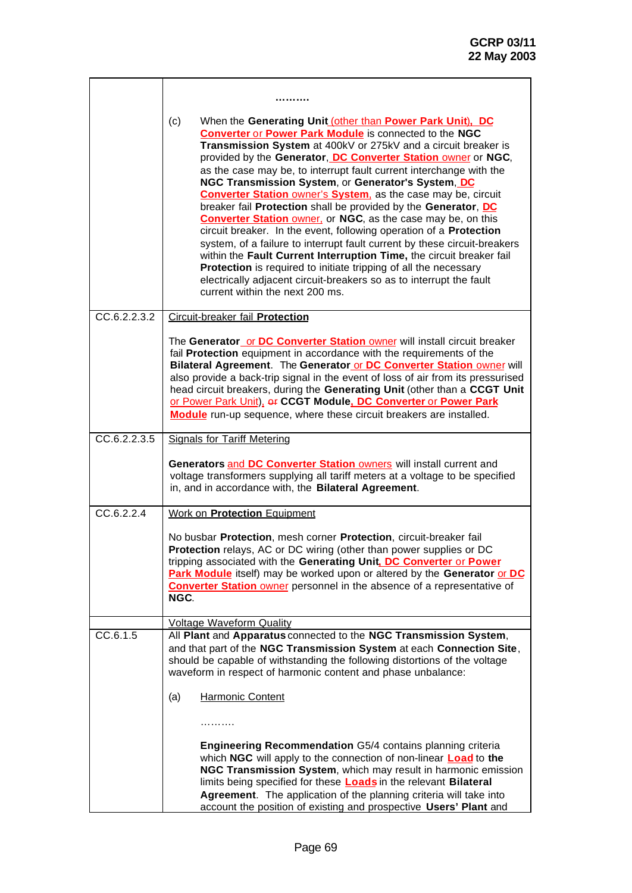L,

|              | (c)<br>When the Generating Unit (other than Power Park Unit), DC<br><b>Converter or Power Park Module</b> is connected to the NGC<br>Transmission System at 400kV or 275kV and a circuit breaker is<br>provided by the Generator, DC Converter Station owner or NGC,<br>as the case may be, to interrupt fault current interchange with the<br>NGC Transmission System, or Generator's System, DC<br><b>Converter Station owner's System, as the case may be, circuit</b><br>breaker fail Protection shall be provided by the Generator, DC<br><b>Converter Station owner, or NGC, as the case may be, on this</b><br>circuit breaker. In the event, following operation of a Protection<br>system, of a failure to interrupt fault current by these circuit-breakers<br>within the Fault Current Interruption Time, the circuit breaker fail<br>Protection is required to initiate tripping of all the necessary<br>electrically adjacent circuit-breakers so as to interrupt the fault<br>current within the next 200 ms. |
|--------------|-----------------------------------------------------------------------------------------------------------------------------------------------------------------------------------------------------------------------------------------------------------------------------------------------------------------------------------------------------------------------------------------------------------------------------------------------------------------------------------------------------------------------------------------------------------------------------------------------------------------------------------------------------------------------------------------------------------------------------------------------------------------------------------------------------------------------------------------------------------------------------------------------------------------------------------------------------------------------------------------------------------------------------|
| CC.6.2.2.3.2 | <b>Circuit-breaker fail Protection</b>                                                                                                                                                                                                                                                                                                                                                                                                                                                                                                                                                                                                                                                                                                                                                                                                                                                                                                                                                                                      |
|              | The Generator_or DC Converter Station owner will install circuit breaker<br>fail Protection equipment in accordance with the requirements of the<br>Bilateral Agreement. The Generator or DC Converter Station owner will<br>also provide a back-trip signal in the event of loss of air from its pressurised<br>head circuit breakers, during the Generating Unit (other than a CCGT Unit<br>or Power Park Unit), er CCGT Module, DC Converter or Power Park<br>Module run-up sequence, where these circuit breakers are installed.                                                                                                                                                                                                                                                                                                                                                                                                                                                                                        |
| CC.6.2.2.3.5 | <b>Signals for Tariff Metering</b>                                                                                                                                                                                                                                                                                                                                                                                                                                                                                                                                                                                                                                                                                                                                                                                                                                                                                                                                                                                          |
|              | Generators and DC Converter Station owners will install current and<br>voltage transformers supplying all tariff meters at a voltage to be specified<br>in, and in accordance with, the Bilateral Agreement.                                                                                                                                                                                                                                                                                                                                                                                                                                                                                                                                                                                                                                                                                                                                                                                                                |
| CC.6.2.2.4   | <b>Work on Protection Equipment</b>                                                                                                                                                                                                                                                                                                                                                                                                                                                                                                                                                                                                                                                                                                                                                                                                                                                                                                                                                                                         |
|              | No busbar Protection, mesh corner Protection, circuit-breaker fail<br>Protection relays, AC or DC wiring (other than power supplies or DC<br>tripping associated with the Generating Unit. DC Converter or Power<br>Park Module itself) may be worked upon or altered by the Generator or DC<br><b>Converter Station</b> owner personnel in the absence of a representative of<br>NGC.                                                                                                                                                                                                                                                                                                                                                                                                                                                                                                                                                                                                                                      |
|              | <b>Voltage Waveform Quality</b>                                                                                                                                                                                                                                                                                                                                                                                                                                                                                                                                                                                                                                                                                                                                                                                                                                                                                                                                                                                             |
| CC.6.1.5     | All Plant and Apparatus connected to the NGC Transmission System,<br>and that part of the NGC Transmission System at each Connection Site,<br>should be capable of withstanding the following distortions of the voltage<br>waveform in respect of harmonic content and phase unbalance:                                                                                                                                                                                                                                                                                                                                                                                                                                                                                                                                                                                                                                                                                                                                    |
|              | (a)<br><b>Harmonic Content</b>                                                                                                                                                                                                                                                                                                                                                                                                                                                                                                                                                                                                                                                                                                                                                                                                                                                                                                                                                                                              |
|              | .                                                                                                                                                                                                                                                                                                                                                                                                                                                                                                                                                                                                                                                                                                                                                                                                                                                                                                                                                                                                                           |
|              | <b>Engineering Recommendation G5/4 contains planning criteria</b><br>which NGC will apply to the connection of non-linear <b>Load</b> to the<br>NGC Transmission System, which may result in harmonic emission<br>limits being specified for these <b>Loads</b> in the relevant <b>Bilateral</b><br>Agreement. The application of the planning criteria will take into<br>account the position of existing and prospective Users' Plant and                                                                                                                                                                                                                                                                                                                                                                                                                                                                                                                                                                                 |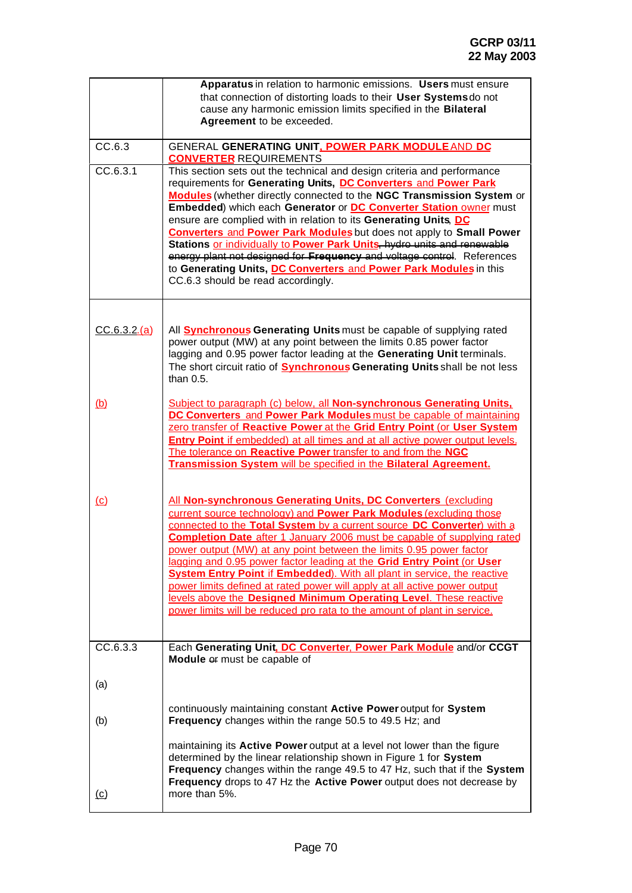|             | Apparatus in relation to harmonic emissions. Users must ensure                                                                                              |  |  |
|-------------|-------------------------------------------------------------------------------------------------------------------------------------------------------------|--|--|
|             | that connection of distorting loads to their User Systems do not<br>cause any harmonic emission limits specified in the Bilateral                           |  |  |
|             | Agreement to be exceeded.                                                                                                                                   |  |  |
|             |                                                                                                                                                             |  |  |
| CC.6.3      | GENERAL GENERATING UNIT, POWER PARK MODULE AND DC<br><b>CONVERTER REQUIREMENTS</b>                                                                          |  |  |
| CC.6.3.1    | This section sets out the technical and design criteria and performance                                                                                     |  |  |
|             | requirements for Generating Units, DC Converters and Power Park<br>Modules (whether directly connected to the NGC Transmission System or                    |  |  |
|             | Embedded) which each Generator or DC Converter Station owner must                                                                                           |  |  |
|             | ensure are complied with in relation to its Generating Units, DC                                                                                            |  |  |
|             | <b>Converters and Power Park Modules but does not apply to Small Power</b>                                                                                  |  |  |
|             | Stations or individually to Power Park Units, hydro units and renewable<br>energy plant not designed for Frequency and voltage control. References          |  |  |
|             | to Generating Units, DC Converters and Power Park Modules in this                                                                                           |  |  |
|             | CC.6.3 should be read accordingly.                                                                                                                          |  |  |
|             |                                                                                                                                                             |  |  |
|             |                                                                                                                                                             |  |  |
| CC.6.3.2(a) | All <b>Synchronous Generating Units</b> must be capable of supplying rated                                                                                  |  |  |
|             | power output (MW) at any point between the limits 0.85 power factor                                                                                         |  |  |
|             | lagging and 0.95 power factor leading at the Generating Unit terminals.<br>The short circuit ratio of <b>Synchronous Generating Units</b> shall be not less |  |  |
|             | than 0.5.                                                                                                                                                   |  |  |
|             |                                                                                                                                                             |  |  |
| <u>(b)</u>  | Subject to paragraph (c) below, all Non-synchronous Generating Units.<br>DC Converters and Power Park Modules must be capable of maintaining                |  |  |
|             | zero transfer of Reactive Power at the Grid Entry Point (or User System                                                                                     |  |  |
|             | <b>Entry Point if embedded) at all times and at all active power output levels.</b>                                                                         |  |  |
|             | The tolerance on Reactive Power transfer to and from the NGC<br>Transmission System will be specified in the Bilateral Agreement.                           |  |  |
|             |                                                                                                                                                             |  |  |
|             |                                                                                                                                                             |  |  |
| $\omega$    | All Non-synchronous Generating Units, DC Converters (excluding<br>current source technology) and Power Park Modules (excluding those                        |  |  |
|             | connected to the Total System by a current source DC Converter) with a                                                                                      |  |  |
|             | <b>Completion Date</b> after 1 January 2006 must be capable of supplying rated                                                                              |  |  |
|             | power output (MW) at any point between the limits 0.95 power factor                                                                                         |  |  |
|             | lagging and 0.95 power factor leading at the Grid Entry Point (or User<br><b>System Entry Point if Embedded).</b> With all plant in service, the reactive   |  |  |
|             | power limits defined at rated power will apply at all active power output                                                                                   |  |  |
|             | levels above the Designed Minimum Operating Level. These reactive                                                                                           |  |  |
|             | power limits will be reduced pro rata to the amount of plant in service.                                                                                    |  |  |
|             |                                                                                                                                                             |  |  |
| CC.6.3.3    | Each Generating Unit. DC Converter. Power Park Module and/or CCGT                                                                                           |  |  |
|             | Module of must be capable of                                                                                                                                |  |  |
| (a)         |                                                                                                                                                             |  |  |
|             |                                                                                                                                                             |  |  |
| (b)         | continuously maintaining constant Active Power output for System<br>Frequency changes within the range 50.5 to 49.5 Hz; and                                 |  |  |
|             |                                                                                                                                                             |  |  |
|             | maintaining its Active Power output at a level not lower than the figure                                                                                    |  |  |
|             | determined by the linear relationship shown in Figure 1 for System                                                                                          |  |  |
|             | Frequency changes within the range 49.5 to 47 Hz, such that if the System<br>Frequency drops to 47 Hz the Active Power output does not decrease by          |  |  |
| <u>(c)</u>  | more than 5%.                                                                                                                                               |  |  |
|             |                                                                                                                                                             |  |  |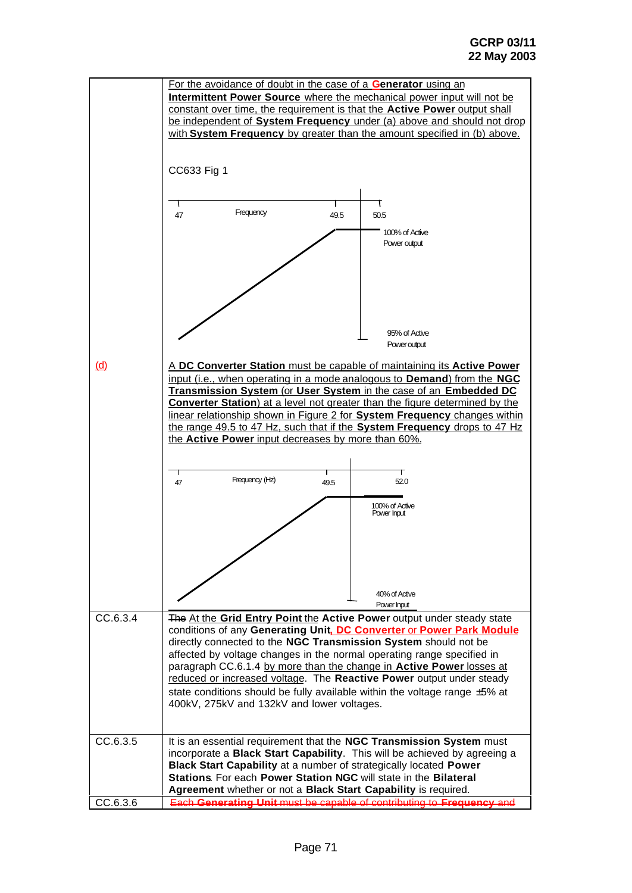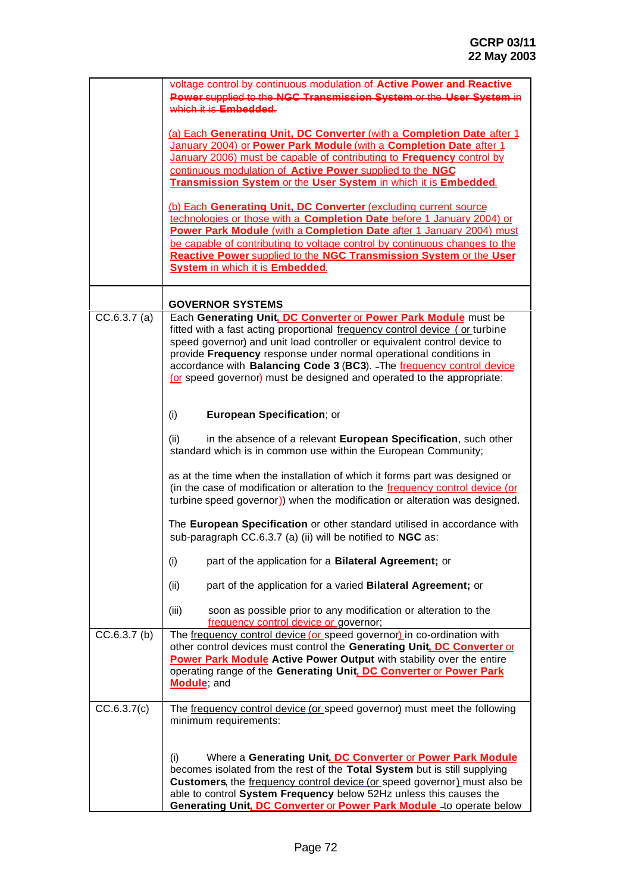|                | voltage control by continuous modulation of Active Power and Reactive                                                                           |  |  |  |  |
|----------------|-------------------------------------------------------------------------------------------------------------------------------------------------|--|--|--|--|
|                | Power supplied to the NGC Transmission System or the User System in                                                                             |  |  |  |  |
|                | which it is <b>Embedded</b> .                                                                                                                   |  |  |  |  |
|                |                                                                                                                                                 |  |  |  |  |
|                | (a) Each Generating Unit, DC Converter (with a Completion Date after 1                                                                          |  |  |  |  |
|                | January 2004) or Power Park Module (with a Completion Date after 1                                                                              |  |  |  |  |
|                | January 2006) must be capable of contributing to Frequency control by                                                                           |  |  |  |  |
|                | continuous modulation of Active Power supplied to the NGC                                                                                       |  |  |  |  |
|                | <b>Transmission System or the User System in which it is Embedded.</b>                                                                          |  |  |  |  |
|                |                                                                                                                                                 |  |  |  |  |
|                | (b) Each Generating Unit, DC Converter (excluding current source                                                                                |  |  |  |  |
|                | technologies or those with a Completion Date before 1 January 2004) or<br>Power Park Module (with a Completion Date after 1 January 2004) must  |  |  |  |  |
|                | be capable of contributing to voltage control by continuous changes to the                                                                      |  |  |  |  |
|                | Reactive Power supplied to the NGC Transmission System or the User                                                                              |  |  |  |  |
|                | <b>System in which it is Embedded.</b>                                                                                                          |  |  |  |  |
|                |                                                                                                                                                 |  |  |  |  |
|                |                                                                                                                                                 |  |  |  |  |
|                | <b>GOVERNOR SYSTEMS</b>                                                                                                                         |  |  |  |  |
| CC.6.3.7(a)    | Each Generating Unit. DC Converter or Power Park Module must be                                                                                 |  |  |  |  |
|                | fitted with a fast acting proportional frequency control device (or turbine                                                                     |  |  |  |  |
|                | speed governor) and unit load controller or equivalent control device to                                                                        |  |  |  |  |
|                | provide Frequency response under normal operational conditions in                                                                               |  |  |  |  |
|                | accordance with Balancing Code 3 (BC3). - The frequency control device<br>(or speed governor) must be designed and operated to the appropriate: |  |  |  |  |
|                |                                                                                                                                                 |  |  |  |  |
|                |                                                                                                                                                 |  |  |  |  |
|                | (i)<br>European Specification; or                                                                                                               |  |  |  |  |
|                | in the absence of a relevant European Specification, such other<br>(ii)                                                                         |  |  |  |  |
|                | standard which is in common use within the European Community;                                                                                  |  |  |  |  |
|                | as at the time when the installation of which it forms part was designed or                                                                     |  |  |  |  |
|                | (in the case of modification or alteration to the frequency control device (or                                                                  |  |  |  |  |
|                | turbine speed governor)) when the modification or alteration was designed.                                                                      |  |  |  |  |
|                |                                                                                                                                                 |  |  |  |  |
|                | The European Specification or other standard utilised in accordance with                                                                        |  |  |  |  |
|                | sub-paragraph CC.6.3.7 (a) (ii) will be notified to NGC as:                                                                                     |  |  |  |  |
|                |                                                                                                                                                 |  |  |  |  |
|                | part of the application for a Bilateral Agreement; or<br>(i)                                                                                    |  |  |  |  |
|                | (ii)<br>part of the application for a varied Bilateral Agreement; or                                                                            |  |  |  |  |
|                | (iii)<br>soon as possible prior to any modification or alteration to the                                                                        |  |  |  |  |
|                | frequency control device or governor;                                                                                                           |  |  |  |  |
| $CC.6.3.7$ (b) | The frequency control device (or speed governor) in co-ordination with                                                                          |  |  |  |  |
|                | other control devices must control the Generating Unit. DC Converter or                                                                         |  |  |  |  |
|                | Power Park Module Active Power Output with stability over the entire                                                                            |  |  |  |  |
|                | operating range of the Generating Unit. DC Converter or Power Park                                                                              |  |  |  |  |
|                | Module; and                                                                                                                                     |  |  |  |  |
|                |                                                                                                                                                 |  |  |  |  |
| CC.6.3.7(c)    | The frequency control device (or speed governor) must meet the following                                                                        |  |  |  |  |
|                | minimum requirements:                                                                                                                           |  |  |  |  |
|                |                                                                                                                                                 |  |  |  |  |
|                | Where a Generating Unit, DC Converter or Power Park Module<br>(i)                                                                               |  |  |  |  |
|                | becomes isolated from the rest of the Total System but is still supplying                                                                       |  |  |  |  |
|                | Customers, the frequency control device (or speed governor) must also be                                                                        |  |  |  |  |
|                | able to control System Frequency below 52Hz unless this causes the                                                                              |  |  |  |  |
|                | Generating Unit, DC Converter or Power Park Module_-to operate below                                                                            |  |  |  |  |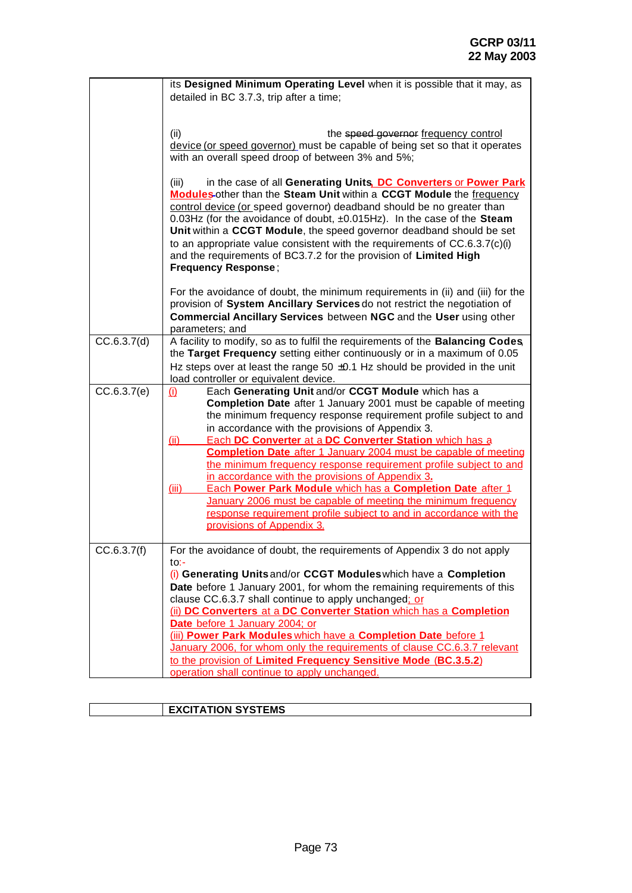|             | its Designed Minimum Operating Level when it is possible that it may, as        |
|-------------|---------------------------------------------------------------------------------|
|             | detailed in BC 3.7.3, trip after a time;                                        |
|             |                                                                                 |
|             |                                                                                 |
|             | the speed governor frequency control<br>(ii)                                    |
|             | device (or speed governor) must be capable of being set so that it operates     |
|             | with an overall speed droop of between 3% and 5%;                               |
|             |                                                                                 |
|             | in the case of all Generating Units, DC Converters or Power Park<br>(iii)       |
|             | <b>Modules-other than the Steam Unit within a CCGT Module the frequency</b>     |
|             | control device (or speed governor) deadband should be no greater than           |
|             | 0.03Hz (for the avoidance of doubt, $\pm$ 0.015Hz). In the case of the Steam    |
|             | Unit within a CCGT Module, the speed governor deadband should be set            |
|             | to an appropriate value consistent with the requirements of CC.6.3.7(c)(i)      |
|             | and the requirements of BC3.7.2 for the provision of Limited High               |
|             | <b>Frequency Response;</b>                                                      |
|             |                                                                                 |
|             | For the avoidance of doubt, the minimum requirements in (ii) and (iii) for the  |
|             | provision of System Ancillary Services do not restrict the negotiation of       |
|             | Commercial Ancillary Services between NGC and the User using other              |
|             | parameters; and                                                                 |
| CC.6.3.7(d) | A facility to modify, so as to fulfil the requirements of the Balancing Codes,  |
|             | the Target Frequency setting either continuously or in a maximum of 0.05        |
|             | Hz steps over at least the range 50 $\pm$ 0.1 Hz should be provided in the unit |
|             | load controller or equivalent device.                                           |
| CC.6.3.7(e) | Each Generating Unit and/or CCGT Module which has a<br><u>(i)</u>               |
|             | <b>Completion Date</b> after 1 January 2001 must be capable of meeting          |
|             | the minimum frequency response requirement profile subject to and               |
|             | in accordance with the provisions of Appendix 3.                                |
|             | Each DC Converter at a DC Converter Station which has a<br><u>(ii)</u>          |
|             | <b>Completion Date</b> after 1 January 2004 must be capable of meeting          |
|             | the minimum frequency response requirement profile subject to and               |
|             | in accordance with the provisions of Appendix 3.                                |
|             | Each Power Park Module which has a Completion Date after 1<br>(iii)             |
|             | January 2006 must be capable of meeting the minimum frequency                   |
|             | response requirement profile subject to and in accordance with the              |
|             | provisions of Appendix 3.                                                       |
|             |                                                                                 |
| CC.6.3.7(f) | For the avoidance of doubt, the requirements of Appendix 3 do not apply         |
|             | to:-                                                                            |
|             | (i) Generating Units and/or CCGT Modules which have a Completion                |
|             | Date before 1 January 2001, for whom the remaining requirements of this         |
|             | clause CC.6.3.7 shall continue to apply unchanged: or                           |
|             | (ii) DC Converters at a DC Converter Station which has a Completion             |
|             | Date before 1 January 2004; or                                                  |
|             | (iii) Power Park Modules which have a Completion Date before 1                  |
|             | January 2006, for whom only the requirements of clause CC.6.3.7 relevant        |
|             | to the provision of Limited Frequency Sensitive Mode (BC.3.5.2)                 |
|             | operation shall continue to apply unchanged.                                    |

| <b>EXCITATION SYSTEMS</b> |
|---------------------------|
|                           |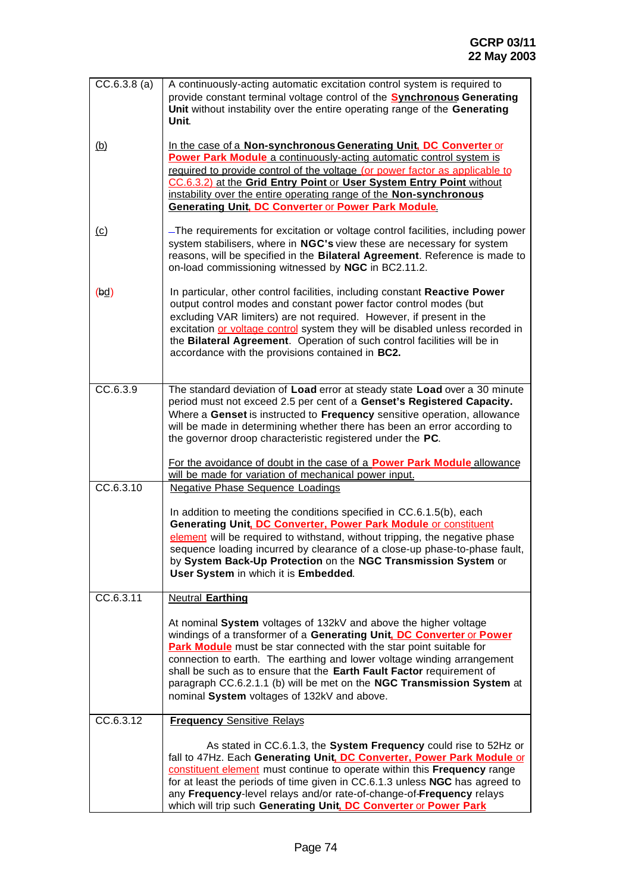| $\overline{CC.6.3.8}$ (a) | A continuously-acting automatic excitation control system is required to<br>provide constant terminal voltage control of the <b>Synchronous Generating</b><br>Unit without instability over the entire operating range of the Generating<br>Unit.                                                                                                                                                                                                                                             |
|---------------------------|-----------------------------------------------------------------------------------------------------------------------------------------------------------------------------------------------------------------------------------------------------------------------------------------------------------------------------------------------------------------------------------------------------------------------------------------------------------------------------------------------|
| <u>(b)</u>                | In the case of a Non-synchronous Generating Unit, DC Converter or<br>Power Park Module a continuously-acting automatic control system is<br>required to provide control of the voltage (or power factor as applicable to<br>CC.6.3.2) at the Grid Entry Point or User System Entry Point without<br>instability over the entire operating range of the Non-synchronous<br><b>Generating Unit, DC Converter or Power Park Module.</b>                                                          |
| $\omega$                  | -The requirements for excitation or voltage control facilities, including power<br>system stabilisers, where in NGC's view these are necessary for system<br>reasons, will be specified in the Bilateral Agreement. Reference is made to<br>on-load commissioning witnessed by NGC in BC2.11.2.                                                                                                                                                                                               |
| (bd)                      | In particular, other control facilities, including constant Reactive Power<br>output control modes and constant power factor control modes (but<br>excluding VAR limiters) are not required. However, if present in the<br>excitation or voltage control system they will be disabled unless recorded in<br>the Bilateral Agreement. Operation of such control facilities will be in<br>accordance with the provisions contained in BC2.                                                      |
| CC.6.3.9                  | The standard deviation of Load error at steady state Load over a 30 minute<br>period must not exceed 2.5 per cent of a Genset's Registered Capacity.<br>Where a Genset is instructed to Frequency sensitive operation, allowance<br>will be made in determining whether there has been an error according to<br>the governor droop characteristic registered under the PC.                                                                                                                    |
|                           | For the avoidance of doubt in the case of a <b>Power Park Module</b> allowance<br>will be made for variation of mechanical power input.                                                                                                                                                                                                                                                                                                                                                       |
| CC.6.3.10                 | <b>Negative Phase Sequence Loadings</b>                                                                                                                                                                                                                                                                                                                                                                                                                                                       |
|                           | In addition to meeting the conditions specified in CC.6.1.5(b), each<br>Generating Unit, DC Converter, Power Park Module or constituent<br>element will be required to withstand, without tripping, the negative phase<br>sequence loading incurred by clearance of a close-up phase-to-phase fault,<br>by System Back-Up Protection on the NGC Transmission System or<br>User System in which it is Embedded.                                                                                |
| CC.6.3.11                 | <b>Neutral Earthing</b>                                                                                                                                                                                                                                                                                                                                                                                                                                                                       |
|                           | At nominal System voltages of 132kV and above the higher voltage<br>windings of a transformer of a Generating Unit, DC Converter or Power<br>Park Module must be star connected with the star point suitable for<br>connection to earth. The earthing and lower voltage winding arrangement<br>shall be such as to ensure that the Earth Fault Factor requirement of<br>paragraph CC.6.2.1.1 (b) will be met on the NGC Transmission System at<br>nominal System voltages of 132kV and above. |
| CC.6.3.12                 | <b>Frequency Sensitive Relays</b>                                                                                                                                                                                                                                                                                                                                                                                                                                                             |
|                           | As stated in CC.6.1.3, the System Frequency could rise to 52Hz or<br>fall to 47Hz. Each Generating Unit, DC Converter, Power Park Module or<br>constituent element must continue to operate within this Frequency range<br>for at least the periods of time given in CC.6.1.3 unless NGC has agreed to<br>any Frequency-level relays and/or rate-of-change-of-Frequency relays<br>which will trip such Generating Unit. DC Converter or Power Park                                            |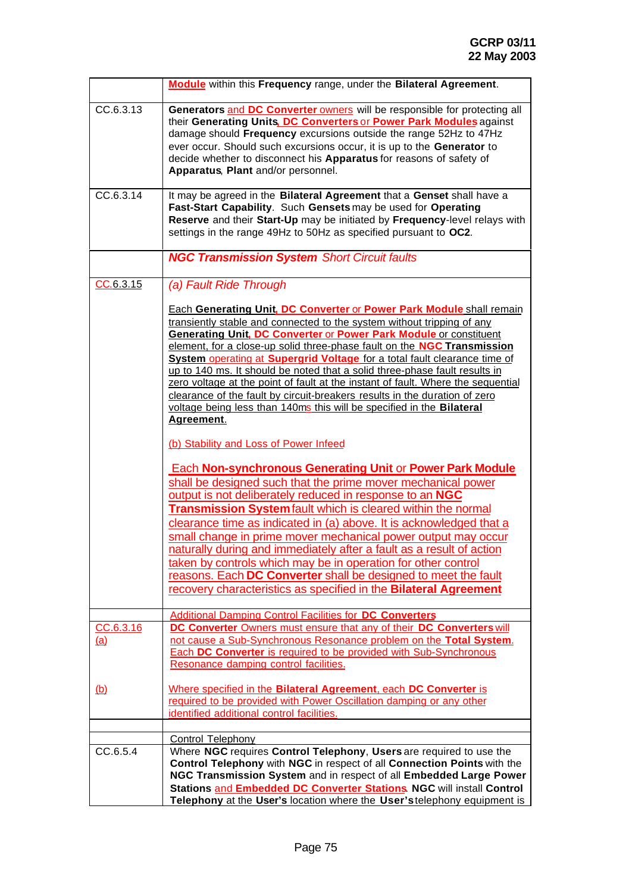|                         | Module within this Frequency range, under the Bilateral Agreement.                                                                                                                                                                                                                                                                                                                                                                                                                                                                                                                                                                                                                                                                                                                                                                                                                                                                                                                                                                                                                                                                                                                                                                                                                                                                                           |
|-------------------------|--------------------------------------------------------------------------------------------------------------------------------------------------------------------------------------------------------------------------------------------------------------------------------------------------------------------------------------------------------------------------------------------------------------------------------------------------------------------------------------------------------------------------------------------------------------------------------------------------------------------------------------------------------------------------------------------------------------------------------------------------------------------------------------------------------------------------------------------------------------------------------------------------------------------------------------------------------------------------------------------------------------------------------------------------------------------------------------------------------------------------------------------------------------------------------------------------------------------------------------------------------------------------------------------------------------------------------------------------------------|
| CC.6.3.13               | Generators and DC Converter owners will be responsible for protecting all<br>their Generating Units, DC Converters or Power Park Modules against<br>damage should Frequency excursions outside the range 52Hz to 47Hz<br>ever occur. Should such excursions occur, it is up to the Generator to<br>decide whether to disconnect his Apparatus for reasons of safety of<br>Apparatus, Plant and/or personnel.                                                                                                                                                                                                                                                                                                                                                                                                                                                                                                                                                                                                                                                                                                                                                                                                                                                                                                                                                 |
| CC.6.3.14               | It may be agreed in the Bilateral Agreement that a Genset shall have a<br>Fast-Start Capability. Such Gensets may be used for Operating<br>Reserve and their Start-Up may be initiated by Frequency-level relays with<br>settings in the range 49Hz to 50Hz as specified pursuant to OC2.                                                                                                                                                                                                                                                                                                                                                                                                                                                                                                                                                                                                                                                                                                                                                                                                                                                                                                                                                                                                                                                                    |
|                         | <b>NGC Transmission System Short Circuit faults</b>                                                                                                                                                                                                                                                                                                                                                                                                                                                                                                                                                                                                                                                                                                                                                                                                                                                                                                                                                                                                                                                                                                                                                                                                                                                                                                          |
| CC.6.3.15               | (a) Fault Ride Through<br><b>Each Generating Unit, DC Converter or Power Park Module shall remain</b><br>transiently stable and connected to the system without tripping of any<br><b>Generating Unit, DC Converter or Power Park Module or constituent</b><br>element, for a close-up solid three-phase fault on the NGC Transmission<br>System operating at Supergrid Voltage for a total fault clearance time of<br>up to 140 ms. It should be noted that a solid three-phase fault results in<br>zero voltage at the point of fault at the instant of fault. Where the sequential<br>clearance of the fault by circuit-breakers results in the duration of zero<br>voltage being less than 140ms this will be specified in the Bilateral<br>Agreement.<br>(b) Stability and Loss of Power Infeed<br><b>Each Non-synchronous Generating Unit or Power Park Module</b><br>shall be designed such that the prime mover mechanical power<br>output is not deliberately reduced in response to an NGC<br><b>Transmission System fault which is cleared within the normal</b><br>clearance time as indicated in (a) above. It is acknowledged that a<br>small change in prime mover mechanical power output may occur<br>naturally during and immediately after a fault as a result of action<br>taken by controls which may be in operation for other control |
|                         | reasons. Each DC Converter shall be designed to meet the fault<br>recovery characteristics as specified in the Bilateral Agreement                                                                                                                                                                                                                                                                                                                                                                                                                                                                                                                                                                                                                                                                                                                                                                                                                                                                                                                                                                                                                                                                                                                                                                                                                           |
| CC.6.3.16<br><u>(a)</u> | <b>Additional Damping Control Facilities for DC Converters</b><br>DC Converter Owners must ensure that any of their DC Converters will<br>not cause a Sub-Synchronous Resonance problem on the Total System.<br><b>Each DC Converter</b> is required to be provided with Sub-Synchronous<br>Resonance damping control facilities.                                                                                                                                                                                                                                                                                                                                                                                                                                                                                                                                                                                                                                                                                                                                                                                                                                                                                                                                                                                                                            |
| <u>(b)</u>              | Where specified in the Bilateral Agreement, each DC Converter is<br>required to be provided with Power Oscillation damping or any other<br>identified additional control facilities.                                                                                                                                                                                                                                                                                                                                                                                                                                                                                                                                                                                                                                                                                                                                                                                                                                                                                                                                                                                                                                                                                                                                                                         |
|                         | <b>Control Telephony</b>                                                                                                                                                                                                                                                                                                                                                                                                                                                                                                                                                                                                                                                                                                                                                                                                                                                                                                                                                                                                                                                                                                                                                                                                                                                                                                                                     |
| CC.6.5.4                | Where NGC requires Control Telephony, Users are required to use the<br>Control Telephony with NGC in respect of all Connection Points with the<br>NGC Transmission System and in respect of all Embedded Large Power<br>Stations and Embedded DC Converter Stations. NGC will install Control                                                                                                                                                                                                                                                                                                                                                                                                                                                                                                                                                                                                                                                                                                                                                                                                                                                                                                                                                                                                                                                                |
|                         | Telephony at the User's location where the User's telephony equipment is                                                                                                                                                                                                                                                                                                                                                                                                                                                                                                                                                                                                                                                                                                                                                                                                                                                                                                                                                                                                                                                                                                                                                                                                                                                                                     |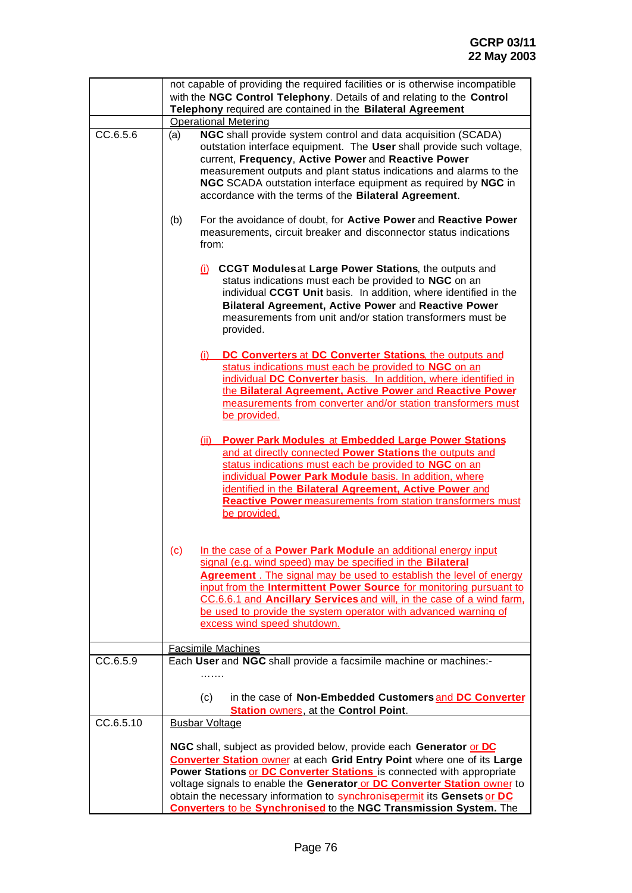|           | not capable of providing the required facilities or is otherwise incompatible                                                                                                                                                                                                                                                                                                                                                                                    |
|-----------|------------------------------------------------------------------------------------------------------------------------------------------------------------------------------------------------------------------------------------------------------------------------------------------------------------------------------------------------------------------------------------------------------------------------------------------------------------------|
|           | with the NGC Control Telephony. Details of and relating to the Control<br>Telephony required are contained in the Bilateral Agreement                                                                                                                                                                                                                                                                                                                            |
|           | <b>Operational Metering</b>                                                                                                                                                                                                                                                                                                                                                                                                                                      |
| CC.6.5.6  | NGC shall provide system control and data acquisition (SCADA)<br>(a)<br>outstation interface equipment. The User shall provide such voltage,<br>current, Frequency, Active Power and Reactive Power<br>measurement outputs and plant status indications and alarms to the<br>NGC SCADA outstation interface equipment as required by NGC in<br>accordance with the terms of the Bilateral Agreement.                                                             |
|           | For the avoidance of doubt, for Active Power and Reactive Power<br>(b)<br>measurements, circuit breaker and disconnector status indications<br>from:                                                                                                                                                                                                                                                                                                             |
|           | (i) CCGT Modules at Large Power Stations, the outputs and<br>status indications must each be provided to NGC on an<br>individual CCGT Unit basis. In addition, where identified in the<br>Bilateral Agreement, Active Power and Reactive Power<br>measurements from unit and/or station transformers must be<br>provided.                                                                                                                                        |
|           | DC Converters at DC Converter Stations, the outputs and<br><u>(i)</u><br>status indications must each be provided to NGC on an<br>individual DC Converter basis. In addition, where identified in<br>the Bilateral Agreement, Active Power and Reactive Power<br>measurements from converter and/or station transformers must<br>be provided.                                                                                                                    |
|           | <b>Power Park Modules at Embedded Large Power Stations</b><br>(ii)<br>and at directly connected Power Stations the outputs and<br>status indications must each be provided to NGC on an<br>individual Power Park Module basis. In addition, where<br>identified in the Bilateral Agreement, Active Power and<br><b>Reactive Power</b> measurements from station transformers must<br>be provided.                                                                |
|           | In the case of a Power Park Module an additional energy input<br>(c)<br>signal (e.g. wind speed) may be specified in the Bilateral<br>Agreement . The signal may be used to establish the level of energy<br>input from the Intermittent Power Source for monitoring pursuant to<br>CC.6.6.1 and Ancillary Services and will, in the case of a wind farm.<br>be used to provide the system operator with advanced warning of<br>excess wind speed shutdown.      |
|           | <b>Facsimile Machines</b>                                                                                                                                                                                                                                                                                                                                                                                                                                        |
| CC.6.5.9  | Each User and NGC shall provide a facsimile machine or machines:-                                                                                                                                                                                                                                                                                                                                                                                                |
|           | (c)<br>in the case of Non-Embedded Customers and DC Converter<br><b>Station owners, at the Control Point.</b>                                                                                                                                                                                                                                                                                                                                                    |
| CC.6.5.10 | <b>Busbar Voltage</b>                                                                                                                                                                                                                                                                                                                                                                                                                                            |
|           | NGC shall, subject as provided below, provide each Generator or DC<br><b>Converter Station owner at each Grid Entry Point where one of its Large</b><br>Power Stations or DC Converter Stations is connected with appropriate<br>voltage signals to enable the Generator or DC Converter Station owner to<br>obtain the necessary information to synchronisepermit its Gensets or DC<br><b>Converters to be Synchronised to the NGC Transmission System.</b> The |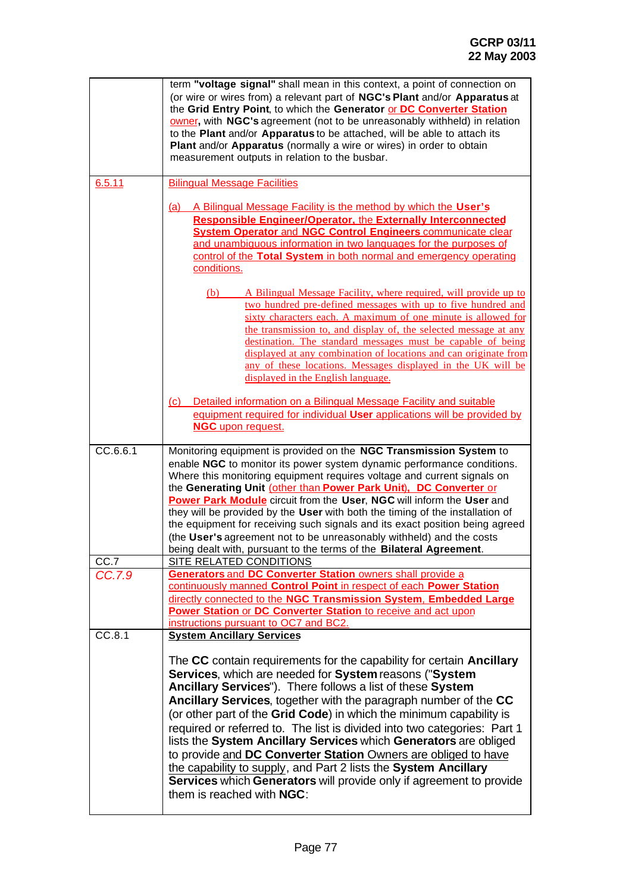|                | term "voltage signal" shall mean in this context, a point of connection on<br>(or wire or wires from) a relevant part of NGC's Plant and/or Apparatus at<br>the Grid Entry Point, to which the Generator or DC Converter Station<br>owner, with NGC's agreement (not to be unreasonably withheld) in relation<br>to the Plant and/or Apparatus to be attached, will be able to attach its<br>Plant and/or Apparatus (normally a wire or wires) in order to obtain<br>measurement outputs in relation to the busbar.                                                                                                                                                                                                                                                  |
|----------------|----------------------------------------------------------------------------------------------------------------------------------------------------------------------------------------------------------------------------------------------------------------------------------------------------------------------------------------------------------------------------------------------------------------------------------------------------------------------------------------------------------------------------------------------------------------------------------------------------------------------------------------------------------------------------------------------------------------------------------------------------------------------|
| 6.5.11         | <b>Bilingual Message Facilities</b><br>A Bilingual Message Facility is the method by which the User's<br>(a)<br>Responsible Engineer/Operator, the Externally Interconnected<br><b>System Operator and NGC Control Engineers communicate clear</b><br>and unambiquous information in two languages for the purposes of<br>control of the Total System in both normal and emergency operating<br>conditions.                                                                                                                                                                                                                                                                                                                                                          |
|                | A Bilingual Message Facility, where required, will provide up to<br>(b)<br>two hundred pre-defined messages with up to five hundred and<br>sixty characters each. A maximum of one minute is allowed for<br>the transmission to, and display of, the selected message at any<br>destination. The standard messages must be capable of being<br>displayed at any combination of locations and can originate from<br>any of these locations. Messages displayed in the UK will be<br>displayed in the English language.                                                                                                                                                                                                                                                |
|                | Detailed information on a Bilingual Message Facility and suitable<br>(c)<br>equipment required for individual User applications will be provided by<br><b>NGC</b> upon request.                                                                                                                                                                                                                                                                                                                                                                                                                                                                                                                                                                                      |
| CC.6.6.1       | Monitoring equipment is provided on the NGC Transmission System to<br>enable NGC to monitor its power system dynamic performance conditions.<br>Where this monitoring equipment requires voltage and current signals on<br>the Generating Unit (other than Power Park Unit). DC Converter or<br>Power Park Module circuit from the User, NGC will inform the User and<br>they will be provided by the User with both the timing of the installation of<br>the equipment for receiving such signals and its exact position being agreed<br>(the User's agreement not to be unreasonably withheld) and the costs<br>being dealt with, pursuant to the terms of the Bilateral Agreement.                                                                                |
| CC.7<br>CC.7.9 | <b>SITE RELATED CONDITIONS</b><br><b>Generators and DC Converter Station owners shall provide a</b><br>continuously manned Control Point in respect of each Power Station<br>directly connected to the NGC Transmission System. Embedded Large<br>Power Station or DC Converter Station to receive and act upon<br>instructions pursuant to OC7 and BC2.                                                                                                                                                                                                                                                                                                                                                                                                             |
| CC.8.1         | <b>System Ancillary Services</b><br>The CC contain requirements for the capability for certain Ancillary<br>Services, which are needed for System reasons ("System<br>Ancillary Services"). There follows a list of these System<br>Ancillary Services, together with the paragraph number of the CC<br>(or other part of the Grid Code) in which the minimum capability is<br>required or referred to. The list is divided into two categories: Part 1<br>lists the System Ancillary Services which Generators are obliged<br>to provide and DC Converter Station Owners are obliged to have<br>the capability to supply, and Part 2 lists the System Ancillary<br>Services which Generators will provide only if agreement to provide<br>them is reached with NGC: |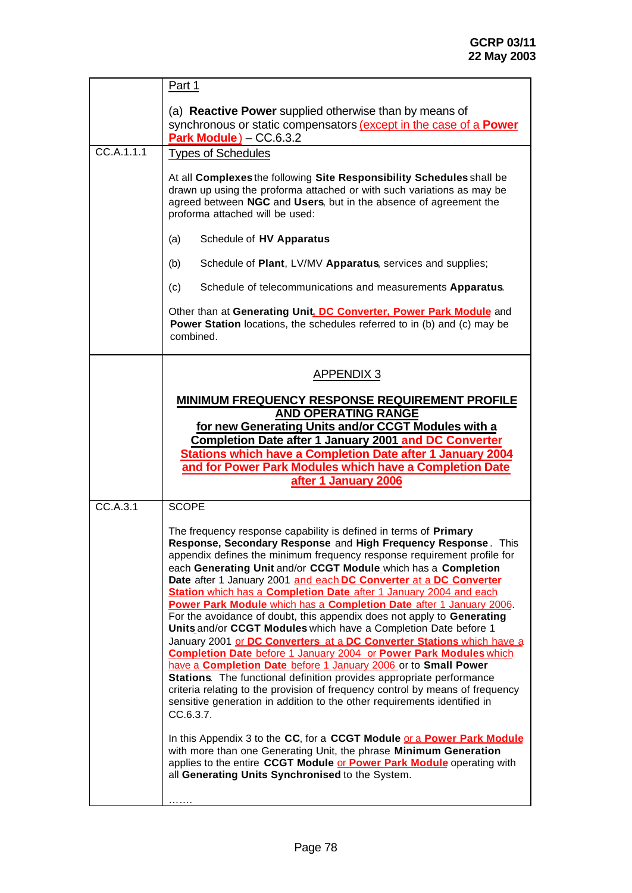|            | Part 1                                                                                                                                                                                                                                                                                                                                                                                                                                                                                                                                                                                                                                                                                                                                                                                                                                                                                                                                                                                                                                                                                                                               |
|------------|--------------------------------------------------------------------------------------------------------------------------------------------------------------------------------------------------------------------------------------------------------------------------------------------------------------------------------------------------------------------------------------------------------------------------------------------------------------------------------------------------------------------------------------------------------------------------------------------------------------------------------------------------------------------------------------------------------------------------------------------------------------------------------------------------------------------------------------------------------------------------------------------------------------------------------------------------------------------------------------------------------------------------------------------------------------------------------------------------------------------------------------|
|            | (a) <b>Reactive Power</b> supplied otherwise than by means of<br>synchronous or static compensators (except in the case of a <b>Power</b><br>Park Module) $-$ CC.6.3.2                                                                                                                                                                                                                                                                                                                                                                                                                                                                                                                                                                                                                                                                                                                                                                                                                                                                                                                                                               |
| CC.A.1.1.1 | <b>Types of Schedules</b>                                                                                                                                                                                                                                                                                                                                                                                                                                                                                                                                                                                                                                                                                                                                                                                                                                                                                                                                                                                                                                                                                                            |
|            | At all Complexes the following Site Responsibility Schedules shall be<br>drawn up using the proforma attached or with such variations as may be<br>agreed between NGC and Users, but in the absence of agreement the<br>proforma attached will be used:                                                                                                                                                                                                                                                                                                                                                                                                                                                                                                                                                                                                                                                                                                                                                                                                                                                                              |
|            | Schedule of HV Apparatus<br>(a)                                                                                                                                                                                                                                                                                                                                                                                                                                                                                                                                                                                                                                                                                                                                                                                                                                                                                                                                                                                                                                                                                                      |
|            | Schedule of Plant, LV/MV Apparatus, services and supplies;<br>(b)                                                                                                                                                                                                                                                                                                                                                                                                                                                                                                                                                                                                                                                                                                                                                                                                                                                                                                                                                                                                                                                                    |
|            | Schedule of telecommunications and measurements Apparatus.<br>(c)                                                                                                                                                                                                                                                                                                                                                                                                                                                                                                                                                                                                                                                                                                                                                                                                                                                                                                                                                                                                                                                                    |
|            | Other than at Generating Unit, DC Converter, Power Park Module and<br>Power Station locations, the schedules referred to in (b) and (c) may be<br>combined.                                                                                                                                                                                                                                                                                                                                                                                                                                                                                                                                                                                                                                                                                                                                                                                                                                                                                                                                                                          |
|            | <b>APPENDIX 3</b>                                                                                                                                                                                                                                                                                                                                                                                                                                                                                                                                                                                                                                                                                                                                                                                                                                                                                                                                                                                                                                                                                                                    |
|            | <b>MINIMUM FREQUENCY RESPONSE REQUIREMENT PROFILE</b><br><b>AND OPERATING RANGE</b><br>for new Generating Units and/or CCGT Modules with a<br><b>Completion Date after 1 January 2001 and DC Converter</b><br><b>Stations which have a Completion Date after 1 January 2004</b><br>and for Power Park Modules which have a Completion Date<br>after 1 January 2006                                                                                                                                                                                                                                                                                                                                                                                                                                                                                                                                                                                                                                                                                                                                                                   |
| CC.A.3.1   | <b>SCOPE</b>                                                                                                                                                                                                                                                                                                                                                                                                                                                                                                                                                                                                                                                                                                                                                                                                                                                                                                                                                                                                                                                                                                                         |
|            | The frequency response capability is defined in terms of Primary<br>Response, Secondary Response and High Frequency Response. This<br>appendix defines the minimum frequency response requirement profile for<br>each Generating Unit and/or CCGT Module_which has a Completion<br>Date after 1 January 2001 and each DC Converter at a DC Converter<br><b>Station</b> which has a <b>Completion Date</b> after 1 January 2004 and each<br>Power Park Module which has a Completion Date after 1 January 2006.<br>For the avoidance of doubt, this appendix does not apply to Generating<br>Units and/or CCGT Modules which have a Completion Date before 1<br>January 2001 or DC Converters at a DC Converter Stations which have a<br><b>Completion Date before 1 January 2004 or Power Park Modules which</b><br>have a Completion Date before 1 January 2006 or to Small Power<br>Stations. The functional definition provides appropriate performance<br>criteria relating to the provision of frequency control by means of frequency<br>sensitive generation in addition to the other requirements identified in<br>CC.6.3.7. |
|            | In this Appendix 3 to the CC, for a CCGT Module or a Power Park Module<br>with more than one Generating Unit, the phrase Minimum Generation<br>applies to the entire CCGT Module or Power Park Module operating with<br>all Generating Units Synchronised to the System.                                                                                                                                                                                                                                                                                                                                                                                                                                                                                                                                                                                                                                                                                                                                                                                                                                                             |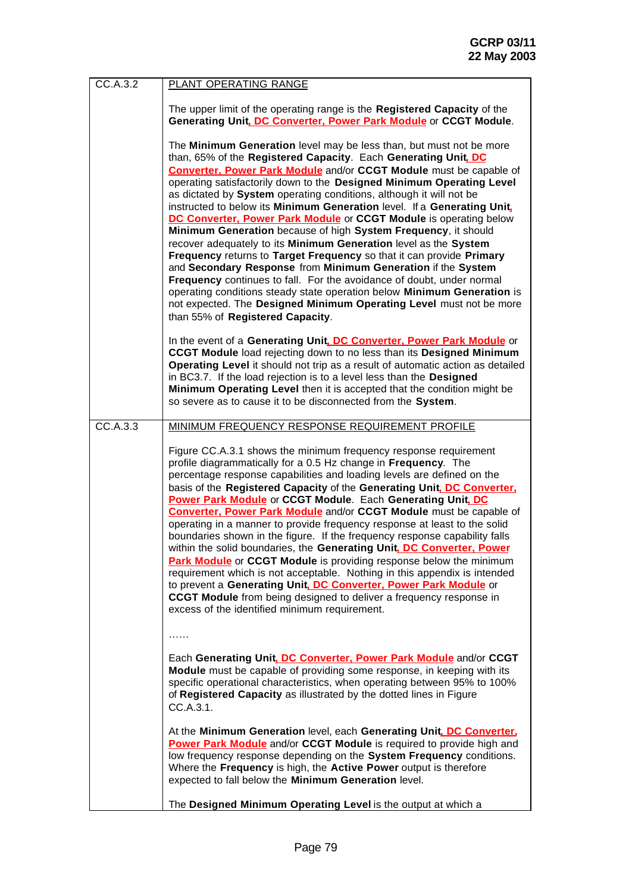| CC.A.3.2 | PLANT OPERATING RANGE                                                                                                                                                                                                                                                                                                                                                                                                                                                                                                                                                                                                                                                                                                                                                                                                                                                                                                                                                                                                                                           |
|----------|-----------------------------------------------------------------------------------------------------------------------------------------------------------------------------------------------------------------------------------------------------------------------------------------------------------------------------------------------------------------------------------------------------------------------------------------------------------------------------------------------------------------------------------------------------------------------------------------------------------------------------------------------------------------------------------------------------------------------------------------------------------------------------------------------------------------------------------------------------------------------------------------------------------------------------------------------------------------------------------------------------------------------------------------------------------------|
|          | The upper limit of the operating range is the Registered Capacity of the<br>Generating Unit, DC Converter, Power Park Module or CCGT Module.                                                                                                                                                                                                                                                                                                                                                                                                                                                                                                                                                                                                                                                                                                                                                                                                                                                                                                                    |
|          | The Minimum Generation level may be less than, but must not be more<br>than, 65% of the Registered Capacity. Each Generating Unit, DC<br><b>Converter, Power Park Module</b> and/or CCGT Module must be capable of<br>operating satisfactorily down to the Designed Minimum Operating Level<br>as dictated by System operating conditions, although it will not be<br>instructed to below its Minimum Generation level. If a Generating Unit,<br>DC Converter, Power Park Module or CCGT Module is operating below<br>Minimum Generation because of high System Frequency, it should<br>recover adequately to its Minimum Generation level as the System<br>Frequency returns to Target Frequency so that it can provide Primary<br>and Secondary Response from Minimum Generation if the System<br>Frequency continues to fall. For the avoidance of doubt, under normal<br>operating conditions steady state operation below Minimum Generation is<br>not expected. The Designed Minimum Operating Level must not be more<br>than 55% of Registered Capacity. |
|          | In the event of a Generating Unit, DC Converter, Power Park Module or<br>CCGT Module load rejecting down to no less than its Designed Minimum<br>Operating Level it should not trip as a result of automatic action as detailed<br>in BC3.7. If the load rejection is to a level less than the Designed<br>Minimum Operating Level then it is accepted that the condition might be<br>so severe as to cause it to be disconnected from the System.                                                                                                                                                                                                                                                                                                                                                                                                                                                                                                                                                                                                              |
| CC.A.3.3 | <b>MINIMUM FREQUENCY RESPONSE REQUIREMENT PROFILE</b>                                                                                                                                                                                                                                                                                                                                                                                                                                                                                                                                                                                                                                                                                                                                                                                                                                                                                                                                                                                                           |
|          | Figure CC.A.3.1 shows the minimum frequency response requirement<br>profile diagrammatically for a 0.5 Hz change in Frequency. The<br>percentage response capabilities and loading levels are defined on the<br>basis of the Registered Capacity of the Generating Unit. DC Converter.<br>Power Park Module or CCGT Module. Each Generating Unit. DC<br><b>Converter, Power Park Module</b> and/or CCGT Module must be capable of<br>operating in a manner to provide frequency response at least to the solid<br>boundaries shown in the figure. If the frequency response capability falls<br>within the solid boundaries, the Generating Unit, DC Converter, Power<br>Park Module or CCGT Module is providing response below the minimum<br>requirement which is not acceptable. Nothing in this appendix is intended<br>to prevent a Generating Unit. DC Converter, Power Park Module or<br><b>CCGT Module</b> from being designed to deliver a frequency response in<br>excess of the identified minimum requirement.                                      |
|          | .                                                                                                                                                                                                                                                                                                                                                                                                                                                                                                                                                                                                                                                                                                                                                                                                                                                                                                                                                                                                                                                               |
|          | Each Generating Unit, DC Converter, Power Park Module and/or CCGT<br>Module must be capable of providing some response, in keeping with its<br>specific operational characteristics, when operating between 95% to 100%<br>of Registered Capacity as illustrated by the dotted lines in Figure<br>CC.A.3.1.                                                                                                                                                                                                                                                                                                                                                                                                                                                                                                                                                                                                                                                                                                                                                     |
|          | At the Minimum Generation level, each Generating Unit, DC Converter.<br>Power Park Module and/or CCGT Module is required to provide high and<br>low frequency response depending on the System Frequency conditions.<br>Where the Frequency is high, the Active Power output is therefore<br>expected to fall below the Minimum Generation level.                                                                                                                                                                                                                                                                                                                                                                                                                                                                                                                                                                                                                                                                                                               |
|          | The Designed Minimum Operating Level is the output at which a                                                                                                                                                                                                                                                                                                                                                                                                                                                                                                                                                                                                                                                                                                                                                                                                                                                                                                                                                                                                   |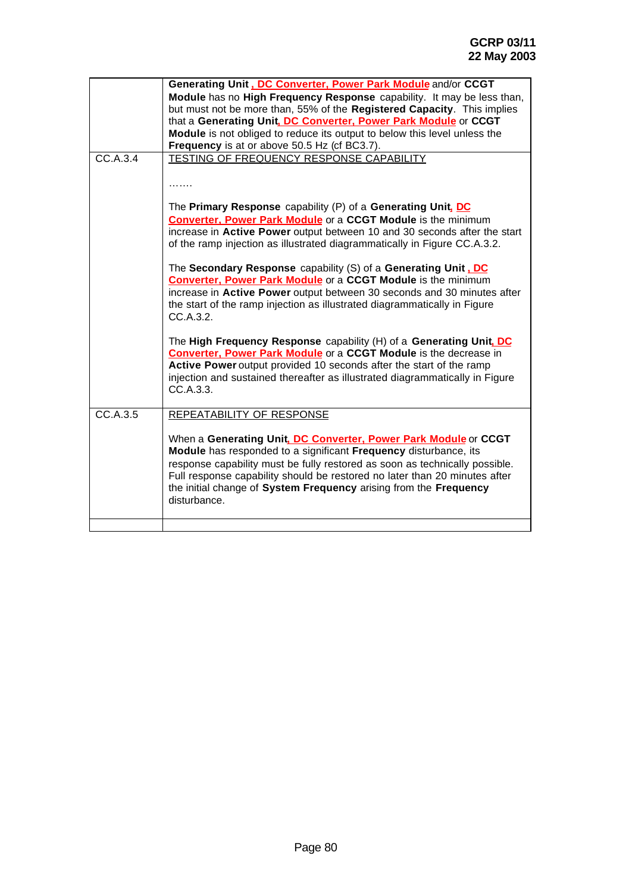|          | Generating Unit, DC Converter, Power Park Module and/or CCGT                                                                        |
|----------|-------------------------------------------------------------------------------------------------------------------------------------|
|          | Module has no High Frequency Response capability. It may be less than,                                                              |
|          | but must not be more than, 55% of the Registered Capacity. This implies                                                             |
|          | that a Generating Unit, DC Converter, Power Park Module or CCGT                                                                     |
|          | Module is not obliged to reduce its output to below this level unless the                                                           |
| CC.A.3.4 | Frequency is at or above 50.5 Hz (cf BC3.7).                                                                                        |
|          | TESTING OF FREQUENCY RESPONSE CAPABILITY                                                                                            |
|          |                                                                                                                                     |
|          | .                                                                                                                                   |
|          | The Primary Response capability (P) of a Generating Unit, DC                                                                        |
|          | <b>Converter, Power Park Module</b> or a CCGT Module is the minimum                                                                 |
|          | increase in Active Power output between 10 and 30 seconds after the start                                                           |
|          | of the ramp injection as illustrated diagrammatically in Figure CC.A.3.2.                                                           |
|          |                                                                                                                                     |
|          | The Secondary Response capability (S) of a Generating Unit .DC                                                                      |
|          | <b>Converter, Power Park Module</b> or a CCGT Module is the minimum                                                                 |
|          | increase in Active Power output between 30 seconds and 30 minutes after                                                             |
|          | the start of the ramp injection as illustrated diagrammatically in Figure                                                           |
|          | CC.A.3.2.                                                                                                                           |
|          | The High Frequency Response capability (H) of a Generating Unit, DC                                                                 |
|          | <b>Converter, Power Park Module</b> or a CCGT Module is the decrease in                                                             |
|          | Active Power output provided 10 seconds after the start of the ramp                                                                 |
|          | injection and sustained thereafter as illustrated diagrammatically in Figure                                                        |
|          | CC.A.3.3.                                                                                                                           |
|          |                                                                                                                                     |
| CC.A.3.5 | <b>REPEATABILITY OF RESPONSE</b>                                                                                                    |
|          |                                                                                                                                     |
|          | When a Generating Unit, DC Converter, Power Park Module or CCGT<br>Module has responded to a significant Frequency disturbance, its |
|          | response capability must be fully restored as soon as technically possible.                                                         |
|          | Full response capability should be restored no later than 20 minutes after                                                          |
|          | the initial change of System Frequency arising from the Frequency                                                                   |
|          | disturbance.                                                                                                                        |
|          |                                                                                                                                     |
|          |                                                                                                                                     |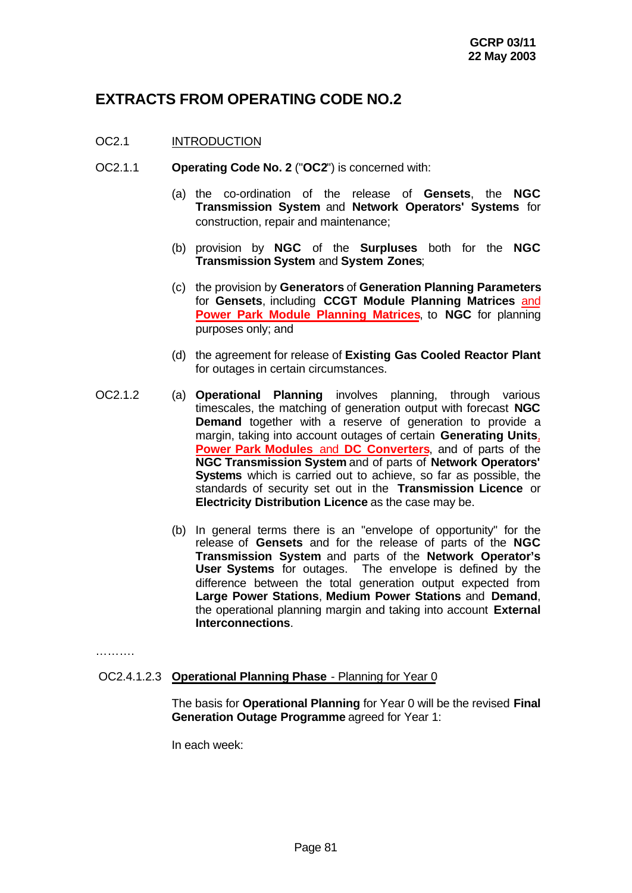# **EXTRACTS FROM OPERATING CODE NO.2**

# OC2.1 INTRODUCTION

- OC2.1.1 **Operating Code No. 2** ("**OC2**") is concerned with:
	- (a) the co-ordination of the release of **Gensets**, the **NGC Transmission System** and **Network Operators' Systems** for construction, repair and maintenance;
	- (b) provision by **NGC** of the **Surpluses** both for the **NGC Transmission System** and **System Zones**;
	- (c) the provision by **Generators** of **Generation Planning Parameters** for **Gensets**, including **CCGT Module Planning Matrices** and **Power Park Module Planning Matrices**, to **NGC** for planning purposes only; and
	- (d) the agreement for release of **Existing Gas Cooled Reactor Plant** for outages in certain circumstances.
- OC2.1.2 (a) **Operational Planning** involves planning, through various timescales, the matching of generation output with forecast **NGC Demand** together with a reserve of generation to provide a margin, taking into account outages of certain **Generating Units**, **Power Park Modules** and **DC Converters**, and of parts of the **NGC Transmission System** and of parts of **Network Operators' Systems** which is carried out to achieve, so far as possible, the standards of security set out in the **Transmission Licence** or **Electricity Distribution Licence** as the case may be.
	- (b) In general terms there is an "envelope of opportunity" for the release of **Gensets** and for the release of parts of the **NGC Transmission System** and parts of the **Network Operator's User Systems** for outages. The envelope is defined by the difference between the total generation output expected from **Large Power Stations**, **Medium Power Stations** and **Demand**, the operational planning margin and taking into account **External Interconnections**.

…………

# OC2.4.1.2.3 **Operational Planning Phase** - Planning for Year 0

The basis for **Operational Planning** for Year 0 will be the revised **Final Generation Outage Programme** agreed for Year 1:

In each week: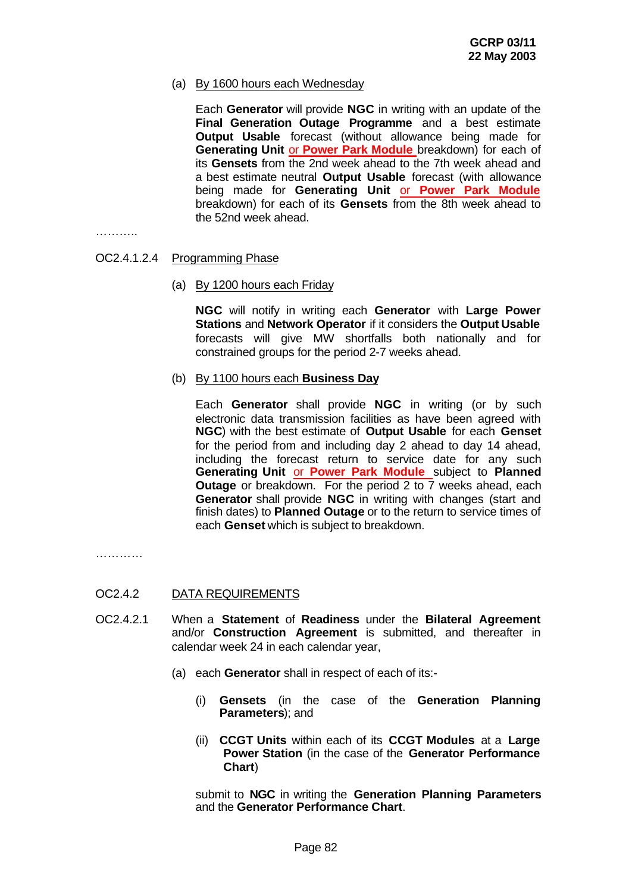# (a) By 1600 hours each Wednesday

Each **Generator** will provide **NGC** in writing with an update of the **Final Generation Outage Programme** and a best estimate **Output Usable** forecast (without allowance being made for **Generating Unit** or **Power Park Module** breakdown) for each of its **Gensets** from the 2nd week ahead to the 7th week ahead and a best estimate neutral **Output Usable** forecast (with allowance being made for **Generating Unit** or **Power Park Module** breakdown) for each of its **Gensets** from the 8th week ahead to the 52nd week ahead.

…………

#### OC2.4.1.2.4 Programming Phase

(a) By 1200 hours each Friday

**NGC** will notify in writing each **Generator** with **Large Power Stations** and **Network Operator** if it considers the **Output Usable** forecasts will give MW shortfalls both nationally and for constrained groups for the period 2-7 weeks ahead.

(b) By 1100 hours each **Business Day**

Each **Generator** shall provide **NGC** in writing (or by such electronic data transmission facilities as have been agreed with **NGC**) with the best estimate of **Output Usable** for each **Genset** for the period from and including day 2 ahead to day 14 ahead, including the forecast return to service date for any such **Generating Unit** or **Power Park Module** subject to **Planned Outage** or breakdown. For the period 2 to 7 weeks ahead, each **Generator** shall provide **NGC** in writing with changes (start and finish dates) to **Planned Outage** or to the return to service times of each **Genset** which is subject to breakdown.

…………

#### OC2.4.2 DATA REQUIREMENTS

- OC2.4.2.1 When a **Statement** of **Readiness** under the **Bilateral Agreement** and/or **Construction Agreement** is submitted, and thereafter in calendar week 24 in each calendar year,
	- (a) each **Generator** shall in respect of each of its:-
		- (i) **Gensets** (in the case of the **Generation Planning Parameters**); and
		- (ii) **CCGT Units** within each of its **CCGT Modules** at a **Large Power Station** (in the case of the **Generator Performance Chart**)

submit to **NGC** in writing the **Generation Planning Parameters** and the **Generator Performance Chart**.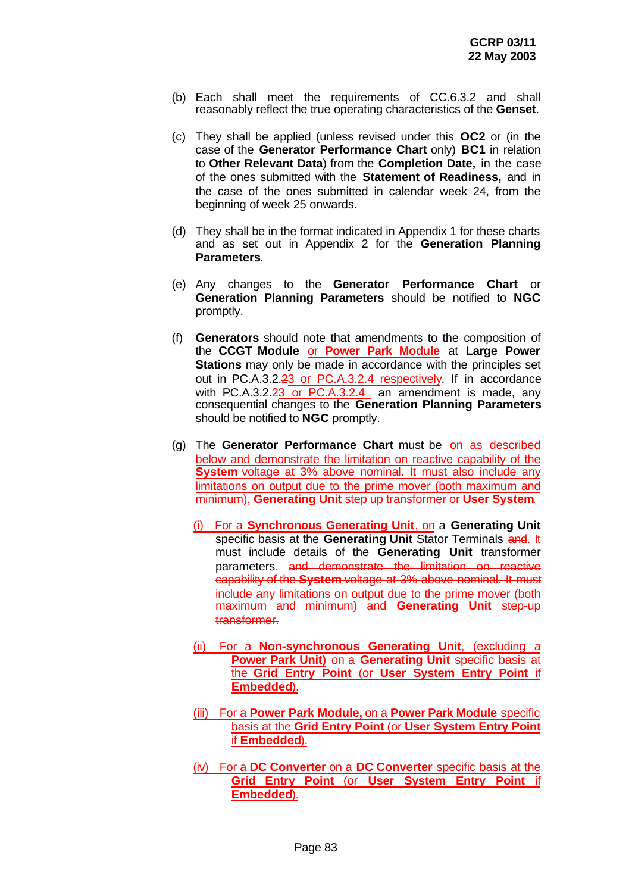- (b) Each shall meet the requirements of CC.6.3.2 and shall reasonably reflect the true operating characteristics of the **Genset**.
- (c) They shall be applied (unless revised under this **OC2** or (in the case of the **Generator Performance Chart** only) **BC1** in relation to **Other Relevant Data**) from the **Completion Date,** in the case of the ones submitted with the **Statement of Readiness,** and in the case of the ones submitted in calendar week 24, from the beginning of week 25 onwards.
- (d) They shall be in the format indicated in Appendix 1 for these charts and as set out in Appendix 2 for the **Generation Planning Parameters**.
- (e) Any changes to the **Generator Performance Chart** or **Generation Planning Parameters** should be notified to **NGC** promptly.
- (f) **Generators** should note that amendments to the composition of the **CCGT Module** or **Power Park Module** at **Large Power Stations** may only be made in accordance with the principles set out in PC.A.3.2.23 or PC.A.3.2.4 respectively. If in accordance with PC.A.3.2.23 or PC.A.3.2.4 an amendment is made, any consequential changes to the **Generation Planning Parameters** should be notified to **NGC** promptly.
- (g) The **Generator Performance Chart** must be on as described below and demonstrate the limitation on reactive capability of the **System** voltage at 3% above nominal. It must also include any limitations on output due to the prime mover (both maximum and minimum), **Generating Unit** step up transformer or **User System**.
	- (i) For a **Synchronous Generating Unit**, on a **Generating Unit** specific basis at the **Generating Unit** Stator Terminals and. It must include details of the **Generating Unit** transformer parameters. and demonstrate the limitation on reactive capability of the **System** voltage at 3% above nominal. It must include any limitations on output due to the prime mover (both maximum and minimum) and **Generating Unit** step-up transformer.
	- (ii) For a **Non-synchronous Generating Unit**, (excluding a **Power Park Unit)** on a **Generating Unit** specific basis at the **Grid Entry Point** (or **User System Entry Point** if **Embedded**).
	- (iii) For a **Power Park Module,** on a **Power Park Module** specific basis at the **Grid Entry Point** (or **User System Entry Point** if **Embedded**).
	- (iv) For a **DC Converter** on a **DC Converter** specific basis at the **Grid Entry Point** (or **User System Entry Point** if **Embedded**).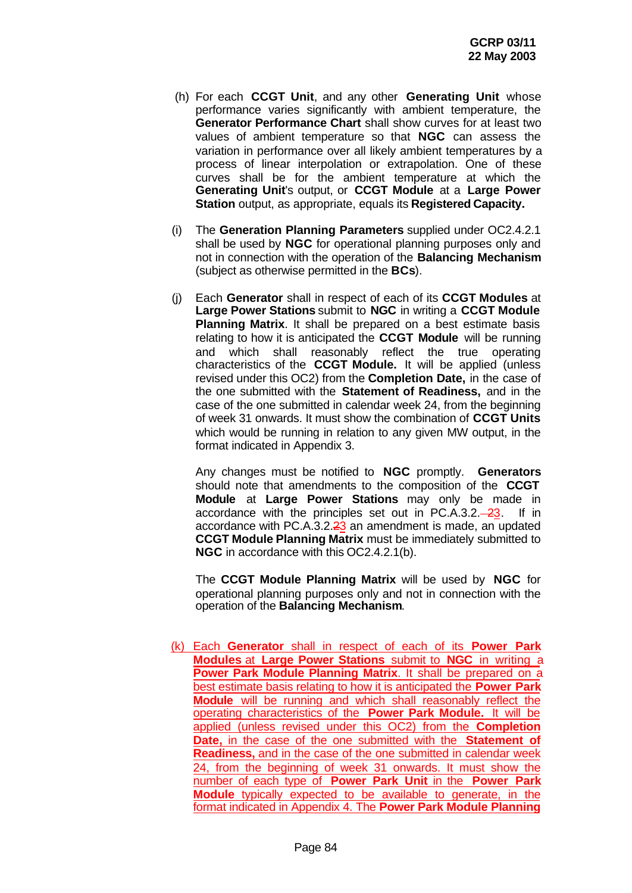- (h) For each **CCGT Unit**, and any other **Generating Unit** whose performance varies significantly with ambient temperature, the **Generator Performance Chart** shall show curves for at least two values of ambient temperature so that **NGC** can assess the variation in performance over all likely ambient temperatures by a process of linear interpolation or extrapolation. One of these curves shall be for the ambient temperature at which the **Generating Unit**'s output, or **CCGT Module** at a **Large Power Station** output, as appropriate, equals its **Registered Capacity.**
- (i) The **Generation Planning Parameters** supplied under OC2.4.2.1 shall be used by **NGC** for operational planning purposes only and not in connection with the operation of the **Balancing Mechanism** (subject as otherwise permitted in the **BCs**).
- (j) Each **Generator** shall in respect of each of its **CCGT Modules** at **Large Power Stations** submit to **NGC** in writing a **CCGT Module Planning Matrix**. It shall be prepared on a best estimate basis relating to how it is anticipated the **CCGT Module** will be running and which shall reasonably reflect the true operating characteristics of the **CCGT Module.** It will be applied (unless revised under this OC2) from the **Completion Date,** in the case of the one submitted with the **Statement of Readiness,** and in the case of the one submitted in calendar week 24, from the beginning of week 31 onwards. It must show the combination of **CCGT Units** which would be running in relation to any given MW output, in the format indicated in Appendix 3.

Any changes must be notified to **NGC** promptly. **Generators** should note that amendments to the composition of the **CCGT Module** at **Large Power Stations** may only be made in accordance with the principles set out in PC.A.3.2. $-23$ . If in accordance with PC.A.3.2.23 an amendment is made, an updated **CCGT Module Planning Matrix** must be immediately submitted to **NGC** in accordance with this OC2.4.2.1(b).

The **CCGT Module Planning Matrix** will be used by **NGC** for operational planning purposes only and not in connection with the operation of the **Balancing Mechanism**.

(k) Each **Generator** shall in respect of each of its **Power Park Modules** at **Large Power Stations** submit to **NGC** in writing a **Power Park Module Planning Matrix**. It shall be prepared on a best estimate basis relating to how it is anticipated the **Power Park Module** will be running and which shall reasonably reflect the operating characteristics of the **Power Park Module.** It will be applied (unless revised under this OC2) from the **Completion Date,** in the case of the one submitted with the **Statement of Readiness,** and in the case of the one submitted in calendar week 24, from the beginning of week 31 onwards. It must show the number of each type of **Power Park Unit** in the **Power Park Module** typically expected to be available to generate, in the format indicated in Appendix 4. The **Power Park Module Planning**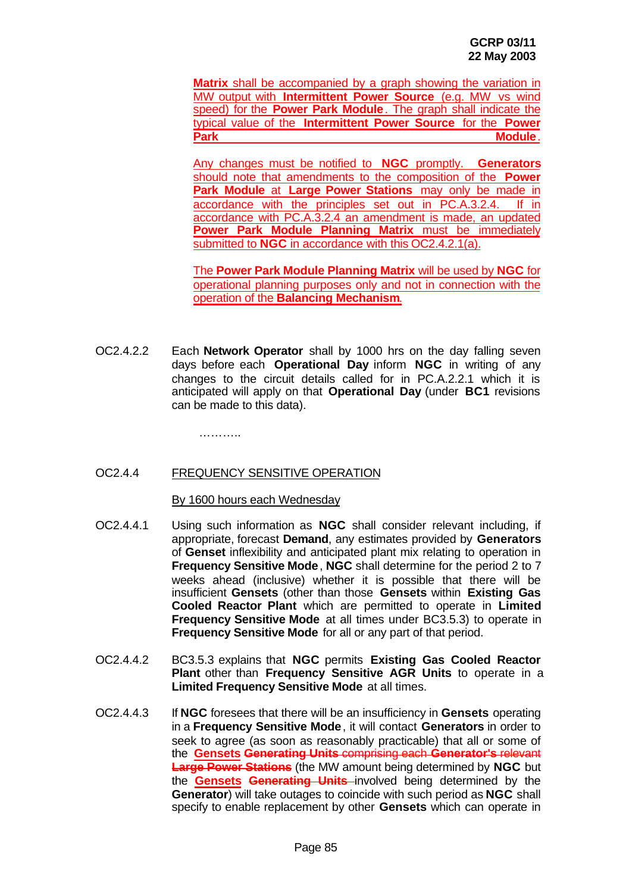**Matrix** shall be accompanied by a graph showing the variation in MW output with **Intermittent Power Source** (e.g. MW vs wind speed) for the **Power Park Module**. The graph shall indicate the typical value of the **Intermittent Power Source** for the **Power Park Module**.

Any changes must be notified to **NGC** promptly. **Generators** should note that amendments to the composition of the **Power Park Module** at **Large Power Stations** may only be made in accordance with the principles set out in PC.A.3.2.4. If in accordance with PC.A.3.2.4 an amendment is made, an updated **Power Park Module Planning Matrix** must be immediately submitted to **NGC** in accordance with this OC2.4.2.1(a).

The **Power Park Module Planning Matrix** will be used by **NGC** for operational planning purposes only and not in connection with the operation of the **Balancing Mechanism**.

OC2.4.2.2 Each **Network Operator** shall by 1000 hrs on the day falling seven days before each **Operational Day** inform **NGC** in writing of any changes to the circuit details called for in PC.A.2.2.1 which it is anticipated will apply on that **Operational Day** (under **BC1** revisions can be made to this data).

…………

#### OC2.4.4 FREQUENCY SENSITIVE OPERATION

#### By 1600 hours each Wednesday

- OC2.4.4.1 Using such information as **NGC** shall consider relevant including, if appropriate, forecast **Demand**, any estimates provided by **Generators** of **Genset** inflexibility and anticipated plant mix relating to operation in **Frequency Sensitive Mode**, **NGC** shall determine for the period 2 to 7 weeks ahead (inclusive) whether it is possible that there will be insufficient **Gensets** (other than those **Gensets** within **Existing Gas Cooled Reactor Plant** which are permitted to operate in **Limited Frequency Sensitive Mode** at all times under BC3.5.3) to operate in **Frequency Sensitive Mode** for all or any part of that period.
- OC2.4.4.2 BC3.5.3 explains that **NGC** permits **Existing Gas Cooled Reactor Plant** other than **Frequency Sensitive AGR Units** to operate in a **Limited Frequency Sensitive Mode** at all times.
- OC2.4.4.3 If **NGC** foresees that there will be an insufficiency in **Gensets** operating in a **Frequency Sensitive Mode**, it will contact **Generators** in order to seek to agree (as soon as reasonably practicable) that all or some of the **Gensets Generating Units** comprising each **Generator's** relevant **Large Power Stations** (the MW amount being determined by **NGC** but the **Gensets Generating Units** involved being determined by the **Generator**) will take outages to coincide with such period as **NGC** shall specify to enable replacement by other **Gensets** which can operate in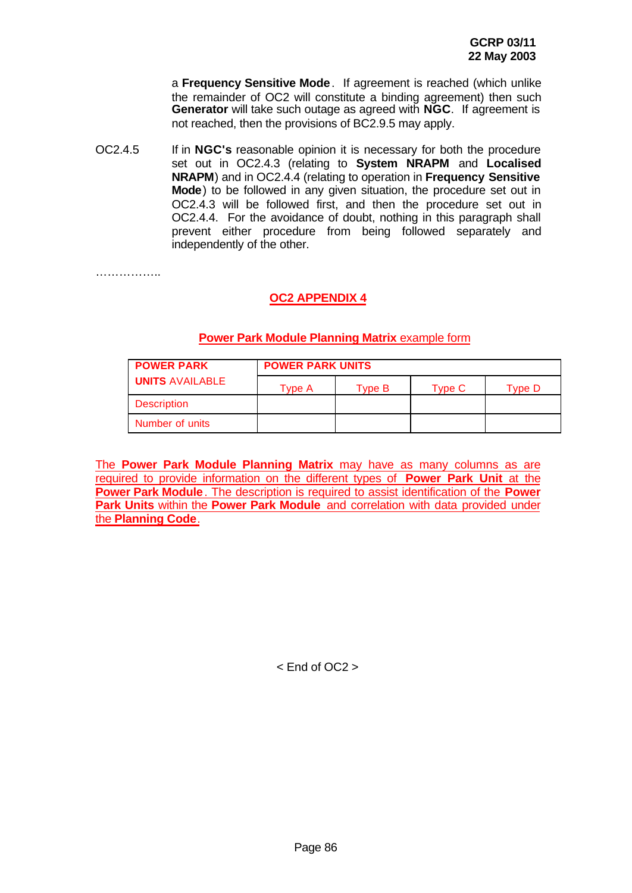a **Frequency Sensitive Mode**. If agreement is reached (which unlike the remainder of OC2 will constitute a binding agreement) then such **Generator** will take such outage as agreed with **NGC**. If agreement is not reached, then the provisions of BC2.9.5 may apply.

OC2.4.5 If in **NGC's** reasonable opinion it is necessary for both the procedure set out in OC2.4.3 (relating to **System NRAPM** and **Localised NRAPM**) and in OC2.4.4 (relating to operation in **Frequency Sensitive Mode**) to be followed in any given situation, the procedure set out in OC2.4.3 will be followed first, and then the procedure set out in OC2.4.4. For the avoidance of doubt, nothing in this paragraph shall prevent either procedure from being followed separately and independently of the other.

………………

# **OC2 APPENDIX 4**

| <b>POWER PARK</b>      | <b>POWER PARK UNITS</b> |        |        |        |
|------------------------|-------------------------|--------|--------|--------|
| <b>UNITS AVAILABLE</b> | Tvpe A                  | Tvpe B | Tvpe C | Tvpe D |
| <b>Description</b>     |                         |        |        |        |
| Number of units        |                         |        |        |        |

#### **Power Park Module Planning Matrix** example form

The **Power Park Module Planning Matrix** may have as many columns as are required to provide information on the different types of **Power Park Unit** at the **Power Park Module**. The description is required to assist identification of the **Power Park Units** within the **Power Park Module** and correlation with data provided under the **Planning Code**.

< End of OC2 >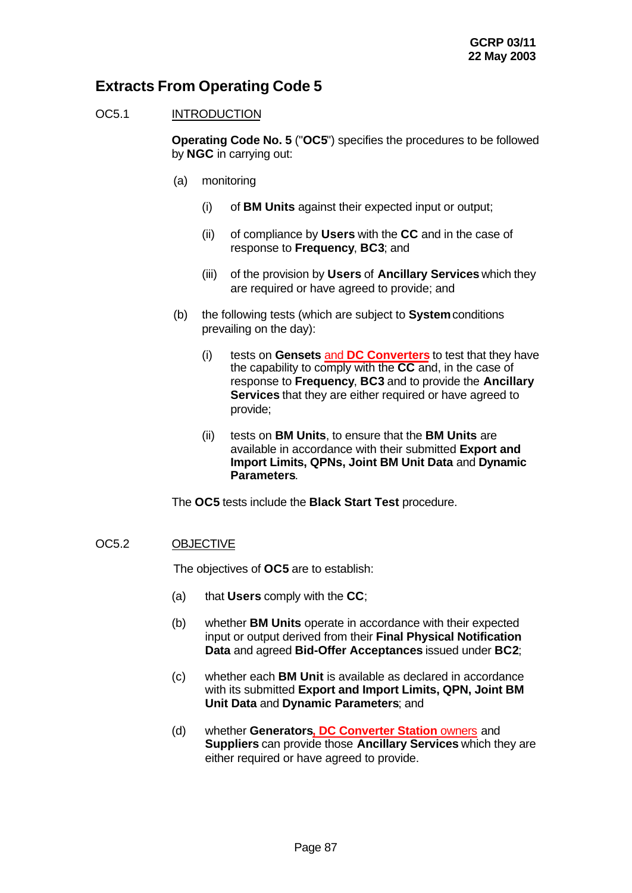# **Extracts From Operating Code 5**

# OC5.1 INTRODUCTION

**Operating Code No. 5** ("**OC5**") specifies the procedures to be followed by **NGC** in carrying out:

- (a) monitoring
	- (i) of **BM Units** against their expected input or output;
	- (ii) of compliance by **Users** with the **CC** and in the case of response to **Frequency**, **BC3**; and
	- (iii) of the provision by **Users** of **Ancillary Services** which they are required or have agreed to provide; and
- (b) the following tests (which are subject to **System** conditions prevailing on the day):
	- (i) tests on **Gensets** and **DC Converters** to test that they have the capability to comply with the **CC** and, in the case of response to **Frequency**, **BC3** and to provide the **Ancillary Services** that they are either required or have agreed to provide;
	- (ii) tests on **BM Units**, to ensure that the **BM Units** are available in accordance with their submitted **Export and Import Limits, QPNs, Joint BM Unit Data** and **Dynamic Parameters**.

The **OC5** tests include the **Black Start Test** procedure.

# OC5.2 OBJECTIVE

The objectives of **OC5** are to establish:

- (a) that **Users** comply with the **CC**;
- (b) whether **BM Units** operate in accordance with their expected input or output derived from their **Final Physical Notification Data** and agreed **Bid-Offer Acceptances** issued under **BC2**;
- (c) whether each **BM Unit** is available as declared in accordance with its submitted **Export and Import Limits, QPN, Joint BM Unit Data** and **Dynamic Parameters**; and
- (d) whether **Generators, DC Converter Station** owners and **Suppliers** can provide those **Ancillary Services** which they are either required or have agreed to provide.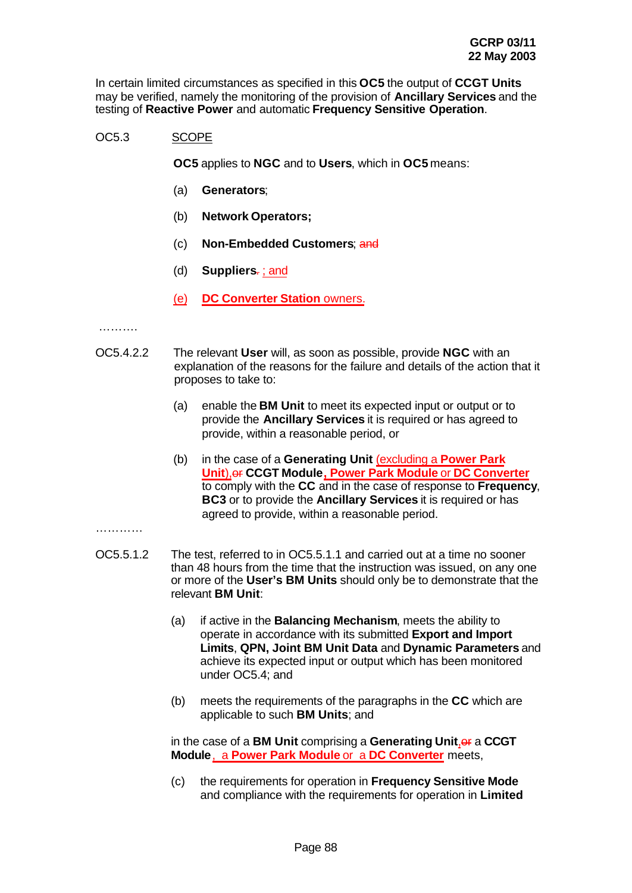In certain limited circumstances as specified in this **OC5** the output of **CCGT Units** may be verified, namely the monitoring of the provision of **Ancillary Services** and the testing of **Reactive Power** and automatic **Frequency Sensitive Operation**.

# OC5.3 SCOPE

**OC5** applies to **NGC** and to **Users**, which in **OC5** means:

- (a) **Generators**;
- (b) **Network Operators;**
- (c) **Non-Embedded Customers**; and
- (d) **Suppliers**. ; and
- (e) **DC Converter Station** owners.

#### ………

- OC5.4.2.2 The relevant **User** will, as soon as possible, provide **NGC** with an explanation of the reasons for the failure and details of the action that it proposes to take to:
	- (a) enable the **BM Unit** to meet its expected input or output or to provide the **Ancillary Services** it is required or has agreed to provide, within a reasonable period, or
	- (b) in the case of a **Generating Unit** (excluding a **Power Park Unit), or CCGT Module, Power Park Module or DC Converter** to comply with the **CC** and in the case of response to **Frequency**, **BC3** or to provide the **Ancillary Services** it is required or has agreed to provide, within a reasonable period.

#### …………

- OC5.5.1.2 The test, referred to in OC5.5.1.1 and carried out at a time no sooner than 48 hours from the time that the instruction was issued, on any one or more of the **User's BM Units** should only be to demonstrate that the relevant **BM Unit**:
	- (a) if active in the **Balancing Mechanism**, meets the ability to operate in accordance with its submitted **Export and Import Limits**, **QPN, Joint BM Unit Data** and **Dynamic Parameters** and achieve its expected input or output which has been monitored under OC5.4; and
	- (b) meets the requirements of the paragraphs in the **CC** which are applicable to such **BM Units**; and

in the case of a **BM Unit** comprising a Generating Unit, or a CCGT **Module**, a **Power Park Module** or a **DC Converter** meets,

(c) the requirements for operation in **Frequency Sensitive Mode** and compliance with the requirements for operation in **Limited**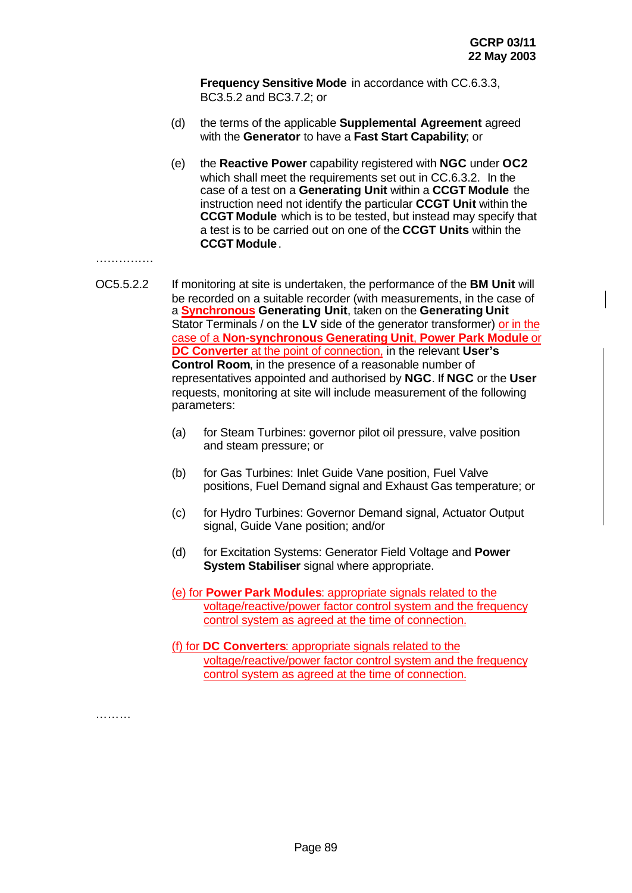**Frequency Sensitive Mode** in accordance with CC.6.3.3, BC3.5.2 and BC3.7.2; or

- (d) the terms of the applicable **Supplemental Agreement** agreed with the **Generator** to have a **Fast Start Capability**; or
- (e) the **Reactive Power** capability registered with **NGC** under **OC2** which shall meet the requirements set out in CC.6.3.2. In the case of a test on a **Generating Unit** within a **CCGT Module** the instruction need not identify the particular **CCGT Unit** within the **CCGT Module** which is to be tested, but instead may specify that a test is to be carried out on one of the **CCGT Units** within the **CCGT Module**.

#### ……………

- OC5.5.2.2 If monitoring at site is undertaken, the performance of the **BM Unit** will be recorded on a suitable recorder (with measurements, in the case of a **Synchronous Generating Unit**, taken on the **Generating Unit** Stator Terminals / on the **LV** side of the generator transformer) or in the case of a **Non-synchronous Generating Unit**, **Power Park Module** or **DC Converter** at the point of connection, in the relevant **User's Control Room**, in the presence of a reasonable number of representatives appointed and authorised by **NGC**. If **NGC** or the **User** requests, monitoring at site will include measurement of the following parameters:
	- (a) for Steam Turbines: governor pilot oil pressure, valve position and steam pressure; or
	- (b) for Gas Turbines: Inlet Guide Vane position, Fuel Valve positions, Fuel Demand signal and Exhaust Gas temperature; or
	- (c) for Hydro Turbines: Governor Demand signal, Actuator Output signal, Guide Vane position; and/or
	- (d) for Excitation Systems: Generator Field Voltage and **Power System Stabiliser** signal where appropriate.
	- (e) for **Power Park Modules**: appropriate signals related to the voltage/reactive/power factor control system and the frequency control system as agreed at the time of connection.
	- (f) for **DC Converters**: appropriate signals related to the voltage/reactive/power factor control system and the frequency control system as agreed at the time of connection.

………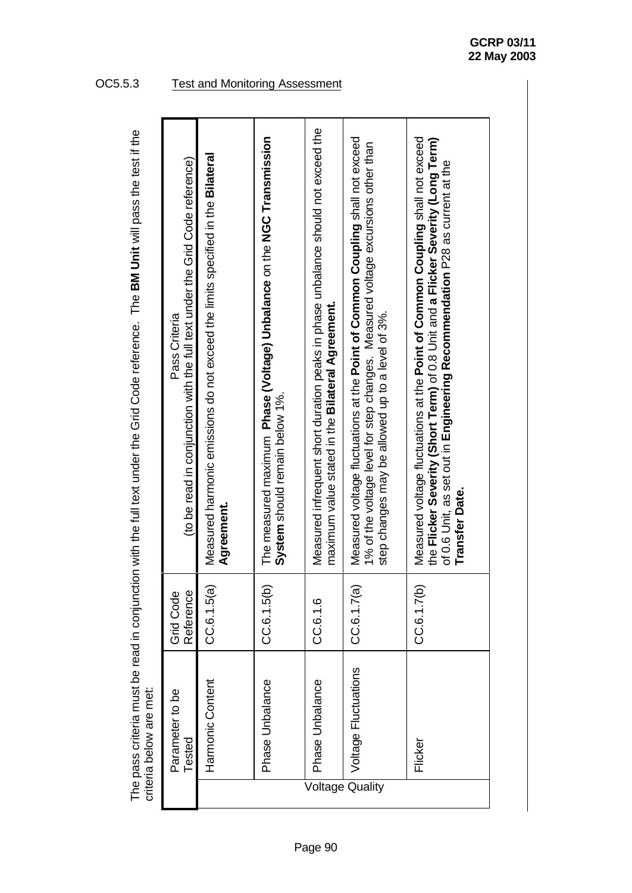|                         | (to be read in conjunction with the full text under the Grid Code reference)<br>Pass Criteria | Measured harmonic emissions do not exceed the limits specified in the Bilateral<br>Agreement. | The measured maximum Phase (Voltage) Unbalance on the NGC Transmission<br>System should remain below 1%. | Measured infrequent short duration peaks in phase unbalance should not exceed the<br>maximum value stated in the Bilateral Agreement. | Measured voltage fluctuations at the <b>Point of Common Coupling</b> shall not exceed<br>1% of the voltage level for step changes. Measured voltage excursions other than<br>step changes may be allowed up to a level of 3%. | Measured voltage fluctuations at the <b>Point of Common Coupling</b> shall not exceed<br>the Flicker Severity (Short Term) of 0.8 Unit and a Flicker Severity (Long Term)<br>of 0.6 Unit, as set out in Engineering Recommendation P28 as current at the<br><b>Transfer Date.</b> |
|-------------------------|-----------------------------------------------------------------------------------------------|-----------------------------------------------------------------------------------------------|----------------------------------------------------------------------------------------------------------|---------------------------------------------------------------------------------------------------------------------------------------|-------------------------------------------------------------------------------------------------------------------------------------------------------------------------------------------------------------------------------|-----------------------------------------------------------------------------------------------------------------------------------------------------------------------------------------------------------------------------------------------------------------------------------|
|                         | Reference<br>Grid Code                                                                        | CC.6.1.5(a)                                                                                   | CC.6.1.5(b)                                                                                              | CC.6.1.6                                                                                                                              | CC.6.1.7(a)                                                                                                                                                                                                                   | CC.6.1.7(b)                                                                                                                                                                                                                                                                       |
| criteria below are met: | Parameter to be<br>Tested                                                                     | Harmonic Content                                                                              | Phase Unbalance                                                                                          | Phase Unbalance                                                                                                                       | Voltage Fluctuations                                                                                                                                                                                                          | Flicker                                                                                                                                                                                                                                                                           |
|                         |                                                                                               |                                                                                               |                                                                                                          |                                                                                                                                       | Voltage Quality                                                                                                                                                                                                               |                                                                                                                                                                                                                                                                                   |

The pass criteria must be read in conjunction with the full text under the Grid Code reference. The BM Unit will pass the test if the The pass criteria must be read in conjunction with the full text under the Grid Code reference. The **BM Unit** will pass the test if the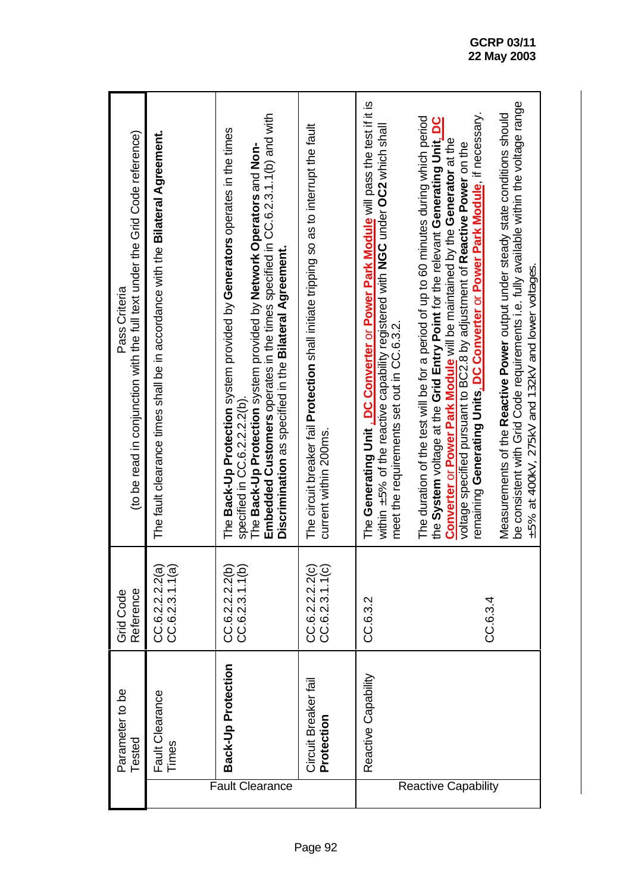|                            | Parameter to be<br>Tested          | Reference<br><b>Grid Code</b>      | (to be read in conjunction with the full text under the Grid Code reference)<br>Pass Criteria                                                                                                                                                                                                                                                                                                                       |
|----------------------------|------------------------------------|------------------------------------|---------------------------------------------------------------------------------------------------------------------------------------------------------------------------------------------------------------------------------------------------------------------------------------------------------------------------------------------------------------------------------------------------------------------|
|                            | Fault Clearance<br>Times           | CC.6.2.2.2.2(a)<br>CC.6.2.3.1.1(a) | The fault clearance times shall be in accordance with the Bilateral Agreement.                                                                                                                                                                                                                                                                                                                                      |
| Fault Clearance            | Back-Up Protection                 | CC.6.2.2.2.2(b)<br>CC.6.2.3.1.1(b) | Embedded Customers operates in the times specified in CC.6.2.3.1.1(b) and with<br>The Back-Up Protection system provided by Generators operates in the times<br>The Back-Up Protection system provided by Network Operators and Non-<br>Discrimination as specified in the Bilateral Agreement.<br>specified in CC.6.2.2.2.2(b).                                                                                    |
|                            | Circuit Breaker fail<br>Protection | CC.6.2.2.2.2(c)<br>CC.6.2.3.1.1(c) | The circuit breaker fail Protection shall initiate tripping so as to interrupt the fault<br>current within 200ms.                                                                                                                                                                                                                                                                                                   |
|                            | Reactive Capability                | CC.6.3.2                           | The Generating Unit, DC Converter or Power Park Module will pass the test if it is<br>within $\pm 5\%$ of the reactive capability registered with NGC under OC2 which shall<br>meet the requirements set out in CC.6.3.2.                                                                                                                                                                                           |
| <b>Reactive Capability</b> |                                    | CC.6.3.4                           | remaining Generating Units, DC Converter or Power Park Module, if necessary.<br>The duration of the test will be for a period of up to 60 minutes during which period<br>the System voltage at the Grid Entry Point for the relevant Generating Unit. DC<br>Converter or Power Park Module will be maintained by the Generator at the<br>voltage specified pursuant to BC2.8 by adjustment of Reactive Power on the |
|                            |                                    |                                    | be consistent with Grid Code requirements i.e. fully available within the voltage range<br>Measurements of the Reactive Power output under steady state conditions should<br>±5% at 400kV, 275kV and 132kV and lower voltages.                                                                                                                                                                                      |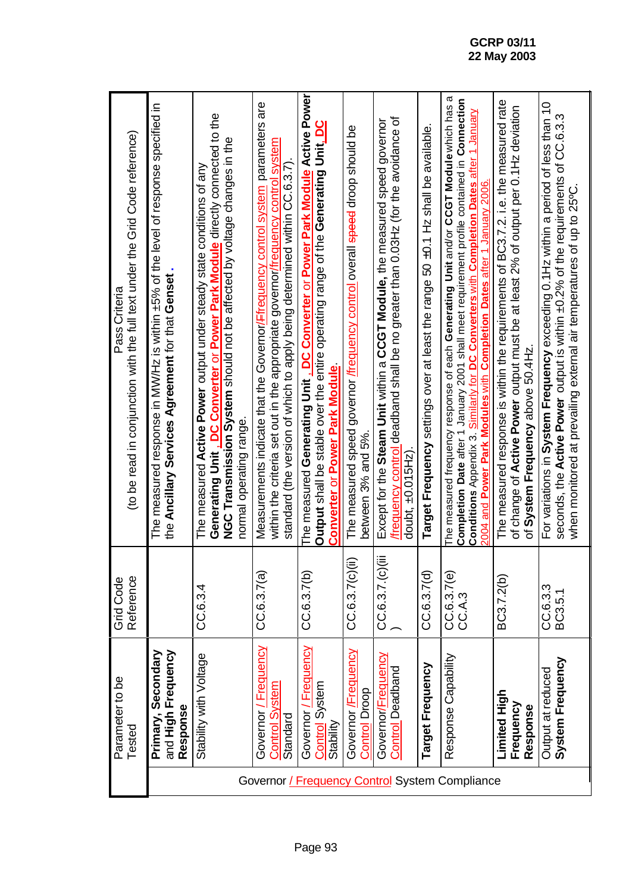| (to be read in conjunction with the full text under the Grid Code reference)<br>Pass Criteria | The measured response in MW/Hz is within ±5% of the level of response specified in<br>the Ancillary Services Agreement for that Genset | Generating Unit, DC Converter or Power Park Module directly connected to the<br>NGC Transmission System should not be affected by voltage changes in the<br>The measured Active Power output under steady state conditions of any<br>normal operating range | Measurements indicate that the Governor/Ffrequency control system parameters are<br>within the criteria set out in the appropriate governor/frequency control system<br>standard (the version of which to apply being determined within CC.6.3.7). | The measured Generating Unit, DC Converter or Power Park Module Active Power<br><b>Output shall be stable over the entire operating range of the Generating Unit. DC</b><br>Converter or Power Park Module | The measured speed governor <i>i</i> frequency control overall speed droop should be<br>between 3% and 5%. | frequency control deadband shall be no greater than 0.03Hz (for the avoidance of<br>Except for the Steam Unit within a CCGT Module, the measured speed governor<br>doubt, ±0.015Hz) | Target Frequency settings over at least the range 50 ±0.1 Hz shall be available. | ᢐ<br>Completion Date after 1 January 2001 shall meet requirement profile contained in Connection<br>The measured frequency response of each Generating Unit and/or CCGT Module which has<br>Conditions Appendix 3. Similarly for DC Converters with Completion Dates after 1 January<br>2004 and Power Park Modules with Completion Dates after 1 January 2006. | The measured response is within the requirements of BC3.7.2. i.e. the measured rate<br>of change of Active Power output must be at least 2% of output per 0.1Hz deviation<br>of System Frequency above 50.4Hz. | For variations in System Frequency exceeding 0.1Hz within a period of less than 10<br>seconds, the Active Power output is within ±0.2% of the requirements of CC.6.3.3<br>when monitored at prevailing external air temperatures of up to 25°C. |
|-----------------------------------------------------------------------------------------------|----------------------------------------------------------------------------------------------------------------------------------------|-------------------------------------------------------------------------------------------------------------------------------------------------------------------------------------------------------------------------------------------------------------|----------------------------------------------------------------------------------------------------------------------------------------------------------------------------------------------------------------------------------------------------|------------------------------------------------------------------------------------------------------------------------------------------------------------------------------------------------------------|------------------------------------------------------------------------------------------------------------|-------------------------------------------------------------------------------------------------------------------------------------------------------------------------------------|----------------------------------------------------------------------------------|-----------------------------------------------------------------------------------------------------------------------------------------------------------------------------------------------------------------------------------------------------------------------------------------------------------------------------------------------------------------|----------------------------------------------------------------------------------------------------------------------------------------------------------------------------------------------------------------|-------------------------------------------------------------------------------------------------------------------------------------------------------------------------------------------------------------------------------------------------|
| Reference<br>Grid Code                                                                        |                                                                                                                                        | CC.6.3.4                                                                                                                                                                                                                                                    | CC.6.3.7(a)                                                                                                                                                                                                                                        | CC.6.3.7(b)                                                                                                                                                                                                | CC.G.3.7(c)(ii)                                                                                            | CC.6.3.7.(c)(iii)                                                                                                                                                                   | CC.6.3.7(d)                                                                      | CC.6.3.7(e)<br>CC.A.3                                                                                                                                                                                                                                                                                                                                           | BC3.7.2(b)                                                                                                                                                                                                     | CC.6.3.3<br>BC3.5.1                                                                                                                                                                                                                             |
| Parameter to be<br>Tested                                                                     | Primary, Secondary<br>and High Frequency<br>Response                                                                                   | Stability with Voltage                                                                                                                                                                                                                                      | <b>Frequency</b><br>Control System<br>Governor<br>Standard                                                                                                                                                                                         | Governor / Frequency<br>Control System<br>Stability                                                                                                                                                        | Governor /Frequency<br>Control Droop                                                                       | Governor/ <u>Frequency</u><br><b>Control Deadband</b>                                                                                                                               | Target Frequency                                                                 | Response Capability                                                                                                                                                                                                                                                                                                                                             | Limited High<br>Frequency<br>Response                                                                                                                                                                          | System Frequency<br>Output at reduced                                                                                                                                                                                                           |
|                                                                                               | Governor / Frequency Control System Compliance                                                                                         |                                                                                                                                                                                                                                                             |                                                                                                                                                                                                                                                    |                                                                                                                                                                                                            |                                                                                                            |                                                                                                                                                                                     |                                                                                  |                                                                                                                                                                                                                                                                                                                                                                 |                                                                                                                                                                                                                |                                                                                                                                                                                                                                                 |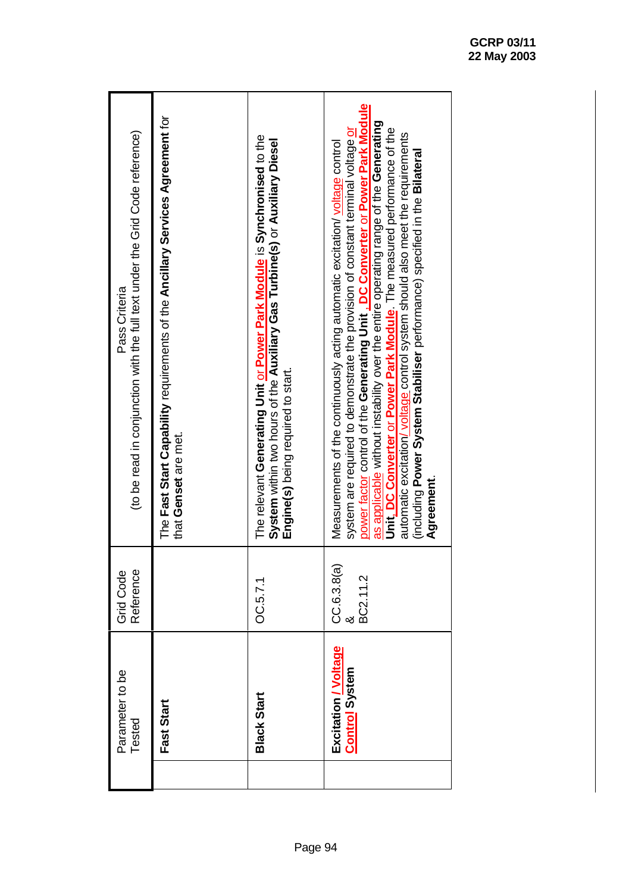| (to be read in conjunction with the full text under the Grid Code reference)<br>Pass Criteria | The Fast Start Capability requirements of the Ancillary Services Agreement for<br>that Genset are met. | The relevant Generating Unit or Power Park Module is Synchronised to the<br>System within two hours of the Auxiliary Gas Turbine(s) or Auxiliary Diesel<br>Engine(s) being required to start. | power factor control of the Generating Unit, DC Converter or Power Park Module<br>as applicable without instability over the entire operating range of the Generating<br>Unit, DC Converter or Power Park Module. The measured performance of the<br>system are required to demonstrate the provision of constant terminal voltage or<br>automatic excitation/voltage control system should also meet the requirements<br>Measurements of the continuously acting automatic excitation/voltage control<br>(including Power System Stabiliser performance) specified in the Bilateral<br>Agreement. |
|-----------------------------------------------------------------------------------------------|--------------------------------------------------------------------------------------------------------|-----------------------------------------------------------------------------------------------------------------------------------------------------------------------------------------------|----------------------------------------------------------------------------------------------------------------------------------------------------------------------------------------------------------------------------------------------------------------------------------------------------------------------------------------------------------------------------------------------------------------------------------------------------------------------------------------------------------------------------------------------------------------------------------------------------|
| Reference<br>Grid Code                                                                        |                                                                                                        | OC.5.7.1                                                                                                                                                                                      | CC.6.3.8(a)<br>BC2.11.2                                                                                                                                                                                                                                                                                                                                                                                                                                                                                                                                                                            |
| Parameter to be<br>Tested                                                                     | Fast Start                                                                                             | <b>Black Start</b>                                                                                                                                                                            | Excitation / Voltage<br><b>Control System</b>                                                                                                                                                                                                                                                                                                                                                                                                                                                                                                                                                      |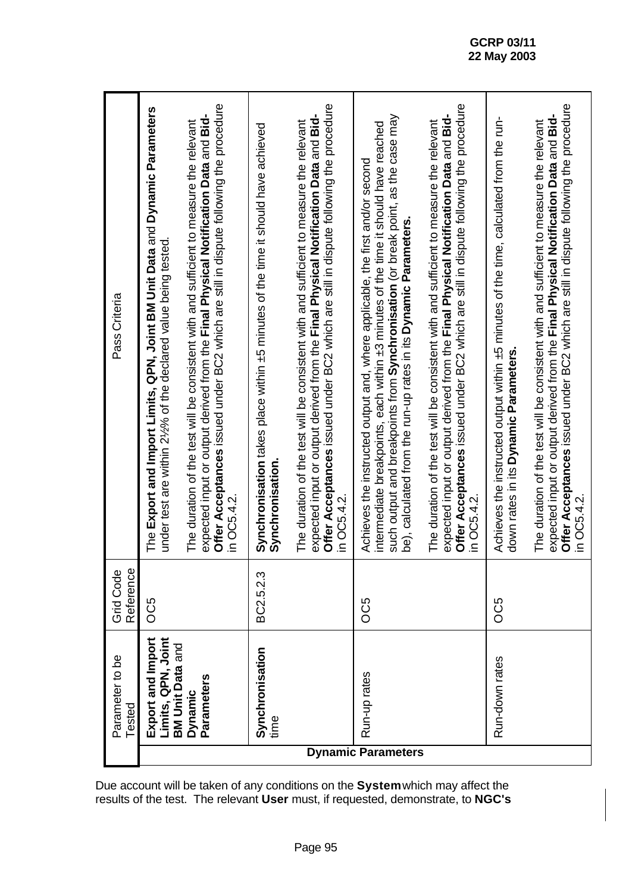| Pass Criteria                 | The Export and Import Limits, QPN, Joint BM Unit Data and Dynamic Parameters<br>under test are within 2/ <sub>2</sub> % of the declared value being tested. | Offer Acceptances issued under BC2 which are still in dispute following the procedure<br>expected input or output derived from the Final Physical Notification Data and Bid-<br>The duration of the test will be consistent with and sufficient to measure the relevant<br>in OC5.4.2 | Synchronisation takes place within ±5 minutes of the time it should have achieved<br>Synchronisation | Offer Acceptances issued under BC2 which are still in dispute following the procedure<br>expected input or output derived from the Final Physical Notification Data and Bid-<br>The duration of the test will be consistent with and sufficient to measure the relevant<br>in OC5.4.2. | such output and breakpoints from Synchronisation (or break point, as the case may<br>intermediate breakpoints, each within ±3 minutes of the time it should have reached<br>Achieves the instructed output and, where applicable, the first and/or second<br>be), calculated from the run-up rates in its Dynamic Parameters. | Offer Acceptances issued under BC2 which are still in dispute following the procedure<br>expected input or output derived from the Final Physical Notification Data and Bid-<br>The duration of the test will be consistent with and sufficient to measure the relevant<br>in OC5.4.2 | Achieves the instructed output within ±5 minutes of the time, calculated from the run-<br>down rates in its Dynamic Parameters. | Offer Acceptances issued under BC2 which are still in dispute following the procedure<br>expected input or output derived from the Final Physical Notification Data and Bid-<br>The duration of the test will be consistent with and sufficient to measure the relevant<br>in OC5.4.2 |
|-------------------------------|-------------------------------------------------------------------------------------------------------------------------------------------------------------|---------------------------------------------------------------------------------------------------------------------------------------------------------------------------------------------------------------------------------------------------------------------------------------|------------------------------------------------------------------------------------------------------|----------------------------------------------------------------------------------------------------------------------------------------------------------------------------------------------------------------------------------------------------------------------------------------|-------------------------------------------------------------------------------------------------------------------------------------------------------------------------------------------------------------------------------------------------------------------------------------------------------------------------------|---------------------------------------------------------------------------------------------------------------------------------------------------------------------------------------------------------------------------------------------------------------------------------------|---------------------------------------------------------------------------------------------------------------------------------|---------------------------------------------------------------------------------------------------------------------------------------------------------------------------------------------------------------------------------------------------------------------------------------|
| <b>Grid Code</b><br>Reference | OC5                                                                                                                                                         |                                                                                                                                                                                                                                                                                       | BC2.5.2.3                                                                                            |                                                                                                                                                                                                                                                                                        | OC5                                                                                                                                                                                                                                                                                                                           |                                                                                                                                                                                                                                                                                       | OC5                                                                                                                             |                                                                                                                                                                                                                                                                                       |
| Parameter to be<br>Tested     | Limits, QPN, Joint<br>Export and Import<br><b>BM Unit Data and</b>                                                                                          | Parameters<br>Dynamic                                                                                                                                                                                                                                                                 | Synchronisation<br>time                                                                              |                                                                                                                                                                                                                                                                                        | Run-up rates<br><b>Dynamic Parameters</b>                                                                                                                                                                                                                                                                                     |                                                                                                                                                                                                                                                                                       | Run-down rates                                                                                                                  |                                                                                                                                                                                                                                                                                       |

Due account will be taken of any conditions on the **System** which may affect the results of the test. The relevant **User** must, if requested, demonstrate, to **NGC's**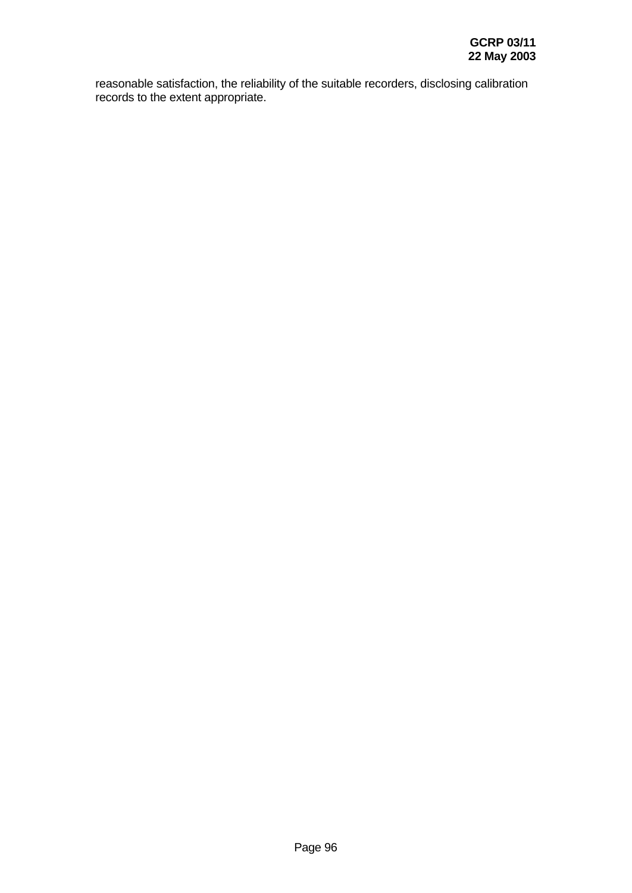reasonable satisfaction, the reliability of the suitable recorders, disclosing calibration records to the extent appropriate.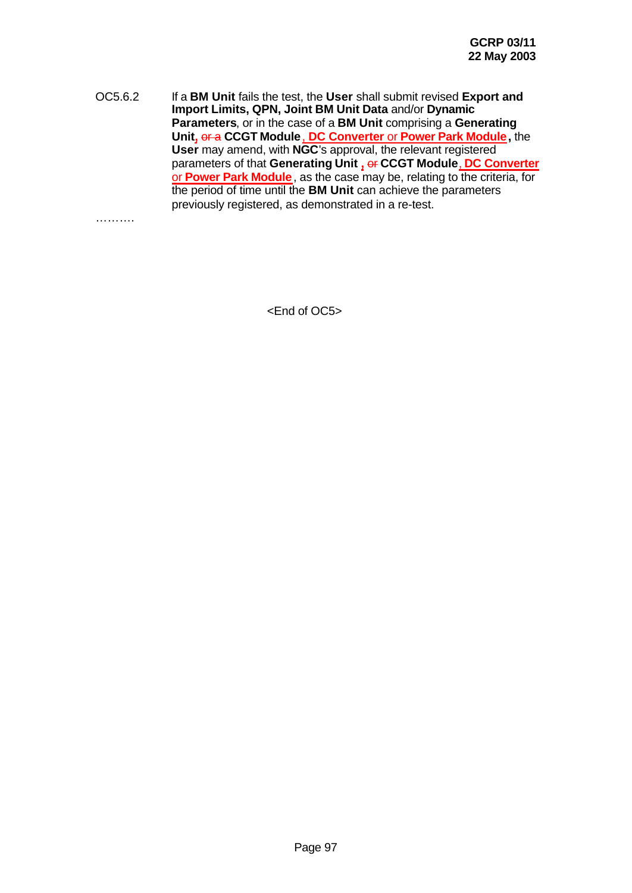OC5.6.2 If a **BM Unit** fails the test, the **User** shall submit revised **Export and Import Limits, QPN, Joint BM Unit Data** and/or **Dynamic Parameters**, or in the case of a **BM Unit** comprising a **Generating Unit,** or a **CCGT Module**, **DC Converter** or **Power Park Module,** the **User** may amend, with **NGC**'s approval, the relevant registered parameters of that **Generating Unit ,** or **CCGT Module**, **DC Converter** or **Power Park Module**, as the case may be, relating to the criteria, for the period of time until the **BM Unit** can achieve the parameters previously registered, as demonstrated in a re-test.

……….

<End of OC5>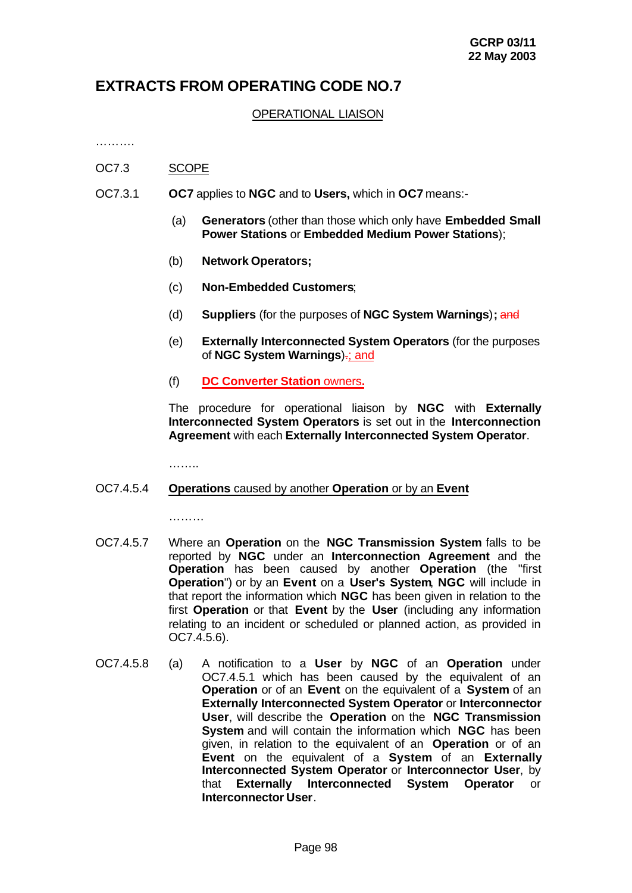# **EXTRACTS FROM OPERATING CODE NO.7**

### OPERATIONAL LIAISON

…………

- OC7.3 SCOPE
- OC7.3.1 **OC7** applies to **NGC** and to **Users,** which in **OC7** means:-
	- (a) **Generators** (other than those which only have **Embedded Small Power Stations** or **Embedded Medium Power Stations**);
	- (b) **Network Operators;**
	- (c) **Non-Embedded Customers**;
	- (d) **Suppliers** (for the purposes of **NGC System Warnings**)**;** and
	- (e) **Externally Interconnected System Operators** (for the purposes of **NGC System Warnings**).; and
	- (f) **DC Converter Station** owners**.**

The procedure for operational liaison by **NGC** with **Externally Interconnected System Operators** is set out in the **Interconnection Agreement** with each **Externally Interconnected System Operator**.

……..

#### OC7.4.5.4 **Operations** caused by another **Operation** or by an **Event**

………

- OC7.4.5.7 Where an **Operation** on the **NGC Transmission System** falls to be reported by **NGC** under an **Interconnection Agreement** and the **Operation** has been caused by another **Operation** (the "first **Operation**") or by an **Event** on a **User's System**, **NGC** will include in that report the information which **NGC** has been given in relation to the first **Operation** or that **Event** by the **User** (including any information relating to an incident or scheduled or planned action, as provided in OC7.4.5.6).
- OC7.4.5.8 (a) A notification to a **User** by **NGC** of an **Operation** under OC7.4.5.1 which has been caused by the equivalent of an **Operation** or of an **Event** on the equivalent of a **System** of an **Externally Interconnected System Operator** or **Interconnector User**, will describe the **Operation** on the **NGC Transmission System** and will contain the information which **NGC** has been given, in relation to the equivalent of an **Operation** or of an **Event** on the equivalent of a **System** of an **Externally Interconnected System Operator** or **Interconnector User**, by that **Externally Interconnected System Operator** or **Interconnector User**.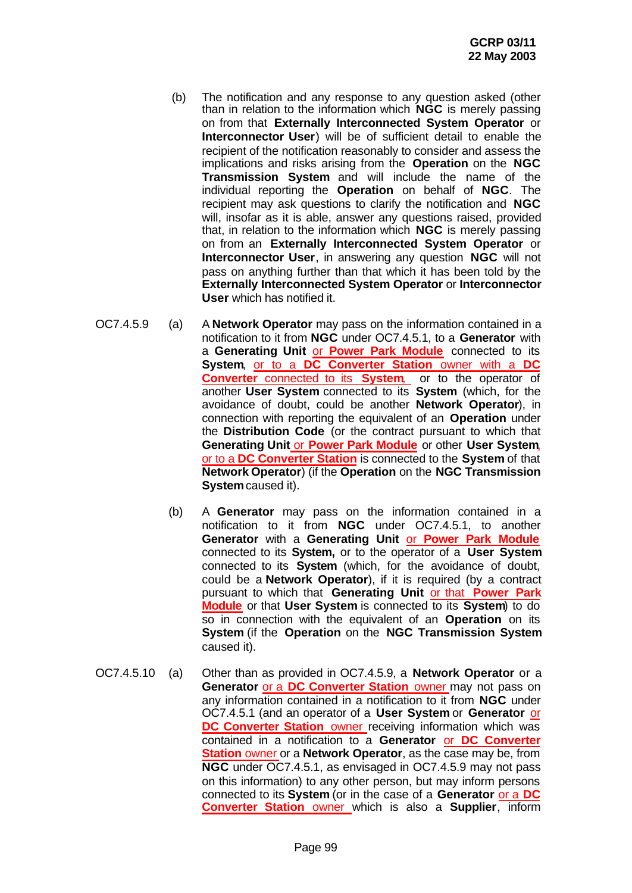- (b) The notification and any response to any question asked (other than in relation to the information which **NGC** is merely passing on from that **Externally Interconnected System Operator** or **Interconnector User**) will be of sufficient detail to enable the recipient of the notification reasonably to consider and assess the implications and risks arising from the **Operation** on the **NGC Transmission System** and will include the name of the individual reporting the **Operation** on behalf of **NGC**. The recipient may ask questions to clarify the notification and **NGC** will, insofar as it is able, answer any questions raised, provided that, in relation to the information which **NGC** is merely passing on from an **Externally Interconnected System Operator** or **Interconnector User**, in answering any question **NGC** will not pass on anything further than that which it has been told by the **Externally Interconnected System Operator** or **Interconnector User** which has notified it.
- OC7.4.5.9 (a) A **Network Operator** may pass on the information contained in a notification to it from **NGC** under OC7.4.5.1, to a **Generator** with a **Generating Unit** or **Power Park Module** connected to its **System**, or to a **DC Converter Station** owner with a **DC Converter** connected to its **System**, or to the operator of another **User System** connected to its **System** (which, for the avoidance of doubt, could be another **Network Operator**), in connection with reporting the equivalent of an **Operation** under the **Distribution Code** (or the contract pursuant to which that **Generating Unit** or **Power Park Module** or other **User System**, or to a **DC Converter Station** is connected to the **System** of that **Network Operator**) (if the **Operation** on the **NGC Transmission System** caused it).
	- (b) A **Generator** may pass on the information contained in a notification to it from **NGC** under OC7.4.5.1, to another **Generator** with a **Generating Unit** or **Power Park Module** connected to its **System,** or to the operator of a **User System** connected to its **System** (which, for the avoidance of doubt, could be a **Network Operator**), if it is required (by a contract pursuant to which that **Generating Unit** or that **Power Park Module** or that **User System** is connected to its **System**) to do so in connection with the equivalent of an **Operation** on its **System** (if the **Operation** on the **NGC Transmission System** caused it).
- OC7.4.5.10 (a) Other than as provided in OC7.4.5.9, a **Network Operator** or a **Generator** or a **DC Converter Station** owner may not pass on any information contained in a notification to it from **NGC** under OC7.4.5.1 (and an operator of a **User System** or **Generator** or **DC Converter Station** owner receiving information which was contained in a notification to a **Generator** or **DC Converter Station** owner or a **Network Operator**, as the case may be, from **NGC** under OC7.4.5.1, as envisaged in OC7.4.5.9 may not pass on this information) to any other person, but may inform persons connected to its **System** (or in the case of a **Generator** or a **DC Converter Station** owner which is also a **Supplier**, inform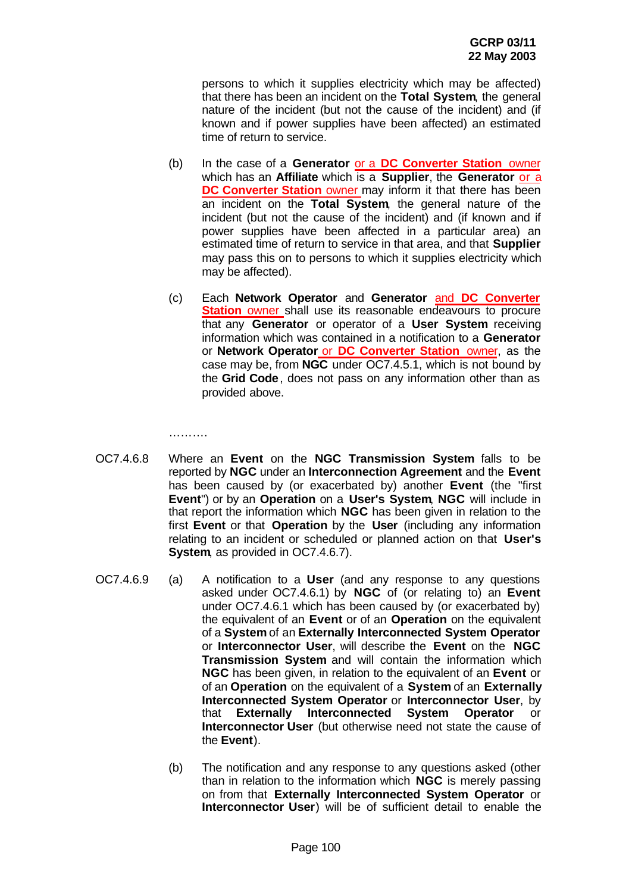persons to which it supplies electricity which may be affected) that there has been an incident on the **Total System**, the general nature of the incident (but not the cause of the incident) and (if known and if power supplies have been affected) an estimated time of return to service.

- (b) In the case of a **Generator** or a **DC Converter Station** owner which has an **Affiliate** which is a **Supplier**, the **Generator** or a **DC Converter Station** owner may inform it that there has been an incident on the **Total System**, the general nature of the incident (but not the cause of the incident) and (if known and if power supplies have been affected in a particular area) an estimated time of return to service in that area, and that **Supplier** may pass this on to persons to which it supplies electricity which may be affected).
- (c) Each **Network Operator** and **Generator** and **DC Converter Station** owner shall use its reasonable endeavours to procure that any **Generator** or operator of a **User System** receiving information which was contained in a notification to a **Generator** or **Network Operator** or **DC Converter Station** owner, as the case may be, from **NGC** under OC7.4.5.1, which is not bound by the **Grid Code**, does not pass on any information other than as provided above.

……….

- OC7.4.6.8 Where an **Event** on the **NGC Transmission System** falls to be reported by **NGC** under an **Interconnection Agreement** and the **Event** has been caused by (or exacerbated by) another **Event** (the "first **Event**") or by an **Operation** on a **User's System**, **NGC** will include in that report the information which **NGC** has been given in relation to the first **Event** or that **Operation** by the **User** (including any information relating to an incident or scheduled or planned action on that **User's System**, as provided in OC7.4.6.7).
- OC7.4.6.9 (a) A notification to a **User** (and any response to any questions asked under OC7.4.6.1) by **NGC** of (or relating to) an **Event** under OC7.4.6.1 which has been caused by (or exacerbated by) the equivalent of an **Event** or of an **Operation** on the equivalent of a **System** of an **Externally Interconnected System Operator** or **Interconnector User**, will describe the **Event** on the **NGC Transmission System** and will contain the information which **NGC** has been given, in relation to the equivalent of an **Event** or of an **Operation** on the equivalent of a **System** of an **Externally Interconnected System Operator** or **Interconnector User**, by that **Externally Interconnected System Operator** or **Interconnector User** (but otherwise need not state the cause of the **Event**).
	- (b) The notification and any response to any questions asked (other than in relation to the information which **NGC** is merely passing on from that **Externally Interconnected System Operator** or **Interconnector User**) will be of sufficient detail to enable the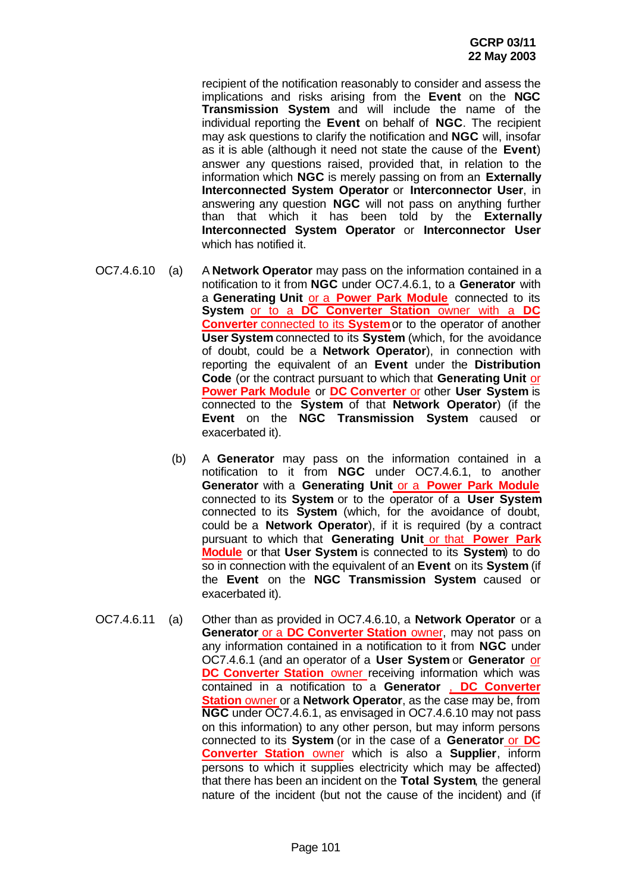recipient of the notification reasonably to consider and assess the implications and risks arising from the **Event** on the **NGC Transmission System** and will include the name of the individual reporting the **Event** on behalf of **NGC**. The recipient may ask questions to clarify the notification and **NGC** will, insofar as it is able (although it need not state the cause of the **Event**) answer any questions raised, provided that, in relation to the information which **NGC** is merely passing on from an **Externally Interconnected System Operator** or **Interconnector User**, in answering any question **NGC** will not pass on anything further than that which it has been told by the **Externally Interconnected System Operator** or **Interconnector User** which has notified it.

- OC7.4.6.10 (a) A **Network Operator** may pass on the information contained in a notification to it from **NGC** under OC7.4.6.1, to a **Generator** with a **Generating Unit** or a **Power Park Module** connected to its **System** or to a **DC Converter Station** owner with a **DC Converter** connected to its **System**or to the operator of another **User System** connected to its **System** (which, for the avoidance of doubt, could be a **Network Operator**), in connection with reporting the equivalent of an **Event** under the **Distribution Code** (or the contract pursuant to which that **Generating Unit** or **Power Park Module** or **DC Converter** or other **User System** is connected to the **System** of that **Network Operator**) (if the **Event** on the **NGC Transmission System** caused or exacerbated it).
	- (b) A **Generator** may pass on the information contained in a notification to it from **NGC** under OC7.4.6.1, to another **Generator** with a **Generating Unit** or a **Power Park Module** connected to its **System** or to the operator of a **User System** connected to its **System** (which, for the avoidance of doubt, could be a **Network Operator**), if it is required (by a contract pursuant to which that **Generating Unit** or that **Power Park Module** or that **User System** is connected to its **System**) to do so in connection with the equivalent of an **Event** on its **System** (if the **Event** on the **NGC Transmission System** caused or exacerbated it).
- OC7.4.6.11 (a) Other than as provided in OC7.4.6.10, a **Network Operator** or a **Generator or a DC Converter Station** owner, may not pass on any information contained in a notification to it from **NGC** under OC7.4.6.1 (and an operator of a **User System** or **Generator** or **DC Converter Station** owner receiving information which was contained in a notification to a **Generator** , **DC Converter Station** owner or a **Network Operator**, as the case may be, from **NGC** under OC7.4.6.1, as envisaged in OC7.4.6.10 may not pass on this information) to any other person, but may inform persons connected to its **System** (or in the case of a **Generator** or **DC Converter Station** owner which is also a **Supplier**, inform persons to which it supplies electricity which may be affected) that there has been an incident on the **Total System**, the general nature of the incident (but not the cause of the incident) and (if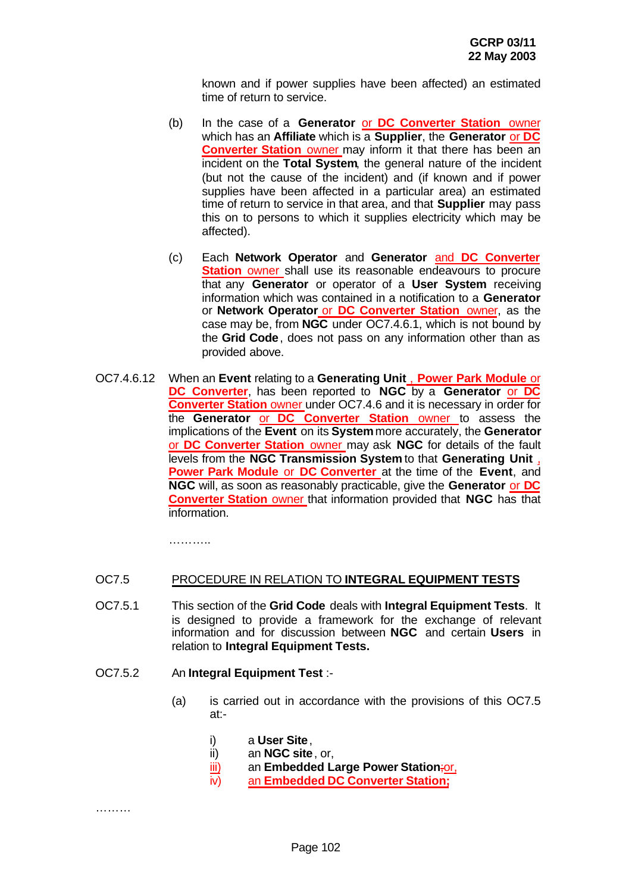known and if power supplies have been affected) an estimated time of return to service.

- (b) In the case of a **Generator** or **DC Converter Station** owner which has an **Affiliate** which is a **Supplier**, the **Generator** or **DC Converter Station** owner may inform it that there has been an incident on the **Total System**, the general nature of the incident (but not the cause of the incident) and (if known and if power supplies have been affected in a particular area) an estimated time of return to service in that area, and that **Supplier** may pass this on to persons to which it supplies electricity which may be affected).
- (c) Each **Network Operator** and **Generator** and **DC Converter Station** owner shall use its reasonable endeavours to procure that any **Generator** or operator of a **User System** receiving information which was contained in a notification to a **Generator** or **Network Operator** or **DC Converter Station** owner, as the case may be, from **NGC** under OC7.4.6.1, which is not bound by the **Grid Code**, does not pass on any information other than as provided above.
- OC7.4.6.12 When an **Event** relating to a **Generating Unit** , **Power Park Module** or **DC Converter**, has been reported to **NGC** by a **Generator** or **DC Converter Station** owner under OC7.4.6 and it is necessary in order for the **Generator** or **DC Converter Station** owner to assess the implications of the **Event** on its **System** more accurately, the **Generator** or **DC Converter Station** owner may ask **NGC** for details of the fault levels from the **NGC Transmission System** to that **Generating Unit** , **Power Park Module** or **DC Converter** at the time of the **Event**, and **NGC** will, as soon as reasonably practicable, give the **Generator** or **DC Converter Station** owner that information provided that **NGC** has that information.

………..

# OC7.5 PROCEDURE IN RELATION TO **INTEGRAL EQUIPMENT TESTS**

OC7.5.1 This section of the **Grid Code** deals with **Integral Equipment Tests**. It is designed to provide a framework for the exchange of relevant information and for discussion between **NGC** and certain **Users** in relation to **Integral Equipment Tests.**

#### OC7.5.2 An **Integral Equipment Test** :-

- (a) is carried out in accordance with the provisions of this OC7.5 at:
	- i) a **User Site**,
	- ii) an **NGC site**, or,
	- iii) an **Embedded Large Power Station**;or,
	- iv) an **Embedded DC Converter Station;**

………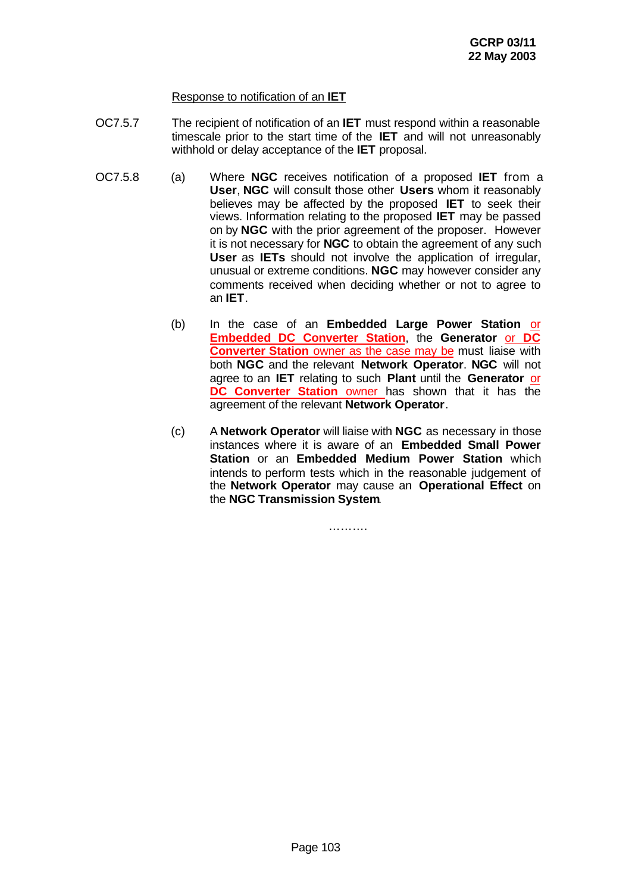# Response to notification of an **IET**

- OC7.5.7 The recipient of notification of an **IET** must respond within a reasonable timescale prior to the start time of the **IET** and will not unreasonably withhold or delay acceptance of the **IET** proposal.
- OC7.5.8 (a) Where **NGC** receives notification of a proposed **IET** from a **User**, **NGC** will consult those other **Users** whom it reasonably believes may be affected by the proposed **IET** to seek their views. Information relating to the proposed **IET** may be passed on by **NGC** with the prior agreement of the proposer. However it is not necessary for **NGC** to obtain the agreement of any such **User** as **IETs** should not involve the application of irregular, unusual or extreme conditions. **NGC** may however consider any comments received when deciding whether or not to agree to an **IET**.
	- (b) In the case of an **Embedded Large Power Station** or **Embedded DC Converter Station**, the **Generator** or **DC Converter Station** owner as the case may be must liaise with both **NGC** and the relevant **Network Operator**. **NGC** will not agree to an **IET** relating to such **Plant** until the **Generator** or **DC Converter Station** owner has shown that it has the agreement of the relevant **Network Operator**.
	- (c) A **Network Operator** will liaise with **NGC** as necessary in those instances where it is aware of an **Embedded Small Power Station** or an **Embedded Medium Power Station** which intends to perform tests which in the reasonable judgement of the **Network Operator** may cause an **Operational Effect** on the **NGC Transmission System**.

…………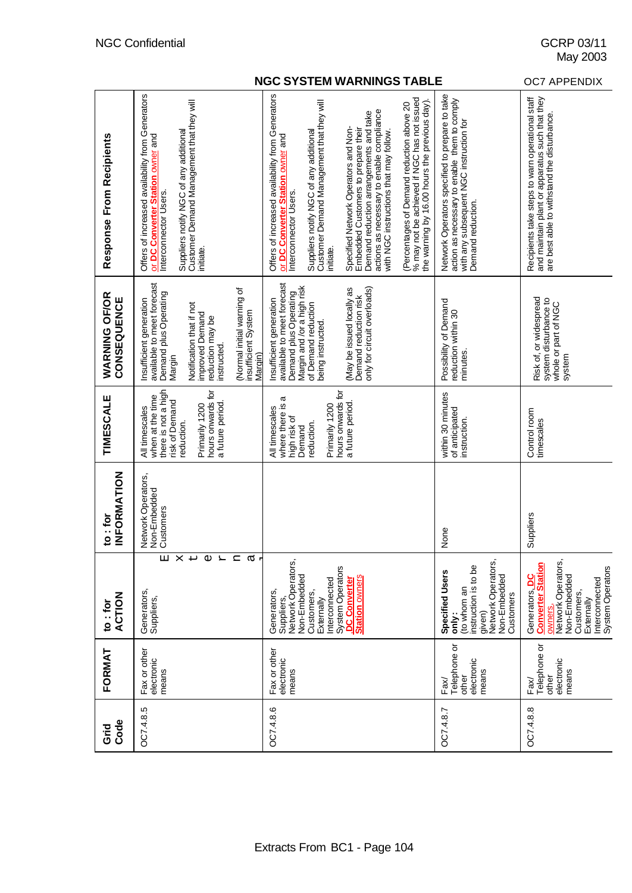|                                | <b>OC7 APPENDIX</b>                                                                                                                                                                                                                        |                                                                                                                                                                                                                                                                                                                                                                                                                                                                                                                                                                                 |                                                                                                                                                                |                                                                                                                                                            |
|--------------------------------|--------------------------------------------------------------------------------------------------------------------------------------------------------------------------------------------------------------------------------------------|---------------------------------------------------------------------------------------------------------------------------------------------------------------------------------------------------------------------------------------------------------------------------------------------------------------------------------------------------------------------------------------------------------------------------------------------------------------------------------------------------------------------------------------------------------------------------------|----------------------------------------------------------------------------------------------------------------------------------------------------------------|------------------------------------------------------------------------------------------------------------------------------------------------------------|
| Response From Recipients       | Offers of increased availability from Generators<br>Suppliers notify NGC of any additional<br>Customer Demand Management that they will<br>or DC Converter Station owner and<br>Interconnector Users.<br>initiate.                         | Offers of increased availability from Generators<br>% may not be achieved if NGC has not issued<br>the warning by 16.00 hours the previous day).<br>Customer Demand Management that they will<br>(Percentages of Demand reduction above 20<br>actions as necessary to enable compliance<br>with NGC instructions that may follow.<br>Demand reduction arrangements and take<br>Specified Network Operators and Non-<br>Embedded Customers to prepare their<br>Suppliers notify NGC of any additional<br>or DC Converter Station owner and<br>Interconnector Users.<br>initiate. | Network Operators specified to prepare to take<br>action as necessary to enable them to comply<br>with any subsequent NGC instruction for<br>Demand reduction. | Recipients take steps to warn operational staff<br>and maintain plant or apparatus such that they<br>are best able to withstand the disturbance            |
| WARNING OF/OR<br>CONSEQUENCE   | available to meet forecast<br>(Normal initial warning of<br>Demand plus Operating<br>Insufficient generation<br>Notification that if not<br>insufficient System<br>improved Demand<br>reduction may be<br>instructed.<br>Margin)<br>Margin | available to meet forecast<br>Margin and /or a high risk<br>(May be issued locally as<br>only for circuit overloads)<br>Demand plus Operating<br>Demand reduction risk<br>Insufficient generation<br>of Demand reduction<br>being instructed.                                                                                                                                                                                                                                                                                                                                   | Possibility of Demand<br>reduction within 30<br>minutes.                                                                                                       | Risk of, or widespread<br>system disturbance to<br>whole or part of NGC<br>system                                                                          |
| TIMESCALE                      | there is not a high<br>hours onwards for<br>when at the time<br>risk of Demand<br>a future period<br>Primarily 1200<br>All timescales<br>reduction.                                                                                        | hours onwards for<br>a<br>a future period.<br>where there is<br>Primarily 1200<br>All timescales<br>high risk of<br>reduction.<br>Demand                                                                                                                                                                                                                                                                                                                                                                                                                                        | within 30 minutes<br>of anticipated<br>instruction.                                                                                                            | Control room<br>timescales                                                                                                                                 |
| <b>INFORMATION</b><br>to : for | Network Operators,<br>Non-Embedded<br>Customers                                                                                                                                                                                            |                                                                                                                                                                                                                                                                                                                                                                                                                                                                                                                                                                                 | None                                                                                                                                                           | Suppliers                                                                                                                                                  |
| <b>ACTION</b><br>to: for       | X<br>$\mathbb U$<br>$\mathsf{H}$<br>囜<br>Ч<br>൯<br>↵<br>Generators,<br>Suppliers,                                                                                                                                                          | Network Operators,<br>System Operators<br>Non-Embedded<br><b>Station owners</b><br><b>DC</b> Converter<br>nterconnected<br>Generators,<br>Customers,<br>Suppliers,<br>Externally                                                                                                                                                                                                                                                                                                                                                                                                | Network Operators<br>instruction is to be<br><b>Specified Users</b><br>Non-Embedded<br>to whom an<br>Customers<br>given)<br>only:                              | Network Operators,<br>System Operators<br>Non-Embedded<br>Generators <b>DC</b><br>Interconnected<br>Customers,<br><b>Converter</b><br>Externally<br>owners |
| FORMAT                         | Fax or other<br>electronic<br>means                                                                                                                                                                                                        | Fax or other<br>electronic<br>means                                                                                                                                                                                                                                                                                                                                                                                                                                                                                                                                             | Telephone or<br>electronic<br>means<br>other<br>Fax/                                                                                                           | Telephone or<br>electronic<br>means<br>other<br>Fax/                                                                                                       |
| Code<br>Grid                   | OC7.4.8.5                                                                                                                                                                                                                                  | OC748.6                                                                                                                                                                                                                                                                                                                                                                                                                                                                                                                                                                         | OC748.7                                                                                                                                                        | OC748.8                                                                                                                                                    |

May 2003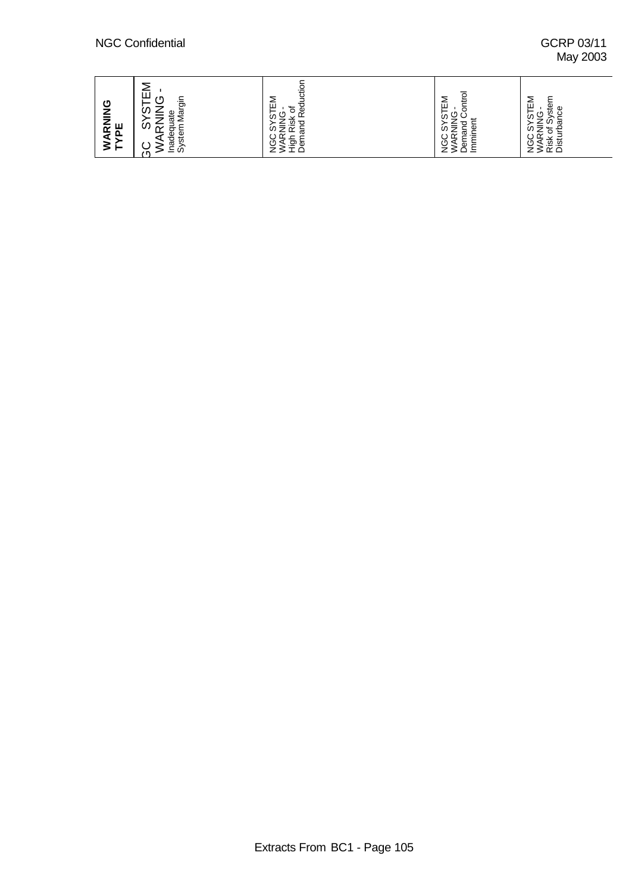# May 2003

| RNING<br>ш<br>മ<br>◢<br>⋝⊢ | ш<br>$\overline{ }$<br>O<br>Margir<br>⇁<br>U.<br>uate<br><u>_</u><br>$\overline{\phantom{0}}$<br>ഗ<br>$\sim$<br>Inadequ<br>System<br>◡ | λeq<br>ш<br>৳<br>⋍<br>Rish<br>⊵<br>≘<br>のっ<br>ট্র<br>≈<br>$\overline{\phantom{0}}$<br>÷<br>চ্চ<br>ه<br>قِ<br>⋖<br>≔ | ΕM<br>€<br>ā<br>⊢<br>S<br>◡<br>⊭<br>₫<br>፟፟፼<br>ラ<br>S<br>运<br>≂<br>È<br>তূ<br>ত<br>◅<br>흐<br>– | -<br>≂<br>⋍<br>ster<br>ш<br>Φ<br>−<br>σ<br>Ò.<br>. တိ<br>-<br>ಹ<br>_<br>ωI<br>ੱਠ ਦ੍ਰੋ<br>≈<br>9)<br>Risk<br>Dist |
|----------------------------|----------------------------------------------------------------------------------------------------------------------------------------|---------------------------------------------------------------------------------------------------------------------|-------------------------------------------------------------------------------------------------|------------------------------------------------------------------------------------------------------------------|
|----------------------------|----------------------------------------------------------------------------------------------------------------------------------------|---------------------------------------------------------------------------------------------------------------------|-------------------------------------------------------------------------------------------------|------------------------------------------------------------------------------------------------------------------|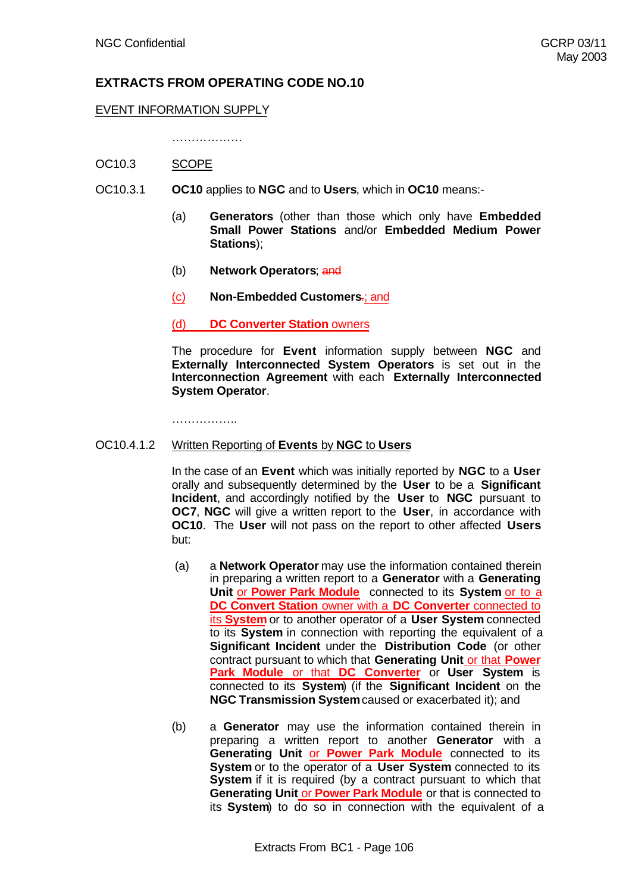# **EXTRACTS FROM OPERATING CODE NO.10**

#### EVENT INFORMATION SUPPLY

……………………

- OC10.3 SCOPE
- OC10.3.1 **OC10** applies to **NGC** and to **Users**, which in **OC10** means:-
	- (a) **Generators** (other than those which only have **Embedded Small Power Stations** and/or **Embedded Medium Power Stations**);
	- (b) **Network Operators**; and
	- (c) **Non-Embedded Customers**.; and

(d) **DC Converter Station** owners

The procedure for **Event** information supply between **NGC** and **Externally Interconnected System Operators** is set out in the **Interconnection Agreement** with each **Externally Interconnected System Operator**.

………………

#### OC10.4.1.2 Written Reporting of **Events** by **NGC** to **Users**

In the case of an **Event** which was initially reported by **NGC** to a **User** orally and subsequently determined by the **User** to be a **Significant Incident**, and accordingly notified by the **User** to **NGC** pursuant to **OC7**, **NGC** will give a written report to the **User**, in accordance with **OC10**. The **User** will not pass on the report to other affected **Users** but:

- (a) a **Network Operator** may use the information contained therein in preparing a written report to a **Generator** with a **Generating Unit** or **Power Park Module** connected to its **System** or to a **DC Convert Station** owner with a **DC Converter** connected to its **System** or to another operator of a **User System** connected to its **System** in connection with reporting the equivalent of a **Significant Incident** under the **Distribution Code** (or other contract pursuant to which that **Generating Unit** or that **Power Park Module** or that **DC Converter** or **User System** is connected to its **System**) (if the **Significant Incident** on the **NGC Transmission System** caused or exacerbated it); and
- (b) a **Generator** may use the information contained therein in preparing a written report to another **Generator** with a **Generating Unit** or **Power Park Module** connected to its **System** or to the operator of a **User System** connected to its **System** if it is required (by a contract pursuant to which that **Generating Unit** or **Power Park Module** or that is connected to its **System**) to do so in connection with the equivalent of a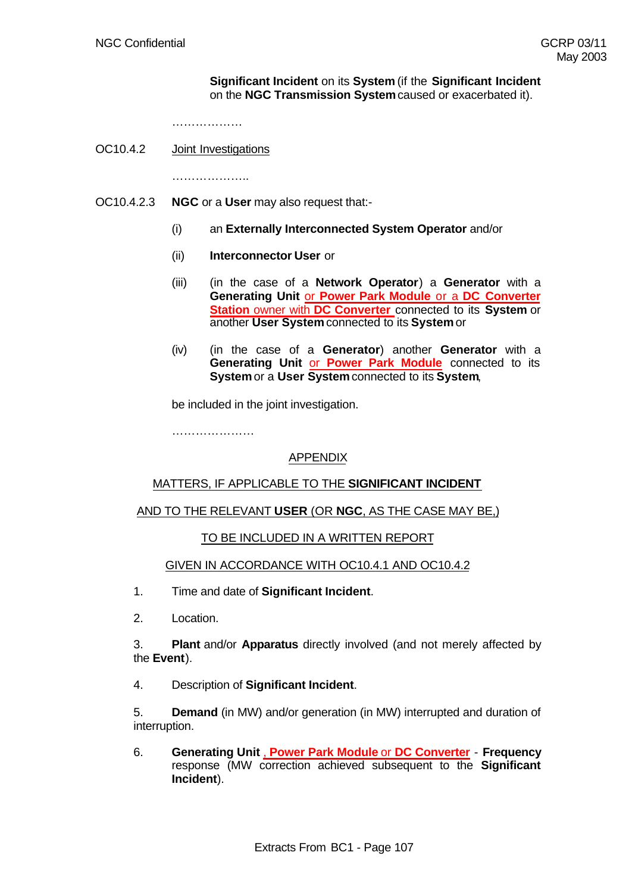#### **Significant Incident** on its **System** (if the **Significant Incident** on the **NGC Transmission System** caused or exacerbated it).

………………

OC10.4.2 Joint Investigations

………………..

- OC10.4.2.3 **NGC** or a **User** may also request that:-
	- (i) an **Externally Interconnected System Operator** and/or
	- (ii) **Interconnector User** or
	- (iii) (in the case of a **Network Operator**) a **Generator** with a **Generating Unit** or **Power Park Module** or a **DC Converter Station** owner with **DC Converter** connected to its **System** or another **User System** connected to its **System** or
	- (iv) (in the case of a **Generator**) another **Generator** with a **Generating Unit** or **Power Park Module** connected to its **System** or a **User System** connected to its **System**,

be included in the joint investigation.

………………………

# APPENDIX

# MATTERS, IF APPLICABLE TO THE **SIGNIFICANT INCIDENT**

# AND TO THE RELEVANT **USER** (OR **NGC**, AS THE CASE MAY BE,)

#### TO BE INCLUDED IN A WRITTEN REPORT

#### GIVEN IN ACCORDANCE WITH OC10.4.1 AND OC10.4.2

- 1. Time and date of **Significant Incident**.
- 2. Location.

3. **Plant** and/or **Apparatus** directly involved (and not merely affected by the **Event**).

4. Description of **Significant Incident**.

5. **Demand** (in MW) and/or generation (in MW) interrupted and duration of interruption.

6. **Generating Unit** , **Power Park Module** or **DC Converter** - **Frequency** response (MW correction achieved subsequent to the **Significant Incident**).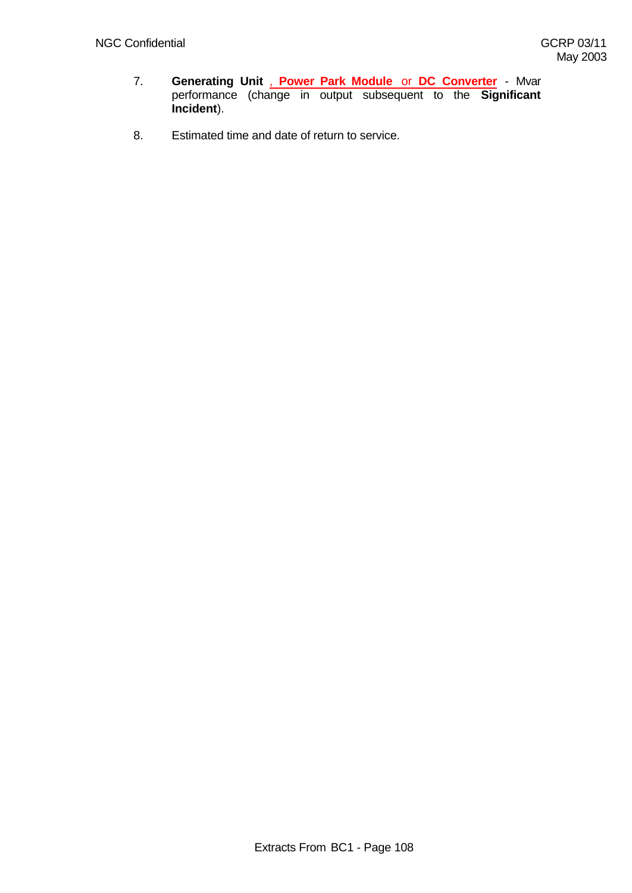- 7. **Generating Unit** , **Power Park Module** or **DC Converter** Mvar performance (change in output subsequent to the **Significant Incident**).
- 8. Estimated time and date of return to service.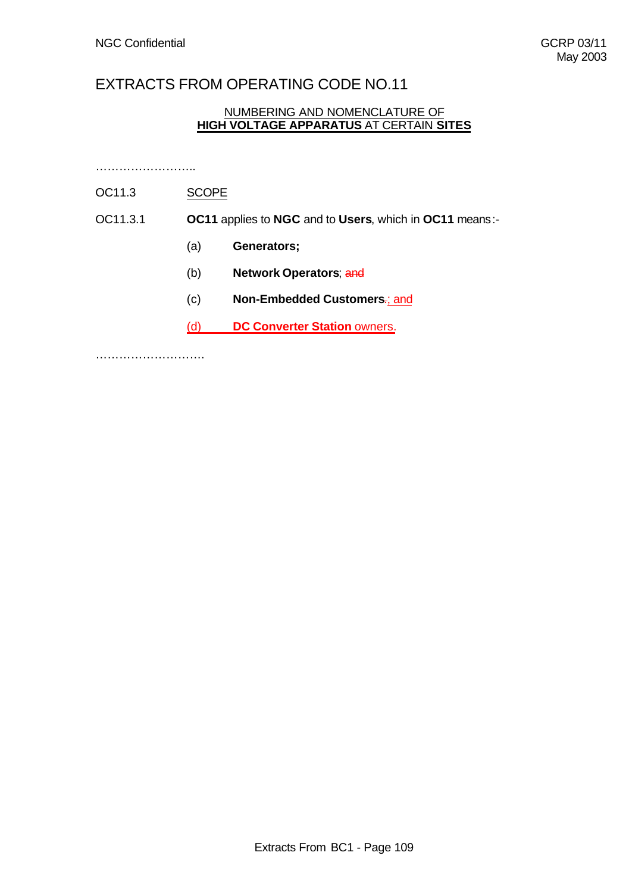# EXTRACTS FROM OPERATING CODE NO.11

# NUMBERING AND NOMENCLATURE OF **HIGH VOLTAGE APPARATUS** AT CERTAIN **SITES**

……………………..

# OC11.3 SCOPE

- OC11.3.1 **OC11** applies to **NGC** and to **Users**, which in **OC11** means:-
	- (a) **Generators;**
	- (b) **Network Operators**; and
	- (c) **Non-Embedded Customers**.; and
	- (d) **DC Converter Station** owners.

……………………….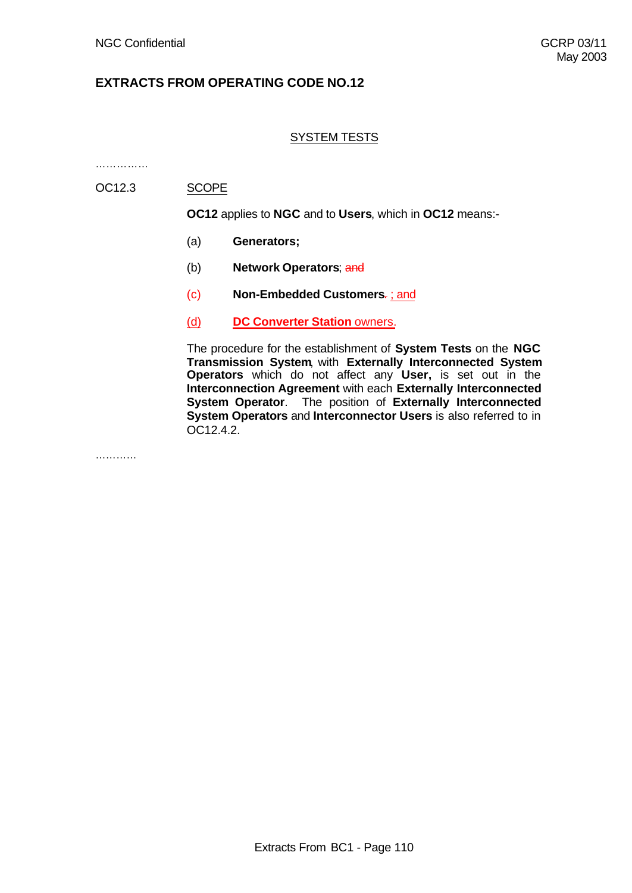# SYSTEM TESTS

……………

# OC12.3 SCOPE

**OC12** applies to **NGC** and to **Users**, which in **OC12** means:-

- (a) **Generators;**
- (b) **Network Operators**; and
- (c) **Non-Embedded Customers**. ; and
- (d) **DC Converter Station** owners.

The procedure for the establishment of **System Tests** on the **NGC Transmission System**, with **Externally Interconnected System Operators** which do not affect any **User,** is set out in the **Interconnection Agreement** with each **Externally Interconnected System Operator**. The position of **Externally Interconnected System Operators** and **Interconnector Users** is also referred to in OC12.4.2.

……………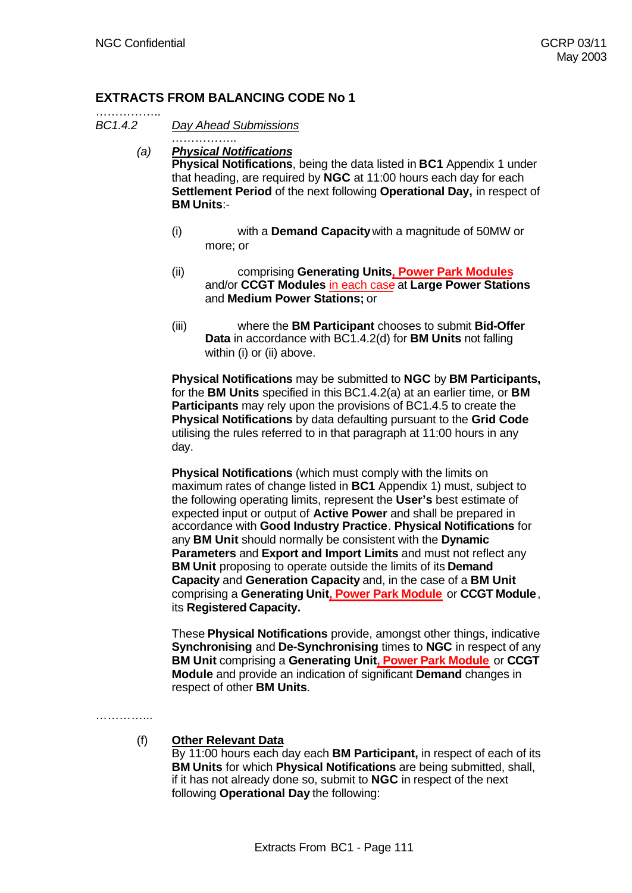# **EXTRACTS FROM BALANCING CODE No 1**

*……………..*

……………..

*BC1.4.2 Day Ahead Submissions*

- *(a) Physical Notifications* **Physical Notifications**, being the data listed in **BC1** Appendix 1 under that heading, are required by **NGC** at 11:00 hours each day for each **Settlement Period** of the next following **Operational Day,** in respect of **BM Units**:-
	- (i) with a **Demand Capacity** with a magnitude of 50MW or more; or
	- (ii) comprising **Generating Units, Power Park Modules** and/or **CCGT Modules** in each case at **Large Power Stations** and **Medium Power Stations;** or
	- (iii) where the **BM Participant** chooses to submit **Bid-Offer Data** in accordance with BC1.4.2(d) for **BM Units** not falling within (i) or (ii) above.

**Physical Notifications** may be submitted to **NGC** by **BM Participants,** for the **BM Units** specified in this BC1.4.2(a) at an earlier time, or **BM Participants** may rely upon the provisions of BC1.4.5 to create the **Physical Notifications** by data defaulting pursuant to the **Grid Code** utilising the rules referred to in that paragraph at 11:00 hours in any day.

**Physical Notifications** (which must comply with the limits on maximum rates of change listed in **BC1** Appendix 1) must, subject to the following operating limits, represent the **User's** best estimate of expected input or output of **Active Power** and shall be prepared in accordance with **Good Industry Practice**. **Physical Notifications** for any **BM Unit** should normally be consistent with the **Dynamic Parameters** and **Export and Import Limits** and must not reflect any **BM Unit** proposing to operate outside the limits of its **Demand Capacity** and **Generation Capacity** and, in the case of a **BM Unit** comprising a **Generating Unit, Power Park Module** or **CCGT Module**, its **Registered Capacity.**

These **Physical Notifications** provide, amongst other things, indicative **Synchronising** and **De-Synchronising** times to **NGC** in respect of any **BM Unit** comprising a **Generating Unit, Power Park Module** or **CCGT Module** and provide an indication of significant **Demand** changes in respect of other **BM Units**.

………………

(f) **Other Relevant Data**

By 11:00 hours each day each **BM Participant,** in respect of each of its **BM Units** for which **Physical Notifications** are being submitted, shall, if it has not already done so, submit to **NGC** in respect of the next following **Operational Day** the following: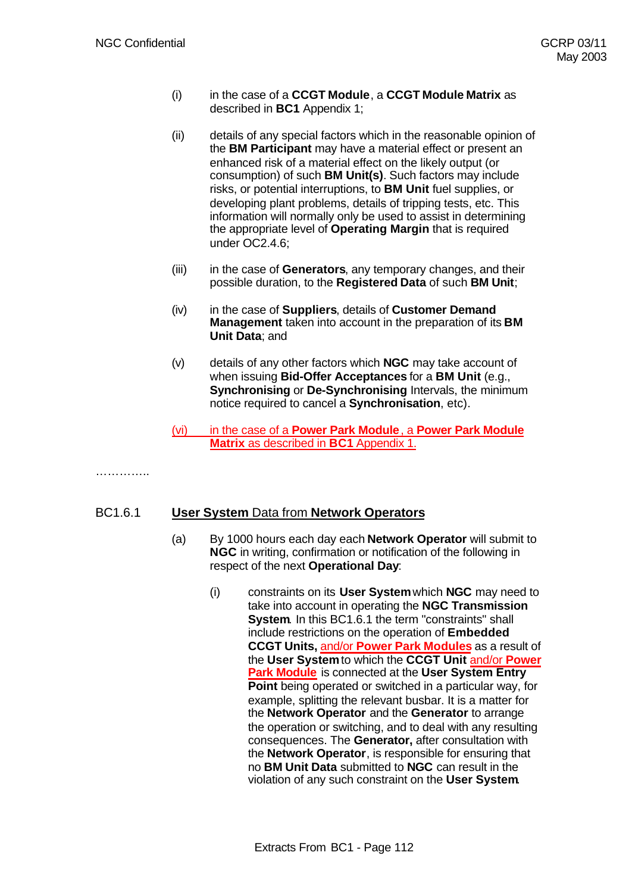- (i) in the case of a **CCGT Module**, a **CCGT Module Matrix** as described in **BC1** Appendix 1;
- (ii) details of any special factors which in the reasonable opinion of the **BM Participant** may have a material effect or present an enhanced risk of a material effect on the likely output (or consumption) of such **BM Unit(s)**. Such factors may include risks, or potential interruptions, to **BM Unit** fuel supplies, or developing plant problems, details of tripping tests, etc. This information will normally only be used to assist in determining the appropriate level of **Operating Margin** that is required under OC2.4.6;
- (iii) in the case of **Generators**, any temporary changes, and their possible duration, to the **Registered Data** of such **BM Unit**;
- (iv) in the case of **Suppliers**, details of **Customer Demand Management** taken into account in the preparation of its **BM Unit Data**; and
- (v) details of any other factors which **NGC** may take account of when issuing **Bid-Offer Acceptances** for a **BM Unit** (e.g., **Synchronising** or **De-Synchronising** Intervals, the minimum notice required to cancel a **Synchronisation**, etc).
- (vi) in the case of a **Power Park Module**, a **Power Park Module Matrix** as described in **BC1** Appendix 1.

……………

# BC1.6.1 **User System** Data from **Network Operators**

- (a) By 1000 hours each day each **Network Operator** will submit to **NGC** in writing, confirmation or notification of the following in respect of the next **Operational Day**:
	- (i) constraints on its **User System** which **NGC** may need to take into account in operating the **NGC Transmission System.** In this BC1.6.1 the term "constraints" shall include restrictions on the operation of **Embedded CCGT Units,** and/or **Power Park Modules** as a result of the **User System** to which the **CCGT Unit** and/or **Power Park Module** is connected at the **User System Entry Point** being operated or switched in a particular way, for example, splitting the relevant busbar. It is a matter for the **Network Operator** and the **Generator** to arrange the operation or switching, and to deal with any resulting consequences. The **Generator,** after consultation with the **Network Operator**, is responsible for ensuring that no **BM Unit Data** submitted to **NGC** can result in the violation of any such constraint on the **User System**.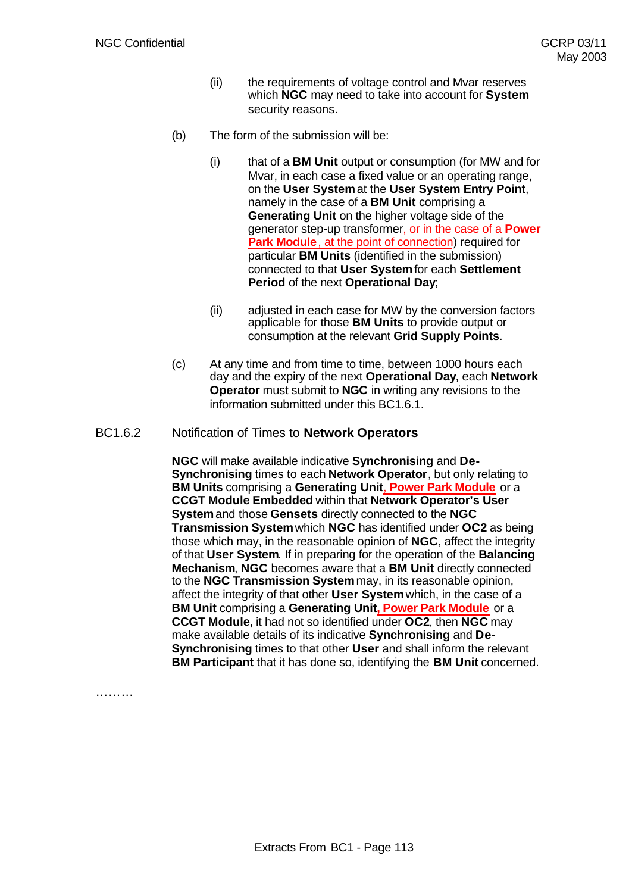- (ii) the requirements of voltage control and Mvar reserves which **NGC** may need to take into account for **System** security reasons.
- (b) The form of the submission will be:
	- (i) that of a **BM Unit** output or consumption (for MW and for Mvar, in each case a fixed value or an operating range, on the **User System** at the **User System Entry Point**, namely in the case of a **BM Unit** comprising a **Generating Unit** on the higher voltage side of the generator step-up transformer, or in the case of a **Power Park Module**, at the point of connection) required for particular **BM Units** (identified in the submission) connected to that **User System** for each **Settlement Period** of the next **Operational Day**;
	- (ii) adjusted in each case for MW by the conversion factors applicable for those **BM Units** to provide output or consumption at the relevant **Grid Supply Points**.
- (c) At any time and from time to time, between 1000 hours each day and the expiry of the next **Operational Day**, each **Network Operator** must submit to **NGC** in writing any revisions to the information submitted under this BC1.6.1.

# BC1.6.2 Notification of Times to **Network Operators**

**NGC** will make available indicative **Synchronising** and **De-Synchronising** times to each **Network Operator**, but only relating to **BM Units** comprising a **Generating Unit**, **Power Park Module** or a **CCGT Module Embedded** within that **Network Operator's User System** and those **Gensets** directly connected to the **NGC Transmission System** which **NGC** has identified under **OC2** as being those which may, in the reasonable opinion of **NGC**, affect the integrity of that **User System**. If in preparing for the operation of the **Balancing Mechanism**, **NGC** becomes aware that a **BM Unit** directly connected to the **NGC Transmission System** may, in its reasonable opinion, affect the integrity of that other **User System** which, in the case of a **BM Unit** comprising a **Generating Unit, Power Park Module** or a **CCGT Module,** it had not so identified under **OC2**, then **NGC** may make available details of its indicative **Synchronising** and **De-Synchronising** times to that other **User** and shall inform the relevant **BM Participant** that it has done so, identifying the **BM Unit** concerned.

………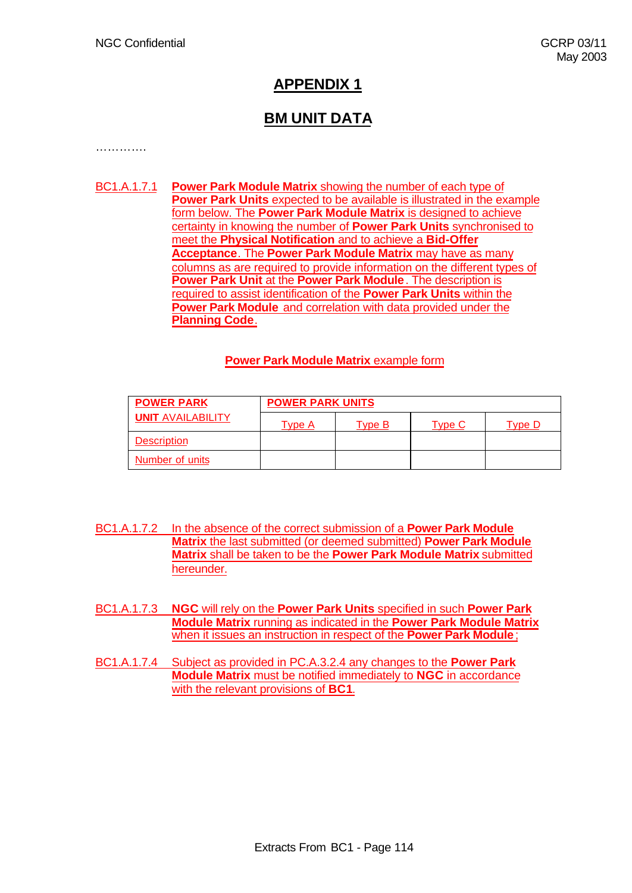# **APPENDIX 1**

# **BM UNIT DATA**

……………

BC1.A.1.7.1 **Power Park Module Matrix** showing the number of each type of **Power Park Units** expected to be available is illustrated in the example form below. The **Power Park Module Matrix** is designed to achieve certainty in knowing the number of **Power Park Units** synchronised to meet the **Physical Notification** and to achieve a **Bid-Offer Acceptance**. The **Power Park Module Matrix** may have as many columns as are required to provide information on the different types of **Power Park Unit** at the **Power Park Module**. The description is required to assist identification of the **Power Park Units** within the **Power Park Module** and correlation with data provided under the **Planning Code**.

# **Power Park Module Matrix** example form

| <b>POWER PARK</b>        | <b>POWER PARK UNITS</b> |        |        |  |  |  |  |  |
|--------------------------|-------------------------|--------|--------|--|--|--|--|--|
| <b>UNIT AVAILABILITY</b> | Tvpe A                  | ⊺vpe B | vne Li |  |  |  |  |  |
| <b>Description</b>       |                         |        |        |  |  |  |  |  |
| <b>Number of units</b>   |                         |        |        |  |  |  |  |  |

- BC1.A.1.7.2 In the absence of the correct submission of a **Power Park Module Matrix** the last submitted (or deemed submitted) **Power Park Module Matrix** shall be taken to be the **Power Park Module Matrix** submitted hereunder.
- BC1.A.1.7.3 **NGC** will rely on the **Power Park Units** specified in such **Power Park Module Matrix** running as indicated in the **Power Park Module Matrix** when it issues an instruction in respect of the **Power Park Module**;
- BC1.A.1.7.4 Subject as provided in PC.A.3.2.4 any changes to the **Power Park Module Matrix** must be notified immediately to **NGC** in accordance with the relevant provisions of **BC1**.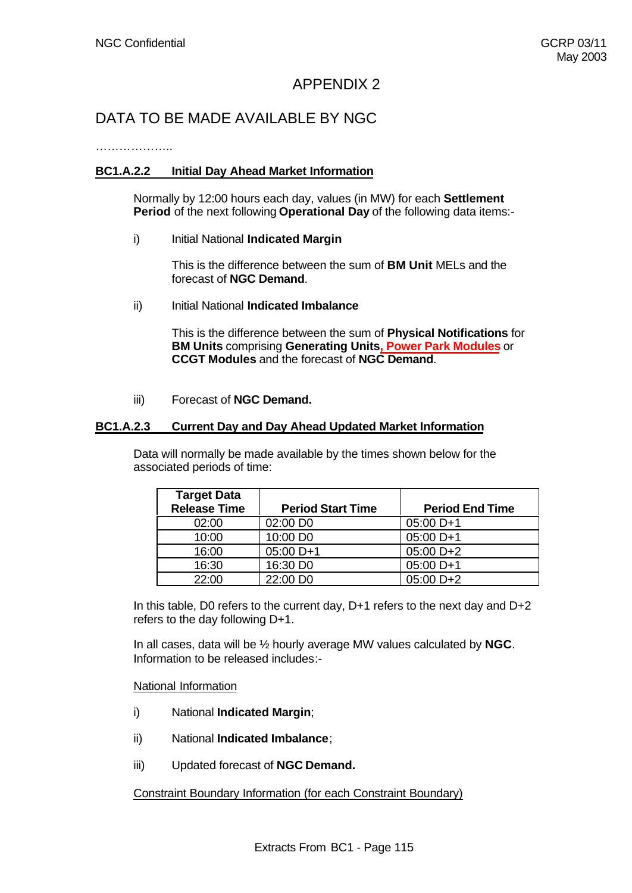# APPENDIX 2

# DATA TO BE MADE AVAILABLE BY NGC

………………..

# **BC1.A.2.2 Initial Day Ahead Market Information**

Normally by 12:00 hours each day, values (in MW) for each **Settlement Period** of the next following **Operational Day** of the following data items:-

i) Initial National **Indicated Margin** 

This is the difference between the sum of **BM Unit** MELs and the forecast of **NGC Demand**.

ii) Initial National **Indicated Imbalance** 

This is the difference between the sum of **Physical Notifications** for **BM Units** comprising **Generating Units, Power Park Modules** or **CCGT Modules** and the forecast of **NGC Demand**.

iii) Forecast of **NGC Demand.**

# **BC1.A.2.3 Current Day and Day Ahead Updated Market Information**

Data will normally be made available by the times shown below for the associated periods of time:

| <b>Target Data</b><br><b>Release Time</b> | <b>Period Start Time</b> | <b>Period End Time</b> |
|-------------------------------------------|--------------------------|------------------------|
| 02:00                                     | 02:00 DO                 | $05:00 D+1$            |
| 10:00                                     | 10:00 DO                 | $05:00 D+1$            |
| 16:00                                     | 05:00 D+1                | $05:00 D + 2$          |
| 16:30                                     | 16:30 DO                 | $05:00 D+1$            |
| 22.00                                     | 22:00 DO                 | $05:00 D+2$            |

In this table, D0 refers to the current day, D+1 refers to the next day and D+2 refers to the day following D+1.

In all cases, data will be ½ hourly average MW values calculated by **NGC**. Information to be released includes:-

#### National Information

- i) National **Indicated Margin**;
- ii) National **Indicated Imbalance**;
- iii) Updated forecast of **NGC Demand.**

Constraint Boundary Information (for each Constraint Boundary)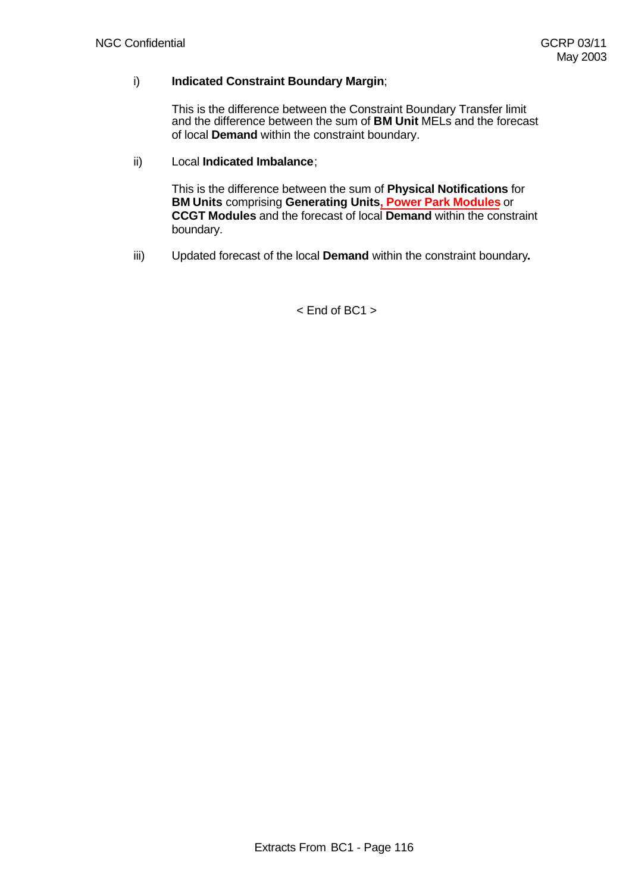# i) **Indicated Constraint Boundary Margin**;

This is the difference between the Constraint Boundary Transfer limit and the difference between the sum of **BM Unit** MELs and the forecast of local **Demand** within the constraint boundary.

# ii) Local **Indicated Imbalance**;

This is the difference between the sum of **Physical Notifications** for **BM Units** comprising **Generating Units, Power Park Modules** or **CCGT Modules** and the forecast of local **Demand** within the constraint boundary.

iii) Updated forecast of the local **Demand** within the constraint boundary**.**

 $<$  End of BC1  $>$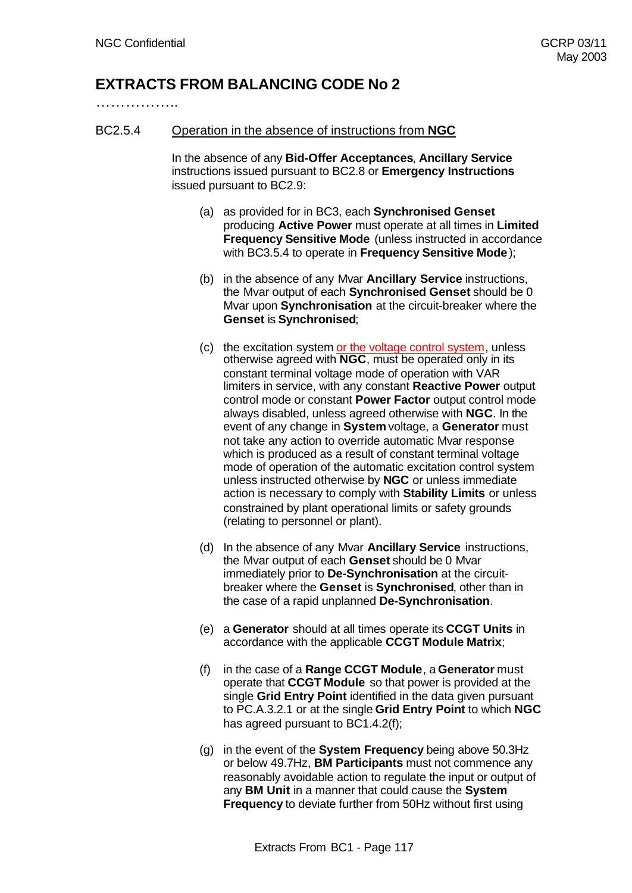# **EXTRACTS FROM BALANCING CODE No 2**

……………..

## BC2.5.4 Operation in the absence of instructions from **NGC**

In the absence of any **Bid-Offer Acceptances**, **Ancillary Service** instructions issued pursuant to BC2.8 or **Emergency Instructions** issued pursuant to BC2.9:

- (a) as provided for in BC3, each **Synchronised Genset** producing **Active Power** must operate at all times in **Limited Frequency Sensitive Mode** (unless instructed in accordance with BC3.5.4 to operate in **Frequency Sensitive Mode**);
- (b) in the absence of any Mvar **Ancillary Service** instructions, the Mvar output of each **Synchronised Genset** should be 0 Mvar upon **Synchronisation** at the circuit-breaker where the **Genset** is **Synchronised**;
- (c) the excitation system or the voltage control system, unless otherwise agreed with **NGC**, must be operated only in its constant terminal voltage mode of operation with VAR limiters in service, with any constant **Reactive Power** output control mode or constant **Power Factor** output control mode always disabled, unless agreed otherwise with **NGC**. In the event of any change in **System** voltage, a **Generator** must not take any action to override automatic Mvar response which is produced as a result of constant terminal voltage mode of operation of the automatic excitation control system unless instructed otherwise by **NGC** or unless immediate action is necessary to comply with **Stability Limits** or unless constrained by plant operational limits or safety grounds (relating to personnel or plant).
- (d) In the absence of any Mvar **Ancillary Service** instructions, the Mvar output of each **Genset** should be 0 Mvar immediately prior to **De-Synchronisation** at the circuitbreaker where the **Genset** is **Synchronised**, other than in the case of a rapid unplanned **De-Synchronisation**.
- (e) a **Generator** should at all times operate its **CCGT Units** in accordance with the applicable **CCGT Module Matrix**;
- (f) in the case of a **Range CCGT Module**, a **Generator** must operate that **CCGT Module** so that power is provided at the single **Grid Entry Point** identified in the data given pursuant to PC.A.3.2.1 or at the single **Grid Entry Point** to which **NGC** has agreed pursuant to BC1.4.2(f);
- (g) in the event of the **System Frequency** being above 50.3Hz or below 49.7Hz, **BM Participants** must not commence any reasonably avoidable action to regulate the input or output of any **BM Unit** in a manner that could cause the **System Frequency** to deviate further from 50Hz without first using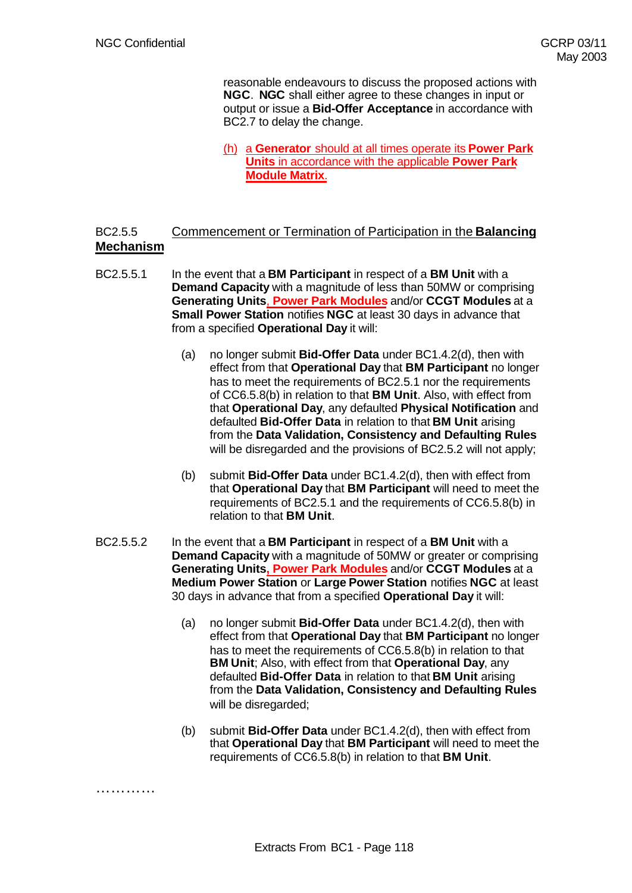. . . . . . . . . . .

reasonable endeavours to discuss the proposed actions with **NGC**. **NGC** shall either agree to these changes in input or output or issue a **Bid-Offer Acceptance** in accordance with BC2.7 to delay the change.

(h) a **Generator** should at all times operate its **Power Park Units** in accordance with the applicable **Power Park Module Matrix**.

# BC2.5.5 Commencement or Termination of Participation in the **Balancing Mechanism**

- BC2.5.5.1 In the event that a **BM Participant** in respect of a **BM Unit** with a **Demand Capacity** with a magnitude of less than 50MW or comprising **Generating Units**, **Power Park Modules** and/or **CCGT Modules** at a **Small Power Station** notifies **NGC** at least 30 days in advance that from a specified **Operational Day** it will:
	- (a) no longer submit **Bid-Offer Data** under BC1.4.2(d), then with effect from that **Operational Day** that **BM Participant** no longer has to meet the requirements of BC2.5.1 nor the requirements of CC6.5.8(b) in relation to that **BM Unit**. Also, with effect from that **Operational Day**, any defaulted **Physical Notification** and defaulted **Bid-Offer Data** in relation to that **BM Unit** arising from the **Data Validation, Consistency and Defaulting Rules** will be disregarded and the provisions of BC2.5.2 will not apply;
	- (b) submit **Bid-Offer Data** under BC1.4.2(d), then with effect from that **Operational Day** that **BM Participant** will need to meet the requirements of BC2.5.1 and the requirements of CC6.5.8(b) in relation to that **BM Unit**.
- BC2.5.5.2 In the event that a **BM Participant** in respect of a **BM Unit** with a **Demand Capacity** with a magnitude of 50MW or greater or comprising **Generating Units, Power Park Modules** and/or **CCGT Modules** at a **Medium Power Station** or **Large Power Station** notifies **NGC** at least 30 days in advance that from a specified **Operational Day** it will:
	- (a) no longer submit **Bid-Offer Data** under BC1.4.2(d), then with effect from that **Operational Day** that **BM Participant** no longer has to meet the requirements of CC6.5.8(b) in relation to that **BM Unit**; Also, with effect from that **Operational Day**, any defaulted **Bid-Offer Data** in relation to that **BM Unit** arising from the **Data Validation, Consistency and Defaulting Rules** will be disregarded;
	- (b) submit **Bid-Offer Data** under BC1.4.2(d), then with effect from that **Operational Day** that **BM Participant** will need to meet the requirements of CC6.5.8(b) in relation to that **BM Unit**.

Extracts From BC1 - Page 118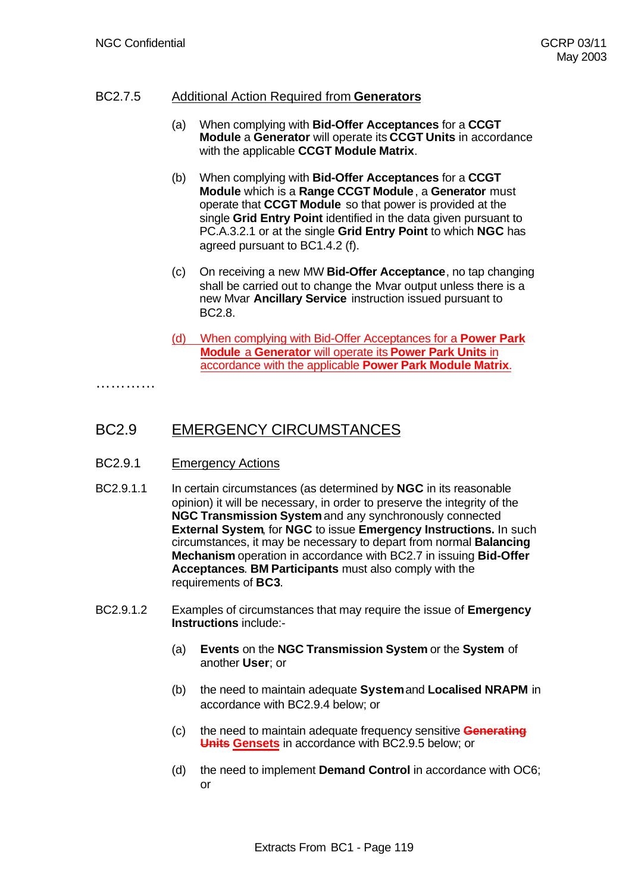# BC2.7.5 Additional Action Required from **Generators**

- (a) When complying with **Bid-Offer Acceptances** for a **CCGT Module** a **Generator** will operate its **CCGT Units** in accordance with the applicable **CCGT Module Matrix**.
- (b) When complying with **Bid-Offer Acceptances** for a **CCGT Module** which is a **Range CCGT Module**, a **Generator** must operate that **CCGT Module** so that power is provided at the single **Grid Entry Point** identified in the data given pursuant to PC.A.3.2.1 or at the single **Grid Entry Point** to which **NGC** has agreed pursuant to BC1.4.2 (f).
- (c) On receiving a new MW **Bid-Offer Acceptance**, no tap changing shall be carried out to change the Mvar output unless there is a new Mvar **Ancillary Service** instruction issued pursuant to BC2.8.
- (d) When complying with Bid-Offer Acceptances for a **Power Park Module** a **Generator** will operate its **Power Park Units** in accordance with the applicable **Power Park Module Matrix**.

…………

# BC2.9 EMERGENCY CIRCUMSTANCES

- BC2.9.1 Emergency Actions
- BC2.9.1.1 In certain circumstances (as determined by **NGC** in its reasonable opinion) it will be necessary, in order to preserve the integrity of the **NGC Transmission System** and any synchronously connected **External System**, for **NGC** to issue **Emergency Instructions.** In such circumstances, it may be necessary to depart from normal **Balancing Mechanism** operation in accordance with BC2.7 in issuing **Bid-Offer Acceptances**. **BM Participants** must also comply with the requirements of **BC3**.
- BC2.9.1.2 Examples of circumstances that may require the issue of **Emergency Instructions** include:-
	- (a) **Events** on the **NGC Transmission System** or the **System** of another **User**; or
	- (b) the need to maintain adequate **System** and **Localised NRAPM** in accordance with BC2.9.4 below; or
	- (c) the need to maintain adequate frequency sensitive **Generating Units Gensets** in accordance with BC2.9.5 below; or
	- (d) the need to implement **Demand Control** in accordance with OC6; or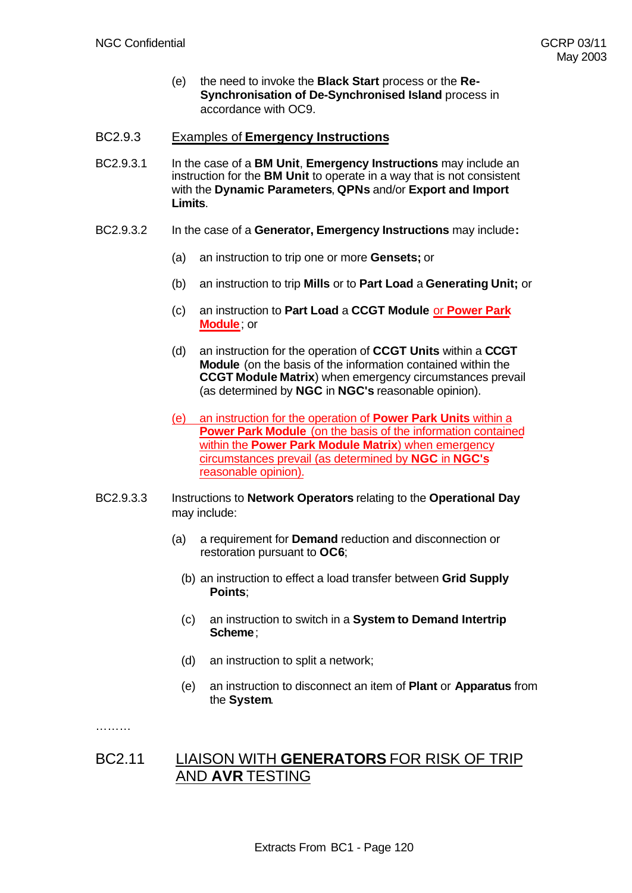(e) the need to invoke the **Black Start** process or the **Re-Synchronisation of De-Synchronised Island** process in accordance with OC9.

# BC2.9.3 Examples of **Emergency Instructions**

- BC2.9.3.1 In the case of a **BM Unit**, **Emergency Instructions** may include an instruction for the **BM Unit** to operate in a way that is not consistent with the **Dynamic Parameters**, **QPNs** and/or **Export and Import Limits**.
- BC2.9.3.2 In the case of a **Generator, Emergency Instructions** may include**:**
	- (a) an instruction to trip one or more **Gensets;** or
	- (b) an instruction to trip **Mills** or to **Part Load** a **Generating Unit;** or
	- (c) an instruction to **Part Load** a **CCGT Module** or **Power Park Module**; or
	- (d) an instruction for the operation of **CCGT Units** within a **CCGT Module** (on the basis of the information contained within the **CCGT Module Matrix**) when emergency circumstances prevail (as determined by **NGC** in **NGC's** reasonable opinion).
	- (e) an instruction for the operation of **Power Park Units** within a **Power Park Module** (on the basis of the information contained within the **Power Park Module Matrix**) when emergency circumstances prevail (as determined by **NGC** in **NGC's** reasonable opinion).
- BC2.9.3.3 Instructions to **Network Operators** relating to the **Operational Day** may include:
	- (a) a requirement for **Demand** reduction and disconnection or restoration pursuant to **OC6**;
		- (b) an instruction to effect a load transfer between **Grid Supply Points**;
		- (c) an instruction to switch in a **System to Demand Intertrip Scheme**;
		- (d) an instruction to split a network;
		- (e) an instruction to disconnect an item of **Plant** or **Apparatus** from the **System**.

………

# BC2.11 LIAISON WITH **GENERATORS** FOR RISK OF TRIP AND **AVR** TESTING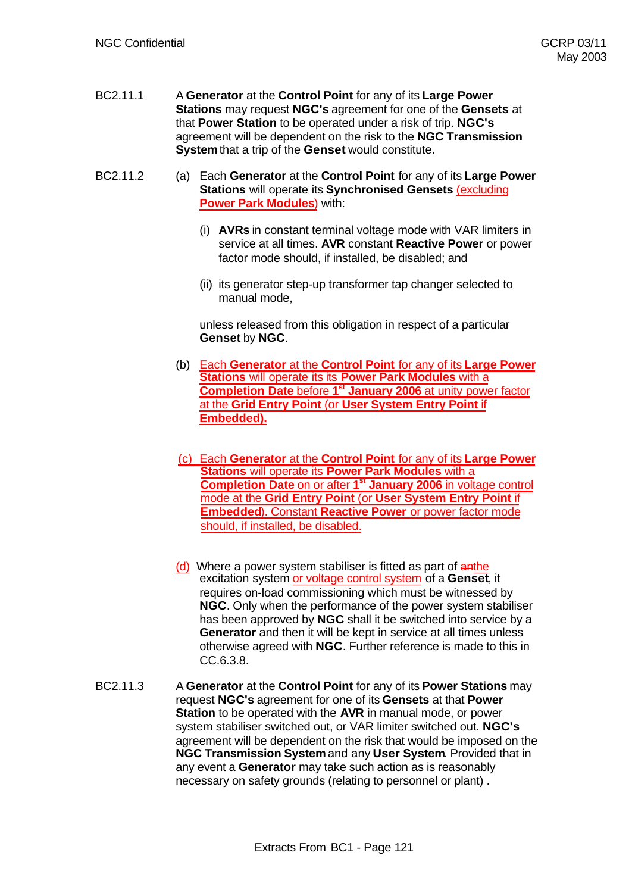- BC2.11.1 A **Generator** at the **Control Point** for any of its **Large Power Stations** may request **NGC's** agreement for one of the **Gensets** at that **Power Station** to be operated under a risk of trip. **NGC's** agreement will be dependent on the risk to the **NGC Transmission System** that a trip of the **Genset** would constitute.
- BC2.11.2 (a) Each **Generator** at the **Control Point** for any of its **Large Power Stations** will operate its **Synchronised Gensets** (excluding **Power Park Modules**) with:
	- (i) **AVRs** in constant terminal voltage mode with VAR limiters in service at all times. **AVR** constant **Reactive Power** or power factor mode should, if installed, be disabled; and
	- (ii) its generator step-up transformer tap changer selected to manual mode,

unless released from this obligation in respect of a particular **Genset** by **NGC**.

- (b) Each **Generator** at the **Control Point** for any of its **Large Power Stations** will operate its its **Power Park Modules** with a **Completion Date** before **1st January 2006** at unity power factor at the **Grid Entry Point** (or **User System Entry Point** if **Embedded).**
- (c) Each **Generator** at the **Control Point** for any of its **Large Power Stations** will operate its **Power Park Modules** with a **Completion Date** on or after **1st January 2006** in voltage control mode at the **Grid Entry Point** (or **User System Entry Point** if **Embedded**). Constant **Reactive Power** or power factor mode should, if installed, be disabled.
- (d) Where a power system stabiliser is fitted as part of anthe excitation system or voltage control system of a **Genset**, it requires on-load commissioning which must be witnessed by **NGC**. Only when the performance of the power system stabiliser has been approved by **NGC** shall it be switched into service by a **Generator** and then it will be kept in service at all times unless otherwise agreed with **NGC**. Further reference is made to this in CC.6.3.8.
- BC2.11.3 A **Generator** at the **Control Point** for any of its **Power Stations** may request **NGC's** agreement for one of its **Gensets** at that **Power Station** to be operated with the **AVR** in manual mode, or power system stabiliser switched out, or VAR limiter switched out. **NGC's** agreement will be dependent on the risk that would be imposed on the **NGC Transmission System** and any **User System**. Provided that in any event a **Generator** may take such action as is reasonably necessary on safety grounds (relating to personnel or plant) .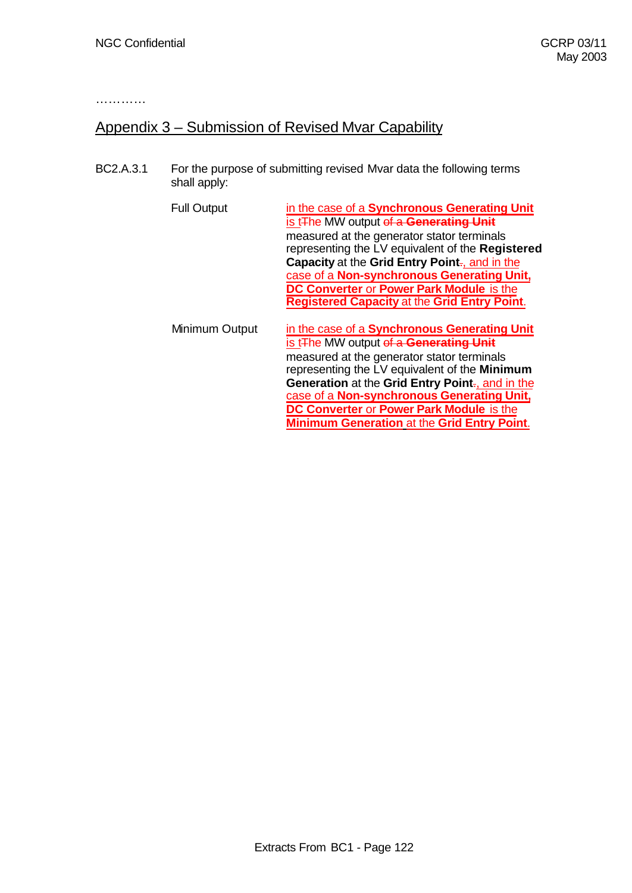…………

# Appendix 3 – Submission of Revised Mvar Capability

BC2.A.3.1 For the purpose of submitting revised Mvar data the following terms shall apply:

| <b>Full Output</b> | in the case of a Synchronous Generating Unit<br>is t <sub>The</sub> MW output of a Generating Unit<br>measured at the generator stator terminals<br>representing the LV equivalent of the Registered<br>Capacity at the Grid Entry Point-, and in the<br>case of a Non-synchronous Generating Unit,<br>DC Converter or Power Park Module is the<br><b>Registered Capacity at the Grid Entry Point.</b>      |
|--------------------|-------------------------------------------------------------------------------------------------------------------------------------------------------------------------------------------------------------------------------------------------------------------------------------------------------------------------------------------------------------------------------------------------------------|
| Minimum Output     | in the case of a Synchronous Generating Unit<br>is t <sub>The</sub> MW output of a <b>Generating Unit</b><br>measured at the generator stator terminals<br>representing the LV equivalent of the Minimum<br>Generation at the Grid Entry Point-, and in the<br>case of a Non-synchronous Generating Unit,<br>DC Converter or Power Park Module is the<br><b>Minimum Generation at the Grid Entry Point.</b> |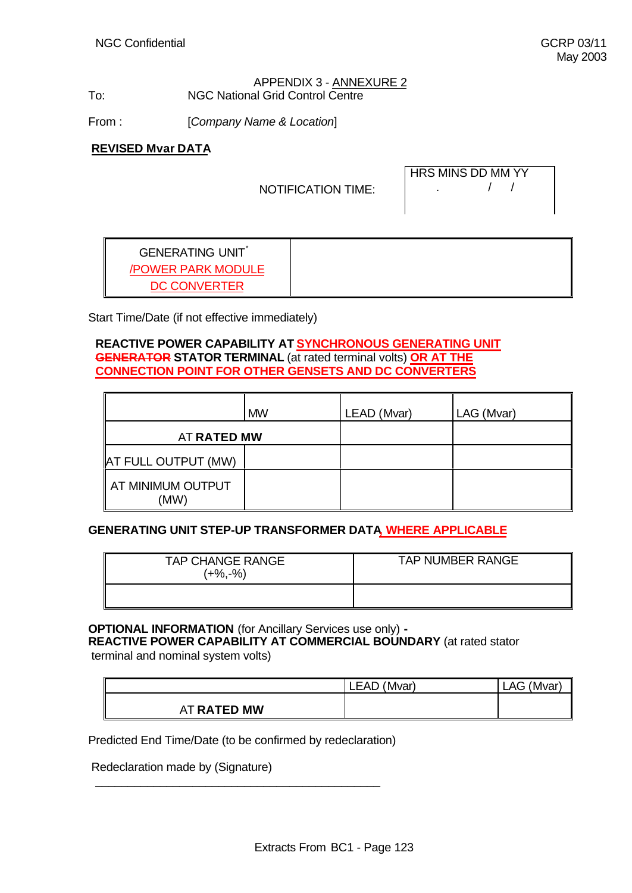## APPENDIX 3 - ANNEXURE 2 To: NGC National Grid Control Centre

From : [*Company Name & Location*]

**REVISED Mvar DATA**

NOTIFICATION TIME:

| HRS MINS DD MM YY |  |
|-------------------|--|
|                   |  |

GENERATING UNIT\* /POWER PARK MODULE DC CONVERTER

Start Time/Date (if not effective immediately)

# **REACTIVE POWER CAPABILITY AT SYNCHRONOUS GENERATING UNIT GENERATOR STATOR TERMINAL** (at rated terminal volts) **OR AT THE CONNECTION POINT FOR OTHER GENSETS AND DC CONVERTERS**

|                            | <b>MW</b> | LEAD (Mvar) | LAG (Mvar) |
|----------------------------|-----------|-------------|------------|
| AT RATED MW                |           |             |            |
| <b>AT FULL OUTPUT (MW)</b> |           |             |            |
| AT MINIMUM OUTPUT<br>(MW)  |           |             |            |

# **GENERATING UNIT STEP-UP TRANSFORMER DATA, WHERE APPLICABLE**

| <b>TAP CHANGE RANGE</b><br>$(+\%, -\%)$ | <b>TAP NUMBER RANGE</b> |
|-----------------------------------------|-------------------------|
|                                         |                         |

# **OPTIONAL INFORMATION** (for Ancillary Services use only) **-**

**REACTIVE POWER CAPABILITY AT COMMERCIAL BOUNDARY** (at rated stator terminal and nominal system volts)

|             | (Mvar)<br><b>LEAD</b> | 'Mvar)<br>AG |
|-------------|-----------------------|--------------|
| AT RATED MW |                       |              |

Predicted End Time/Date (to be confirmed by redeclaration)

 $\_$  , and the set of the set of the set of the set of the set of the set of the set of the set of the set of the set of the set of the set of the set of the set of the set of the set of the set of the set of the set of th

Redeclaration made by (Signature)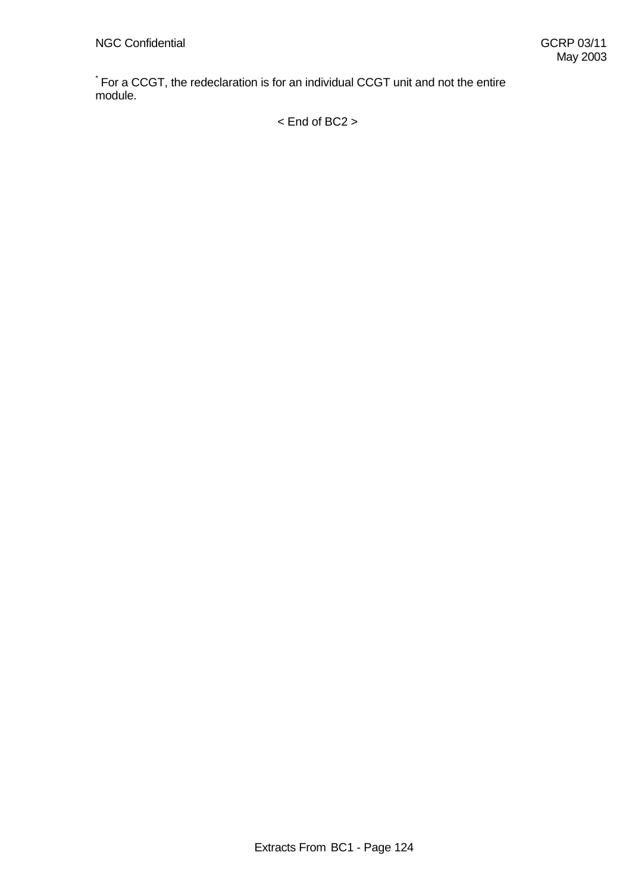\* For a CCGT, the redeclaration is for an individual CCGT unit and not the entire module.

< End of BC2 >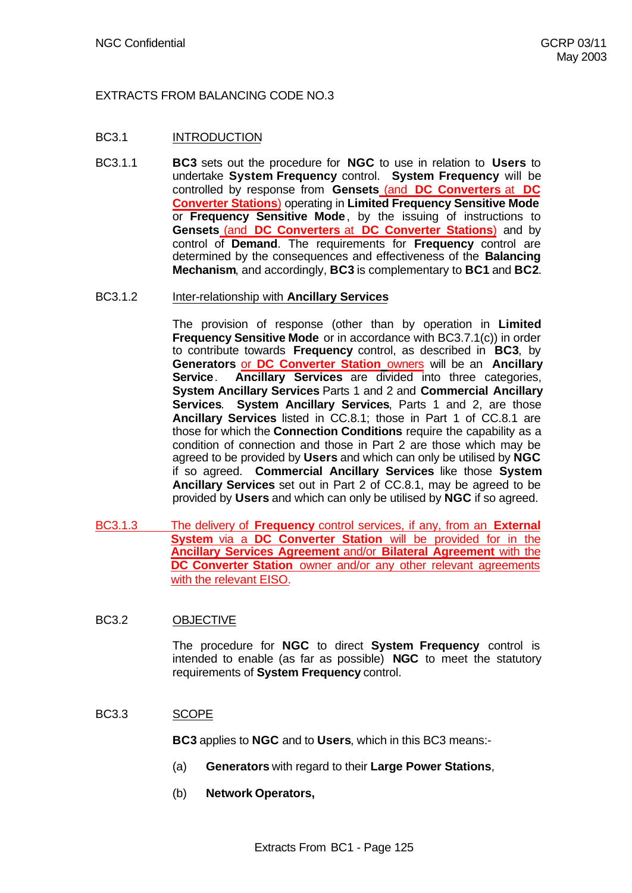# EXTRACTS FROM BALANCING CODE NO.3

# BC3.1 INTRODUCTION

BC3.1.1 **BC3** sets out the procedure for **NGC** to use in relation to **Users** to undertake **System Frequency** control. **System Frequency** will be controlled by response from **Gensets** (and **DC Converters** at **DC Converter Stations**) operating in **Limited Frequency Sensitive Mode** or **Frequency Sensitive Mode**, by the issuing of instructions to **Gensets** (and **DC Converters** at **DC Converter Stations**) and by control of **Demand**. The requirements for **Frequency** control are determined by the consequences and effectiveness of the **Balancing Mechanism**, and accordingly, **BC3** is complementary to **BC1** and **BC2**.

#### BC3.1.2 Inter-relationship with **Ancillary Services**

The provision of response (other than by operation in **Limited Frequency Sensitive Mode** or in accordance with BC3.7.1(c)) in order to contribute towards **Frequency** control, as described in **BC3**, by **Generators** or **DC Converter Station** owners will be an **Ancillary Service**. **Ancillary Services** are divided into three categories, **System Ancillary Services** Parts 1 and 2 and **Commercial Ancillary Services**. **System Ancillary Services**, Parts 1 and 2, are those **Ancillary Services** listed in CC.8.1; those in Part 1 of CC.8.1 are those for which the **Connection Conditions** require the capability as a condition of connection and those in Part 2 are those which may be agreed to be provided by **Users** and which can only be utilised by **NGC** if so agreed. **Commercial Ancillary Services** like those **System Ancillary Services** set out in Part 2 of CC.8.1, may be agreed to be provided by **Users** and which can only be utilised by **NGC** if so agreed.

BC3.1.3 The delivery of **Frequency** control services, if any, from an **External System** via a **DC Converter Station** will be provided for in the **Ancillary Services Agreement** and/or **Bilateral Agreement** with the **DC Converter Station** owner and/or any other relevant agreements with the relevant EISO.

# BC3.2 OBJECTIVE

The procedure for **NGC** to direct **System Frequency** control is intended to enable (as far as possible) **NGC** to meet the statutory requirements of **System Frequency** control.

#### BC3.3 SCOPE

**BC3** applies to **NGC** and to **Users**, which in this BC3 means:-

- (a) **Generators** with regard to their **Large Power Stations**,
- (b) **Network Operators,**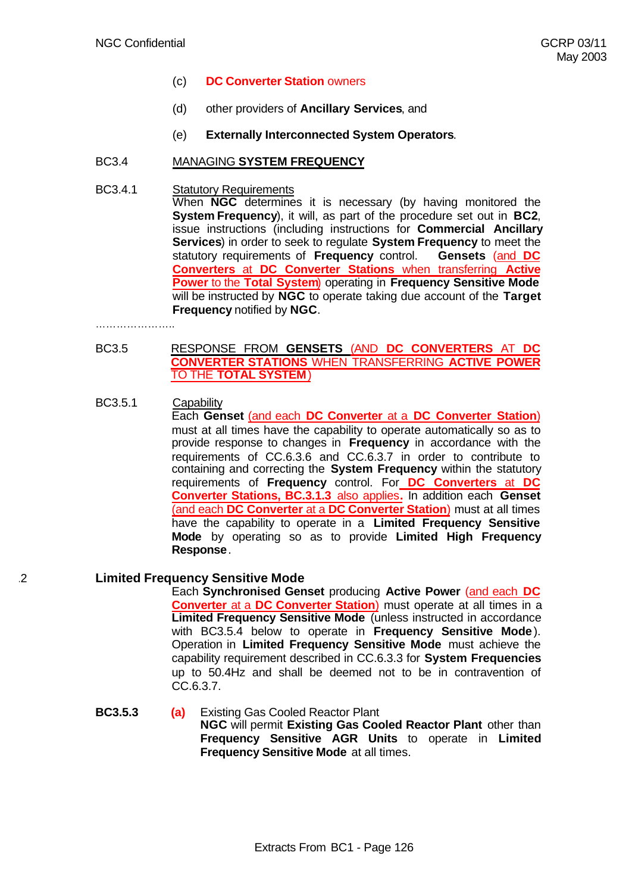- (c) **DC Converter Station** owners
- (d) other providers of **Ancillary Services**, and
- (e) **Externally Interconnected System Operators**.

## BC3.4 MANAGING **SYSTEM FREQUENCY**

#### BC3.4.1 Statutory Requirements When **NGC** determines it is necessary (by having monitored the **System Frequency**), it will, as part of the procedure set out in **BC2**, issue instructions (including instructions for **Commercial Ancillary Services**) in order to seek to regulate **System Frequency** to meet the statutory requirements of **Frequency** control. **Gensets** (and **DC Converters** at **DC Converter Stations** when transferring **Active Power** to the **Total System**) operating in **Frequency Sensitive Mode** will be instructed by **NGC** to operate taking due account of the **Target Frequency** notified by **NGC**.

……………………………

#### BC3.5 RESPONSE FROM **GENSETS** (AND **DC CONVERTERS** AT **DC CONVERTER STATIONS** WHEN TRANSFERRING **ACTIVE POWER** TO THE **TOTAL SYSTEM**)

## BC3.5.1 Capability

Each **Genset** (and each **DC Converter** at a **DC Converter Station**) must at all times have the capability to operate automatically so as to provide response to changes in **Frequency** in accordance with the requirements of CC.6.3.6 and CC.6.3.7 in order to contribute to containing and correcting the **System Frequency** within the statutory requirements of **Frequency** control. For **DC Converters** at **DC Converter Stations, BC.3.1.3** also applies**.** In addition each **Genset** (and each **DC Converter** at a **DC Converter Station**) must at all times have the capability to operate in a **Limited Frequency Sensitive Mode** by operating so as to provide **Limited High Frequency Response**.

#### .2 **Limited Frequency Sensitive Mode**

Each **Synchronised Genset** producing **Active Power** (and each **DC Converter** at a **DC Converter Station**) must operate at all times in a **Limited Frequency Sensitive Mode** (unless instructed in accordance with BC3.5.4 below to operate in **Frequency Sensitive Mode**). Operation in **Limited Frequency Sensitive Mode** must achieve the capability requirement described in CC.6.3.3 for **System Frequencies** up to 50.4Hz and shall be deemed not to be in contravention of CC.6.3.7.

# **BC3.5.3 (a)** Existing Gas Cooled Reactor Plant **NGC** will permit **Existing Gas Cooled Reactor Plant** other than **Frequency Sensitive AGR Units** to operate in **Limited Frequency Sensitive Mode** at all times.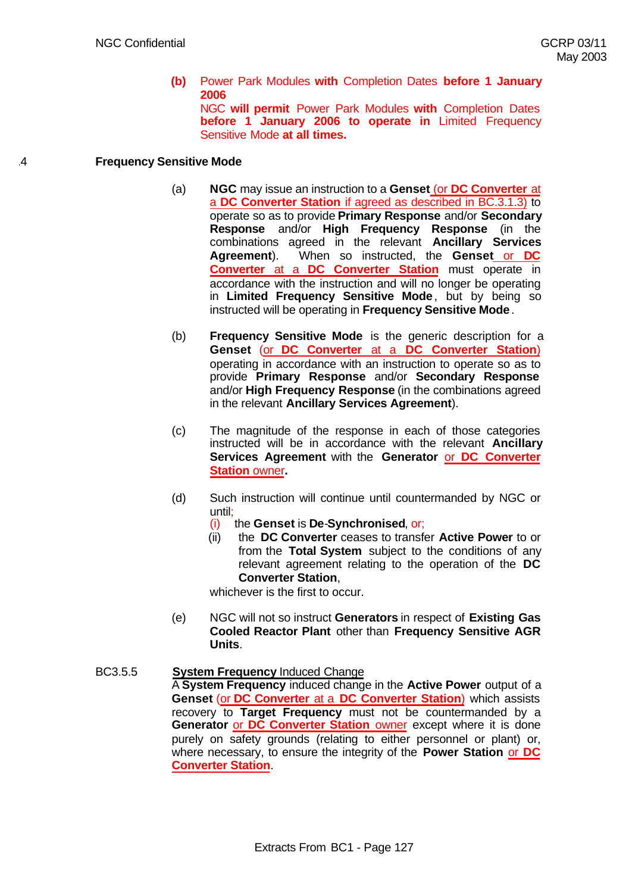#### **(b)** Power Park Modules **with** Completion Dates **before 1 January 2006** NGC **will permit** Power Park Modules **with** Completion Dates **before 1 January 2006 to operate in** Limited Frequency Sensitive Mode **at all times.**

## .4 **Frequency Sensitive Mode**

- (a) **NGC** may issue an instruction to a **Genset** (or **DC Converter** at a **DC Converter Station** if agreed as described in BC.3.1.3) to operate so as to provide **Primary Response** and/or **Secondary Response** and/or **High Frequency Response** (in the combinations agreed in the relevant **Ancillary Services Agreement**). When so instructed, the **Genset** or **DC Converter** at a **DC Converter Station** must operate in accordance with the instruction and will no longer be operating in **Limited Frequency Sensitive Mode**, but by being so instructed will be operating in **Frequency Sensitive Mode**.
- (b) **Frequency Sensitive Mode** is the generic description for a **Genset** (or **DC Converter** at a **DC Converter Station**) operating in accordance with an instruction to operate so as to provide **Primary Response** and/or **Secondary Response** and/or **High Frequency Response** (in the combinations agreed in the relevant **Ancillary Services Agreement**).
- (c) The magnitude of the response in each of those categories instructed will be in accordance with the relevant **Ancillary Services Agreement** with the **Generator** or **DC Converter Station** owner**.**
- (d) Such instruction will continue until countermanded by NGC or until;
	- (i) the **Genset** is **De**-**Synchronised**, or;
	- (ii) the **DC Converter** ceases to transfer **Active Power** to or from the **Total System** subject to the conditions of any relevant agreement relating to the operation of the **DC Converter Station**,

whichever is the first to occur.

- (e) NGC will not so instruct **Generators** in respect of **Existing Gas Cooled Reactor Plant** other than **Frequency Sensitive AGR Units**.
- BC3.5.5 **System Frequency** Induced Change A **System Frequency** induced change in the **Active Power** output of a **Genset** (or **DC Converter** at a **DC Converter Station**) which assists recovery to **Target Frequency** must not be countermanded by a **Generator** or **DC Converter Station** owner except where it is done purely on safety grounds (relating to either personnel or plant) or, where necessary, to ensure the integrity of the **Power Station** or **DC Converter Station**.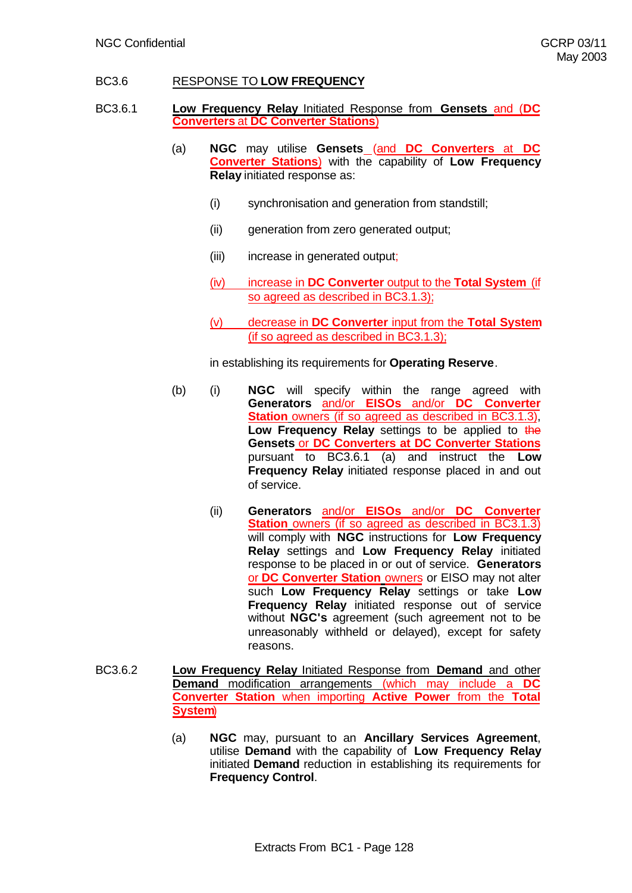# BC3.6 RESPONSE TO **LOW FREQUENCY**

- BC3.6.1 **Low Frequency Relay** Initiated Response from **Gensets** and (**DC Converters** at **DC Converter Stations**)
	- (a) **NGC** may utilise **Gensets** (and **DC Converters** at **DC Converter Stations**) with the capability of **Low Frequency Relay** initiated response as:
		- (i) synchronisation and generation from standstill;
		- (ii) generation from zero generated output;
		- (iii) increase in generated output;
		- (iv) increase in **DC Converter** output to the **Total System** (if so agreed as described in BC3.1.3);
		- (v) decrease in **DC Converter** input from the **Total System** (if so agreed as described in BC3.1.3);

in establishing its requirements for **Operating Reserve**.

- (b) (i) **NGC** will specify within the range agreed with **Generators** and/or **EISOs** and/or **DC Converter Station** owners (if so agreed as described in BC3.1.3), Low Frequency Relay settings to be applied to the **Gensets** or **DC Converters at DC Converter Stations** pursuant to BC3.6.1 (a) and instruct the **Low Frequency Relay** initiated response placed in and out of service.
	- (ii) **Generators** and/or **EISOs** and/or **DC Converter Station** owners (if so agreed as described in BC3.1.3) will comply with **NGC** instructions for **Low Frequency Relay** settings and **Low Frequency Relay** initiated response to be placed in or out of service. **Generators** or **DC Converter Station** owners or EISO may not alter such **Low Frequency Relay** settings or take **Low Frequency Relay** initiated response out of service without **NGC's** agreement (such agreement not to be unreasonably withheld or delayed), except for safety reasons.
- BC3.6.2 **Low Frequency Relay** Initiated Response from **Demand** and other **Demand** modification arrangements (which may include a **DC Converter Station** when importing **Active Power** from the **Total System**)
	- (a) **NGC** may, pursuant to an **Ancillary Services Agreement**, utilise **Demand** with the capability of **Low Frequency Relay** initiated **Demand** reduction in establishing its requirements for **Frequency Control**.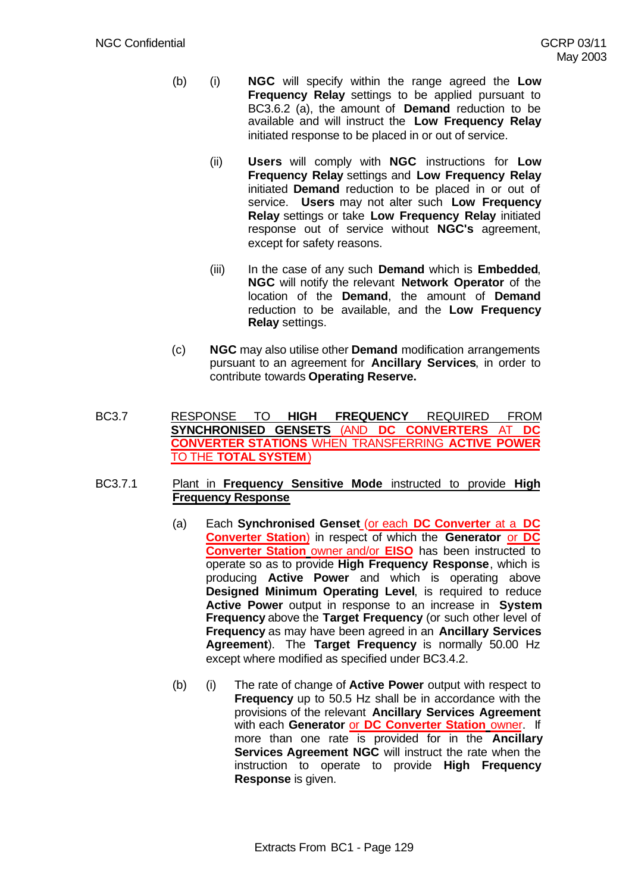- (b) (i) **NGC** will specify within the range agreed the **Low Frequency Relay** settings to be applied pursuant to BC3.6.2 (a), the amount of **Demand** reduction to be available and will instruct the **Low Frequency Relay** initiated response to be placed in or out of service.
	- (ii) **Users** will comply with **NGC** instructions for **Low Frequency Relay** settings and **Low Frequency Relay** initiated **Demand** reduction to be placed in or out of service. **Users** may not alter such **Low Frequency Relay** settings or take **Low Frequency Relay** initiated response out of service without **NGC's** agreement, except for safety reasons.
	- (iii) In the case of any such **Demand** which is **Embedded**, **NGC** will notify the relevant **Network Operator** of the location of the **Demand**, the amount of **Demand** reduction to be available, and the **Low Frequency Relay** settings.
- (c) **NGC** may also utilise other **Demand** modification arrangements pursuant to an agreement for **Ancillary Services**, in order to contribute towards **Operating Reserve.**
- BC3.7 RESPONSE TO **HIGH FREQUENCY** REQUIRED FROM **SYNCHRONISED GENSETS** (AND **DC CONVERTERS** AT **DC CONVERTER STATIONS** WHEN TRANSFERRING **ACTIVE POWER** TO THE **TOTAL SYSTEM**)
- BC3.7.1 Plant in **Frequency Sensitive Mode** instructed to provide **High Frequency Response**
	- (a) Each **Synchronised Genset** (or each **DC Converter** at a **DC Converter Station**) in respect of which the **Generator** or **DC Converter Station** owner and/or **EISO** has been instructed to operate so as to provide **High Frequency Response**, which is producing **Active Power** and which is operating above **Designed Minimum Operating Level**, is required to reduce **Active Power** output in response to an increase in **System Frequency** above the **Target Frequency** (or such other level of **Frequency** as may have been agreed in an **Ancillary Services Agreement**). The **Target Frequency** is normally 50.00 Hz except where modified as specified under BC3.4.2.
	- (b) (i) The rate of change of **Active Power** output with respect to **Frequency** up to 50.5 Hz shall be in accordance with the provisions of the relevant **Ancillary Services Agreement** with each **Generator** or **DC Converter Station** owner. If more than one rate is provided for in the **Ancillary Services Agreement NGC** will instruct the rate when the instruction to operate to provide **High Frequency Response** is given.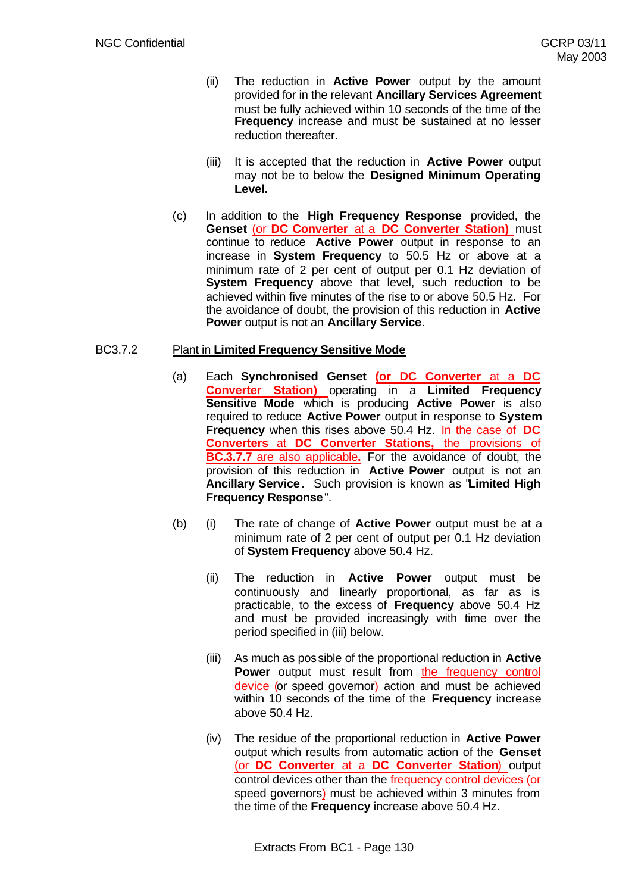- (ii) The reduction in **Active Power** output by the amount provided for in the relevant **Ancillary Services Agreement** must be fully achieved within 10 seconds of the time of the **Frequency** increase and must be sustained at no lesser reduction thereafter.
- (iii) It is accepted that the reduction in **Active Power** output may not be to below the **Designed Minimum Operating Level.**
- (c) In addition to the **High Frequency Response** provided, the **Genset** (or **DC Converter** at a **DC Converter Station)** must continue to reduce **Active Power** output in response to an increase in **System Frequency** to 50.5 Hz or above at a minimum rate of 2 per cent of output per 0.1 Hz deviation of **System Frequency** above that level, such reduction to be achieved within five minutes of the rise to or above 50.5 Hz. For the avoidance of doubt, the provision of this reduction in **Active Power** output is not an **Ancillary Service**.

# BC3.7.2 Plant in **Limited Frequency Sensitive Mode**

- (a) Each **Synchronised Genset (or DC Converter** at a **DC Converter Station)** operating in a **Limited Frequency Sensitive Mode** which is producing **Active Power** is also required to reduce **Active Power** output in response to **System Frequency** when this rises above 50.4 Hz. In the case of **DC Converters** at **DC Converter Stations,** the provisions of **BC.3.7.7** are also applicable**.** For the avoidance of doubt, the provision of this reduction in **Active Power** output is not an **Ancillary Service**. Such provision is known as "**Limited High Frequency Response**".
- (b) (i) The rate of change of **Active Power** output must be at a minimum rate of 2 per cent of output per 0.1 Hz deviation of **System Frequency** above 50.4 Hz.
	- (ii) The reduction in **Active Power** output must be continuously and linearly proportional, as far as is practicable, to the excess of **Frequency** above 50.4 Hz and must be provided increasingly with time over the period specified in (iii) below.
	- (iii) As much as possible of the proportional reduction in **Active Power** output must result from the frequency control device (or speed governor) action and must be achieved within 10 seconds of the time of the **Frequency** increase above 50.4 Hz.
	- (iv) The residue of the proportional reduction in **Active Power** output which results from automatic action of the **Genset** (or **DC Converter** at a **DC Converter Station**) output control devices other than the frequency control devices (or speed governors) must be achieved within 3 minutes from the time of the **Frequency** increase above 50.4 Hz.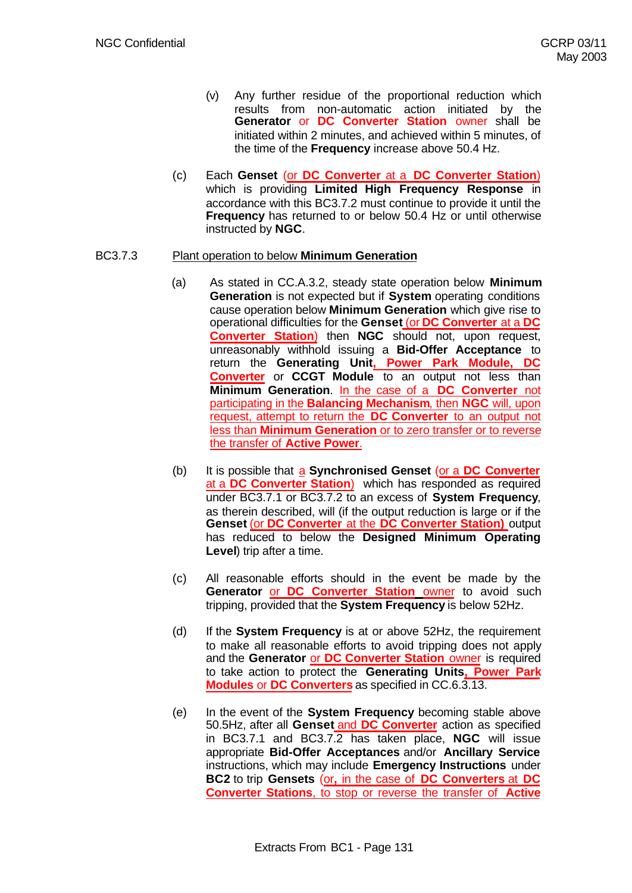- (v) Any further residue of the proportional reduction which results from non-automatic action initiated by the **Generator** or **DC Converter Station** owner shall be initiated within 2 minutes, and achieved within 5 minutes, of the time of the **Frequency** increase above 50.4 Hz.
- (c) Each **Genset** (or **DC Converter** at a **DC Converter Station**) which is providing **Limited High Frequency Response** in accordance with this BC3.7.2 must continue to provide it until the **Frequency** has returned to or below 50.4 Hz or until otherwise instructed by **NGC**.

## BC3.7.3 Plant operation to below **Minimum Generation**

- (a) As stated in CC.A.3.2, steady state operation below **Minimum Generation** is not expected but if **System** operating conditions cause operation below **Minimum Generation** which give rise to operational difficulties for the **Genset** (or **DC Converter** at a **DC Converter Station**) then **NGC** should not, upon request, unreasonably withhold issuing a **Bid-Offer Acceptance** to return the **Generating Unit, Power Park Module, DC Converter** or **CCGT Module** to an output not less than **Minimum Generation**. In the case of a **DC Converter** not participating in the **Balancing Mechanism**, then **NGC** will, upon request, attempt to return the **DC Converter** to an output not less than **Minimum Generation** or to zero transfer or to reverse the transfer of **Active Power**.
	- (b) It is possible that a **Synchronised Genset** (or a **DC Converter** at a **DC Converter Station**) which has responded as required under BC3.7.1 or BC3.7.2 to an excess of **System Frequency**, as therein described, will (if the output reduction is large or if the **Genset** (or **DC Converter** at the **DC Converter Station)** output has reduced to below the **Designed Minimum Operating Level**) trip after a time.
	- (c) All reasonable efforts should in the event be made by the **Generator** or **DC Converter Station** owner to avoid such tripping, provided that the **System Frequency** is below 52Hz.
	- (d) If the **System Frequency** is at or above 52Hz, the requirement to make all reasonable efforts to avoid tripping does not apply and the **Generator** or **DC Converter Station** owner is required to take action to protect the **Generating Units, Power Park Modules** or **DC Converters** as specified in CC.6.3.13.
	- (e) In the event of the **System Frequency** becoming stable above 50.5Hz, after all **Genset** and **DC Converter** action as specified in BC3.7.1 and BC3.7.2 has taken place, **NGC** will issue appropriate **Bid-Offer Acceptances** and/or **Ancillary Service** instructions, which may include **Emergency Instructions** under **BC2** to trip **Gensets** (or**,** in the case of **DC Converters** at **DC Converter Stations**, to stop or reverse the transfer of **Active**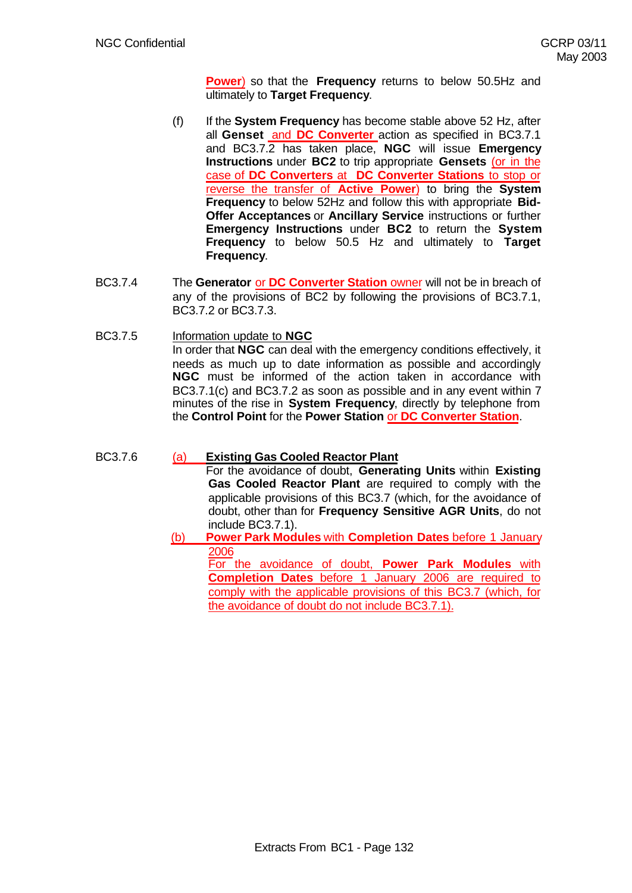**Power**) so that the **Frequency** returns to below 50.5Hz and ultimately to **Target Frequency**.

- (f) If the **System Frequency** has become stable above 52 Hz, after all **Genset** and **DC Converter** action as specified in BC3.7.1 and BC3.7.2 has taken place, **NGC** will issue **Emergency Instructions** under **BC2** to trip appropriate **Gensets** (or in the case of **DC Converters** at **DC Converter Stations** to stop or reverse the transfer of **Active Power**) to bring the **System Frequency** to below 52Hz and follow this with appropriate **Bid-Offer Acceptances** or **Ancillary Service** instructions or further **Emergency Instructions** under **BC2** to return the **System Frequency** to below 50.5 Hz and ultimately to **Target Frequency**.
- BC3.7.4 The **Generator** or **DC Converter Station** owner will not be in breach of any of the provisions of BC2 by following the provisions of BC3.7.1, BC3.7.2 or BC3.7.3.
- BC3.7.5 Information update to **NGC** In order that **NGC** can deal with the emergency conditions effectively, it needs as much up to date information as possible and accordingly **NGC** must be informed of the action taken in accordance with BC3.7.1(c) and BC3.7.2 as soon as possible and in any event within 7 minutes of the rise in **System Frequency**, directly by telephone from the **Control Point** for the **Power Station** or **DC Converter Station**.

# BC3.7.6 (a) **Existing Gas Cooled Reactor Plant**

For the avoidance of doubt, **Generating Units** within **Existing Gas Cooled Reactor Plant** are required to comply with the applicable provisions of this BC3.7 (which, for the avoidance of doubt, other than for **Frequency Sensitive AGR Units**, do not include BC3.7.1).

(b) **Power Park Modules** with **Completion Dates** before 1 January 2006

For the avoidance of doubt, **Power Park Modules** with **Completion Dates** before 1 January 2006 are required to comply with the applicable provisions of this BC3.7 (which, for the avoidance of doubt do not include BC3.7.1).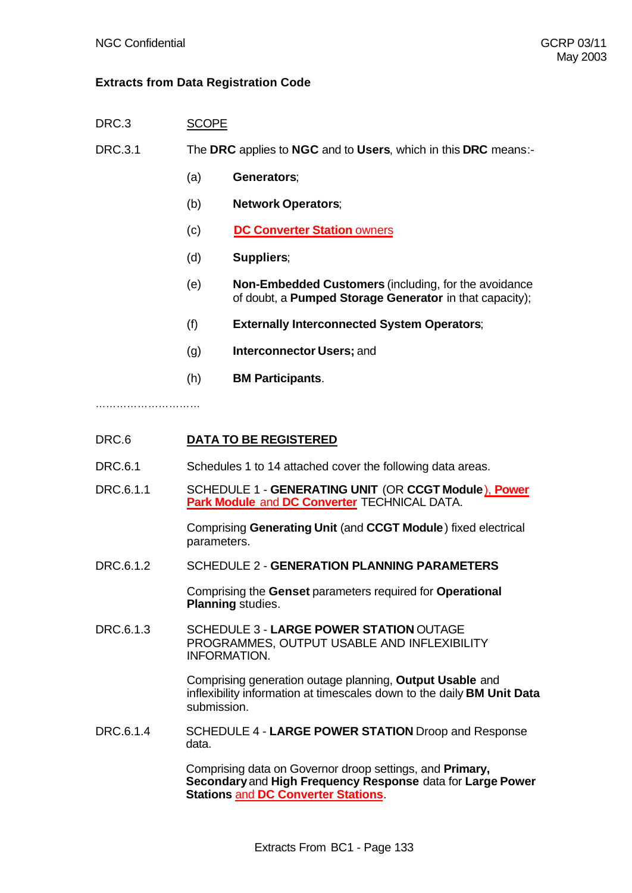# **Extracts from Data Registration Code**

DRC.3 SCOPE

DRC.3.1 The **DRC** applies to **NGC** and to **Users**, which in this **DRC** means:-

- (a) **Generators**;
- (b) **Network Operators**;
- (c) **DC Converter Station** owners
- (d) **Suppliers**;
- (e) **Non-Embedded Customers** (including, for the avoidance of doubt, a **Pumped Storage Generator** in that capacity);
- (f) **Externally Interconnected System Operators**;
- (g) **Interconnector Users;** and
- (h) **BM Participants**.

…………………………

# DRC.6 **DATA TO BE REGISTERED**

- DRC.6.1 Schedules 1 to 14 attached cover the following data areas.
- DRC.6.1.1 SCHEDULE 1 **GENERATING UNIT** (OR **CCGT Module**), **Power Park Module** and **DC Converter** TECHNICAL DATA.

Comprising **Generating Unit** (and **CCGT Module**) fixed electrical parameters.

DRC.6.1.2 SCHEDULE 2 - **GENERATION PLANNING PARAMETERS**

Comprising the **Genset** parameters required for **Operational Planning** studies.

DRC.6.1.3 SCHEDULE 3 - **LARGE POWER STATION** OUTAGE PROGRAMMES, OUTPUT USABLE AND INFLEXIBILITY INFORMATION.

> Comprising generation outage planning, **Output Usable** and inflexibility information at timescales down to the daily **BM Unit Data** submission.

DRC.6.1.4 SCHEDULE 4 - **LARGE POWER STATION** Droop and Response data.

> Comprising data on Governor droop settings, and **Primary, Secondary** and **High Frequency Response** data for **Large Power Stations** and **DC Converter Stations**.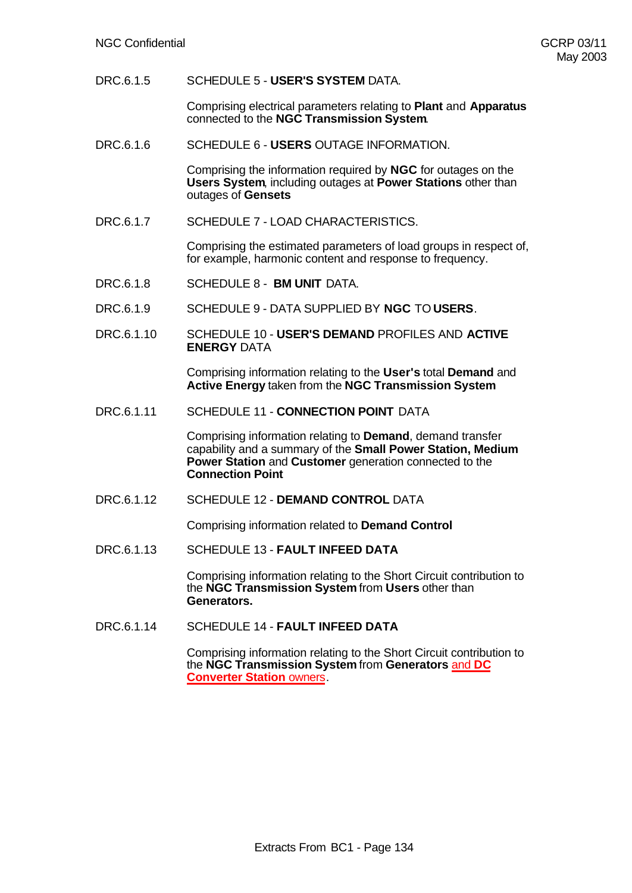DRC.6.1.5 SCHEDULE 5 - **USER'S SYSTEM** DATA.

Comprising electrical parameters relating to **Plant** and **Apparatus** connected to the **NGC Transmission System**.

DRC.6.1.6 SCHEDULE 6 - **USERS** OUTAGE INFORMATION.

Comprising the information required by **NGC** for outages on the **Users System**, including outages at **Power Stations** other than outages of **Gensets**

DRC.6.1.7 SCHEDULE 7 - LOAD CHARACTERISTICS.

Comprising the estimated parameters of load groups in respect of, for example, harmonic content and response to frequency.

- DRC.6.1.8 SCHEDULE 8 **BM UNIT** DATA.
- DRC.6.1.9 SCHEDULE 9 DATA SUPPLIED BY **NGC** TO **USERS**.
- DRC.6.1.10 SCHEDULE 10 - **USER'S DEMAND** PROFILES AND **ACTIVE ENERGY** DATA

Comprising information relating to the **User's** total **Demand** and **Active Energy** taken from the **NGC Transmission System**

DRC.6.1.11 SCHEDULE 11 - **CONNECTION POINT** DATA

Comprising information relating to **Demand**, demand transfer capability and a summary of the **Small Power Station, Medium Power Station** and **Customer** generation connected to the **Connection Point**

DRC.6.1.12 SCHEDULE 12 - **DEMAND CONTROL** DATA

Comprising information related to **Demand Control**

DRC.6.1.13 SCHEDULE 13 - **FAULT INFEED DATA**

Comprising information relating to the Short Circuit contribution to the **NGC Transmission System** from **Users** other than **Generators.**

DRC.6.1.14 SCHEDULE 14 - **FAULT INFEED DATA**

Comprising information relating to the Short Circuit contribution to the **NGC Transmission System** from **Generators** and **DC Converter Station owners.**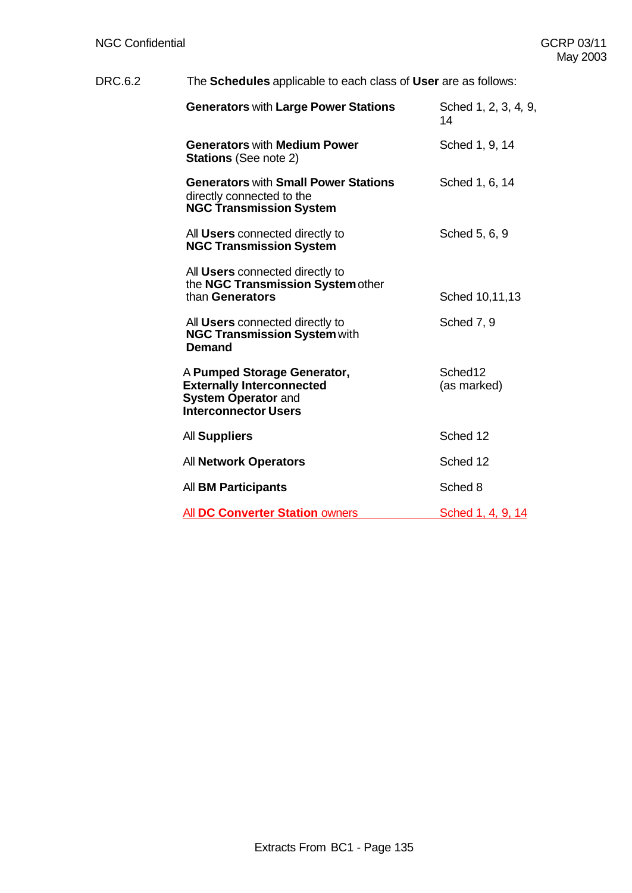# DRC.6.2 The **Schedules** applicable to each class of **User** are as follows:

| <b>Generators with Large Power Stations</b>                                                                                  | Sched 1, 2, 3, 4, 9,<br>14         |
|------------------------------------------------------------------------------------------------------------------------------|------------------------------------|
| <b>Generators with Medium Power</b><br><b>Stations</b> (See note 2)                                                          | Sched 1, 9, 14                     |
| <b>Generators with Small Power Stations</b><br>directly connected to the<br><b>NGC Transmission System</b>                   | Sched 1, 6, 14                     |
| All <b>Users</b> connected directly to<br><b>NGC Transmission System</b>                                                     | Sched 5, 6, 9                      |
| All <b>Users</b> connected directly to<br>the NGC Transmission System other<br>than Generators                               | Sched 10,11,13                     |
| All <b>Users</b> connected directly to<br><b>NGC Transmission System with</b><br><b>Demand</b>                               | Sched 7, 9                         |
| A Pumped Storage Generator,<br><b>Externally Interconnected</b><br><b>System Operator and</b><br><b>Interconnector Users</b> | Sched <sub>12</sub><br>(as marked) |
| All Suppliers                                                                                                                | Sched 12                           |
| <b>All Network Operators</b>                                                                                                 | Sched 12                           |
| All <b>BM Participants</b>                                                                                                   | Sched 8                            |
| <b>All DC Converter Station owners</b>                                                                                       | <u>Sched 1, 4, 9, 14</u>           |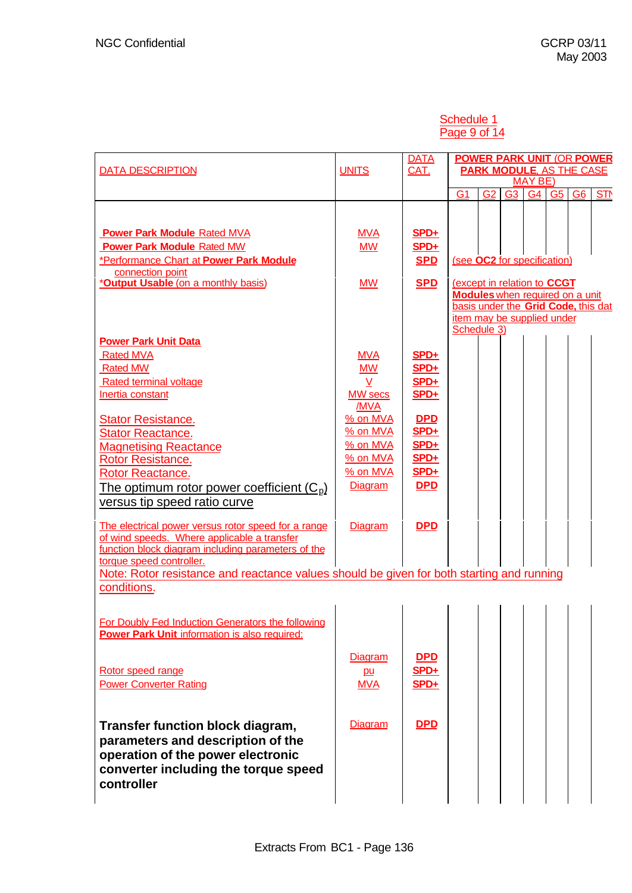# Schedule 1 Page 9 of 14

| <b>DATA DESCRIPTION</b>                                                                                                                                                                                                                                                                          | <b>UNITS</b>                                                        | <b>DATA</b><br>CAT.                                              | <b>POWER PARK UNIT (OR POWER</b><br><b>PARK MODULE, AS THE CASE</b><br><b>MAY BE)</b>                                                                     |                       |  |  |
|--------------------------------------------------------------------------------------------------------------------------------------------------------------------------------------------------------------------------------------------------------------------------------------------------|---------------------------------------------------------------------|------------------------------------------------------------------|-----------------------------------------------------------------------------------------------------------------------------------------------------------|-----------------------|--|--|
|                                                                                                                                                                                                                                                                                                  |                                                                     |                                                                  | G <sub>1</sub><br>G <sub>2</sub><br>G <sub>3</sub><br>G4<br>G <sub>5</sub>                                                                                | STN<br>G <sub>6</sub> |  |  |
| <b>Power Park Module Rated MVA</b><br><b>Power Park Module Rated MW</b><br>*Performance Chart at Power Park Module                                                                                                                                                                               | <b>MVA</b><br><b>MW</b>                                             | $SPD+$<br>$SPD+$<br><b>SPD</b>                                   | (see OC2 for specification)                                                                                                                               |                       |  |  |
| connection point<br>* <b>Output Usable</b> (on a monthly basis)<br><b>Power Park Unit Data</b>                                                                                                                                                                                                   | <b>MW</b>                                                           | <b>SPD</b>                                                       | (except in relation to CCGT<br><b>Modules</b> when required on a unit<br>basis under the Grid Code, this dat<br>item may be supplied under<br>Schedule 3) |                       |  |  |
| <b>Rated MVA</b><br><b>Rated MW</b><br><b>Rated terminal voltage</b><br>Inertia constant                                                                                                                                                                                                         | <u>MVA</u><br><b>MW</b><br>V<br><b>MW</b> secs<br>/MVA              | $SPD+$<br>$SPD+$<br>$SPD+$<br>$SPD+$                             |                                                                                                                                                           |                       |  |  |
| <b>Stator Resistance.</b><br><b>Stator Reactance.</b><br><b>Magnetising Reactance</b><br><b>Rotor Resistance.</b><br><b>Rotor Reactance.</b><br>The optimum rotor power coefficient $(C_p)$<br>versus tip speed ratio curve                                                                      | % on MVA<br>% on MVA<br>% on MVA<br>% on MVA<br>% on MVA<br>Diagram | <b>DPD</b><br>$SPD+$<br>$SPD+$<br>$SPD+$<br>$SPD+$<br><b>DPD</b> |                                                                                                                                                           |                       |  |  |
| The electrical power versus rotor speed for a range<br>of wind speeds. Where applicable a transfer<br>function block diagram including parameters of the<br>torque speed controller.<br>Note: Rotor resistance and reactance values should be given for both starting and running<br>conditions. | Diagram                                                             | <b>DPD</b>                                                       |                                                                                                                                                           |                       |  |  |
| For Doubly Fed Induction Generators the following<br><b>Power Park Unit information is also required:</b>                                                                                                                                                                                        |                                                                     |                                                                  |                                                                                                                                                           |                       |  |  |
| Rotor speed range<br><b>Power Converter Rating</b>                                                                                                                                                                                                                                               | Diagram<br>pu<br><b>MVA</b>                                         | <b>DPD</b><br>$SPD+$<br>$SPD+$                                   |                                                                                                                                                           |                       |  |  |
| Transfer function block diagram,<br>parameters and description of the<br>operation of the power electronic<br>converter including the torque speed<br>controller                                                                                                                                 | Diagram                                                             | <b>DPD</b>                                                       |                                                                                                                                                           |                       |  |  |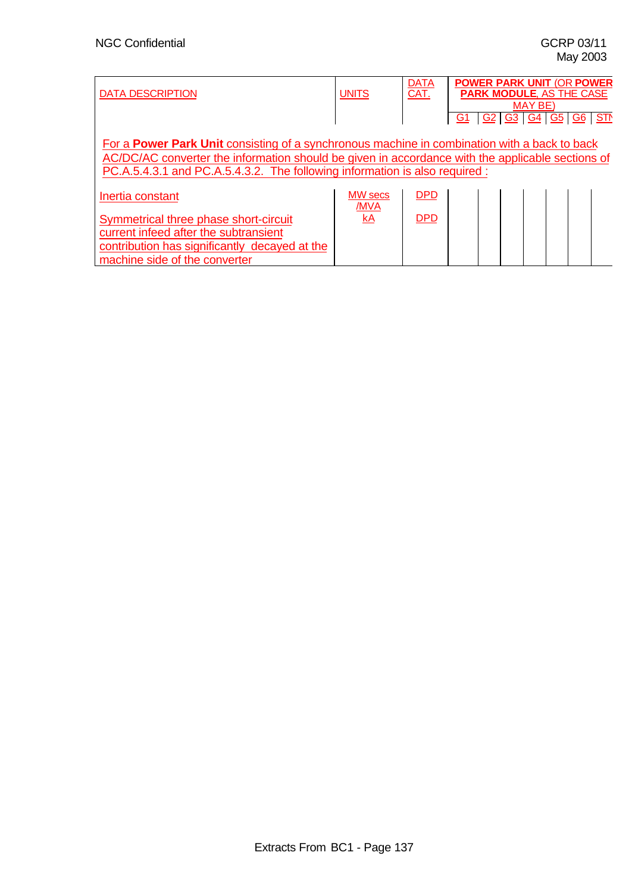| DATA DESCRIPTION | <b>DATA</b><br>CAT. | <b>POWER PARK UNIT (OR POWER</b><br><b>PARK MODULE. AS THE CASE</b><br><b>MAY BE</b> |
|------------------|---------------------|--------------------------------------------------------------------------------------|
|                  |                     | <b>STN</b><br><u>G2</u><br>G1<br><u>G3 G4 G5</u><br><u>G6</u>                        |

For a **Power Park Unit** consisting of a synchronous machine in combination with a back to back AC/DC/AC converter the information should be given in accordance with the applicable sections of PC.A.5.4.3.1 and PC.A.5.4.3.2. The following information is also required :

| I Inertia constant                                                                                                                                               | <b>MW</b> secs<br>/MVA | <u>DPD</u> |  |  |  |  |
|------------------------------------------------------------------------------------------------------------------------------------------------------------------|------------------------|------------|--|--|--|--|
| Symmetrical three phase short-circuit<br>current infeed after the subtransient<br>contribution has significantly decayed at the<br>machine side of the converter | kA                     | <u>DPD</u> |  |  |  |  |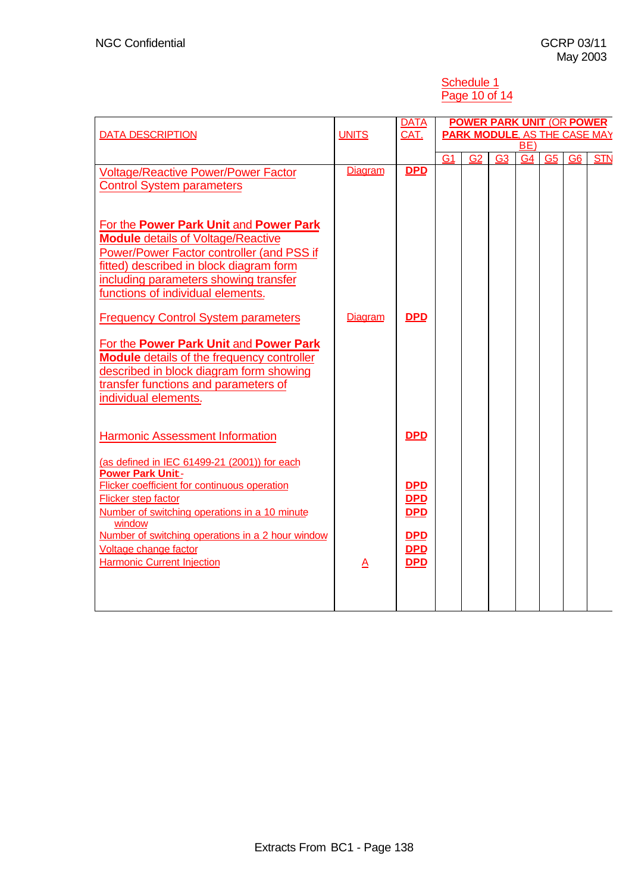#### Schedule 1 Page 10 of 14

|                                                                                     |              | <b>DATA</b> |                | <b>POWER PARK UNIT (OR POWER)</b>   |                |                |    |    |            |
|-------------------------------------------------------------------------------------|--------------|-------------|----------------|-------------------------------------|----------------|----------------|----|----|------------|
| <b>DATA DESCRIPTION</b>                                                             | <b>UNITS</b> | CAT.        |                | <b>PARK MODULE, AS THE CASE MAY</b> |                |                |    |    |            |
|                                                                                     |              |             |                |                                     |                | BE)            |    |    |            |
|                                                                                     |              |             | G <sub>1</sub> | G <sub>2</sub>                      | G <sub>3</sub> | G <sub>4</sub> | G5 | G6 | <b>STN</b> |
| <b>Voltage/Reactive Power/Power Factor</b>                                          | Diagram      | <b>DPD</b>  |                |                                     |                |                |    |    |            |
| <b>Control System parameters</b>                                                    |              |             |                |                                     |                |                |    |    |            |
|                                                                                     |              |             |                |                                     |                |                |    |    |            |
|                                                                                     |              |             |                |                                     |                |                |    |    |            |
| For the Power Park Unit and Power Park<br><b>Module details of Voltage/Reactive</b> |              |             |                |                                     |                |                |    |    |            |
| Power/Power Factor controller (and PSS if                                           |              |             |                |                                     |                |                |    |    |            |
| fitted) described in block diagram form                                             |              |             |                |                                     |                |                |    |    |            |
|                                                                                     |              |             |                |                                     |                |                |    |    |            |
| including parameters showing transfer                                               |              |             |                |                                     |                |                |    |    |            |
| functions of individual elements.                                                   |              |             |                |                                     |                |                |    |    |            |
| <b>Frequency Control System parameters</b>                                          | Diagram      | <b>DPD</b>  |                |                                     |                |                |    |    |            |
|                                                                                     |              |             |                |                                     |                |                |    |    |            |
| For the Power Park Unit and Power Park                                              |              |             |                |                                     |                |                |    |    |            |
| <b>Module</b> details of the frequency controller                                   |              |             |                |                                     |                |                |    |    |            |
| described in block diagram form showing                                             |              |             |                |                                     |                |                |    |    |            |
| transfer functions and parameters of                                                |              |             |                |                                     |                |                |    |    |            |
| individual elements.                                                                |              |             |                |                                     |                |                |    |    |            |
|                                                                                     |              |             |                |                                     |                |                |    |    |            |
|                                                                                     |              |             |                |                                     |                |                |    |    |            |
| <b>Harmonic Assessment Information</b>                                              |              | <b>DPD</b>  |                |                                     |                |                |    |    |            |
|                                                                                     |              |             |                |                                     |                |                |    |    |            |
| (as defined in IEC 61499-21 (2001)) for each                                        |              |             |                |                                     |                |                |    |    |            |
| Power Park Unit-                                                                    |              |             |                |                                     |                |                |    |    |            |
| <b>Flicker coefficient for continuous operation</b>                                 |              | <b>DPD</b>  |                |                                     |                |                |    |    |            |
| <b>Flicker step factor</b>                                                          |              | <b>DPD</b>  |                |                                     |                |                |    |    |            |
| Number of switching operations in a 10 minute<br>window                             |              | <b>DPD</b>  |                |                                     |                |                |    |    |            |
| Number of switching operations in a 2 hour window                                   |              | <b>DPD</b>  |                |                                     |                |                |    |    |            |
| Voltage change factor                                                               |              | <b>DPD</b>  |                |                                     |                |                |    |    |            |
| <b>Harmonic Current Injection</b>                                                   | A            | <b>DPD</b>  |                |                                     |                |                |    |    |            |
|                                                                                     |              |             |                |                                     |                |                |    |    |            |
|                                                                                     |              |             |                |                                     |                |                |    |    |            |
|                                                                                     |              |             |                |                                     |                |                |    |    |            |
|                                                                                     |              |             |                |                                     |                |                |    |    |            |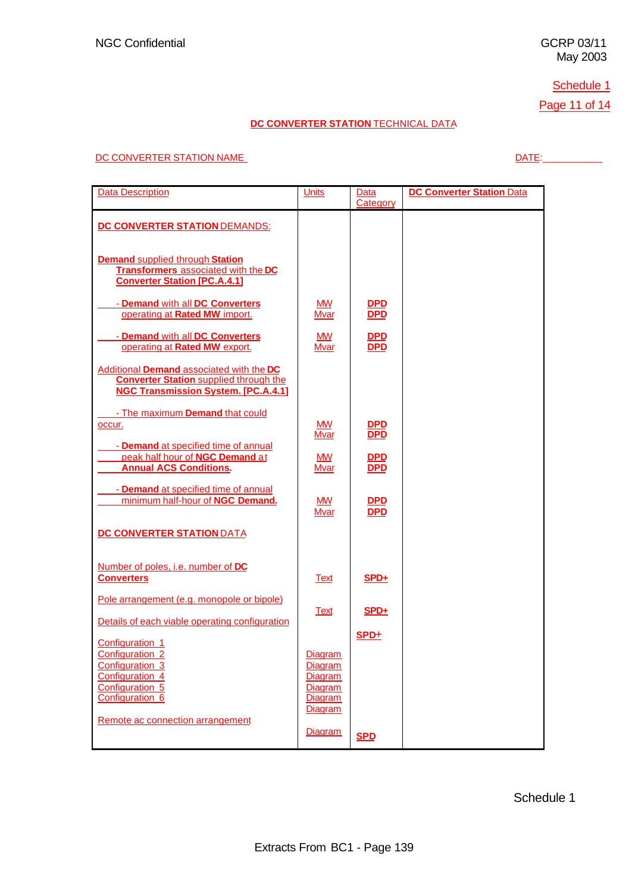# Schedule 1

Page 11 of 14

# **DC CONVERTER STATION TECHNICAL DATA**

#### DC CONVERTER STATION NAME DATE:\_\_\_\_\_\_\_\_\_\_\_

| <b>Data Description</b>                                                                                                                 | <b>Units</b>                                                         | Data<br>Category              | <b>DC Converter Station Data</b> |
|-----------------------------------------------------------------------------------------------------------------------------------------|----------------------------------------------------------------------|-------------------------------|----------------------------------|
| DC CONVERTER STATION DEMANDS:                                                                                                           |                                                                      |                               |                                  |
| <b>Demand supplied through Station</b><br>Transformers associated with the DC<br><b>Converter Station [PC.A.4.1]</b>                    |                                                                      |                               |                                  |
| - Demand with all DC Converters<br>operating at Rated MW import.                                                                        | MW.<br>Mvar                                                          | <u>DPD</u><br><b>DPD</b>      |                                  |
| - Demand with all DC Converters<br>operating at Rated MW export.                                                                        | MW.<br><b>Mvar</b>                                                   | <b>DPD</b><br><b>DPD</b>      |                                  |
| Additional Demand associated with the DC<br><b>Converter Station supplied through the</b><br><b>NGC Transmission System. [PC.A.4.1]</b> |                                                                      |                               |                                  |
| - The maximum Demand that could<br>occur.                                                                                               | <b>MW</b><br><b>Mvar</b>                                             | $rac{\text{DPD}}{\text{DPD}}$ |                                  |
| - Demand at specified time of annual<br>peak half hour of NGC Demand at<br><b>Annual ACS Conditions.</b>                                | MW.<br><b>Mvar</b>                                                   | <b>DPD</b><br><b>DPD</b>      |                                  |
| - <b>Demand</b> at specified time of annual<br>minimum half-hour of NGC Demand.                                                         | <b>MW</b><br><b>Mvar</b>                                             | <u>DPD</u><br><b>DPD</b>      |                                  |
| <b>DC CONVERTER STATION DATA</b>                                                                                                        |                                                                      |                               |                                  |
| Number of poles, i.e. number of DC<br><b>Converters</b>                                                                                 | <b>Text</b>                                                          | $SPD+$                        |                                  |
| Pole arrangement (e.g. monopole or bipole)<br>Details of each viable operating configuration                                            | Text                                                                 | $SPD+$                        |                                  |
| Configuration 1<br>Configuration <sub>2</sub>                                                                                           | <b>Diagram</b>                                                       | SPD+                          |                                  |
| Configuration 3<br>Configuration 4<br>Configuration 5<br>Configuration 6                                                                | <b>Diagram</b><br><b>Diagram</b><br><b>Diagram</b><br><b>Diagram</b> |                               |                                  |
| Remote ac connection arrangement                                                                                                        | <b>Diagram</b><br>Diagram                                            | <b>SPD</b>                    |                                  |

Schedule 1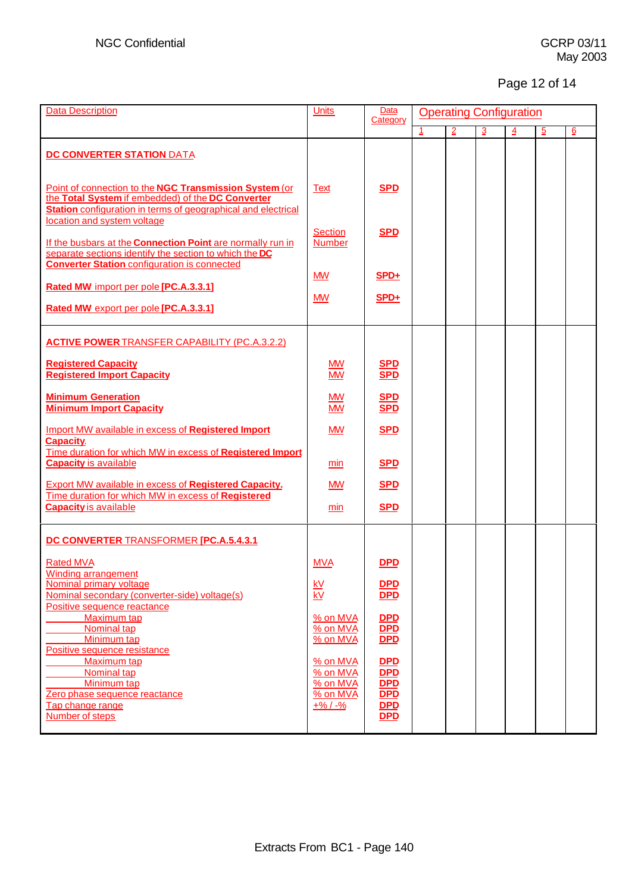# Page 12 of 14

| <b>Data Description</b>                                                                                                                                                      | <b>Units</b>                                   | Data<br>Category                | <b>Operating Configuration</b> |                |               |                |                |   |
|------------------------------------------------------------------------------------------------------------------------------------------------------------------------------|------------------------------------------------|---------------------------------|--------------------------------|----------------|---------------|----------------|----------------|---|
|                                                                                                                                                                              |                                                |                                 | 1                              | $\overline{2}$ | $\frac{3}{2}$ | $\overline{4}$ | $\overline{5}$ | 6 |
| <b>DC CONVERTER STATION DATA</b>                                                                                                                                             |                                                |                                 |                                |                |               |                |                |   |
| Point of connection to the NGC Transmission System (or<br>the Total System if embedded) of the DC Converter<br>Station configuration in terms of geographical and electrical | <b>Text</b>                                    | <b>SPD</b>                      |                                |                |               |                |                |   |
| location and system voltage<br>If the busbars at the Connection Point are normally run in<br>separate sections identify the section to which the DC                          | <b>Section</b><br><b>Number</b>                | <b>SPD</b>                      |                                |                |               |                |                |   |
| <b>Converter Station configuration is connected</b><br>Rated MW import per pole [PC.A.3.3.1]                                                                                 | <b>MW</b>                                      | $SPD+$                          |                                |                |               |                |                |   |
| Rated MW export per pole [PC.A.3.3.1]                                                                                                                                        | <b>MW</b>                                      | $SPD+$                          |                                |                |               |                |                |   |
| <b>ACTIVE POWER TRANSFER CAPABILITY (PC.A.3.2.2)</b>                                                                                                                         |                                                |                                 |                                |                |               |                |                |   |
| <b>Registered Capacity</b><br><b>Registered Import Capacity</b>                                                                                                              | <b>MW</b><br><b>MW</b>                         | <b>SPD</b><br><b>SPD</b>        |                                |                |               |                |                |   |
| <b>Minimum Generation</b><br><b>Minimum Import Capacity</b>                                                                                                                  | <b>MW</b><br><b>MW</b>                         | <b>SPD</b><br><b>SPD</b>        |                                |                |               |                |                |   |
| <b>Import MW available in excess of Registered Import</b><br><b>Capacity.</b>                                                                                                | <b>MW</b>                                      | <b>SPD</b>                      |                                |                |               |                |                |   |
| Time duration for which MW in excess of Registered Import<br><b>Capacity is available</b>                                                                                    | min                                            | <b>SPD</b>                      |                                |                |               |                |                |   |
| <b>Export MW available in excess of Registered Capacity.</b><br>Time duration for which MW in excess of Registered                                                           | <b>MW</b>                                      | <b>SPD</b>                      |                                |                |               |                |                |   |
| <b>Capacity is available</b>                                                                                                                                                 | min                                            | <b>SPD</b>                      |                                |                |               |                |                |   |
| DC CONVERTER TRANSFORMER [PC.A.5.4.3.1                                                                                                                                       |                                                |                                 |                                |                |               |                |                |   |
| <b>Rated MVA</b><br><b>Winding arrangement</b>                                                                                                                               | <b>MVA</b>                                     | <b>DPD</b>                      |                                |                |               |                |                |   |
| <b>Nominal primary voltage</b><br>Nominal secondary (converter-side) voltage(s)                                                                                              | <u>kV</u><br>$\overline{\mathsf{k}\mathsf{V}}$ | DPD<br><b>DPD</b>               |                                |                |               |                |                |   |
| Positive sequence reactance<br>Maximum tap<br>Nominal tap<br>Minimum tap                                                                                                     | % on MVA<br>% on MVA<br>% on MVA               | DPD<br><b>DPD</b><br><b>DPD</b> |                                |                |               |                |                |   |
| Positive sequence resistance<br>Maximum tap<br>Nominal tap                                                                                                                   | % on MVA<br>% on MVA                           | <b>DPD</b><br><b>DPD</b>        |                                |                |               |                |                |   |
| Minimum tap<br>Zero phase sequence reactance                                                                                                                                 | % on MVA<br>% on MVA                           | <b>DPD</b><br>$\overline{DPD}$  |                                |                |               |                |                |   |
| Tap change range<br>Number of steps                                                                                                                                          | $+$ % / $-$ %                                  | DPD<br><b>DPD</b>               |                                |                |               |                |                |   |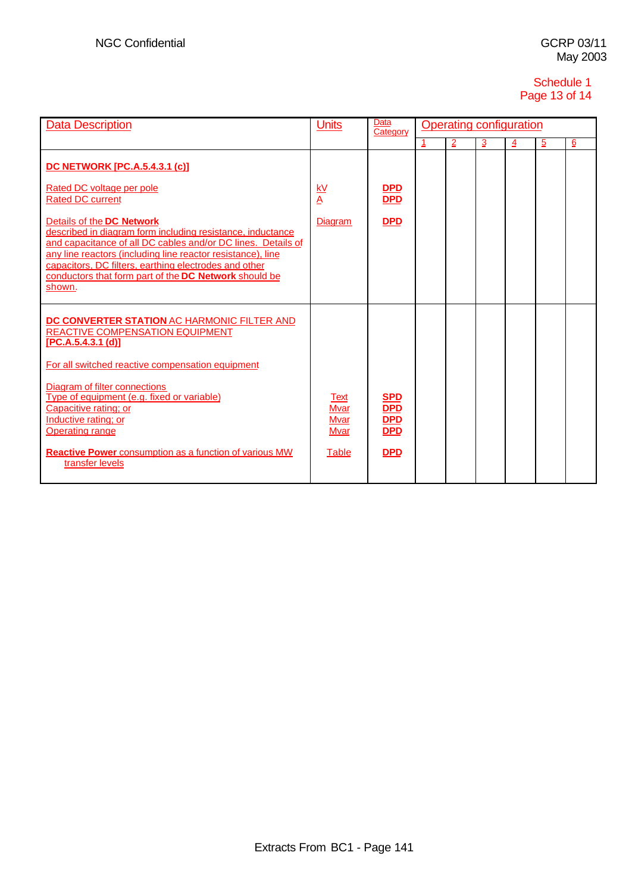# Schedule 1 Page 13 of 14

| <b>Data Description</b>                                                                                                                                                                                                                                                                                                                                                                                       | <b>Units</b>                                                      | Data<br>Category                                                   |   | <b>Operating configuration</b> |    |                |                |                |
|---------------------------------------------------------------------------------------------------------------------------------------------------------------------------------------------------------------------------------------------------------------------------------------------------------------------------------------------------------------------------------------------------------------|-------------------------------------------------------------------|--------------------------------------------------------------------|---|--------------------------------|----|----------------|----------------|----------------|
|                                                                                                                                                                                                                                                                                                                                                                                                               |                                                                   |                                                                    | 1 | $\overline{2}$                 | Ιŵ | $\overline{4}$ | $\overline{5}$ | $\overline{6}$ |
| <b>DC NETWORK [PC.A.5.4.3.1 (c)]</b><br>Rated DC voltage per pole<br><b>Rated DC current</b>                                                                                                                                                                                                                                                                                                                  | $\frac{kV}{A}$                                                    | <b>DPD</b><br>DPD                                                  |   |                                |    |                |                |                |
| Details of the DC Network<br>described in diagram form including resistance, inductance<br>and capacitance of all DC cables and/or DC lines. Details of<br>any line reactors (including line reactor resistance), line<br>capacitors, DC filters, earthing electrodes and other<br>conductors that form part of the DC Network should be<br>shown.                                                            | <b>Diagram</b>                                                    | <b>DPD</b>                                                         |   |                                |    |                |                |                |
| DC CONVERTER STATION AC HARMONIC FILTER AND<br><b>REACTIVE COMPENSATION EQUIPMENT</b><br>[PC.A.5.4.3.1 (d)]<br>For all switched reactive compensation equipment<br>Diagram of filter connections<br>Type of equipment (e.g. fixed or variable)<br>Capacitive rating; or<br>Inductive rating; or<br><b>Operating range</b><br><b>Reactive Power</b> consumption as a function of various MW<br>transfer levels | <b>Text</b><br><b>Mvar</b><br><b>Mvar</b><br>Mvar<br><b>Table</b> | <b>SPD</b><br><b>DPD</b><br><b>DPD</b><br><b>DPD</b><br><b>DPD</b> |   |                                |    |                |                |                |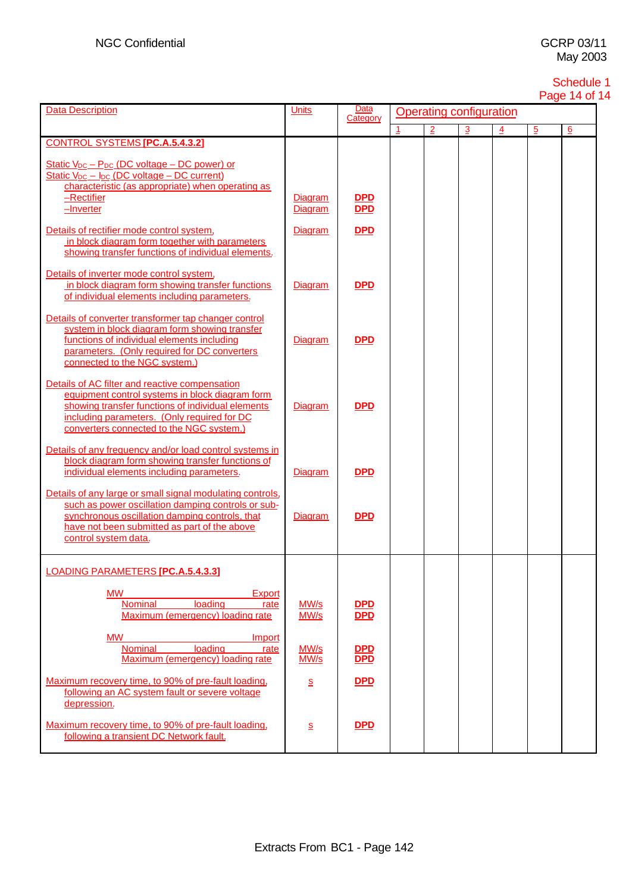#### Schedule 1 Page 14 of 14

| <b>Data Description</b>                                                                                                                                                                                                                           | <b>Units</b>                         | Data<br>Category               |  |                | Operating configuration |   |                |   |  |  |
|---------------------------------------------------------------------------------------------------------------------------------------------------------------------------------------------------------------------------------------------------|--------------------------------------|--------------------------------|--|----------------|-------------------------|---|----------------|---|--|--|
|                                                                                                                                                                                                                                                   |                                      |                                |  | $\overline{2}$ | 3                       | 4 | $\overline{5}$ | 6 |  |  |
| <b>CONTROL SYSTEMS [PC.A.5.4.3.2]</b>                                                                                                                                                                                                             |                                      |                                |  |                |                         |   |                |   |  |  |
| Static $V_{DC}$ – $P_{DC}$ (DC voltage – DC power) or<br><u> Static V<sub>DC</sub> – I<sub>DC</sub> (DC voltage – DC current)</u><br>characteristic (as appropriate) when operating as<br>$-$ Rectifier<br>$-Inverter$                            | <b>Diagram</b><br>Diagram            | <b>DPD</b><br>$\overline{DPD}$ |  |                |                         |   |                |   |  |  |
| Details of rectifier mode control system.<br>in block diagram form together with parameters<br>showing transfer functions of individual elements.                                                                                                 | <b>Diagram</b>                       | <b>DPD</b>                     |  |                |                         |   |                |   |  |  |
| Details of inverter mode control system.<br>in block diagram form showing transfer functions<br>of individual elements including parameters.                                                                                                      | <b>Diagram</b>                       | <b>DPD</b>                     |  |                |                         |   |                |   |  |  |
| Details of converter transformer tap changer control<br>system in block diagram form showing transfer<br>functions of individual elements including<br>parameters. (Only required for DC converters)<br>connected to the NGC system.)             | <b>Diagram</b>                       | <b>DPD</b>                     |  |                |                         |   |                |   |  |  |
| Details of AC filter and reactive compensation<br>equipment control systems in block diagram form<br>showing transfer functions of individual elements<br>including parameters. (Only required for DC<br>converters connected to the NGC system.) | Diagram                              | <b>DPD</b>                     |  |                |                         |   |                |   |  |  |
| Details of any frequency and/or load control systems in<br>block diagram form showing transfer functions of<br>individual elements including parameters.                                                                                          | <b>Diagram</b>                       | <b>DPD</b>                     |  |                |                         |   |                |   |  |  |
| Details of any large or small signal modulating controls,<br>such as power oscillation damping controls or sub-<br>synchronous oscillation damping controls, that<br>have not been submitted as part of the above<br>control system data.         | <b>Diagram</b>                       | <b>DPD</b>                     |  |                |                         |   |                |   |  |  |
| LOADING PARAMETERS <b>[PC.A.5.4.3.3]</b>                                                                                                                                                                                                          |                                      |                                |  |                |                         |   |                |   |  |  |
| <b>MW</b><br>Export<br>loading<br><b>Nominal</b><br>rate<br>Maximum (emergency) loading rate                                                                                                                                                      | MW/s<br>MW/s                         | <b>DPD</b><br><b>DPD</b>       |  |                |                         |   |                |   |  |  |
| <b>MW</b><br>Import<br>loading<br><b>Nominal</b><br>rate<br>Maximum (emergency) loading rate                                                                                                                                                      | MW/s<br>MW/s                         | <b>DPD</b><br>$\overline{DPD}$ |  |                |                         |   |                |   |  |  |
| Maximum recovery time, to 90% of pre-fault loading.<br>following an AC system fault or severe voltage<br>depression.                                                                                                                              | S                                    | <b>DPD</b>                     |  |                |                         |   |                |   |  |  |
| Maximum recovery time, to 90% of pre-fault loading.<br>following a transient DC Network fault.                                                                                                                                                    | $\underline{\underline{\mathsf{S}}}$ | <b>DPD</b>                     |  |                |                         |   |                |   |  |  |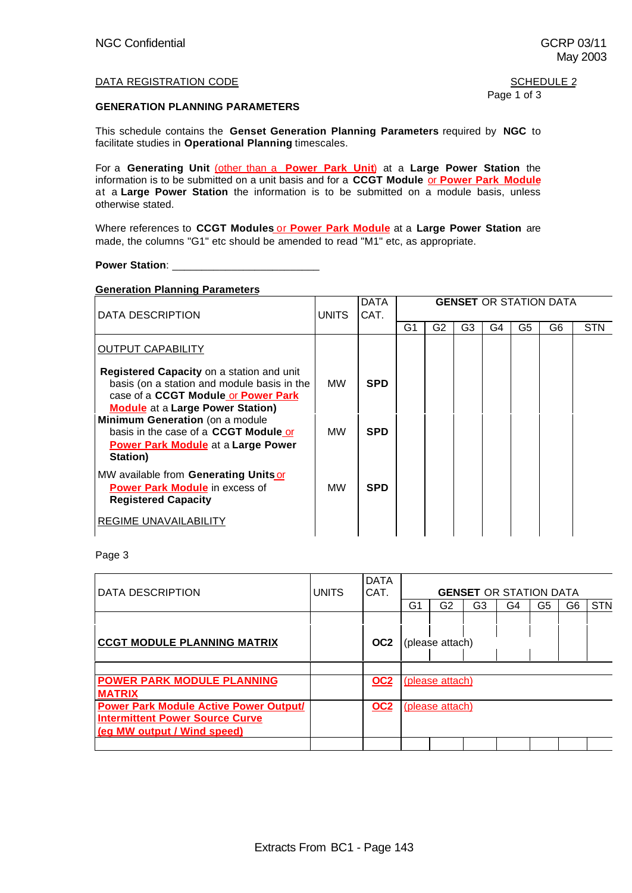#### DATA REGISTRATION CODE NEWSLET SERVICE 2

#### **GENERATION PLANNING PARAMETERS**

This schedule contains the **Genset Generation Planning Parameters** required by **NGC** to facilitate studies in **Operational Planning** timescales.

For a **Generating Unit** (other than a **Power Park Unit**) at a **Large Power Station** the information is to be submitted on a unit basis and for a **CCGT Module** or **Power Park Module** at a **Large Power Station** the information is to be submitted on a module basis, unless otherwise stated.

Where references to **CCGT Modules** or **Power Park Module** at a **Large Power Station** are made, the columns "G1" etc should be amended to read "M1" etc, as appropriate.

**Power Station:** 

#### **Generation Planning Parameters**

| DATA DESCRIPTION                                                                                                                                                           | <b>UNITS</b> | <b>DATA</b><br>CAT. |    |    |    |    |                | <b>GENSET OR STATION DATA</b> |            |
|----------------------------------------------------------------------------------------------------------------------------------------------------------------------------|--------------|---------------------|----|----|----|----|----------------|-------------------------------|------------|
|                                                                                                                                                                            |              |                     | G1 | G2 | G3 | G4 | G <sub>5</sub> | G6                            | <b>STN</b> |
| <b>OUTPUT CAPABILITY</b>                                                                                                                                                   |              |                     |    |    |    |    |                |                               |            |
| Registered Capacity on a station and unit<br>basis (on a station and module basis in the<br>case of a CCGT Module or Power Park<br><b>Module</b> at a Large Power Station) | <b>MW</b>    | <b>SPD</b>          |    |    |    |    |                |                               |            |
| Minimum Generation (on a module<br>basis in the case of a CCGT Module or<br><b>Power Park Module</b> at a Large Power<br>Station)                                          | <b>MW</b>    | <b>SPD</b>          |    |    |    |    |                |                               |            |
| MW available from Generating Units or<br><b>Power Park Module</b> in excess of<br><b>Registered Capacity</b>                                                               | <b>MW</b>    | <b>SPD</b>          |    |    |    |    |                |                               |            |
| <b>REGIME UNAVAILABILITY</b>                                                                                                                                               |              |                     |    |    |    |    |                |                               |            |

Page 3

| IDATA DESCRIPTION                                                                                                      | <b>UNITS</b> | <b>DATA</b><br>CAT. | <b>GENSET OR STATION DATA</b> |                        |    |    |    |    |            |
|------------------------------------------------------------------------------------------------------------------------|--------------|---------------------|-------------------------------|------------------------|----|----|----|----|------------|
|                                                                                                                        |              |                     | G1                            | G2                     | G3 | G4 | G5 | G6 | <b>STN</b> |
| <b>CCGT MODULE PLANNING MATRIX</b>                                                                                     |              | OC <sub>2</sub>     |                               | (please attach)        |    |    |    |    |            |
| <b>POWER PARK MODULE PLANNING</b><br><b>MATRIX</b>                                                                     |              | <b>OC2</b>          |                               | <u>(please attach)</u> |    |    |    |    |            |
| <b>Power Park Module Active Power Output/</b><br><b>Intermittent Power Source Curve</b><br>(eq MW output / Wind speed) |              | <u>OC2</u>          | (please attach)               |                        |    |    |    |    |            |
|                                                                                                                        |              |                     |                               |                        |    |    |    |    |            |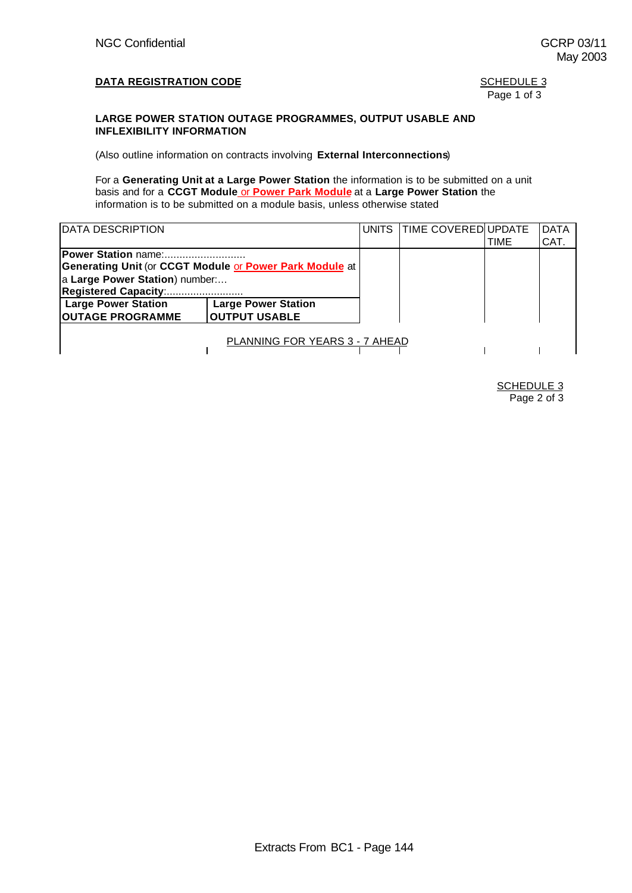May 2003

# Page 1 of 3

#### **LARGE POWER STATION OUTAGE PROGRAMMES, OUTPUT USABLE AND INFLEXIBILITY INFORMATION**

(Also outline information on contracts involving **External Interconnections**)

For a **Generating Unit at a Large Power Station** the information is to be submitted on a unit basis and for a **CCGT Module** or **Power Park Module** at a **Large Power Station** the information is to be submitted on a module basis, unless otherwise stated

| <b>IDATA DESCRIPTION</b>                                                                                                                 |                                                    |  | UNITS TIME COVERED UPDATE | TIME | <b>DATA</b><br>CAT. |
|------------------------------------------------------------------------------------------------------------------------------------------|----------------------------------------------------|--|---------------------------|------|---------------------|
| Power Station name:<br>Generating Unit (or CCGT Module or Power Park Module at<br>a Large Power Station) number:<br>Registered Capacity: |                                                    |  |                           |      |                     |
| <b>Large Power Station</b><br><b>OUTAGE PROGRAMME</b>                                                                                    | <b>Large Power Station</b><br><b>OUTPUT USABLE</b> |  |                           |      |                     |
|                                                                                                                                          | <b>PLANNING FOR YEARS 3 - 7 AHEAD</b>              |  |                           |      |                     |

**SCHEDULE 3** Page 2 of 3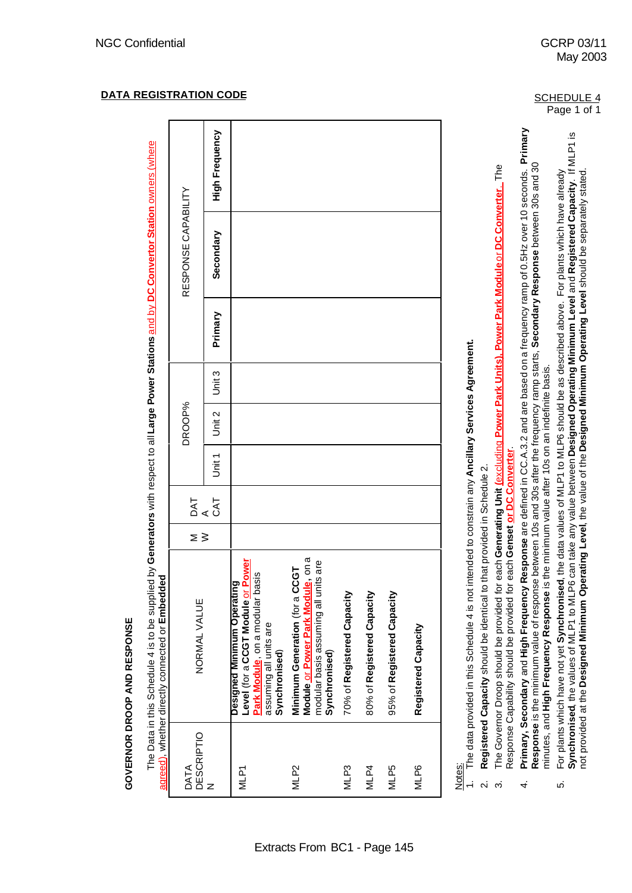| <b>NOON</b><br><b>GOVERNOR DROOP AND</b> |  |
|------------------------------------------|--|

The Data in this Schedule 4 is to be supplied by Generators with respect to all Large Power Stations and by DC Convertor Station owners (where The Data in this Schedule 4 is to be supplied by **Generators** with respect to all **Large Power Stations** and by **DC Convertor Station** owners (where agreed) whether directly connected or **Embedded** 

|                         | agreed), whether directly connected or <b>Embeddec</b>                                                                                         |     |            |        |        |        |         |                     |                       |
|-------------------------|------------------------------------------------------------------------------------------------------------------------------------------------|-----|------------|--------|--------|--------|---------|---------------------|-----------------------|
| DESCRIPTIO<br>N<br>DATA | NORMAL VALUE                                                                                                                                   | ∑ ≥ | DAT<br>CAT |        | DROOP% |        |         | RESPONSE CAPABILITY |                       |
|                         |                                                                                                                                                |     |            | Unit 1 | Unit 2 | Unit 3 | Primary | Secondary           | <b>High Frequency</b> |
| MLP <sub>1</sub>        | Level (for a CCGT Module or Power<br>Park Module, on a modular basis<br>Designed Minimum Operating                                             |     |            |        |        |        |         |                     |                       |
|                         | assuming all units are<br>Synchronised)                                                                                                        |     |            |        |        |        |         |                     |                       |
| MLP <sub>2</sub>        | on a<br>are<br>• ს<br>modular basis assuming all units<br>Minimum Generation (for a CC<br>Module <u>or Power Park Module,</u><br>Synchronised) |     |            |        |        |        |         |                     |                       |
| MLP3                    | 70% of Registered Capacity                                                                                                                     |     |            |        |        |        |         |                     |                       |
| MLP4                    | 80% of Registered Capacity                                                                                                                     |     |            |        |        |        |         |                     |                       |
| MLP5                    | 95% of Registered Capacity                                                                                                                     |     |            |        |        |        |         |                     |                       |
| MLP6                    | Registered Capacity                                                                                                                            |     |            |        |        |        |         |                     |                       |
|                         |                                                                                                                                                |     |            |        |        |        |         |                     |                       |

<u>Notes:</u><br>1. The data provided in this Schedule 4 is not intended to constrain any **Ancillary Services Agreement.** 1. The data provided in this Schedule 4 is not intended to constrain any **Ancillary Services Agreement.**  $\div$ 

Registered Capacity should be identical to that provided in Schedule 2. 2. **Registered Capacity** should be identical to that provided in Schedule 2.  $\overline{\mathbf{v}}$ 

The Governor Droop should be provided for each Generating Unit (excluding Power Park Units). Power Park Module or DC Converter. The 3. The Governor Droop should be provided for each **Generating Unit (**excluding **Power Park Units), Power Park Module** or **DC Converter**. The Response Capability should be provided for each **Genset or DC Converter**. Response Capability should be provided for each Genset or DC Converter က

- Primary, Secondary and High Frequency Response are defined in CC.A.3.2 and are based on a frequency ramp of 0.5Hz over 10 seconds. Primary 4. **Primary, Secondary** and **High Frequency Response** are defined in CC.A.3.2 and are based on a frequency ramp of 0.5Hz over 10 seconds. **Primary** Response is the minimum value of response between 10s and 30s after the frequency ramp starts, Secondary Response between 30s and 30 **Response** is the minimum value of response between 10s and 30s after the frequency ramp starts, **Secondary Response** between 30s and 30 minutes, and High Frequency Response is the minimum value after 10s on an indefinite basis. minutes, and **High Frequency Response** is the minimum value after 10s on an indefinite basis.  $\overline{4}$
- Synchronised, the values of MLP1 to MLP6 can take any value between Designed Operating Minimum Level and Registered Capacity. If MLP1 is **Synchronised**, the values of MLP1 to MLP6 can take any value between **Designed Operating Minimum Level** and **Registered Capacity**. If MLP1 is For plants which have not yet Synchronised, the data values of MLP1 to MLP6 should be as described above. For plants which have already not provided at the **Designed Minimum Operating Level**, the value of the **Designed Minimum Operating Level** should be separately stated.5. For plants which have not yet **Synchronised**, the data values of MLP1 to MLP6 should be as described above. For plants which have already not provided at the Designed Minimum Operating Level, the value of the Designed Minimum Operating Level should be separately stated ယ္ပ